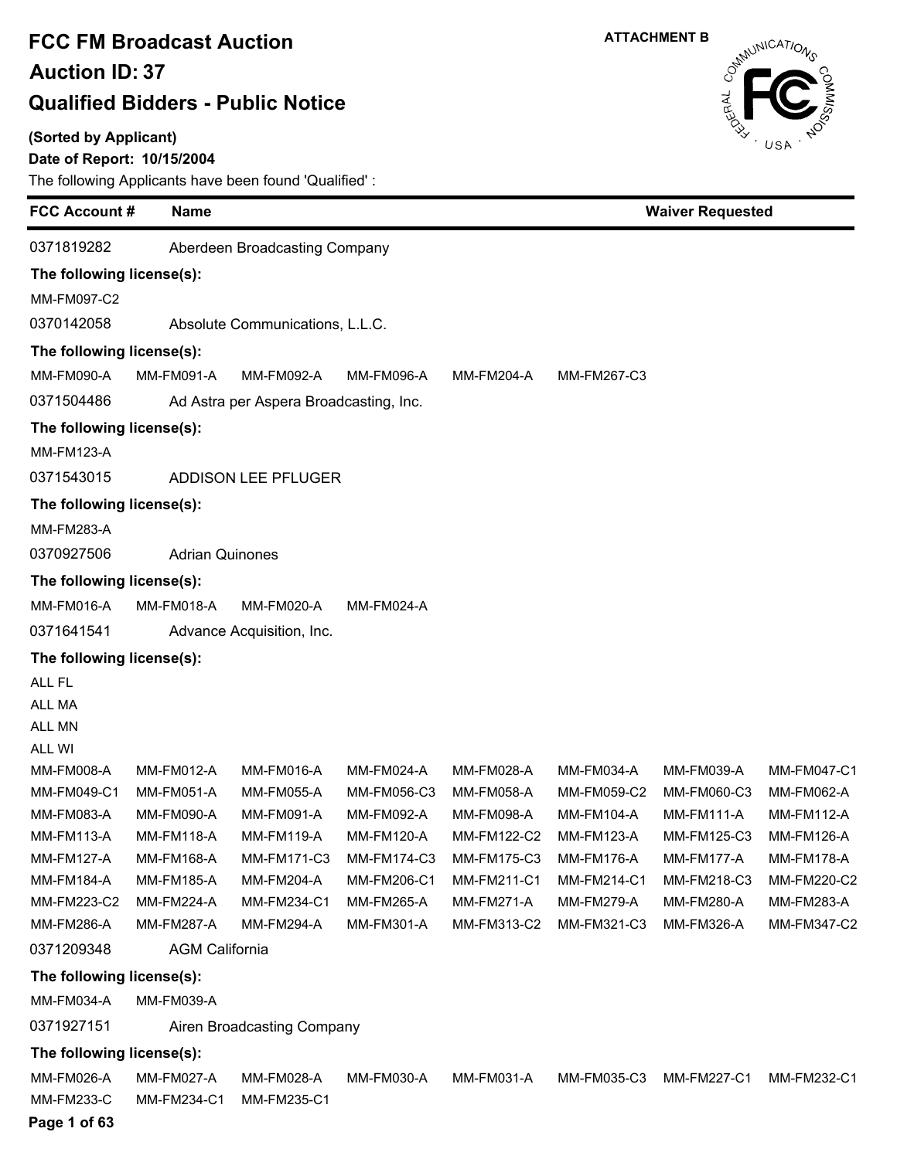#### **(Sorted by Applicant)**

Ė

### **Date of Report: 10/15/2004**

| <b>FCC Account #</b>        | <b>Name</b>            |                                        |                   |                    |                   |                   | <b>Waiver Requested</b> |  |  |
|-----------------------------|------------------------|----------------------------------------|-------------------|--------------------|-------------------|-------------------|-------------------------|--|--|
| 0371819282                  |                        | Aberdeen Broadcasting Company          |                   |                    |                   |                   |                         |  |  |
| The following license(s):   |                        |                                        |                   |                    |                   |                   |                         |  |  |
| MM-FM097-C2                 |                        |                                        |                   |                    |                   |                   |                         |  |  |
| 0370142058                  |                        | Absolute Communications, L.L.C.        |                   |                    |                   |                   |                         |  |  |
| The following license(s):   |                        |                                        |                   |                    |                   |                   |                         |  |  |
| MM-FM090-A                  | MM-FM091-A             | MM-FM092-A                             | MM-FM096-A        | MM-FM204-A         | MM-FM267-C3       |                   |                         |  |  |
| 0371504486                  |                        | Ad Astra per Aspera Broadcasting, Inc. |                   |                    |                   |                   |                         |  |  |
| The following license(s):   |                        |                                        |                   |                    |                   |                   |                         |  |  |
| <b>MM-FM123-A</b>           |                        |                                        |                   |                    |                   |                   |                         |  |  |
| 0371543015                  |                        | ADDISON LEE PFLUGER                    |                   |                    |                   |                   |                         |  |  |
|                             |                        |                                        |                   |                    |                   |                   |                         |  |  |
| The following license(s):   |                        |                                        |                   |                    |                   |                   |                         |  |  |
| MM-FM283-A<br>0370927506    |                        |                                        |                   |                    |                   |                   |                         |  |  |
|                             | <b>Adrian Quinones</b> |                                        |                   |                    |                   |                   |                         |  |  |
| The following license(s):   |                        |                                        |                   |                    |                   |                   |                         |  |  |
| <b>MM-FM016-A</b>           | <b>MM-FM018-A</b>      | MM-FM020-A                             | MM-FM024-A        |                    |                   |                   |                         |  |  |
| 0371641541                  |                        | Advance Acquisition, Inc.              |                   |                    |                   |                   |                         |  |  |
| The following license(s):   |                        |                                        |                   |                    |                   |                   |                         |  |  |
| ALL FL                      |                        |                                        |                   |                    |                   |                   |                         |  |  |
| ALL MA                      |                        |                                        |                   |                    |                   |                   |                         |  |  |
| ALL MN                      |                        |                                        |                   |                    |                   |                   |                         |  |  |
| ALL WI<br><b>MM-FM008-A</b> | MM-FM012-A             | MM-FM016-A                             | MM-FM024-A        | MM-FM028-A         | <b>MM-FM034-A</b> | MM-FM039-A        | <b>MM-FM047-C1</b>      |  |  |
| MM-FM049-C1                 | MM-FM051-A             | MM-FM055-A                             | MM-FM056-C3       | MM-FM058-A         | MM-FM059-C2       | MM-FM060-C3       | MM-FM062-A              |  |  |
| MM-FM083-A                  | MM-FM090-A             | MM-FM091-A                             | MM-FM092-A        | MM-FM098-A         | <b>MM-FM104-A</b> | <b>MM-FM111-A</b> | <b>MM-FM112-A</b>       |  |  |
| <b>MM-FM113-A</b>           | <b>MM-FM118-A</b>      | <b>MM-FM119-A</b>                      | <b>MM-FM120-A</b> | MM-FM122-C2        | <b>MM-FM123-A</b> | MM-FM125-C3       | MM-FM126-A              |  |  |
| <b>MM-FM127-A</b>           | <b>MM-FM168-A</b>      | <b>MM-FM171-C3</b>                     | MM-FM174-C3       | <b>MM-FM175-C3</b> | MM-FM176-A        | MM-FM177-A        | MM-FM178-A              |  |  |
| <b>MM-FM184-A</b>           | <b>MM-FM185-A</b>      | <b>MM-FM204-A</b>                      | MM-FM206-C1       | MM-FM211-C1        | MM-FM214-C1       | MM-FM218-C3       | MM-FM220-C2             |  |  |
| MM-FM223-C2                 | <b>MM-FM224-A</b>      | MM-FM234-C1                            | <b>MM-FM265-A</b> | MM-FM271-A         | <b>MM-FM279-A</b> | MM-FM280-A        | MM-FM283-A              |  |  |
| MM-FM286-A                  | <b>MM-FM287-A</b>      | MM-FM294-A                             | MM-FM301-A        | MM-FM313-C2        | MM-FM321-C3       | MM-FM326-A        | MM-FM347-C2             |  |  |
| 0371209348                  | <b>AGM California</b>  |                                        |                   |                    |                   |                   |                         |  |  |
| The following license(s):   |                        |                                        |                   |                    |                   |                   |                         |  |  |
| MM-FM034-A                  | MM-FM039-A             |                                        |                   |                    |                   |                   |                         |  |  |
| 0371927151                  |                        | Airen Broadcasting Company             |                   |                    |                   |                   |                         |  |  |
| The following license(s):   |                        |                                        |                   |                    |                   |                   |                         |  |  |
| MM-FM026-A                  | MM-FM027-A             | MM-FM028-A                             | MM-FM030-A        | MM-FM031-A         | MM-FM035-C3       | MM-FM227-C1       | MM-FM232-C1             |  |  |
| <b>MM-FM233-C</b>           | MM-FM234-C1            | MM-FM235-C1                            |                   |                    |                   |                   |                         |  |  |

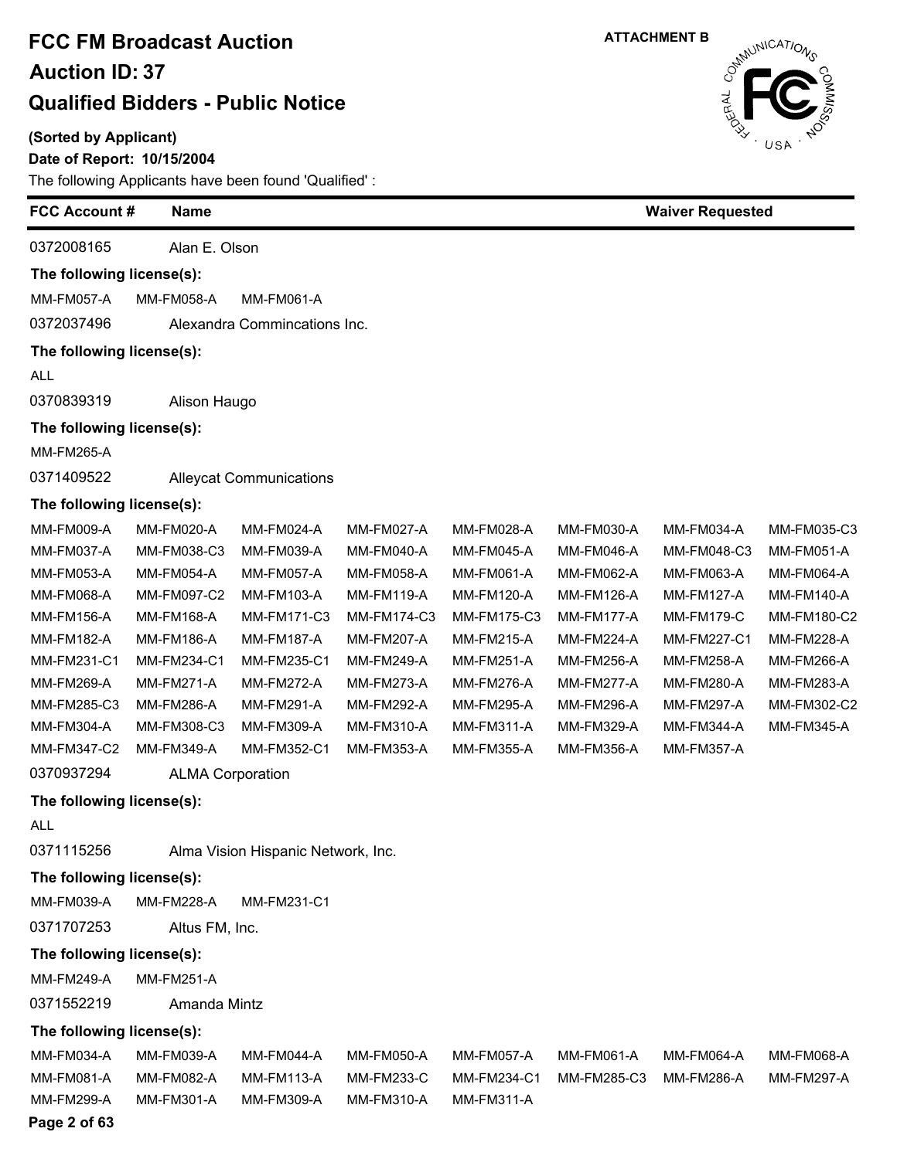**(Sorted by Applicant)**

### **Date of Report: 10/15/2004**

The following Applicants have been found 'Qualified' :

|                           | <b>FCC Account #</b><br><b>Name</b> |                                    |                   |                   | <b>Waiver Requested</b> |                   |                   |  |
|---------------------------|-------------------------------------|------------------------------------|-------------------|-------------------|-------------------------|-------------------|-------------------|--|
| 0372008165                | Alan E. Olson                       |                                    |                   |                   |                         |                   |                   |  |
| The following license(s): |                                     |                                    |                   |                   |                         |                   |                   |  |
| <b>MM-FM057-A</b>         | <b>MM-FM058-A</b>                   | <b>MM-FM061-A</b>                  |                   |                   |                         |                   |                   |  |
| 0372037496                |                                     | Alexandra Commincations Inc.       |                   |                   |                         |                   |                   |  |
| The following license(s): |                                     |                                    |                   |                   |                         |                   |                   |  |
| <b>ALL</b>                |                                     |                                    |                   |                   |                         |                   |                   |  |
| 0370839319                | Alison Haugo                        |                                    |                   |                   |                         |                   |                   |  |
| The following license(s): |                                     |                                    |                   |                   |                         |                   |                   |  |
| <b>MM-FM265-A</b>         |                                     |                                    |                   |                   |                         |                   |                   |  |
| 0371409522                |                                     | <b>Alleycat Communications</b>     |                   |                   |                         |                   |                   |  |
| The following license(s): |                                     |                                    |                   |                   |                         |                   |                   |  |
| <b>MM-FM009-A</b>         | <b>MM-FM020-A</b>                   | MM-FM024-A                         | <b>MM-FM027-A</b> | MM-FM028-A        | MM-FM030-A              | MM-FM034-A        | MM-FM035-C3       |  |
| MM-FM037-A                | MM-FM038-C3                         | MM-FM039-A                         | MM-FM040-A        | <b>MM-FM045-A</b> | <b>MM-FM046-A</b>       | MM-FM048-C3       | MM-FM051-A        |  |
| MM-FM053-A                | <b>MM-FM054-A</b>                   | <b>MM-FM057-A</b>                  | MM-FM058-A        | <b>MM-FM061-A</b> | MM-FM062-A              | MM-FM063-A        | MM-FM064-A        |  |
| MM-FM068-A                | MM-FM097-C2                         | MM-FM103-A                         | <b>MM-FM119-A</b> | MM-FM120-A        | <b>MM-FM126-A</b>       | <b>MM-FM127-A</b> | <b>MM-FM140-A</b> |  |
| <b>MM-FM156-A</b>         | MM-FM168-A                          | MM-FM171-C3                        | MM-FM174-C3       | MM-FM175-C3       | MM-FM177-A              | <b>MM-FM179-C</b> | MM-FM180-C2       |  |
| <b>MM-FM182-A</b>         | <b>MM-FM186-A</b>                   | <b>MM-FM187-A</b>                  | MM-FM207-A        | <b>MM-FM215-A</b> | <b>MM-FM224-A</b>       | MM-FM227-C1       | <b>MM-FM228-A</b> |  |
| MM-FM231-C1               | MM-FM234-C1                         | MM-FM235-C1                        | <b>MM-FM249-A</b> | <b>MM-FM251-A</b> | <b>MM-FM256-A</b>       | <b>MM-FM258-A</b> | MM-FM266-A        |  |
| MM-FM269-A                | <b>MM-FM271-A</b>                   | <b>MM-FM272-A</b>                  | <b>MM-FM273-A</b> | MM-FM276-A        | MM-FM277-A              | MM-FM280-A        | MM-FM283-A        |  |
| MM-FM285-C3               | MM-FM286-A                          | MM-FM291-A                         | <b>MM-FM292-A</b> | <b>MM-FM295-A</b> | <b>MM-FM296-A</b>       | <b>MM-FM297-A</b> | MM-FM302-C2       |  |
| MM-FM304-A                | MM-FM308-C3                         | MM-FM309-A                         | MM-FM310-A        | MM-FM311-A        | MM-FM329-A              | MM-FM344-A        | MM-FM345-A        |  |
| MM-FM347-C2               | MM-FM349-A                          | MM-FM352-C1                        | MM-FM353-A        | MM-FM355-A        | MM-FM356-A              | MM-FM357-A        |                   |  |
| 0370937294                | <b>ALMA Corporation</b>             |                                    |                   |                   |                         |                   |                   |  |
| The following license(s): |                                     |                                    |                   |                   |                         |                   |                   |  |
| ALL                       |                                     |                                    |                   |                   |                         |                   |                   |  |
| 0371115256                |                                     | Alma Vision Hispanic Network, Inc. |                   |                   |                         |                   |                   |  |
| The following license(s): |                                     |                                    |                   |                   |                         |                   |                   |  |
| MM-FM039-A                | <b>MM-FM228-A</b>                   | MM-FM231-C1                        |                   |                   |                         |                   |                   |  |
| 0371707253                | Altus FM, Inc.                      |                                    |                   |                   |                         |                   |                   |  |
| The following license(s): |                                     |                                    |                   |                   |                         |                   |                   |  |
| <b>MM-FM249-A</b>         | <b>MM-FM251-A</b>                   |                                    |                   |                   |                         |                   |                   |  |
| 0371552219                | Amanda Mintz                        |                                    |                   |                   |                         |                   |                   |  |
| The following license(s): |                                     |                                    |                   |                   |                         |                   |                   |  |
| MM-FM034-A                | MM-FM039-A                          | MM-FM044-A                         | <b>MM-FM050-A</b> | <b>MM-FM057-A</b> | <b>MM-FM061-A</b>       | MM-FM064-A        | MM-FM068-A        |  |
| MM-FM081-A                | MM-FM082-A                          | MM-FM113-A                         | MM-FM233-C        | MM-FM234-C1       | MM-FM285-C3             | <b>MM-FM286-A</b> | <b>MM-FM297-A</b> |  |
| <b>MM-FM299-A</b>         | MM-FM301-A                          | MM-FM309-A                         | MM-FM310-A        | MM-FM311-A        |                         |                   |                   |  |
| Page 2 of 63              |                                     |                                    |                   |                   |                         |                   |                   |  |

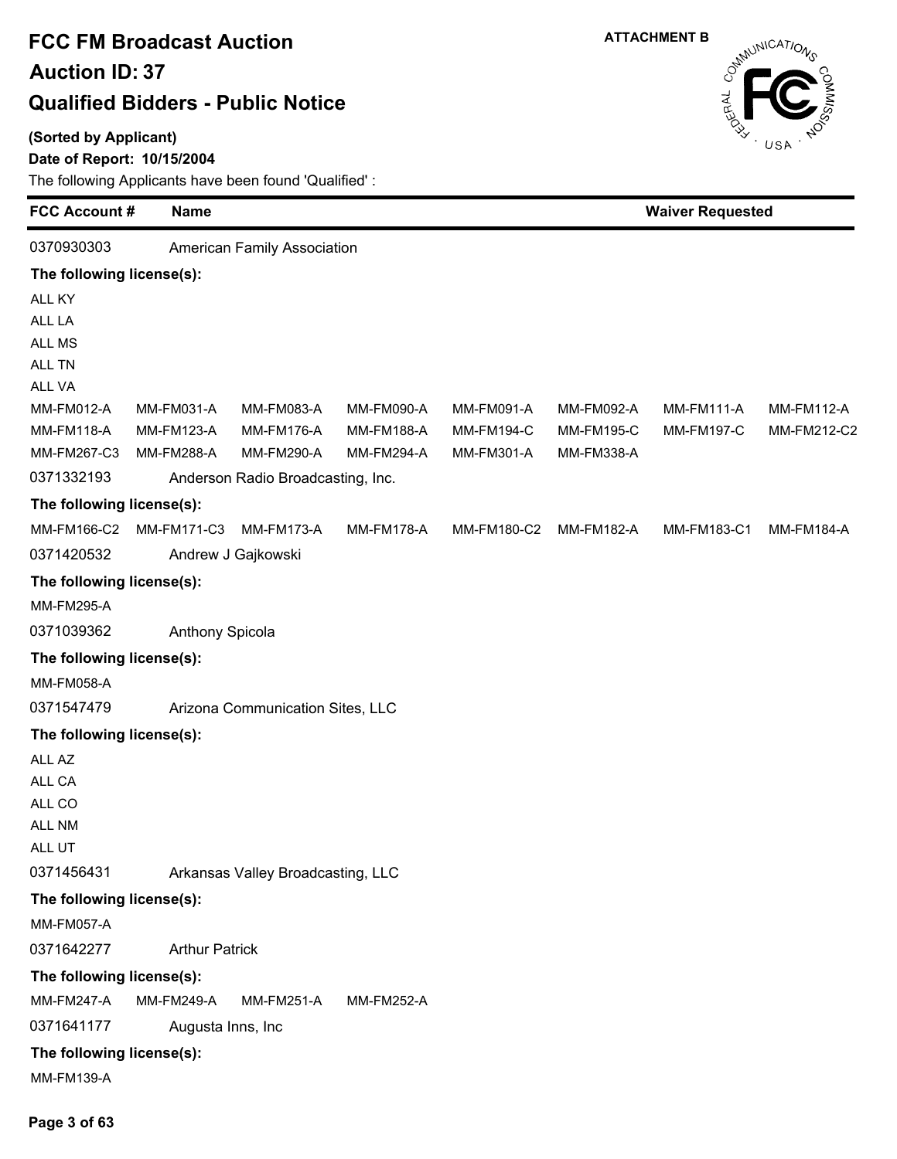#### **(Sorted by Applicant)**

### **Date of Report: 10/15/2004**



| <b>FCC Account #</b>      | <b>Name</b>                       |                                   |                   | <b>Waiver Requested</b> |                   |                   |                   |  |  |
|---------------------------|-----------------------------------|-----------------------------------|-------------------|-------------------------|-------------------|-------------------|-------------------|--|--|
| 0370930303                |                                   | American Family Association       |                   |                         |                   |                   |                   |  |  |
| The following license(s): |                                   |                                   |                   |                         |                   |                   |                   |  |  |
| ALL KY                    |                                   |                                   |                   |                         |                   |                   |                   |  |  |
| ALL LA                    |                                   |                                   |                   |                         |                   |                   |                   |  |  |
| ALL MS                    |                                   |                                   |                   |                         |                   |                   |                   |  |  |
| ALL TN                    |                                   |                                   |                   |                         |                   |                   |                   |  |  |
| ALL VA                    |                                   |                                   |                   |                         |                   |                   |                   |  |  |
| MM-FM012-A                | MM-FM031-A                        | MM-FM083-A                        | MM-FM090-A        | MM-FM091-A              | MM-FM092-A        | <b>MM-FM111-A</b> | <b>MM-FM112-A</b> |  |  |
| <b>MM-FM118-A</b>         | <b>MM-FM123-A</b>                 | <b>MM-FM176-A</b>                 | <b>MM-FM188-A</b> | <b>MM-FM194-C</b>       | <b>MM-FM195-C</b> | <b>MM-FM197-C</b> | MM-FM212-C2       |  |  |
| MM-FM267-C3               | MM-FM288-A                        | MM-FM290-A                        | <b>MM-FM294-A</b> | MM-FM301-A              | MM-FM338-A        |                   |                   |  |  |
| 0371332193                | Anderson Radio Broadcasting, Inc. |                                   |                   |                         |                   |                   |                   |  |  |
| The following license(s): |                                   |                                   |                   |                         |                   |                   |                   |  |  |
| MM-FM166-C2               | MM-FM171-C3                       | MM-FM173-A                        | <b>MM-FM178-A</b> | MM-FM180-C2             | <b>MM-FM182-A</b> | MM-FM183-C1       | <b>MM-FM184-A</b> |  |  |
| 0371420532                |                                   | Andrew J Gajkowski                |                   |                         |                   |                   |                   |  |  |
| The following license(s): |                                   |                                   |                   |                         |                   |                   |                   |  |  |
| <b>MM-FM295-A</b>         |                                   |                                   |                   |                         |                   |                   |                   |  |  |
| 0371039362                | <b>Anthony Spicola</b>            |                                   |                   |                         |                   |                   |                   |  |  |
| The following license(s): |                                   |                                   |                   |                         |                   |                   |                   |  |  |
| MM-FM058-A                |                                   |                                   |                   |                         |                   |                   |                   |  |  |
| 0371547479                |                                   | Arizona Communication Sites, LLC  |                   |                         |                   |                   |                   |  |  |
| The following license(s): |                                   |                                   |                   |                         |                   |                   |                   |  |  |
| ALL AZ                    |                                   |                                   |                   |                         |                   |                   |                   |  |  |
| ALL CA                    |                                   |                                   |                   |                         |                   |                   |                   |  |  |
| ALL CO                    |                                   |                                   |                   |                         |                   |                   |                   |  |  |
| ALL NM                    |                                   |                                   |                   |                         |                   |                   |                   |  |  |
| ALL UT                    |                                   |                                   |                   |                         |                   |                   |                   |  |  |
| 0371456431                |                                   | Arkansas Valley Broadcasting, LLC |                   |                         |                   |                   |                   |  |  |
| The following license(s): |                                   |                                   |                   |                         |                   |                   |                   |  |  |
| <b>MM-FM057-A</b>         |                                   |                                   |                   |                         |                   |                   |                   |  |  |
| 0371642277                | <b>Arthur Patrick</b>             |                                   |                   |                         |                   |                   |                   |  |  |
| The following license(s): |                                   |                                   |                   |                         |                   |                   |                   |  |  |
| <b>MM-FM247-A</b>         | <b>MM-FM249-A</b>                 | <b>MM-FM251-A</b>                 | <b>MM-FM252-A</b> |                         |                   |                   |                   |  |  |
| 0371641177                | Augusta Inns, Inc.                |                                   |                   |                         |                   |                   |                   |  |  |
| The following license(s): |                                   |                                   |                   |                         |                   |                   |                   |  |  |
| MM-FM139-A                |                                   |                                   |                   |                         |                   |                   |                   |  |  |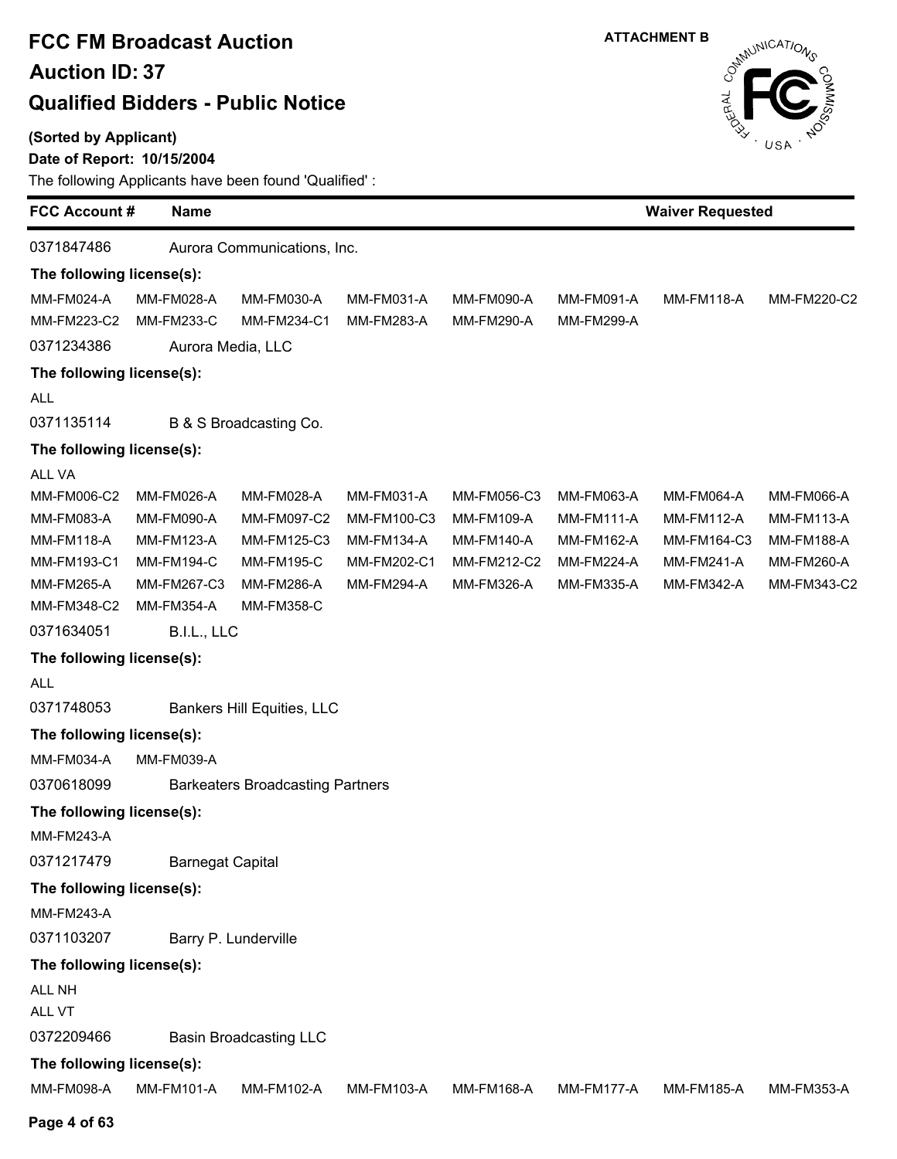**(Sorted by Applicant)**

### **Date of Report: 10/15/2004**



| <b>FCC Account#</b>                                                                                                                                                                                                                                                                           | <b>Name</b>                                                                                                                                                    |                                                                                                                                                                                  |                                                                                    |                                                                             |                                                                                  | <b>Waiver Requested</b>                                                           |                                                                                   |
|-----------------------------------------------------------------------------------------------------------------------------------------------------------------------------------------------------------------------------------------------------------------------------------------------|----------------------------------------------------------------------------------------------------------------------------------------------------------------|----------------------------------------------------------------------------------------------------------------------------------------------------------------------------------|------------------------------------------------------------------------------------|-----------------------------------------------------------------------------|----------------------------------------------------------------------------------|-----------------------------------------------------------------------------------|-----------------------------------------------------------------------------------|
| 0371847486                                                                                                                                                                                                                                                                                    |                                                                                                                                                                | Aurora Communications, Inc.                                                                                                                                                      |                                                                                    |                                                                             |                                                                                  |                                                                                   |                                                                                   |
| The following license(s):                                                                                                                                                                                                                                                                     |                                                                                                                                                                |                                                                                                                                                                                  |                                                                                    |                                                                             |                                                                                  |                                                                                   |                                                                                   |
| MM-FM024-A                                                                                                                                                                                                                                                                                    | <b>MM-FM028-A</b>                                                                                                                                              | MM-FM030-A                                                                                                                                                                       | MM-FM031-A                                                                         | MM-FM090-A                                                                  | <b>MM-FM091-A</b>                                                                | <b>MM-FM118-A</b>                                                                 | MM-FM220-C2                                                                       |
| MM-FM223-C2                                                                                                                                                                                                                                                                                   | <b>MM-FM233-C</b>                                                                                                                                              | MM-FM234-C1                                                                                                                                                                      | <b>MM-FM283-A</b>                                                                  | <b>MM-FM290-A</b>                                                           | <b>MM-FM299-A</b>                                                                |                                                                                   |                                                                                   |
| 0371234386                                                                                                                                                                                                                                                                                    | Aurora Media, LLC                                                                                                                                              |                                                                                                                                                                                  |                                                                                    |                                                                             |                                                                                  |                                                                                   |                                                                                   |
| The following license(s):                                                                                                                                                                                                                                                                     |                                                                                                                                                                |                                                                                                                                                                                  |                                                                                    |                                                                             |                                                                                  |                                                                                   |                                                                                   |
| ALL                                                                                                                                                                                                                                                                                           |                                                                                                                                                                |                                                                                                                                                                                  |                                                                                    |                                                                             |                                                                                  |                                                                                   |                                                                                   |
| 0371135114                                                                                                                                                                                                                                                                                    |                                                                                                                                                                | B & S Broadcasting Co.                                                                                                                                                           |                                                                                    |                                                                             |                                                                                  |                                                                                   |                                                                                   |
| The following license(s):                                                                                                                                                                                                                                                                     |                                                                                                                                                                |                                                                                                                                                                                  |                                                                                    |                                                                             |                                                                                  |                                                                                   |                                                                                   |
| ALL VA<br>MM-FM006-C2<br>MM-FM083-A<br><b>MM-FM118-A</b><br>MM-FM193-C1<br>MM-FM265-A<br>MM-FM348-C2<br>0371634051<br>The following license(s):<br>ALL<br>0371748053<br>The following license(s):<br>MM-FM034-A<br>0370618099<br>The following license(s):<br><b>MM-FM243-A</b><br>0371217479 | MM-FM026-A<br><b>MM-FM090-A</b><br><b>MM-FM123-A</b><br><b>MM-FM194-C</b><br>MM-FM267-C3<br>MM-FM354-A<br>B.I.L., LLC<br>MM-FM039-A<br><b>Barnegat Capital</b> | MM-FM028-A<br>MM-FM097-C2<br>MM-FM125-C3<br><b>MM-FM195-C</b><br><b>MM-FM286-A</b><br><b>MM-FM358-C</b><br>Bankers Hill Equities, LLC<br><b>Barkeaters Broadcasting Partners</b> | MM-FM031-A<br>MM-FM100-C3<br><b>MM-FM134-A</b><br>MM-FM202-C1<br><b>MM-FM294-A</b> | MM-FM056-C3<br>MM-FM109-A<br><b>MM-FM140-A</b><br>MM-FM212-C2<br>MM-FM326-A | <b>MM-FM063-A</b><br><b>MM-FM111-A</b><br>MM-FM162-A<br>MM-FM224-A<br>MM-FM335-A | <b>MM-FM064-A</b><br><b>MM-FM112-A</b><br>MM-FM164-C3<br>MM-FM241-A<br>MM-FM342-A | <b>MM-FM066-A</b><br><b>MM-FM113-A</b><br>MM-FM188-A<br>MM-FM260-A<br>MM-FM343-C2 |
| The following license(s):                                                                                                                                                                                                                                                                     |                                                                                                                                                                |                                                                                                                                                                                  |                                                                                    |                                                                             |                                                                                  |                                                                                   |                                                                                   |
| <b>MM-FM243-A</b>                                                                                                                                                                                                                                                                             |                                                                                                                                                                |                                                                                                                                                                                  |                                                                                    |                                                                             |                                                                                  |                                                                                   |                                                                                   |
| 0371103207                                                                                                                                                                                                                                                                                    |                                                                                                                                                                | Barry P. Lunderville                                                                                                                                                             |                                                                                    |                                                                             |                                                                                  |                                                                                   |                                                                                   |
| The following license(s):                                                                                                                                                                                                                                                                     |                                                                                                                                                                |                                                                                                                                                                                  |                                                                                    |                                                                             |                                                                                  |                                                                                   |                                                                                   |
| <b>ALL NH</b><br>ALL VT                                                                                                                                                                                                                                                                       |                                                                                                                                                                |                                                                                                                                                                                  |                                                                                    |                                                                             |                                                                                  |                                                                                   |                                                                                   |
| 0372209466                                                                                                                                                                                                                                                                                    |                                                                                                                                                                | <b>Basin Broadcasting LLC</b>                                                                                                                                                    |                                                                                    |                                                                             |                                                                                  |                                                                                   |                                                                                   |
| The following license(s):                                                                                                                                                                                                                                                                     |                                                                                                                                                                |                                                                                                                                                                                  |                                                                                    |                                                                             |                                                                                  |                                                                                   |                                                                                   |
| MM-FM098-A                                                                                                                                                                                                                                                                                    | <b>MM-FM101-A</b>                                                                                                                                              | MM-FM102-A                                                                                                                                                                       | MM-FM103-A                                                                         | MM-FM168-A                                                                  | MM-FM177-A                                                                       | <b>MM-FM185-A</b>                                                                 | MM-FM353-A                                                                        |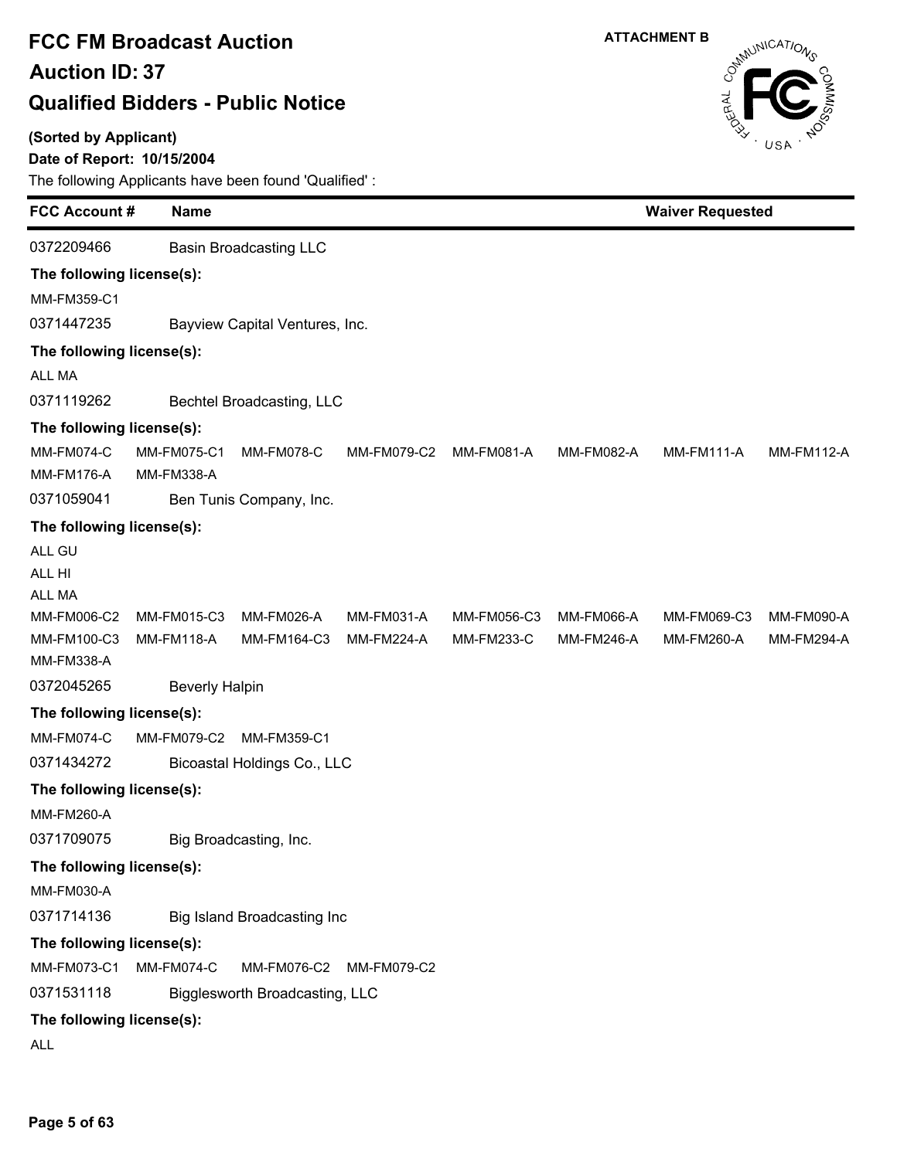### **(Sorted by Applicant)**

### **Date of Report: 10/15/2004**



| <b>FCC Account#</b>                    | <b>Name</b>                      |                                |                   | <b>Waiver Requested</b> |                   |                   |                   |  |  |
|----------------------------------------|----------------------------------|--------------------------------|-------------------|-------------------------|-------------------|-------------------|-------------------|--|--|
| 0372209466                             |                                  | <b>Basin Broadcasting LLC</b>  |                   |                         |                   |                   |                   |  |  |
| The following license(s):              |                                  |                                |                   |                         |                   |                   |                   |  |  |
| MM-FM359-C1                            |                                  |                                |                   |                         |                   |                   |                   |  |  |
| 0371447235                             |                                  | Bayview Capital Ventures, Inc. |                   |                         |                   |                   |                   |  |  |
| The following license(s):              |                                  |                                |                   |                         |                   |                   |                   |  |  |
| ALL MA                                 |                                  |                                |                   |                         |                   |                   |                   |  |  |
| 0371119262                             |                                  | Bechtel Broadcasting, LLC      |                   |                         |                   |                   |                   |  |  |
| The following license(s):              |                                  |                                |                   |                         |                   |                   |                   |  |  |
| <b>MM-FM074-C</b><br><b>MM-FM176-A</b> | <b>MM-FM075-C1</b><br>MM-FM338-A | <b>MM-FM078-C</b>              | MM-FM079-C2       | MM-FM081-A              | MM-FM082-A        | <b>MM-FM111-A</b> | <b>MM-FM112-A</b> |  |  |
| 0371059041                             |                                  | Ben Tunis Company, Inc.        |                   |                         |                   |                   |                   |  |  |
|                                        | The following license(s):        |                                |                   |                         |                   |                   |                   |  |  |
| ALL GU<br>ALL HI<br>ALL MA             |                                  |                                |                   |                         |                   |                   |                   |  |  |
| MM-FM006-C2                            | MM-FM015-C3                      | <b>MM-FM026-A</b>              | MM-FM031-A        | MM-FM056-C3             | <b>MM-FM066-A</b> | MM-FM069-C3       | MM-FM090-A        |  |  |
| MM-FM100-C3<br>MM-FM338-A              | <b>MM-FM118-A</b>                | MM-FM164-C3                    | <b>MM-FM224-A</b> | MM-FM233-C              | <b>MM-FM246-A</b> | MM-FM260-A        | <b>MM-FM294-A</b> |  |  |
| 0372045265                             | <b>Beverly Halpin</b>            |                                |                   |                         |                   |                   |                   |  |  |
| The following license(s):              |                                  |                                |                   |                         |                   |                   |                   |  |  |
| <b>MM-FM074-C</b>                      | MM-FM079-C2                      | MM-FM359-C1                    |                   |                         |                   |                   |                   |  |  |
| 0371434272                             |                                  | Bicoastal Holdings Co., LLC    |                   |                         |                   |                   |                   |  |  |
| The following license(s):              |                                  |                                |                   |                         |                   |                   |                   |  |  |
| <b>MM-FM260-A</b>                      |                                  |                                |                   |                         |                   |                   |                   |  |  |
| 0371709075                             |                                  | Big Broadcasting, Inc.         |                   |                         |                   |                   |                   |  |  |
| The following license(s):              |                                  |                                |                   |                         |                   |                   |                   |  |  |
| MM-FM030-A                             |                                  |                                |                   |                         |                   |                   |                   |  |  |
| 0371714136                             |                                  | Big Island Broadcasting Inc    |                   |                         |                   |                   |                   |  |  |
| The following license(s):              |                                  |                                |                   |                         |                   |                   |                   |  |  |
| MM-FM073-C1                            | MM-FM074-C                       | MM-FM076-C2                    | MM-FM079-C2       |                         |                   |                   |                   |  |  |
| 0371531118                             |                                  | Bigglesworth Broadcasting, LLC |                   |                         |                   |                   |                   |  |  |
| The following license(s):              |                                  |                                |                   |                         |                   |                   |                   |  |  |
| ALL                                    |                                  |                                |                   |                         |                   |                   |                   |  |  |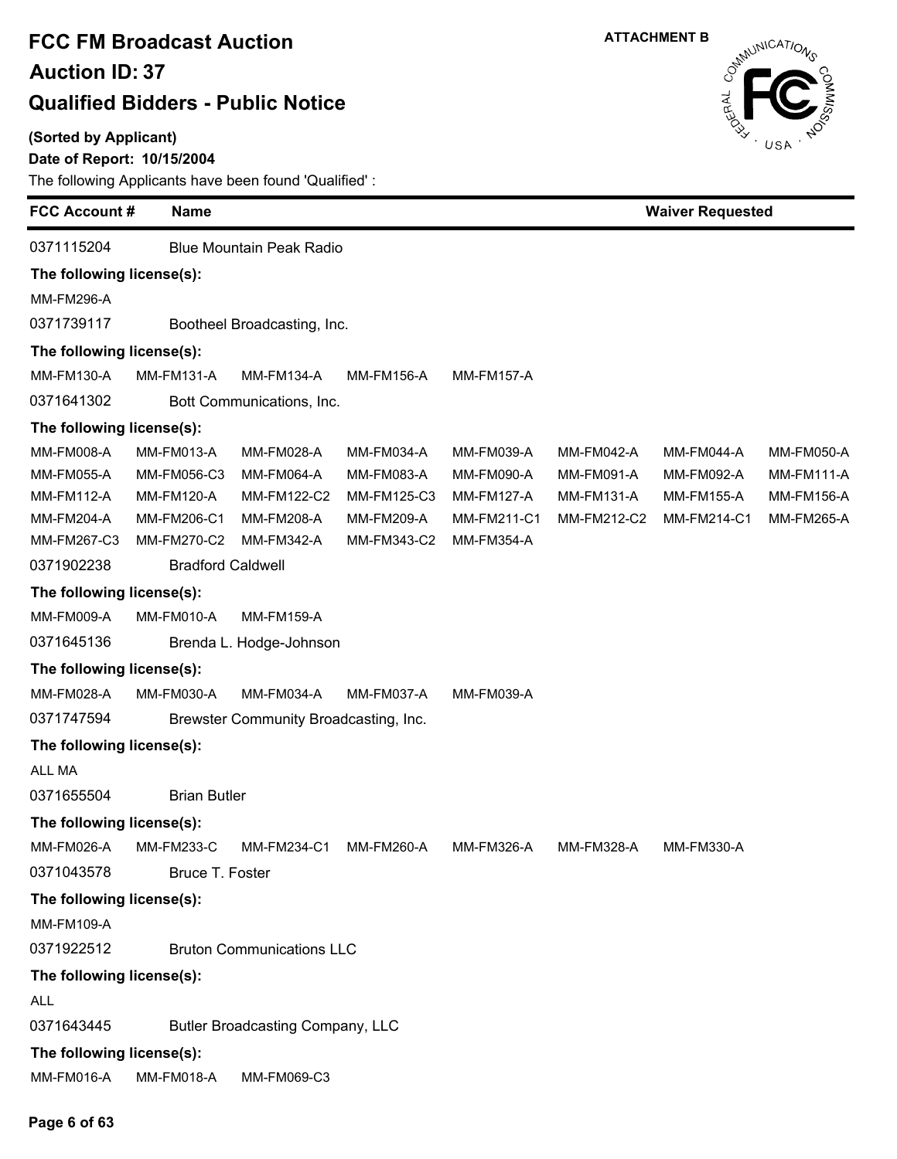### **(Sorted by Applicant)**

### **Date of Report: 10/15/2004**

The following Applicants have been found 'Qualified' :



| <b>FCC Account #</b>                   | <b>Name</b>         |                                       |                   |                   | <b>Waiver Requested</b> |                   |                   |  |
|----------------------------------------|---------------------|---------------------------------------|-------------------|-------------------|-------------------------|-------------------|-------------------|--|
| 0371115204                             |                     | <b>Blue Mountain Peak Radio</b>       |                   |                   |                         |                   |                   |  |
| The following license(s):              |                     |                                       |                   |                   |                         |                   |                   |  |
| <b>MM-FM296-A</b>                      |                     |                                       |                   |                   |                         |                   |                   |  |
| 0371739117                             |                     | Bootheel Broadcasting, Inc.           |                   |                   |                         |                   |                   |  |
| The following license(s):              |                     |                                       |                   |                   |                         |                   |                   |  |
| MM-FM130-A                             | <b>MM-FM131-A</b>   | <b>MM-FM134-A</b>                     | <b>MM-FM156-A</b> | <b>MM-FM157-A</b> |                         |                   |                   |  |
| 0371641302                             |                     | Bott Communications, Inc.             |                   |                   |                         |                   |                   |  |
| The following license(s):              |                     |                                       |                   |                   |                         |                   |                   |  |
| MM-FM008-A                             | MM-FM013-A          | MM-FM028-A                            | MM-FM034-A        | MM-FM039-A        | MM-FM042-A              | MM-FM044-A        | MM-FM050-A        |  |
| <b>MM-FM055-A</b>                      | MM-FM056-C3         | MM-FM064-A                            | MM-FM083-A        | <b>MM-FM090-A</b> | MM-FM091-A              | MM-FM092-A        | <b>MM-FM111-A</b> |  |
| <b>MM-FM112-A</b>                      | <b>MM-FM120-A</b>   | MM-FM122-C2                           | MM-FM125-C3       | <b>MM-FM127-A</b> | <b>MM-FM131-A</b>       | <b>MM-FM155-A</b> | <b>MM-FM156-A</b> |  |
| MM-FM204-A                             | MM-FM206-C1         | <b>MM-FM208-A</b>                     | MM-FM209-A        | MM-FM211-C1       | MM-FM212-C2             | MM-FM214-C1       | MM-FM265-A        |  |
| MM-FM267-C3                            | MM-FM270-C2         | <b>MM-FM342-A</b>                     | MM-FM343-C2       | <b>MM-FM354-A</b> |                         |                   |                   |  |
| 0371902238<br><b>Bradford Caldwell</b> |                     |                                       |                   |                   |                         |                   |                   |  |
| The following license(s):              |                     |                                       |                   |                   |                         |                   |                   |  |
| MM-FM009-A                             | MM-FM010-A          | <b>MM-FM159-A</b>                     |                   |                   |                         |                   |                   |  |
| 0371645136                             |                     | Brenda L. Hodge-Johnson               |                   |                   |                         |                   |                   |  |
| The following license(s):              |                     |                                       |                   |                   |                         |                   |                   |  |
| MM-FM028-A                             | MM-FM030-A          | MM-FM034-A                            | MM-FM037-A        | MM-FM039-A        |                         |                   |                   |  |
| 0371747594                             |                     | Brewster Community Broadcasting, Inc. |                   |                   |                         |                   |                   |  |
| The following license(s):              |                     |                                       |                   |                   |                         |                   |                   |  |
| ALL MA                                 |                     |                                       |                   |                   |                         |                   |                   |  |
| 0371655504                             | <b>Brian Butler</b> |                                       |                   |                   |                         |                   |                   |  |
| The following license(s):              |                     |                                       |                   |                   |                         |                   |                   |  |
| MM-FM026-A MM-FM233-C                  |                     | MM-FM234-C1 MM-FM260-A                |                   | MM-FM326-A        | <b>MM-FM328-A</b>       | MM-FM330-A        |                   |  |
| 0371043578                             | Bruce T. Foster     |                                       |                   |                   |                         |                   |                   |  |
| The following license(s):              |                     |                                       |                   |                   |                         |                   |                   |  |
| <b>MM-FM109-A</b>                      |                     |                                       |                   |                   |                         |                   |                   |  |
| 0371922512                             |                     | <b>Bruton Communications LLC</b>      |                   |                   |                         |                   |                   |  |
| The following license(s):              |                     |                                       |                   |                   |                         |                   |                   |  |
| <b>ALL</b>                             |                     |                                       |                   |                   |                         |                   |                   |  |
| 0371643445                             |                     | Butler Broadcasting Company, LLC      |                   |                   |                         |                   |                   |  |
| The following license(s):              |                     |                                       |                   |                   |                         |                   |                   |  |
| MM-FM016-A                             | <b>MM-FM018-A</b>   | MM-FM069-C3                           |                   |                   |                         |                   |                   |  |

#### **Page 6 of 63**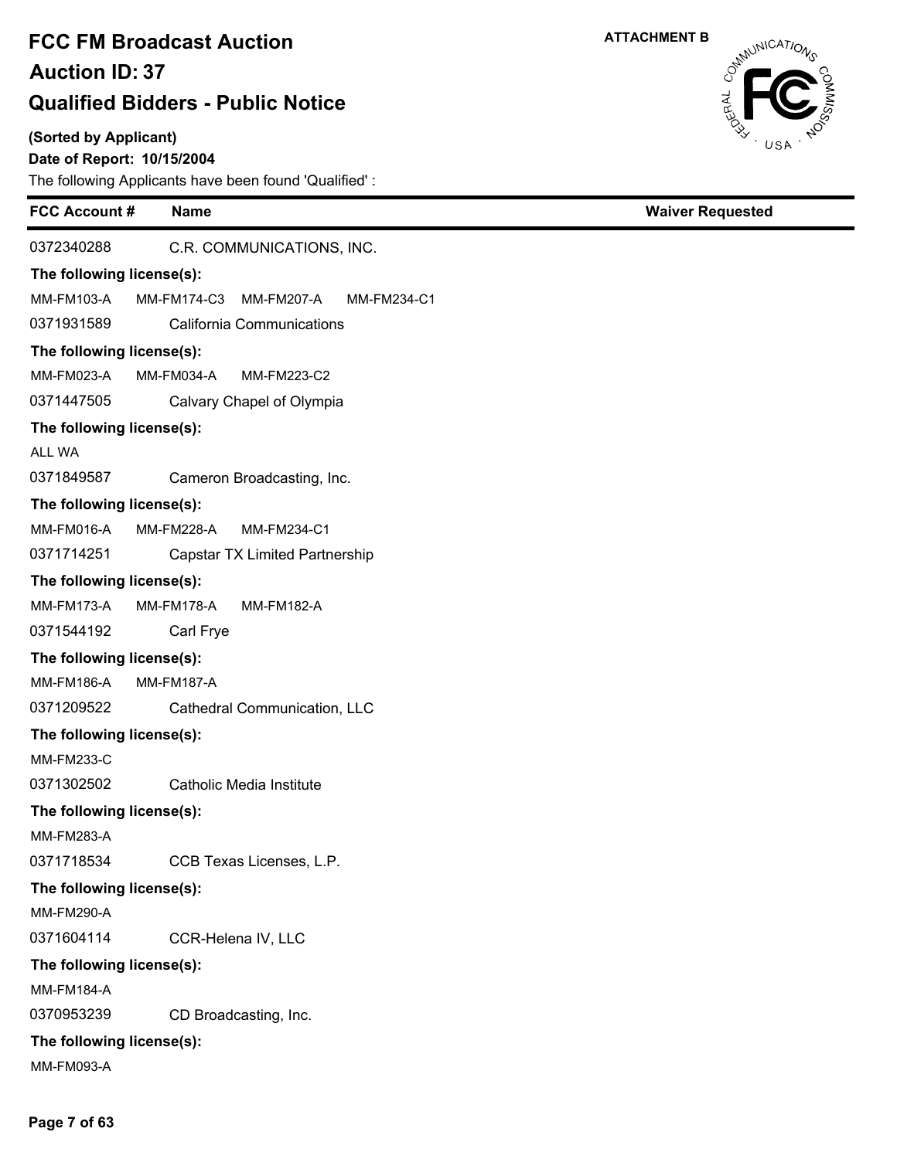### **(Sorted by Applicant)**

### **Date of Report: 10/15/2004**

The following Applicants have been found 'Qualified' :

| <b>FCC Account #</b>      | <b>Name</b>                              | <b>Waiver Requested</b> |  |
|---------------------------|------------------------------------------|-------------------------|--|
| 0372340288                | C.R. COMMUNICATIONS, INC.                |                         |  |
| The following license(s): |                                          |                         |  |
| MM-FM103-A                | MM-FM174-C3<br>MM-FM207-A<br>MM-FM234-C1 |                         |  |
| 0371931589                | California Communications                |                         |  |
| The following license(s): |                                          |                         |  |
| MM-FM023-A                | <b>MM-FM034-A</b><br>MM-FM223-C2         |                         |  |
| 0371447505                | Calvary Chapel of Olympia                |                         |  |
| The following license(s): |                                          |                         |  |
| ALL WA                    |                                          |                         |  |
| 0371849587                | Cameron Broadcasting, Inc.               |                         |  |
| The following license(s): |                                          |                         |  |
| MM-FM016-A                | MM-FM228-A<br>MM-FM234-C1                |                         |  |
| 0371714251                | Capstar TX Limited Partnership           |                         |  |
| The following license(s): |                                          |                         |  |
| <b>MM-FM173-A</b>         | MM-FM178-A<br><b>MM-FM182-A</b>          |                         |  |
| 0371544192                | Carl Frye                                |                         |  |
| The following license(s): |                                          |                         |  |
| MM-FM186-A                | <b>MM-FM187-A</b>                        |                         |  |
| 0371209522                | Cathedral Communication, LLC             |                         |  |
| The following license(s): |                                          |                         |  |
| <b>MM-FM233-C</b>         |                                          |                         |  |
| 0371302502                | Catholic Media Institute                 |                         |  |
| The following license(s): |                                          |                         |  |
| <b>MM-FM283-A</b>         |                                          |                         |  |
| 0371718534                | CCB Texas Licenses, L.P.                 |                         |  |
| The following license(s): |                                          |                         |  |
| <b>MM-FM290-A</b>         |                                          |                         |  |
| 0371604114                | CCR-Helena IV, LLC                       |                         |  |
| The following license(s): |                                          |                         |  |
| <b>MM-FM184-A</b>         |                                          |                         |  |
| 0370953239                | CD Broadcasting, Inc.                    |                         |  |
| The following license(s): |                                          |                         |  |
| MM-FM093-A                |                                          |                         |  |



**Page 7 of 63**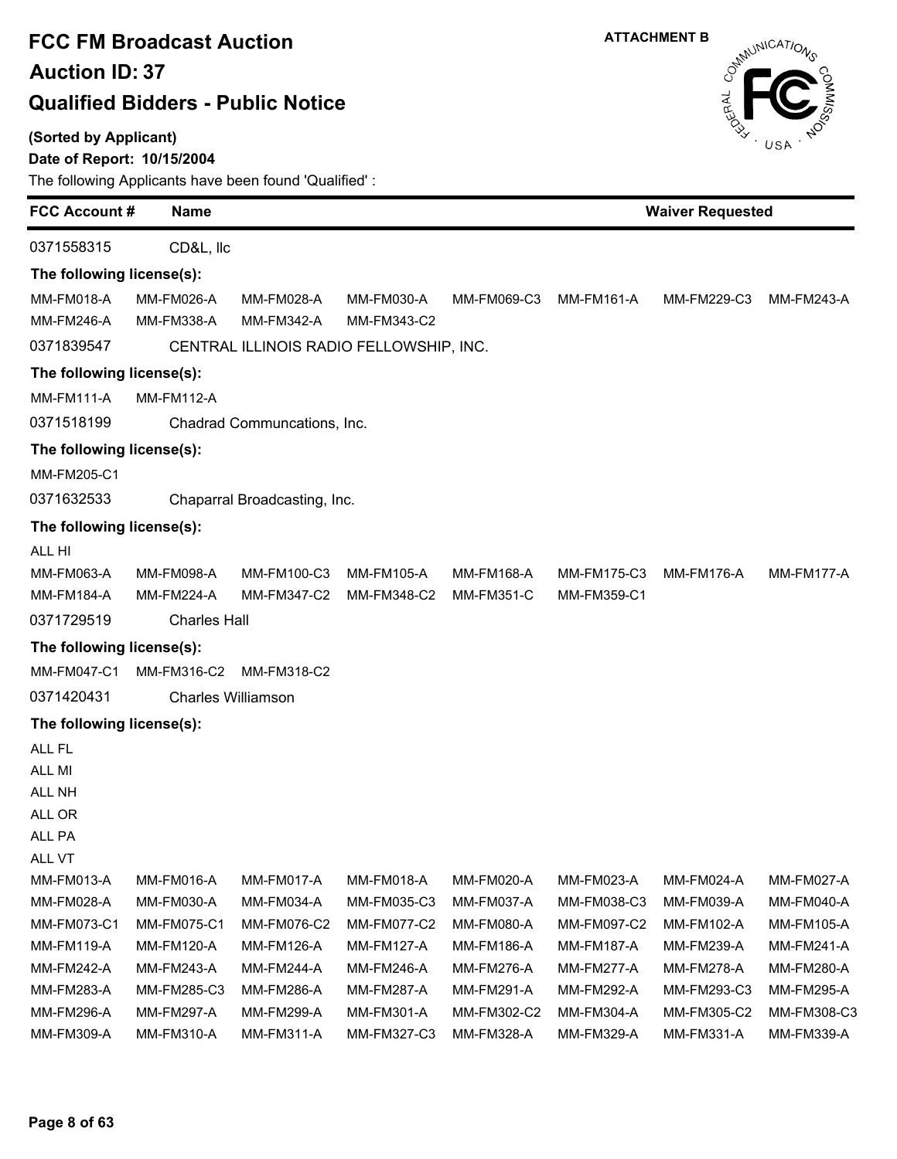### **(Sorted by Applicant)**

### **Date of Report: 10/15/2004**



| <b>FCC Account#</b><br><b>Name</b> |                           |                              |                                         |                   | <b>Waiver Requested</b> |                   |                   |  |
|------------------------------------|---------------------------|------------------------------|-----------------------------------------|-------------------|-------------------------|-------------------|-------------------|--|
| 0371558315                         | CD&L, Ilc                 |                              |                                         |                   |                         |                   |                   |  |
| The following license(s):          |                           |                              |                                         |                   |                         |                   |                   |  |
| <b>MM-FM018-A</b>                  | MM-FM026-A                | MM-FM028-A                   | MM-FM030-A                              | MM-FM069-C3       | MM-FM161-A              | MM-FM229-C3       | MM-FM243-A        |  |
| <b>MM-FM246-A</b>                  | MM-FM338-A                | MM-FM342-A                   | MM-FM343-C2                             |                   |                         |                   |                   |  |
| 0371839547                         |                           |                              | CENTRAL ILLINOIS RADIO FELLOWSHIP, INC. |                   |                         |                   |                   |  |
| The following license(s):          |                           |                              |                                         |                   |                         |                   |                   |  |
| <b>MM-FM111-A</b>                  | <b>MM-FM112-A</b>         |                              |                                         |                   |                         |                   |                   |  |
| 0371518199                         |                           | Chadrad Communcations, Inc.  |                                         |                   |                         |                   |                   |  |
| The following license(s):          |                           |                              |                                         |                   |                         |                   |                   |  |
| MM-FM205-C1                        |                           |                              |                                         |                   |                         |                   |                   |  |
| 0371632533                         |                           | Chaparral Broadcasting, Inc. |                                         |                   |                         |                   |                   |  |
| The following license(s):          |                           |                              |                                         |                   |                         |                   |                   |  |
| ALL HI                             |                           |                              |                                         |                   |                         |                   |                   |  |
| MM-FM063-A                         | <b>MM-FM098-A</b>         | MM-FM100-C3                  | MM-FM105-A                              | <b>MM-FM168-A</b> | MM-FM175-C3             | <b>MM-FM176-A</b> | MM-FM177-A        |  |
| <b>MM-FM184-A</b>                  | <b>MM-FM224-A</b>         | MM-FM347-C2                  | MM-FM348-C2                             | <b>MM-FM351-C</b> | MM-FM359-C1             |                   |                   |  |
| 0371729519                         | <b>Charles Hall</b>       |                              |                                         |                   |                         |                   |                   |  |
| The following license(s):          |                           |                              |                                         |                   |                         |                   |                   |  |
| MM-FM047-C1                        | MM-FM316-C2               | MM-FM318-C2                  |                                         |                   |                         |                   |                   |  |
| 0371420431                         | <b>Charles Williamson</b> |                              |                                         |                   |                         |                   |                   |  |
| The following license(s):          |                           |                              |                                         |                   |                         |                   |                   |  |
| ALL FL                             |                           |                              |                                         |                   |                         |                   |                   |  |
| <b>ALL MI</b>                      |                           |                              |                                         |                   |                         |                   |                   |  |
| ALL NH                             |                           |                              |                                         |                   |                         |                   |                   |  |
| ALL OR                             |                           |                              |                                         |                   |                         |                   |                   |  |
| ALL PA                             |                           |                              |                                         |                   |                         |                   |                   |  |
| ALL VT<br>MM-FM013-A               | MM-FM016-A                | MM-FM017-A                   | MM-FM018-A                              | MM-FM020-A        | MM-FM023-A              | MM-FM024-A        | <b>MM-FM027-A</b> |  |
| MM-FM028-A                         | MM-FM030-A                | MM-FM034-A                   | MM-FM035-C3                             | MM-FM037-A        | MM-FM038-C3             | MM-FM039-A        | MM-FM040-A        |  |
| MM-FM073-C1                        | MM-FM075-C1               | MM-FM076-C2                  | MM-FM077-C2                             | MM-FM080-A        | MM-FM097-C2             | MM-FM102-A        | MM-FM105-A        |  |
| <b>MM-FM119-A</b>                  | <b>MM-FM120-A</b>         | MM-FM126-A                   | MM-FM127-A                              | <b>MM-FM186-A</b> | MM-FM187-A              | MM-FM239-A        | MM-FM241-A        |  |
| MM-FM242-A                         | MM-FM243-A                | <b>MM-FM244-A</b>            | MM-FM246-A                              | MM-FM276-A        | MM-FM277-A              | MM-FM278-A        | MM-FM280-A        |  |
| MM-FM283-A                         | MM-FM285-C3               | <b>MM-FM286-A</b>            | MM-FM287-A                              | MM-FM291-A        | MM-FM292-A              | MM-FM293-C3       | MM-FM295-A        |  |
| MM-FM296-A                         | MM-FM297-A                | MM-FM299-A                   | MM-FM301-A                              | MM-FM302-C2       | MM-FM304-A              | MM-FM305-C2       | MM-FM308-C3       |  |
| MM-FM309-A                         | MM-FM310-A                | MM-FM311-A                   | MM-FM327-C3                             | MM-FM328-A        | MM-FM329-A              | MM-FM331-A        | MM-FM339-A        |  |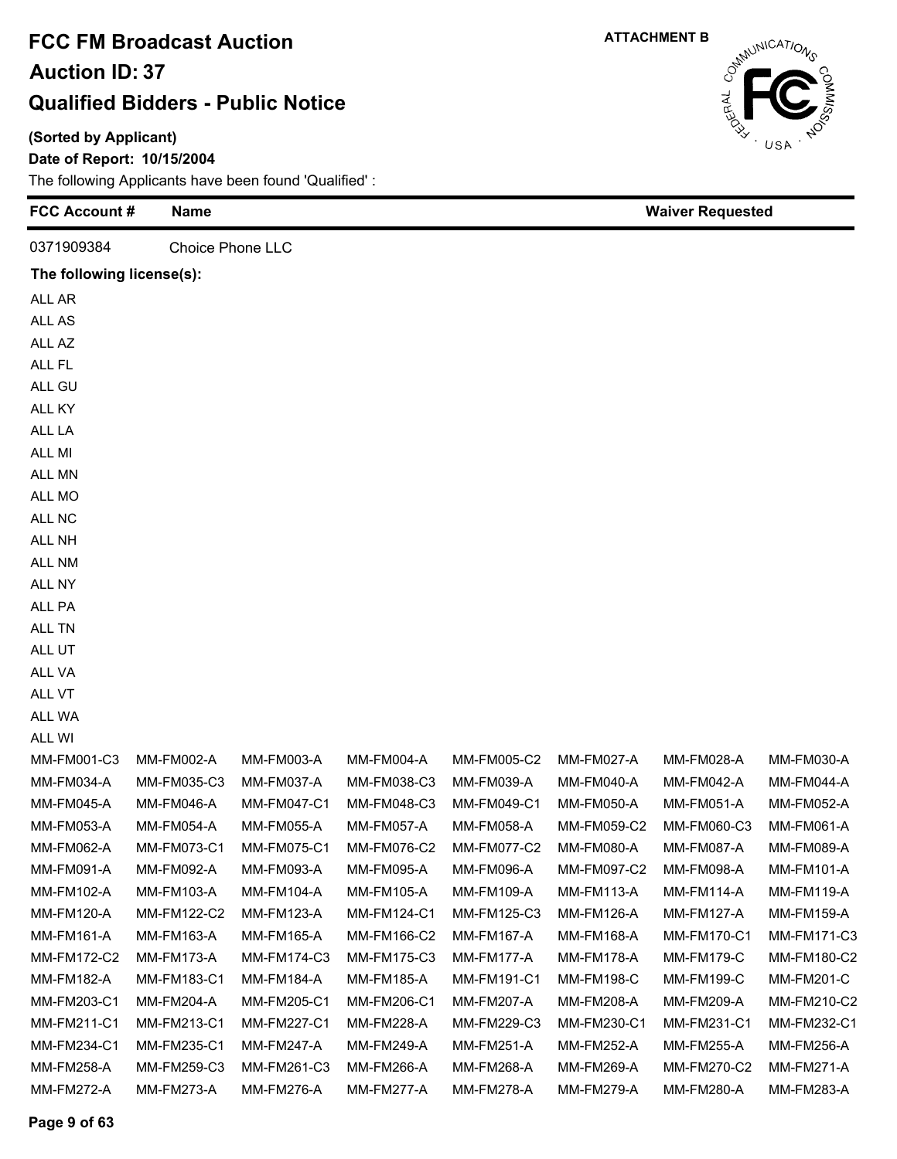**(Sorted by Applicant)**

**Date of Report: 10/15/2004**

| <b>FCC Account#</b>       | Name              |                         |                   | <b>Waiver Requested</b> |                   |                    |                   |
|---------------------------|-------------------|-------------------------|-------------------|-------------------------|-------------------|--------------------|-------------------|
| 0371909384                |                   | <b>Choice Phone LLC</b> |                   |                         |                   |                    |                   |
| The following license(s): |                   |                         |                   |                         |                   |                    |                   |
| ALL AR                    |                   |                         |                   |                         |                   |                    |                   |
| ALL AS                    |                   |                         |                   |                         |                   |                    |                   |
| ALL AZ                    |                   |                         |                   |                         |                   |                    |                   |
| ALL FL                    |                   |                         |                   |                         |                   |                    |                   |
| ALL GU                    |                   |                         |                   |                         |                   |                    |                   |
| ALL KY                    |                   |                         |                   |                         |                   |                    |                   |
| ALL LA                    |                   |                         |                   |                         |                   |                    |                   |
| ALL MI                    |                   |                         |                   |                         |                   |                    |                   |
| ALL MN                    |                   |                         |                   |                         |                   |                    |                   |
| ALL MO                    |                   |                         |                   |                         |                   |                    |                   |
| ALL NC                    |                   |                         |                   |                         |                   |                    |                   |
| ALL NH                    |                   |                         |                   |                         |                   |                    |                   |
| ALL NM                    |                   |                         |                   |                         |                   |                    |                   |
| ALL NY                    |                   |                         |                   |                         |                   |                    |                   |
| ALL PA                    |                   |                         |                   |                         |                   |                    |                   |
| ALL TN                    |                   |                         |                   |                         |                   |                    |                   |
| ALL UT                    |                   |                         |                   |                         |                   |                    |                   |
| ALL VA                    |                   |                         |                   |                         |                   |                    |                   |
| ALL VT                    |                   |                         |                   |                         |                   |                    |                   |
| ALL WA                    |                   |                         |                   |                         |                   |                    |                   |
| ALL WI                    |                   |                         |                   |                         |                   |                    |                   |
| MM-FM001-C3               | MM-FM002-A        | MM-FM003-A              | MM-FM004-A        | MM-FM005-C2             | <b>MM-FM027-A</b> | MM-FM028-A         | MM-FM030-A        |
| MM-FM034-A                | MM-FM035-C3       | MM-FM037-A              | MM-FM038-C3       | MM-FM039-A              | MM-FM040-A        | <b>MM-FM042-A</b>  | MM-FM044-A        |
| <b>MM-FM045-A</b>         | <b>MM-FM046-A</b> | MM-FM047-C1             | MM-FM048-C3       | MM-FM049-C1             | <b>MM-FM050-A</b> | <b>MM-FM051-A</b>  | <b>MM-FM052-A</b> |
| <b>MM-FM053-A</b>         | <b>MM-FM054-A</b> | <b>MM-FM055-A</b>       | <b>MM-FM057-A</b> | MM-FM058-A              | MM-FM059-C2       | MM-FM060-C3        | MM-FM061-A        |
| <b>MM-FM062-A</b>         | MM-FM073-C1       | MM-FM075-C1             | MM-FM076-C2       | <b>MM-FM077-C2</b>      | <b>MM-FM080-A</b> | <b>MM-FM087-A</b>  | MM-FM089-A        |
| MM-FM091-A                | MM-FM092-A        | MM-FM093-A              | <b>MM-FM095-A</b> | <b>MM-FM096-A</b>       | MM-FM097-C2       | MM-FM098-A         | MM-FM101-A        |
| MM-FM102-A                | MM-FM103-A        | MM-FM104-A              | MM-FM105-A        | MM-FM109-A              | MM-FM113-A        | MM-FM114-A         | MM-FM119-A        |
| MM-FM120-A                | MM-FM122-C2       | MM-FM123-A              | MM-FM124-C1       | MM-FM125-C3             | MM-FM126-A        | MM-FM127-A         | MM-FM159-A        |
| MM-FM161-A                | MM-FM163-A        | MM-FM165-A              | MM-FM166-C2       | MM-FM167-A              | MM-FM168-A        | <b>MM-FM170-C1</b> | MM-FM171-C3       |
| MM-FM172-C2               | MM-FM173-A        | MM-FM174-C3             | MM-FM175-C3       | MM-FM177-A              | <b>MM-FM178-A</b> | <b>MM-FM179-C</b>  | MM-FM180-C2       |
| MM-FM182-A                | MM-FM183-C1       | MM-FM184-A              | MM-FM185-A        | MM-FM191-C1             | MM-FM198-C        | MM-FM199-C         | <b>MM-FM201-C</b> |
| MM-FM203-C1               | MM-FM204-A        | MM-FM205-C1             | MM-FM206-C1       | MM-FM207-A              | MM-FM208-A        | MM-FM209-A         | MM-FM210-C2       |
| MM-FM211-C1               | MM-FM213-C1       | MM-FM227-C1             | MM-FM228-A        | MM-FM229-C3             | MM-FM230-C1       | MM-FM231-C1        | MM-FM232-C1       |
| MM-FM234-C1               | MM-FM235-C1       | <b>MM-FM247-A</b>       | MM-FM249-A        | <b>MM-FM251-A</b>       | <b>MM-FM252-A</b> | <b>MM-FM255-A</b>  | MM-FM256-A        |
| MM-FM258-A                | MM-FM259-C3       | MM-FM261-C3             | MM-FM266-A        | MM-FM268-A              | MM-FM269-A        | MM-FM270-C2        | MM-FM271-A        |
| MM-FM272-A                | MM-FM273-A        | MM-FM276-A              | MM-FM277-A        | <b>MM-FM278-A</b>       | <b>MM-FM279-A</b> | MM-FM280-A         | MM-FM283-A        |



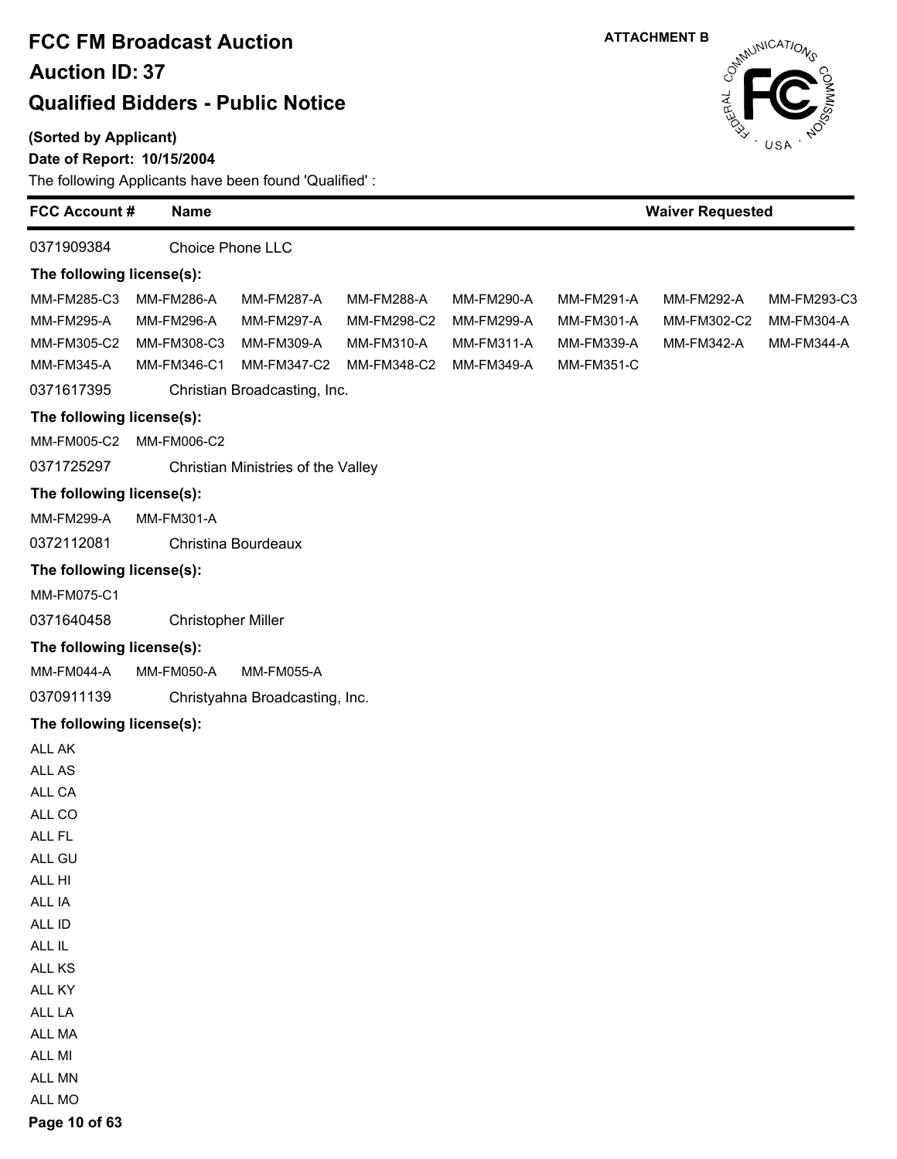#### **(Sorted by Applicant)**

#### **Date of Report: 10/15/2004**

The following Applicants have been found 'Qualified' :

| <b>FCC Account#</b>       | <b>Name</b>               |                                    |             |                   |                   | <b>Waiver Requested</b> |                   |
|---------------------------|---------------------------|------------------------------------|-------------|-------------------|-------------------|-------------------------|-------------------|
| 0371909384                |                           | <b>Choice Phone LLC</b>            |             |                   |                   |                         |                   |
| The following license(s): |                           |                                    |             |                   |                   |                         |                   |
| MM-FM285-C3               | <b>MM-FM286-A</b>         | <b>MM-FM287-A</b>                  | MM-FM288-A  | MM-FM290-A        | MM-FM291-A        | <b>MM-FM292-A</b>       | MM-FM293-C3       |
| MM-FM295-A                | <b>MM-FM296-A</b>         | <b>MM-FM297-A</b>                  | MM-FM298-C2 | <b>MM-FM299-A</b> | MM-FM301-A        | MM-FM302-C2             | MM-FM304-A        |
| MM-FM305-C2               | MM-FM308-C3               | MM-FM309-A                         | MM-FM310-A  | MM-FM311-A        | MM-FM339-A        | MM-FM342-A              | <b>MM-FM344-A</b> |
| MM-FM345-A                | MM-FM346-C1               | MM-FM347-C2                        | MM-FM348-C2 | MM-FM349-A        | <b>MM-FM351-C</b> |                         |                   |
| 0371617395                |                           | Christian Broadcasting, Inc.       |             |                   |                   |                         |                   |
| The following license(s): |                           |                                    |             |                   |                   |                         |                   |
| MM-FM005-C2               | MM-FM006-C2               |                                    |             |                   |                   |                         |                   |
| 0371725297                |                           | Christian Ministries of the Valley |             |                   |                   |                         |                   |
| The following license(s): |                           |                                    |             |                   |                   |                         |                   |
| MM-FM299-A                | MM-FM301-A                |                                    |             |                   |                   |                         |                   |
| 0372112081                |                           | Christina Bourdeaux                |             |                   |                   |                         |                   |
| The following license(s): |                           |                                    |             |                   |                   |                         |                   |
| MM-FM075-C1               |                           |                                    |             |                   |                   |                         |                   |
| 0371640458                | <b>Christopher Miller</b> |                                    |             |                   |                   |                         |                   |
| The following license(s): |                           |                                    |             |                   |                   |                         |                   |
| MM-FM044-A                | MM-FM050-A                | <b>MM-FM055-A</b>                  |             |                   |                   |                         |                   |
| 0370911139                |                           | Christyahna Broadcasting, Inc.     |             |                   |                   |                         |                   |
| The following license(s): |                           |                                    |             |                   |                   |                         |                   |
| ALL AK                    |                           |                                    |             |                   |                   |                         |                   |
| ALL AS                    |                           |                                    |             |                   |                   |                         |                   |
| ALL CA                    |                           |                                    |             |                   |                   |                         |                   |
| ALL CO                    |                           |                                    |             |                   |                   |                         |                   |
| ALL FL                    |                           |                                    |             |                   |                   |                         |                   |
| ALL GU                    |                           |                                    |             |                   |                   |                         |                   |
| ALL HI                    |                           |                                    |             |                   |                   |                         |                   |
| ALL IA                    |                           |                                    |             |                   |                   |                         |                   |
| ALL ID                    |                           |                                    |             |                   |                   |                         |                   |
| ALL IL                    |                           |                                    |             |                   |                   |                         |                   |
| ALL KS<br>ALL KY          |                           |                                    |             |                   |                   |                         |                   |
| ALL LA                    |                           |                                    |             |                   |                   |                         |                   |
| ALL MA                    |                           |                                    |             |                   |                   |                         |                   |
| ALL MI                    |                           |                                    |             |                   |                   |                         |                   |
| ALL MN                    |                           |                                    |             |                   |                   |                         |                   |
| ALL MO                    |                           |                                    |             |                   |                   |                         |                   |

**Page 10 of 63**

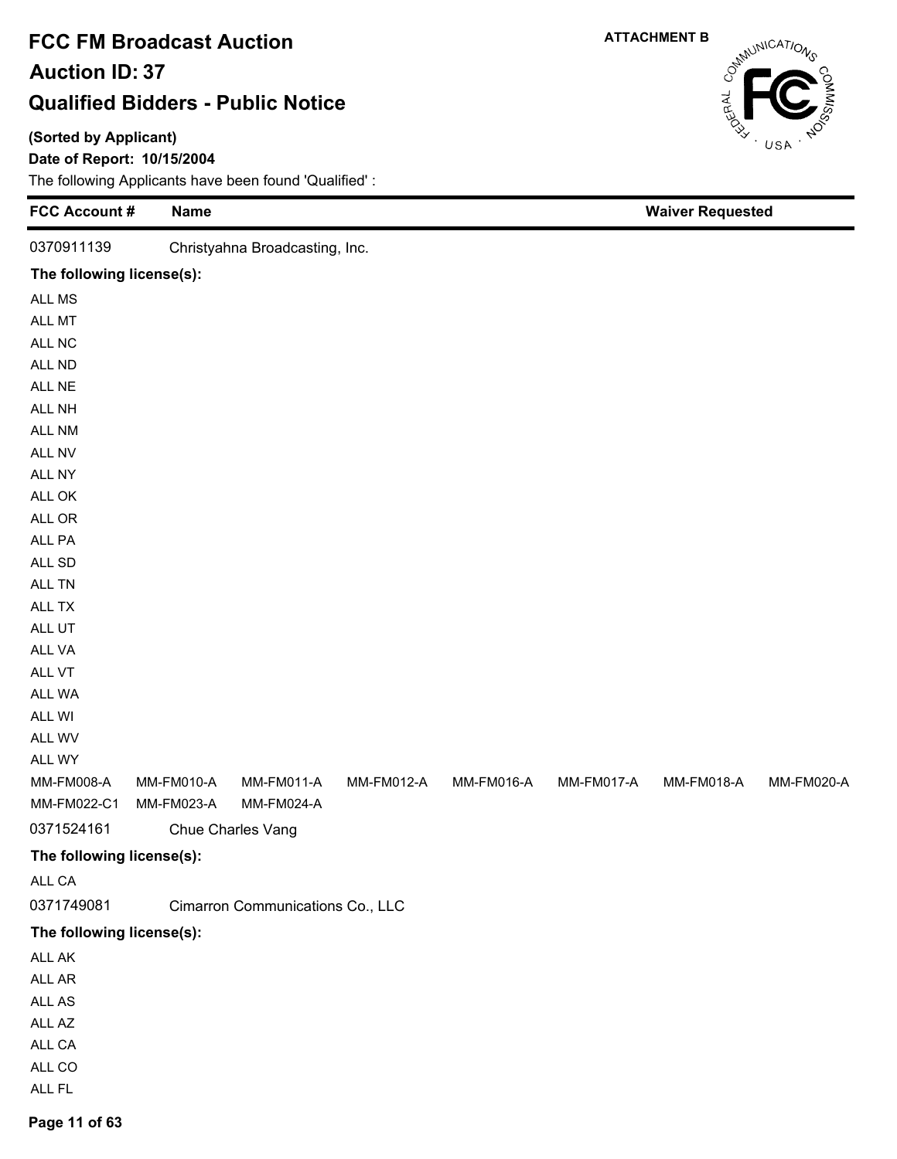#### **(Sorted by Applicant)**

#### **Date of Report: 10/15/2004**

The following Applicants have been found 'Qualified' :

| 0370911139<br>Christyahna Broadcasting, Inc.<br>The following license(s):<br>ALL MS<br>ALL MT<br>ALL NC<br>ALL ND<br>ALL NE<br>ALL NH<br>ALL NM<br>ALL NV |
|-----------------------------------------------------------------------------------------------------------------------------------------------------------|
|                                                                                                                                                           |
|                                                                                                                                                           |
|                                                                                                                                                           |
|                                                                                                                                                           |
|                                                                                                                                                           |
|                                                                                                                                                           |
|                                                                                                                                                           |
|                                                                                                                                                           |
|                                                                                                                                                           |
|                                                                                                                                                           |
| ALL NY                                                                                                                                                    |
| ALL OK                                                                                                                                                    |
| $\mathsf{ALL}$ OR                                                                                                                                         |
| ALL PA                                                                                                                                                    |
| ALL SD                                                                                                                                                    |
| ALL TN                                                                                                                                                    |
| ALL TX                                                                                                                                                    |
| ALL UT                                                                                                                                                    |
| ALL VA                                                                                                                                                    |
| ALL VT                                                                                                                                                    |
| ALL WA                                                                                                                                                    |
| ALL WI<br>ALL WV                                                                                                                                          |
| ALL WY                                                                                                                                                    |
| <b>MM-FM008-A</b><br>MM-FM010-A<br>MM-FM011-A<br>MM-FM012-A<br>MM-FM016-A<br>MM-FM017-A<br>MM-FM018-A<br><b>MM-FM020-A</b>                                |
| MM-FM024-A<br>MM-FM022-C1<br>MM-FM023-A                                                                                                                   |
| 0371524161<br>Chue Charles Vang                                                                                                                           |
| The following license(s):                                                                                                                                 |
| ALL CA                                                                                                                                                    |
| 0371749081<br>Cimarron Communications Co., LLC                                                                                                            |
| The following license(s):                                                                                                                                 |
| ALL AK                                                                                                                                                    |
| ALL AR                                                                                                                                                    |
| ALL AS                                                                                                                                                    |
| ALL AZ                                                                                                                                                    |
| ALL CA                                                                                                                                                    |
| ALL CO                                                                                                                                                    |
| ALL FL                                                                                                                                                    |

# CantillonicATIONS **ATTACHMENT B**

**Page 11 of 63**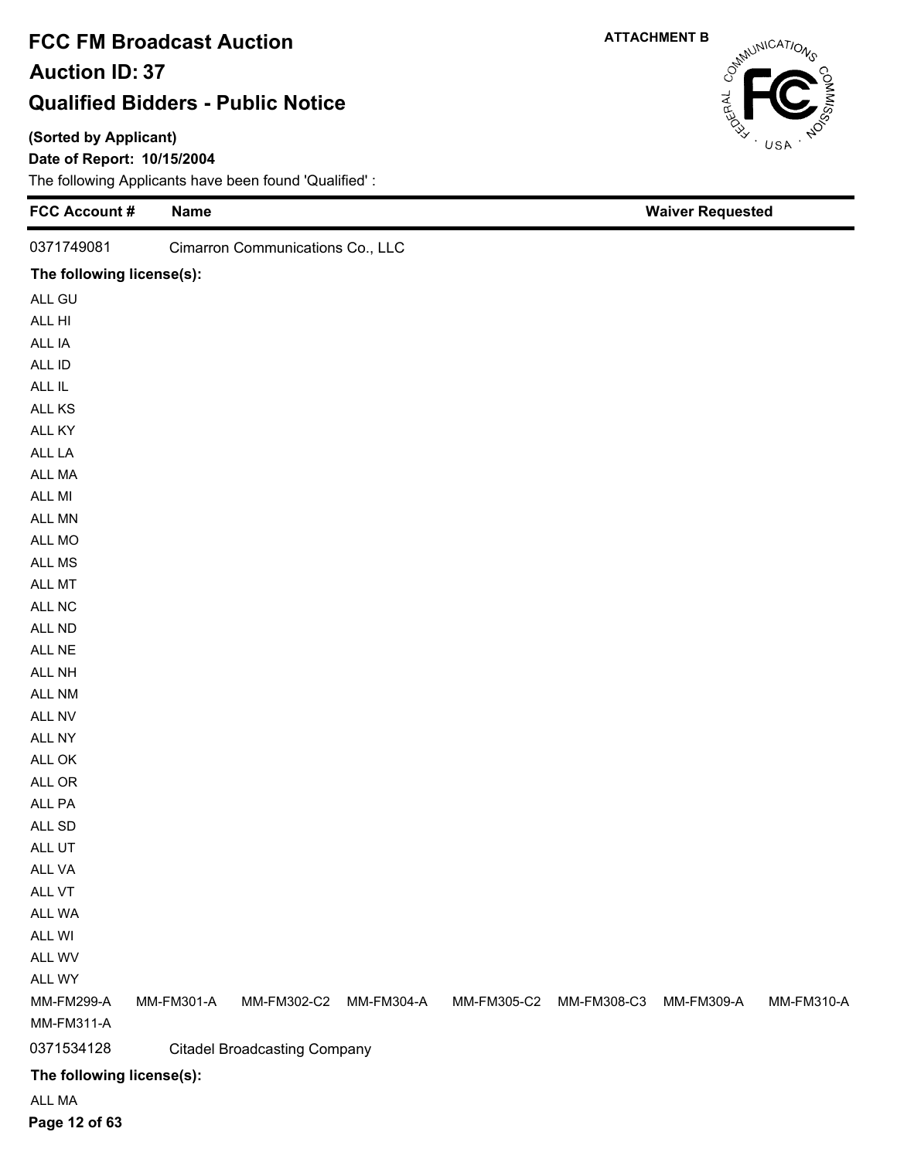#### **(Sorted by Applicant)**

#### **Date of Report: 10/15/2004**

| <b>FCC Account #</b>            | <b>Name</b> |                                     |            |             |             | <b>Waiver Requested</b> |            |
|---------------------------------|-------------|-------------------------------------|------------|-------------|-------------|-------------------------|------------|
| 0371749081                      |             | Cimarron Communications Co., LLC    |            |             |             |                         |            |
| The following license(s):       |             |                                     |            |             |             |                         |            |
| ALL GU                          |             |                                     |            |             |             |                         |            |
| ALL HI                          |             |                                     |            |             |             |                         |            |
| ALL IA                          |             |                                     |            |             |             |                         |            |
| ALL ID                          |             |                                     |            |             |             |                         |            |
| $\sf ALL\; IL$                  |             |                                     |            |             |             |                         |            |
| ALL KS                          |             |                                     |            |             |             |                         |            |
| ALL KY                          |             |                                     |            |             |             |                         |            |
| ALL LA                          |             |                                     |            |             |             |                         |            |
| ALL MA                          |             |                                     |            |             |             |                         |            |
| ALL MI                          |             |                                     |            |             |             |                         |            |
| ALL MN                          |             |                                     |            |             |             |                         |            |
| ALL MO                          |             |                                     |            |             |             |                         |            |
| ALL MS                          |             |                                     |            |             |             |                         |            |
| ALL MT                          |             |                                     |            |             |             |                         |            |
| ALL NC                          |             |                                     |            |             |             |                         |            |
| ALL ND                          |             |                                     |            |             |             |                         |            |
| ALL NE                          |             |                                     |            |             |             |                         |            |
| ALL NH                          |             |                                     |            |             |             |                         |            |
| ALL NM                          |             |                                     |            |             |             |                         |            |
| ALL NV                          |             |                                     |            |             |             |                         |            |
| ALL NY                          |             |                                     |            |             |             |                         |            |
| ALL OK                          |             |                                     |            |             |             |                         |            |
| ALL OR                          |             |                                     |            |             |             |                         |            |
| ALL PA                          |             |                                     |            |             |             |                         |            |
| ALL SD                          |             |                                     |            |             |             |                         |            |
| ALL UT                          |             |                                     |            |             |             |                         |            |
| ALL VA                          |             |                                     |            |             |             |                         |            |
| ALL VT                          |             |                                     |            |             |             |                         |            |
| ALL WA                          |             |                                     |            |             |             |                         |            |
| ALL WI                          |             |                                     |            |             |             |                         |            |
| ALL WV                          |             |                                     |            |             |             |                         |            |
| ALL WY                          |             |                                     |            |             |             |                         |            |
| <b>MM-FM299-A</b><br>MM-FM311-A | MM-FM301-A  | MM-FM302-C2                         | MM-FM304-A | MM-FM305-C2 | MM-FM308-C3 | MM-FM309-A              | MM-FM310-A |
| 0371534128                      |             |                                     |            |             |             |                         |            |
|                                 |             | <b>Citadel Broadcasting Company</b> |            |             |             |                         |            |
| The following license(s):       |             |                                     |            |             |             |                         |            |
| ALL MA                          |             |                                     |            |             |             |                         |            |



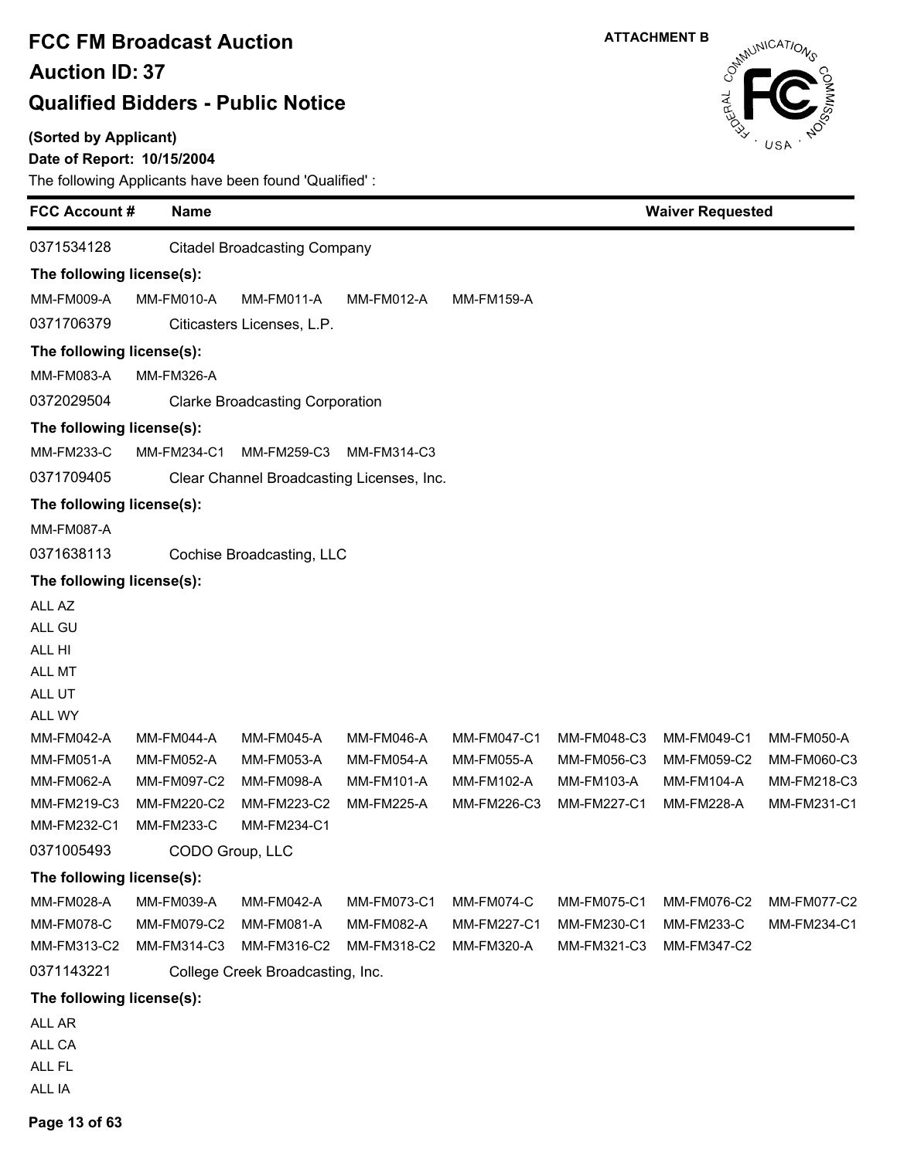#### **(Sorted by Applicant)**

### **Date of Report: 10/15/2004**

The following Applicants have been found 'Qualified' :

| 0371534128<br>The following license(s):<br><b>MM-FM009-A</b><br>0371706379 | MM-FM010-A                 | <b>Citadel Broadcasting Company</b><br><b>MM-FM011-A</b><br>Citicasters Licenses, L.P. | MM-FM012-A                |                           |                            |                           |             |
|----------------------------------------------------------------------------|----------------------------|----------------------------------------------------------------------------------------|---------------------------|---------------------------|----------------------------|---------------------------|-------------|
|                                                                            |                            |                                                                                        |                           |                           |                            |                           |             |
|                                                                            |                            |                                                                                        |                           |                           |                            |                           |             |
|                                                                            |                            |                                                                                        |                           | <b>MM-FM159-A</b>         |                            |                           |             |
|                                                                            |                            |                                                                                        |                           |                           |                            |                           |             |
| The following license(s):                                                  |                            |                                                                                        |                           |                           |                            |                           |             |
| MM-FM083-A                                                                 | <b>MM-FM326-A</b>          |                                                                                        |                           |                           |                            |                           |             |
| 0372029504                                                                 |                            | <b>Clarke Broadcasting Corporation</b>                                                 |                           |                           |                            |                           |             |
| The following license(s):                                                  |                            |                                                                                        |                           |                           |                            |                           |             |
| MM-FM233-C                                                                 | MM-FM234-C1                | MM-FM259-C3                                                                            | MM-FM314-C3               |                           |                            |                           |             |
| 0371709405                                                                 |                            | Clear Channel Broadcasting Licenses, Inc.                                              |                           |                           |                            |                           |             |
| The following license(s):                                                  |                            |                                                                                        |                           |                           |                            |                           |             |
| <b>MM-FM087-A</b>                                                          |                            |                                                                                        |                           |                           |                            |                           |             |
| 0371638113                                                                 |                            | Cochise Broadcasting, LLC                                                              |                           |                           |                            |                           |             |
| The following license(s):                                                  |                            |                                                                                        |                           |                           |                            |                           |             |
| ALL AZ                                                                     |                            |                                                                                        |                           |                           |                            |                           |             |
| ALL GU                                                                     |                            |                                                                                        |                           |                           |                            |                           |             |
| ALL HI                                                                     |                            |                                                                                        |                           |                           |                            |                           |             |
| ALL MT                                                                     |                            |                                                                                        |                           |                           |                            |                           |             |
| ALL UT                                                                     |                            |                                                                                        |                           |                           |                            |                           |             |
| ALL WY                                                                     |                            |                                                                                        |                           |                           |                            |                           |             |
| MM-FM042-A                                                                 | MM-FM044-A                 | <b>MM-FM045-A</b>                                                                      | <b>MM-FM046-A</b>         | MM-FM047-C1               | MM-FM048-C3                | MM-FM049-C1               | MM-FM050-A  |
| <b>MM-FM051-A</b>                                                          | <b>MM-FM052-A</b>          | MM-FM053-A                                                                             | MM-FM054-A                | MM-FM055-A                | MM-FM056-C3                | MM-FM059-C2               | MM-FM060-C3 |
| MM-FM062-A                                                                 | MM-FM097-C2                | MM-FM098-A                                                                             | MM-FM101-A                | MM-FM102-A                | MM-FM103-A                 | MM-FM104-A                | MM-FM218-C3 |
| MM-FM219-C3<br>MM-FM232-C1                                                 | MM-FM220-C2<br>MM-FM233-C  | MM-FM223-C2<br>MM-FM234-C1                                                             | <b>MM-FM225-A</b>         | MM-FM226-C3               | MM-FM227-C1                | <b>MM-FM228-A</b>         | MM-FM231-C1 |
| 0371005493                                                                 | CODO Group, LLC            |                                                                                        |                           |                           |                            |                           |             |
|                                                                            |                            |                                                                                        |                           |                           |                            |                           |             |
| The following license(s):                                                  |                            |                                                                                        |                           |                           |                            |                           |             |
| MM-FM028-A                                                                 | MM-FM039-A                 | <b>MM-FM042-A</b>                                                                      | MM-FM073-C1               | MM-FM074-C                | MM-FM075-C1                | MM-FM076-C2               | MM-FM077-C2 |
| <b>MM-FM078-C</b><br>MM-FM313-C2                                           | MM-FM079-C2<br>MM-FM314-C3 | <b>MM-FM081-A</b><br>MM-FM316-C2                                                       | MM-FM082-A<br>MM-FM318-C2 | MM-FM227-C1<br>MM-FM320-A | MM-FM230-C1<br>MM-FM321-C3 | MM-FM233-C<br>MM-FM347-C2 | MM-FM234-C1 |
| 0371143221                                                                 |                            | College Creek Broadcasting, Inc.                                                       |                           |                           |                            |                           |             |
|                                                                            |                            |                                                                                        |                           |                           |                            |                           |             |
| The following license(s):                                                  |                            |                                                                                        |                           |                           |                            |                           |             |
| ALL AR<br>ALL CA                                                           |                            |                                                                                        |                           |                           |                            |                           |             |
| ALL FL                                                                     |                            |                                                                                        |                           |                           |                            |                           |             |



ALL IA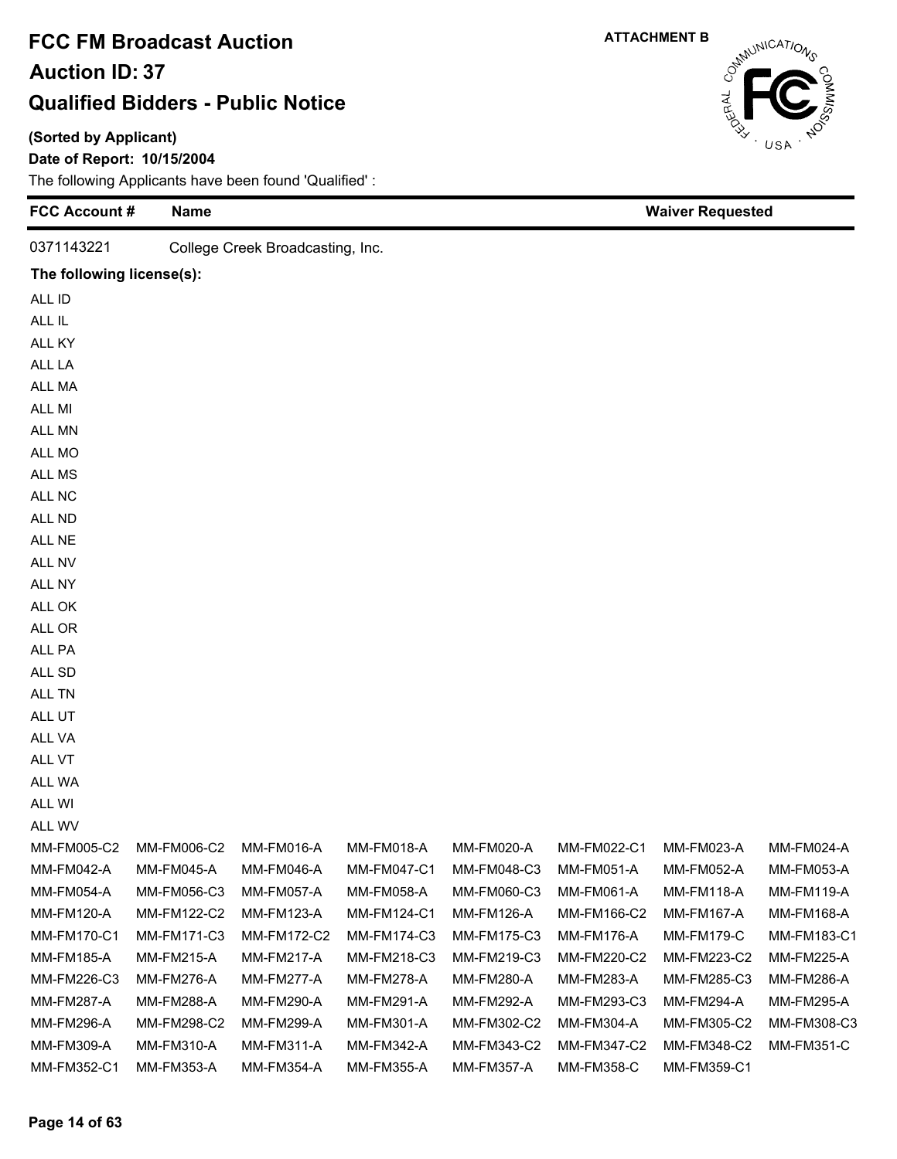#### **(Sorted by Applicant)**

#### **Date of Report: 10/15/2004**

| <b>FCC Account #</b>      | <b>Name</b> |                                  |             |             |                   | <b>Waiver Requested</b> |                   |
|---------------------------|-------------|----------------------------------|-------------|-------------|-------------------|-------------------------|-------------------|
| 0371143221                |             | College Creek Broadcasting, Inc. |             |             |                   |                         |                   |
| The following license(s): |             |                                  |             |             |                   |                         |                   |
| ALL ID                    |             |                                  |             |             |                   |                         |                   |
| ALL IL                    |             |                                  |             |             |                   |                         |                   |
| ALL KY                    |             |                                  |             |             |                   |                         |                   |
| ALL LA                    |             |                                  |             |             |                   |                         |                   |
| ALL MA                    |             |                                  |             |             |                   |                         |                   |
| ALL MI                    |             |                                  |             |             |                   |                         |                   |
| ALL MN                    |             |                                  |             |             |                   |                         |                   |
| ALL MO                    |             |                                  |             |             |                   |                         |                   |
| ALL MS                    |             |                                  |             |             |                   |                         |                   |
| ALL NC                    |             |                                  |             |             |                   |                         |                   |
| ALL ND                    |             |                                  |             |             |                   |                         |                   |
| ALL NE                    |             |                                  |             |             |                   |                         |                   |
| ALL NV                    |             |                                  |             |             |                   |                         |                   |
| ALL NY                    |             |                                  |             |             |                   |                         |                   |
| ALL OK                    |             |                                  |             |             |                   |                         |                   |
| ALL OR                    |             |                                  |             |             |                   |                         |                   |
| ALL PA                    |             |                                  |             |             |                   |                         |                   |
| ALL SD                    |             |                                  |             |             |                   |                         |                   |
| ALL TN                    |             |                                  |             |             |                   |                         |                   |
| ALL UT                    |             |                                  |             |             |                   |                         |                   |
| ALL VA                    |             |                                  |             |             |                   |                         |                   |
| ALL VT                    |             |                                  |             |             |                   |                         |                   |
| ALL WA                    |             |                                  |             |             |                   |                         |                   |
| ALL WI                    |             |                                  |             |             |                   |                         |                   |
| ALL WV                    |             |                                  |             |             |                   |                         |                   |
| MM-FM005-C2               | MM-FM006-C2 | MM-FM016-A                       | MM-FM018-A  | MM-FM020-A  | MM-FM022-C1       | MM-FM023-A              | MM-FM024-A        |
| MM-FM042-A                | MM-FM045-A  | MM-FM046-A                       | MM-FM047-C1 | MM-FM048-C3 | <b>MM-FM051-A</b> | <b>MM-FM052-A</b>       | MM-FM053-A        |
| MM-FM054-A                | MM-FM056-C3 | <b>MM-FM057-A</b>                | MM-FM058-A  | MM-FM060-C3 | MM-FM061-A        | <b>MM-FM118-A</b>       | <b>MM-FM119-A</b> |
| <b>MM-FM120-A</b>         | MM-FM122-C2 | <b>MM-FM123-A</b>                | MM-FM124-C1 | MM-FM126-A  | MM-FM166-C2       | <b>MM-FM167-A</b>       | MM-FM168-A        |
| <b>MM-FM170-C1</b>        | MM-FM171-C3 | MM-FM172-C2                      | MM-FM174-C3 | MM-FM175-C3 | <b>MM-FM176-A</b> | <b>MM-FM179-C</b>       | MM-FM183-C1       |
| <b>MM-FM185-A</b>         | MM-FM215-A  | <b>MM-FM217-A</b>                | MM-FM218-C3 | MM-FM219-C3 | MM-FM220-C2       | MM-FM223-C2             | <b>MM-FM225-A</b> |
| MM-FM226-C3               | MM-FM276-A  | MM-FM277-A                       | MM-FM278-A  | MM-FM280-A  | MM-FM283-A        | MM-FM285-C3             | <b>MM-FM286-A</b> |
| <b>MM-FM287-A</b>         | MM-FM288-A  | MM-FM290-A                       | MM-FM291-A  | MM-FM292-A  | MM-FM293-C3       | <b>MM-FM294-A</b>       | MM-FM295-A        |
| <b>MM-FM296-A</b>         | MM-FM298-C2 | MM-FM299-A                       | MM-FM301-A  | MM-FM302-C2 | MM-FM304-A        | MM-FM305-C2             | MM-FM308-C3       |
| MM-FM309-A                | MM-FM310-A  | <b>MM-FM311-A</b>                | MM-FM342-A  | MM-FM343-C2 | MM-FM347-C2       | MM-FM348-C2             | <b>MM-FM351-C</b> |
| MM-FM352-C1               | MM-FM353-A  | <b>MM-FM354-A</b>                | MM-FM355-A  | MM-FM357-A  | <b>MM-FM358-C</b> | MM-FM359-C1             |                   |



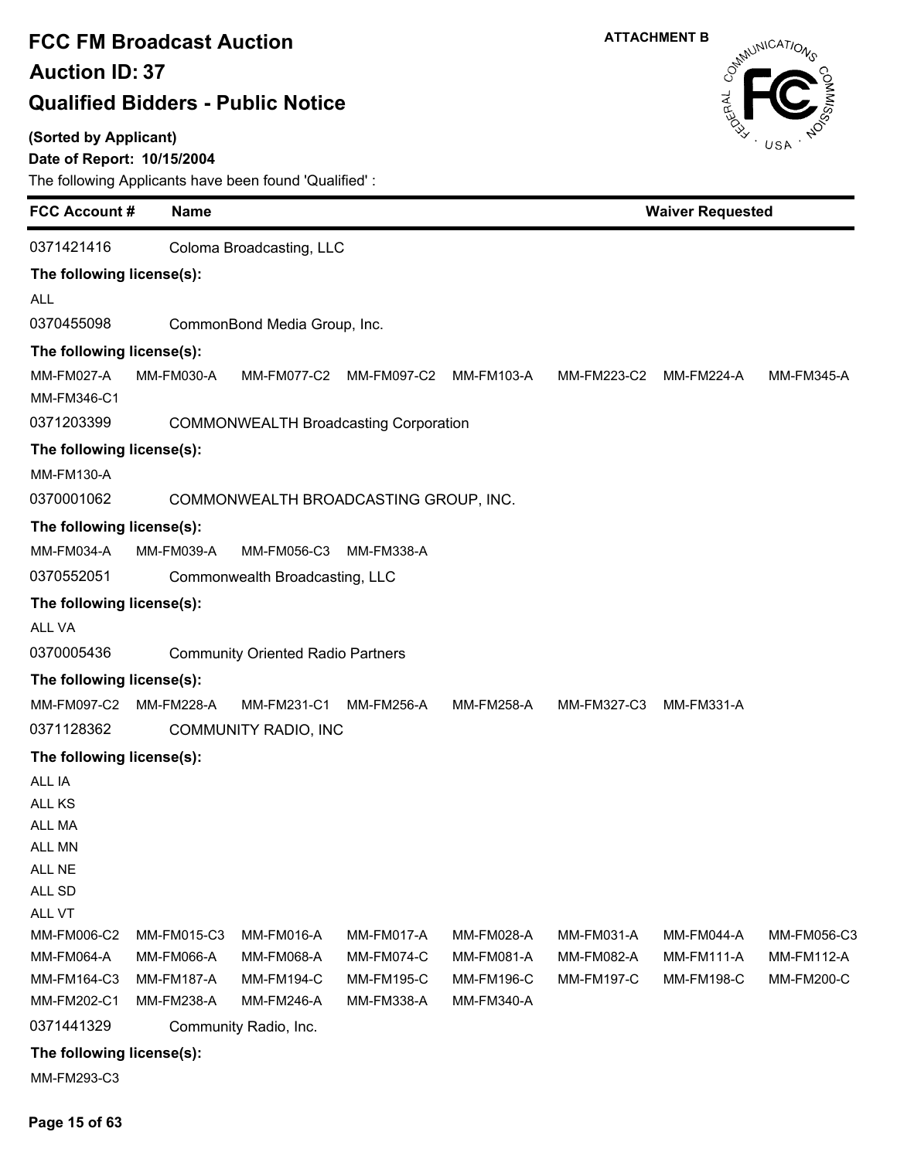#### **(Sorted by Applicant)**

### **Date of Report: 10/15/2004**

The following Applicants have been found 'Qualified' :

| <b>FCC Account #</b>                                              | <b>Name</b>                                                         |                                                                    |                                                             | <b>Waiver Requested</b>                                     |                                               |                                                      |                                                |
|-------------------------------------------------------------------|---------------------------------------------------------------------|--------------------------------------------------------------------|-------------------------------------------------------------|-------------------------------------------------------------|-----------------------------------------------|------------------------------------------------------|------------------------------------------------|
| 0371421416                                                        |                                                                     | Coloma Broadcasting, LLC                                           |                                                             |                                                             |                                               |                                                      |                                                |
| The following license(s):                                         |                                                                     |                                                                    |                                                             |                                                             |                                               |                                                      |                                                |
| <b>ALL</b>                                                        |                                                                     |                                                                    |                                                             |                                                             |                                               |                                                      |                                                |
| 0370455098                                                        |                                                                     | CommonBond Media Group, Inc.                                       |                                                             |                                                             |                                               |                                                      |                                                |
| The following license(s):                                         |                                                                     |                                                                    |                                                             |                                                             |                                               |                                                      |                                                |
| MM-FM027-A<br>MM-FM346-C1                                         | MM-FM030-A                                                          | MM-FM077-C2                                                        | MM-FM097-C2                                                 | MM-FM103-A                                                  | MM-FM223-C2                                   | MM-FM224-A                                           | <b>MM-FM345-A</b>                              |
| 0371203399                                                        |                                                                     |                                                                    | <b>COMMONWEALTH Broadcasting Corporation</b>                |                                                             |                                               |                                                      |                                                |
| The following license(s):                                         |                                                                     |                                                                    |                                                             |                                                             |                                               |                                                      |                                                |
| <b>MM-FM130-A</b>                                                 |                                                                     |                                                                    |                                                             |                                                             |                                               |                                                      |                                                |
| 0370001062                                                        |                                                                     |                                                                    | COMMONWEALTH BROADCASTING GROUP, INC.                       |                                                             |                                               |                                                      |                                                |
| The following license(s):                                         |                                                                     |                                                                    |                                                             |                                                             |                                               |                                                      |                                                |
| MM-FM034-A                                                        | MM-FM039-A                                                          | MM-FM056-C3                                                        | MM-FM338-A                                                  |                                                             |                                               |                                                      |                                                |
| 0370552051                                                        |                                                                     | Commonwealth Broadcasting, LLC                                     |                                                             |                                                             |                                               |                                                      |                                                |
| The following license(s):                                         |                                                                     |                                                                    |                                                             |                                                             |                                               |                                                      |                                                |
| <b>ALL VA</b>                                                     |                                                                     |                                                                    |                                                             |                                                             |                                               |                                                      |                                                |
| 0370005436                                                        |                                                                     | <b>Community Oriented Radio Partners</b>                           |                                                             |                                                             |                                               |                                                      |                                                |
| The following license(s):                                         |                                                                     |                                                                    |                                                             |                                                             |                                               |                                                      |                                                |
| MM-FM097-C2                                                       | <b>MM-FM228-A</b>                                                   | MM-FM231-C1                                                        | <b>MM-FM256-A</b>                                           | MM-FM258-A                                                  | MM-FM327-C3                                   | <b>MM-FM331-A</b>                                    |                                                |
| 0371128362                                                        |                                                                     | <b>COMMUNITY RADIO, INC</b>                                        |                                                             |                                                             |                                               |                                                      |                                                |
| The following license(s):                                         |                                                                     |                                                                    |                                                             |                                                             |                                               |                                                      |                                                |
| ALL IA<br>ALL KS<br>ALL MA<br>ALL MN<br>ALL NE<br>ALL SD          |                                                                     |                                                                    |                                                             |                                                             |                                               |                                                      |                                                |
| ALL VT<br>MM-FM006-C2<br>MM-FM064-A<br>MM-FM164-C3<br>MM-FM202-C1 | MM-FM015-C3<br><b>MM-FM066-A</b><br><b>MM-FM187-A</b><br>MM-FM238-A | MM-FM016-A<br>MM-FM068-A<br><b>MM-FM194-C</b><br><b>MM-FM246-A</b> | MM-FM017-A<br>MM-FM074-C<br><b>MM-FM195-C</b><br>MM-FM338-A | MM-FM028-A<br>MM-FM081-A<br><b>MM-FM196-C</b><br>MM-FM340-A | MM-FM031-A<br>MM-FM082-A<br><b>MM-FM197-C</b> | MM-FM044-A<br><b>MM-FM111-A</b><br><b>MM-FM198-C</b> | MM-FM056-C3<br><b>MM-FM112-A</b><br>MM-FM200-C |
| 0371441329                                                        |                                                                     | Community Radio, Inc.                                              |                                                             |                                                             |                                               |                                                      |                                                |

**The following license(s):**

MM-FM293-C3

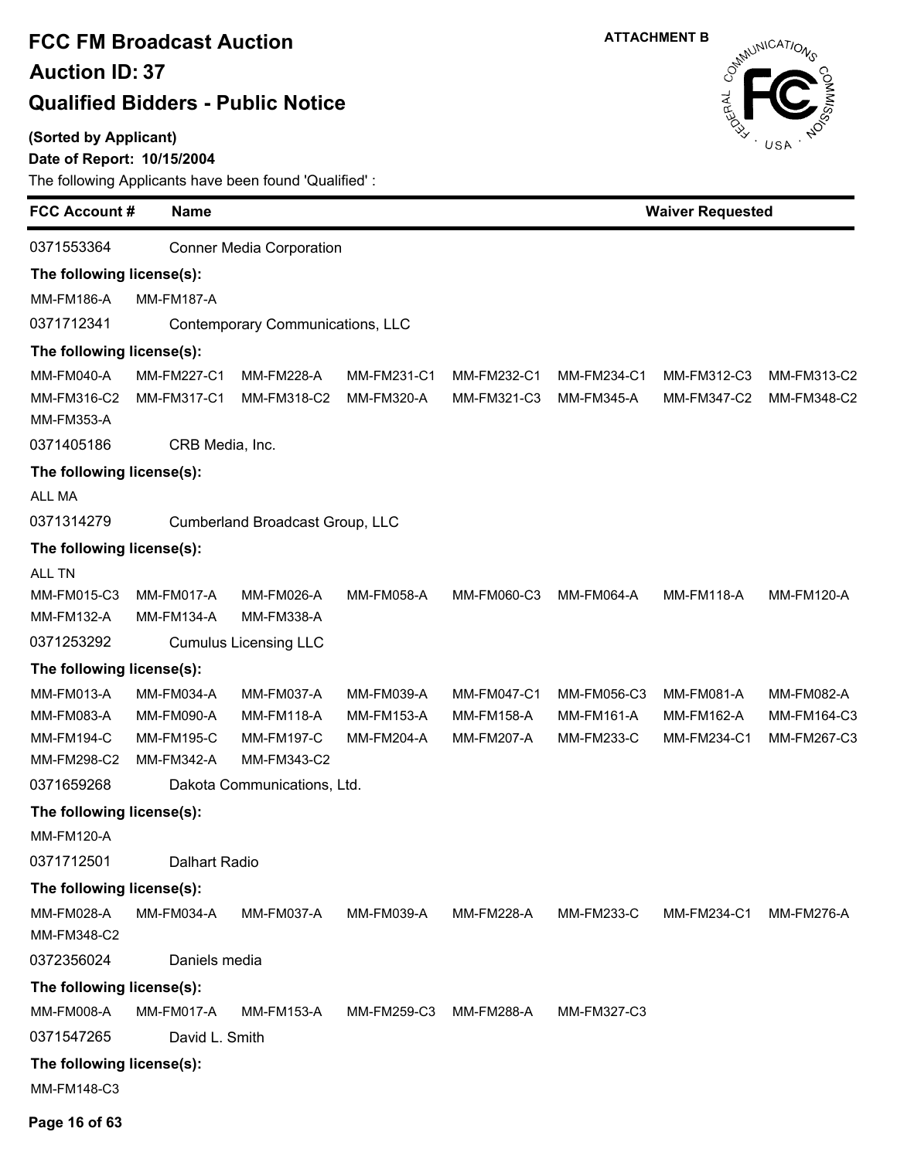#### **(Sorted by Applicant)**

 $\blacksquare$ 

### **Date of Report: 10/15/2004**

| <b>FCC Account #</b>             | <b>Name</b>          |                                  |                   | <b>Waiver Requested</b> |                   |                        |                   |
|----------------------------------|----------------------|----------------------------------|-------------------|-------------------------|-------------------|------------------------|-------------------|
| 0371553364                       |                      | <b>Conner Media Corporation</b>  |                   |                         |                   |                        |                   |
| The following license(s):        |                      |                                  |                   |                         |                   |                        |                   |
| <b>MM-FM186-A</b>                | <b>MM-FM187-A</b>    |                                  |                   |                         |                   |                        |                   |
| 0371712341                       |                      | Contemporary Communications, LLC |                   |                         |                   |                        |                   |
| The following license(s):        |                      |                                  |                   |                         |                   |                        |                   |
| <b>MM-FM040-A</b>                | MM-FM227-C1          | <b>MM-FM228-A</b>                | MM-FM231-C1       | MM-FM232-C1             | MM-FM234-C1       | MM-FM312-C3            | MM-FM313-C2       |
| MM-FM316-C2<br><b>MM-FM353-A</b> | MM-FM317-C1          | MM-FM318-C2                      | <b>MM-FM320-A</b> | MM-FM321-C3             | <b>MM-FM345-A</b> | MM-FM347-C2            | MM-FM348-C2       |
| 0371405186                       |                      | CRB Media, Inc.                  |                   |                         |                   |                        |                   |
| The following license(s):        |                      |                                  |                   |                         |                   |                        |                   |
| ALL MA                           |                      |                                  |                   |                         |                   |                        |                   |
| 0371314279                       |                      | Cumberland Broadcast Group, LLC  |                   |                         |                   |                        |                   |
| The following license(s):        |                      |                                  |                   |                         |                   |                        |                   |
| ALL TN                           |                      |                                  |                   |                         |                   |                        |                   |
| MM-FM015-C3                      | MM-FM017-A           | MM-FM026-A                       | <b>MM-FM058-A</b> | MM-FM060-C3             | <b>MM-FM064-A</b> | <b>MM-FM118-A</b>      | <b>MM-FM120-A</b> |
| MM-FM132-A                       | <b>MM-FM134-A</b>    | <b>MM-FM338-A</b>                |                   |                         |                   |                        |                   |
| 0371253292                       |                      | <b>Cumulus Licensing LLC</b>     |                   |                         |                   |                        |                   |
| The following license(s):        |                      |                                  |                   |                         |                   |                        |                   |
| MM-FM013-A                       | MM-FM034-A           | MM-FM037-A                       | MM-FM039-A        | MM-FM047-C1             | MM-FM056-C3       | MM-FM081-A             | MM-FM082-A        |
| MM-FM083-A                       | <b>MM-FM090-A</b>    | <b>MM-FM118-A</b>                | <b>MM-FM153-A</b> | <b>MM-FM158-A</b>       | <b>MM-FM161-A</b> | MM-FM162-A             | MM-FM164-C3       |
| <b>MM-FM194-C</b>                | <b>MM-FM195-C</b>    | <b>MM-FM197-C</b>                | <b>MM-FM204-A</b> | <b>MM-FM207-A</b>       | <b>MM-FM233-C</b> | MM-FM234-C1            | MM-FM267-C3       |
| MM-FM298-C2                      | MM-FM342-A           | MM-FM343-C2                      |                   |                         |                   |                        |                   |
| 0371659268                       |                      | Dakota Communications, Ltd.      |                   |                         |                   |                        |                   |
| The following license(s):        |                      |                                  |                   |                         |                   |                        |                   |
| <b>MM-FM120-A</b>                |                      |                                  |                   |                         |                   |                        |                   |
| 0371712501                       | <b>Dalhart Radio</b> |                                  |                   |                         |                   |                        |                   |
| The following license(s):        |                      |                                  |                   |                         |                   |                        |                   |
| MM-FM028-A<br>MM-FM348-C2        | MM-FM034-A           | MM-FM037-A                       | MM-FM039-A        | <b>MM-FM228-A</b>       | <b>MM-FM233-C</b> | MM-FM234-C1 MM-FM276-A |                   |
| 0372356024                       | Daniels media        |                                  |                   |                         |                   |                        |                   |
| The following license(s):        |                      |                                  |                   |                         |                   |                        |                   |
| <b>MM-FM008-A</b>                | MM-FM017-A           | MM-FM153-A                       | MM-FM259-C3       | <b>MM-FM288-A</b>       | MM-FM327-C3       |                        |                   |
| 0371547265                       | David L. Smith       |                                  |                   |                         |                   |                        |                   |
| The following license(s):        |                      |                                  |                   |                         |                   |                        |                   |
| MM-FM148-C3                      |                      |                                  |                   |                         |                   |                        |                   |

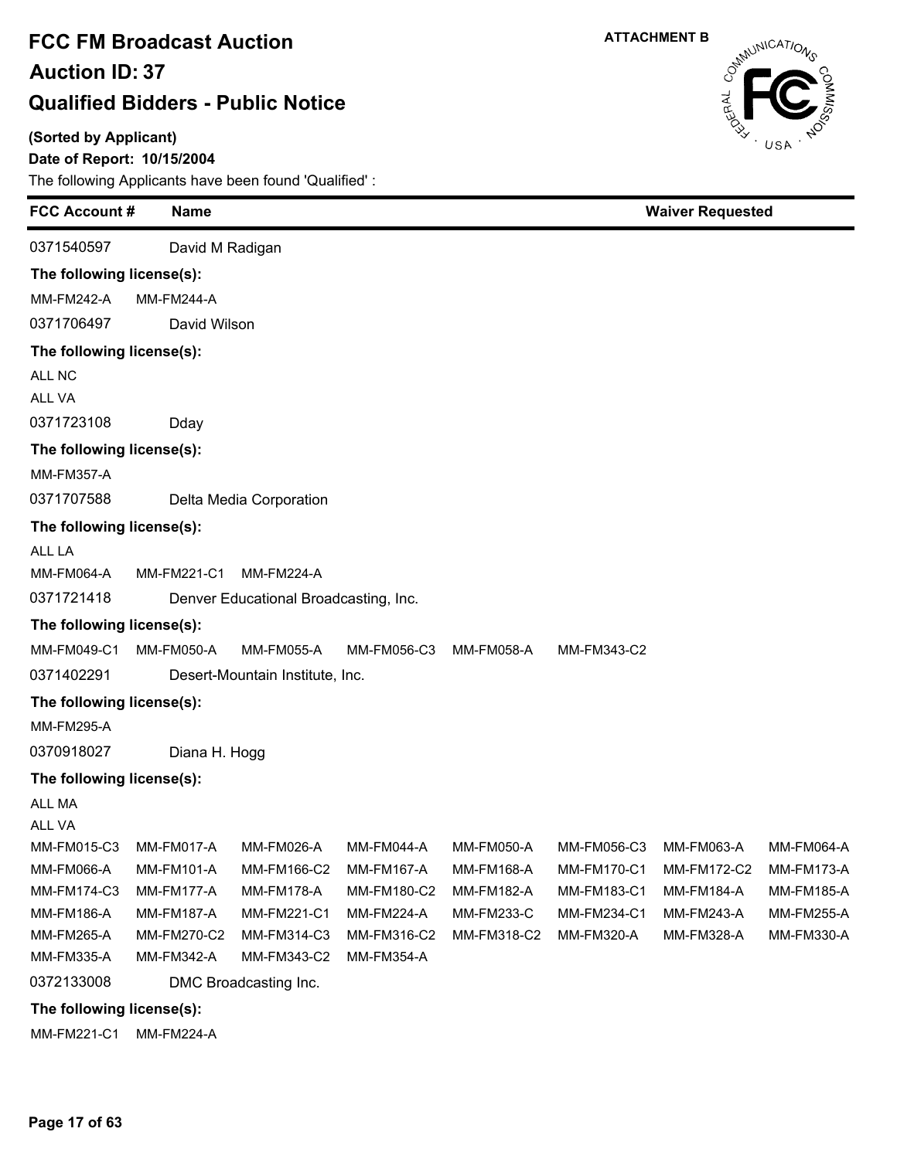**(Sorted by Applicant)**

### **Date of Report: 10/15/2004**

The following Applicants have been found 'Qualified' :

| <b>FCC Account#</b>       |                   | <b>Name</b>       |                                       |             |                   | <b>Waiver Requested</b> |                    |                   |
|---------------------------|-------------------|-------------------|---------------------------------------|-------------|-------------------|-------------------------|--------------------|-------------------|
| 0371540597                |                   | David M Radigan   |                                       |             |                   |                         |                    |                   |
| The following license(s): |                   |                   |                                       |             |                   |                         |                    |                   |
| <b>MM-FM242-A</b>         | <b>MM-FM244-A</b> |                   |                                       |             |                   |                         |                    |                   |
| 0371706497                |                   | David Wilson      |                                       |             |                   |                         |                    |                   |
| The following license(s): |                   |                   |                                       |             |                   |                         |                    |                   |
| ALL NC                    |                   |                   |                                       |             |                   |                         |                    |                   |
| <b>ALL VA</b>             |                   |                   |                                       |             |                   |                         |                    |                   |
| 0371723108                |                   | Dday              |                                       |             |                   |                         |                    |                   |
| The following license(s): |                   |                   |                                       |             |                   |                         |                    |                   |
| <b>MM-FM357-A</b>         |                   |                   |                                       |             |                   |                         |                    |                   |
| 0371707588                |                   |                   | Delta Media Corporation               |             |                   |                         |                    |                   |
| The following license(s): |                   |                   |                                       |             |                   |                         |                    |                   |
| ALL LA                    |                   |                   |                                       |             |                   |                         |                    |                   |
| <b>MM-FM064-A</b>         |                   | MM-FM221-C1       | <b>MM-FM224-A</b>                     |             |                   |                         |                    |                   |
| 0371721418                |                   |                   | Denver Educational Broadcasting, Inc. |             |                   |                         |                    |                   |
| The following license(s): |                   |                   |                                       |             |                   |                         |                    |                   |
| MM-FM049-C1               |                   | <b>MM-FM050-A</b> | <b>MM-FM055-A</b>                     | MM-FM056-C3 | <b>MM-FM058-A</b> | MM-FM343-C2             |                    |                   |
| 0371402291                |                   |                   | Desert-Mountain Institute, Inc.       |             |                   |                         |                    |                   |
| The following license(s): |                   |                   |                                       |             |                   |                         |                    |                   |
| <b>MM-FM295-A</b>         |                   |                   |                                       |             |                   |                         |                    |                   |
| 0370918027                |                   | Diana H. Hogg     |                                       |             |                   |                         |                    |                   |
| The following license(s): |                   |                   |                                       |             |                   |                         |                    |                   |
| <b>ALL MA</b>             |                   |                   |                                       |             |                   |                         |                    |                   |
| ALL VA                    |                   |                   |                                       |             |                   |                         |                    |                   |
| MM-FM015-C3               | MM-FM017-A        |                   | MM-FM026-A                            | MM-FM044-A  | <b>MM-FM050-A</b> | MM-FM056-C3             | MM-FM063-A         | <b>MM-FM064-A</b> |
| <b>MM-FM066-A</b>         |                   | <b>MM-FM101-A</b> | MM-FM166-C2                           | MM-FM167-A  | MM-FM168-A        | <b>MM-FM170-C1</b>      | <b>MM-FM172-C2</b> | <b>MM-FM173-A</b> |
| MM-FM174-C3               |                   | MM-FM177-A        | <b>MM-FM178-A</b>                     | MM-FM180-C2 | MM-FM182-A        | MM-FM183-C1             | MM-FM184-A         | <b>MM-FM185-A</b> |
| MM-FM186-A                |                   | <b>MM-FM187-A</b> | MM-FM221-C1                           | MM-FM224-A  | <b>MM-FM233-C</b> | MM-FM234-C1             | MM-FM243-A         | <b>MM-FM255-A</b> |
| MM-FM265-A                |                   | MM-FM270-C2       | MM-FM314-C3                           | MM-FM316-C2 | MM-FM318-C2       | MM-FM320-A              | MM-FM328-A         | MM-FM330-A        |
| MM-FM335-A                |                   | MM-FM342-A        | MM-FM343-C2                           | MM-FM354-A  |                   |                         |                    |                   |
| 0372133008                |                   |                   | DMC Broadcasting Inc.                 |             |                   |                         |                    |                   |
| The following license(s): |                   |                   |                                       |             |                   |                         |                    |                   |

MM-FM221-C1 MM-FM224-A

**ATTACHMENT B**

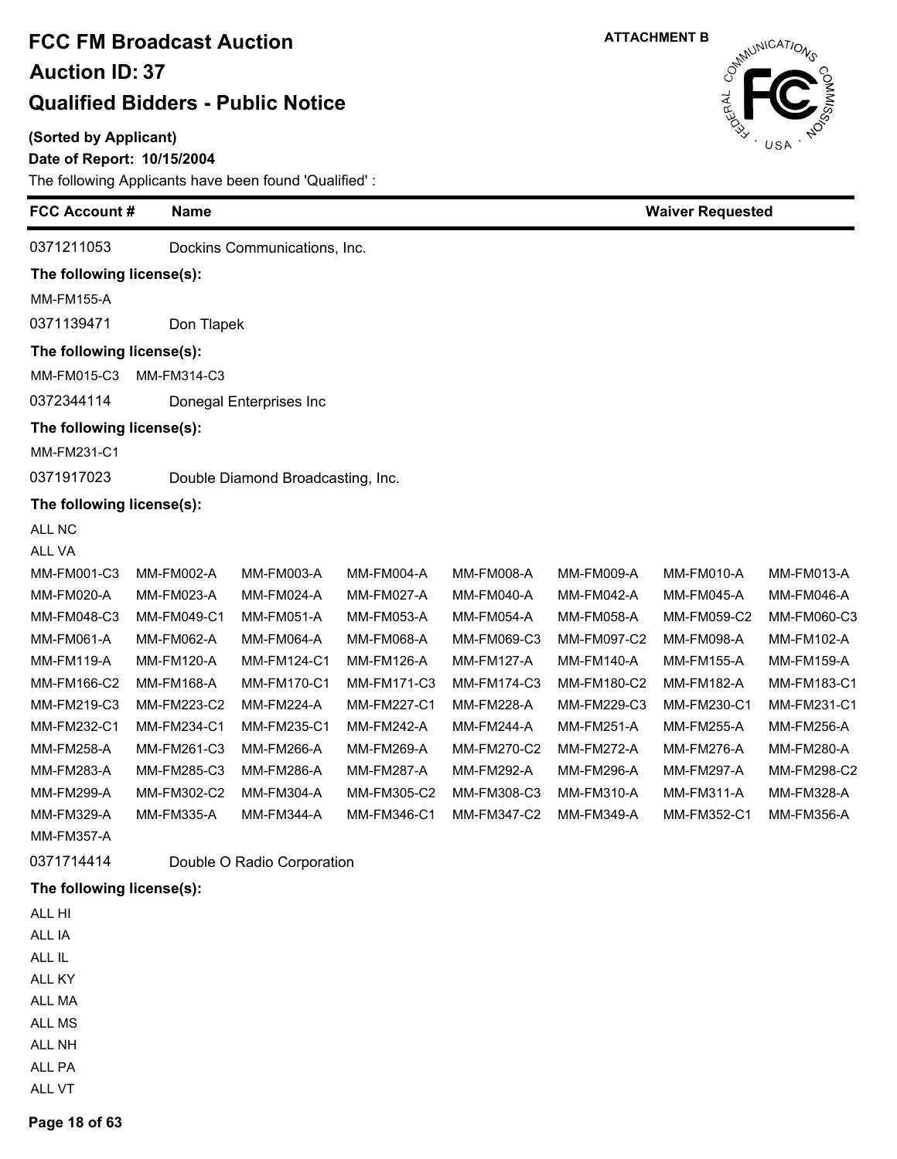#### **(Sorted by Applicant)**

Ė

 $\blacksquare$ 

#### **Date of Report: 10/15/2004**

The following Applicants have been found 'Qualified' :

| <b>FCC Account#</b>                 |                   | <b>Name</b> |                                   |                   |                   |                   | <b>Waiver Requested</b> |             |  |  |
|-------------------------------------|-------------------|-------------|-----------------------------------|-------------------|-------------------|-------------------|-------------------------|-------------|--|--|
| 0371211053                          |                   |             | Dockins Communications, Inc.      |                   |                   |                   |                         |             |  |  |
| The following license(s):           |                   |             |                                   |                   |                   |                   |                         |             |  |  |
| <b>MM-FM155-A</b>                   |                   |             |                                   |                   |                   |                   |                         |             |  |  |
| 0371139471                          |                   | Don Tlapek  |                                   |                   |                   |                   |                         |             |  |  |
| The following license(s):           |                   |             |                                   |                   |                   |                   |                         |             |  |  |
| MM-FM015-C3                         |                   | MM-FM314-C3 |                                   |                   |                   |                   |                         |             |  |  |
| 0372344114                          |                   |             | Donegal Enterprises Inc           |                   |                   |                   |                         |             |  |  |
| The following license(s):           |                   |             |                                   |                   |                   |                   |                         |             |  |  |
| MM-FM231-C1                         |                   |             |                                   |                   |                   |                   |                         |             |  |  |
| 0371917023                          |                   |             | Double Diamond Broadcasting, Inc. |                   |                   |                   |                         |             |  |  |
|                                     |                   |             |                                   |                   |                   |                   |                         |             |  |  |
| The following license(s):<br>ALL NC |                   |             |                                   |                   |                   |                   |                         |             |  |  |
| ALL VA                              |                   |             |                                   |                   |                   |                   |                         |             |  |  |
| MM-FM001-C3                         | MM-FM002-A        |             | MM-FM003-A                        | MM-FM004-A        | MM-FM008-A        | MM-FM009-A        | MM-FM010-A              | MM-FM013-A  |  |  |
| <b>MM-FM020-A</b>                   | MM-FM023-A        |             | MM-FM024-A                        | MM-FM027-A        | MM-FM040-A        | <b>MM-FM042-A</b> | MM-FM045-A              | MM-FM046-A  |  |  |
| MM-FM048-C3                         | MM-FM049-C1       |             | MM-FM051-A                        | MM-FM053-A        | MM-FM054-A        | <b>MM-FM058-A</b> | MM-FM059-C2             | MM-FM060-C3 |  |  |
| MM-FM061-A                          | MM-FM062-A        |             | MM-FM064-A                        | MM-FM068-A        | MM-FM069-C3       | MM-FM097-C2       | MM-FM098-A              | MM-FM102-A  |  |  |
| <b>MM-FM119-A</b>                   | <b>MM-FM120-A</b> |             | MM-FM124-C1                       | <b>MM-FM126-A</b> | MM-FM127-A        | <b>MM-FM140-A</b> | <b>MM-FM155-A</b>       | MM-FM159-A  |  |  |
| MM-FM166-C2                         | MM-FM168-A        |             | MM-FM170-C1                       | MM-FM171-C3       | MM-FM174-C3       | MM-FM180-C2       | MM-FM182-A              | MM-FM183-C1 |  |  |
| MM-FM219-C3                         | MM-FM223-C2       |             | <b>MM-FM224-A</b>                 | MM-FM227-C1       | <b>MM-FM228-A</b> | MM-FM229-C3       | MM-FM230-C1             | MM-FM231-C1 |  |  |
| MM-FM232-C1                         | MM-FM234-C1       |             | MM-FM235-C1                       | <b>MM-FM242-A</b> | MM-FM244-A        | <b>MM-FM251-A</b> | <b>MM-FM255-A</b>       | MM-FM256-A  |  |  |
| <b>MM-FM258-A</b>                   | MM-FM261-C3       |             | MM-FM266-A                        | MM-FM269-A        | MM-FM270-C2       | <b>MM-FM272-A</b> | <b>MM-FM276-A</b>       | MM-FM280-A  |  |  |
| MM-FM283-A                          | MM-FM285-C3       |             | <b>MM-FM286-A</b>                 | <b>MM-FM287-A</b> | MM-FM292-A        | MM-FM296-A        | <b>MM-FM297-A</b>       | MM-FM298-C2 |  |  |
| <b>MM-FM299-A</b>                   | MM-FM302-C2       |             | MM-FM304-A                        | MM-FM305-C2       | MM-FM308-C3       | MM-FM310-A        | MM-FM311-A              | MM-FM328-A  |  |  |
| <b>MM-FM329-A</b>                   | MM-FM335-A        |             | MM-FM344-A                        | MM-FM346-C1       | MM-FM347-C2       | <b>MM-FM349-A</b> | MM-FM352-C1             | MM-FM356-A  |  |  |
| <b>MM-FM357-A</b>                   |                   |             |                                   |                   |                   |                   |                         |             |  |  |
| 0371714414                          |                   |             | Double O Radio Corporation        |                   |                   |                   |                         |             |  |  |

#### **The following license(s):**

- ALL HI ALL IA ALL IL ALL KY ALL MA ALL MS ALL NH ALL PA
- ALL VT

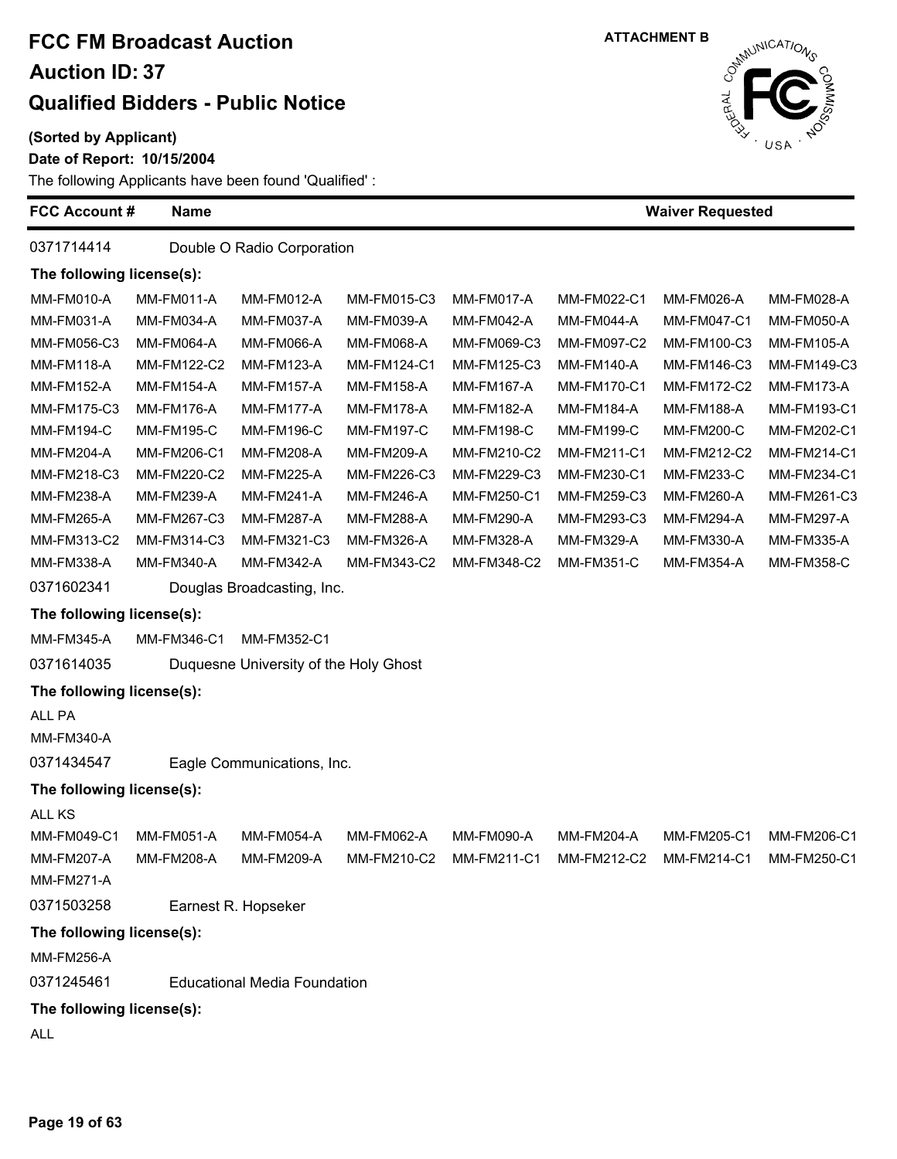**(Sorted by Applicant)**

#### Date of  $\vert$

The follo

| Report: 10/15/2004                           |  |
|----------------------------------------------|--|
| wing Applicants have been found 'Qualified': |  |

**FCC Account # Name** 0371714414 Double O Radio Corporation **The following license(s):**

**ATTACHMENT B**

**Waiver Requested**



MM-FM194-C MM-FM195-C MM-FM196-C MM-FM197-C MM-FM198-C MM-FM199-C MM-FM200-C MM-FM202-C1 MM-FM204-A MM-FM206-C1 MM-FM208-A MM-FM209-A MM-FM210-C2 MM-FM211-C1 MM-FM212-C2 MM-FM214-C1 MM-FM218-C3 MM-FM220-C2 MM-FM225-A MM-FM226-C3 MM-FM229-C3 MM-FM230-C1 MM-FM233-C MM-FM234-C1 MM-FM238-A MM-FM239-A MM-FM241-A MM-FM246-A MM-FM250-C1 MM-FM259-C3 MM-FM260-A MM-FM261-C3 MM-FM265-A MM-FM267-C3 MM-FM287-A MM-FM288-A MM-FM290-A MM-FM293-C3 MM-FM294-A MM-FM297-A MM-FM313-C2 MM-FM314-C3 MM-FM321-C3 MM-FM326-A MM-FM328-A MM-FM329-A MM-FM330-A MM-FM335-A MM-FM338-A MM-FM340-A MM-FM342-A MM-FM343-C2 MM-FM348-C2 MM-FM351-C MM-FM354-A MM-FM358-C 0371602341 Douglas Broadcasting, Inc. MM-FM345-A MM-FM346-C1 MM-FM352-C1 0371614035 Duquesne University of the Holy Ghost

### 0371434547 Eagle Communications, Inc.

ALL PA MM-FM340-A

**The following license(s):**

# ALL KS

| MM-FM049-C1<br>MM-FM207-A | <b>MM-FM051-A</b><br>MM-FM208-A | <b>MM-FM054-A</b><br><b>MM-FM209-A</b> | MM-FM062-A<br>MM-FM210-C2 | MM-FM090-A<br><b>MM-FM211-C1</b> | <b>MM-FM204-A</b><br>MM-FM212-C2 | MM-FM205-C1<br><b>MM-FM214-C1</b> | MM-FM206-C1<br>MM-FM250-C1 |  |  |  |
|---------------------------|---------------------------------|----------------------------------------|---------------------------|----------------------------------|----------------------------------|-----------------------------------|----------------------------|--|--|--|
| <b>MM-FM271-A</b>         |                                 |                                        |                           |                                  |                                  |                                   |                            |  |  |  |
| 0371503258                | Earnest R. Hopseker             |                                        |                           |                                  |                                  |                                   |                            |  |  |  |
| The following license(s): |                                 |                                        |                           |                                  |                                  |                                   |                            |  |  |  |
| <b>MM-FM256-A</b>         |                                 |                                        |                           |                                  |                                  |                                   |                            |  |  |  |
| 0371245461                |                                 | Educational Media Foundation           |                           |                                  |                                  |                                   |                            |  |  |  |
| The following license(s): |                                 |                                        |                           |                                  |                                  |                                   |                            |  |  |  |

MM-FM010-A MM-FM011-A MM-FM012-A MM-FM015-C3 MM-FM017-A MM-FM022-C1 MM-FM026-A MM-FM028-A MM-FM031-A MM-FM034-A MM-FM037-A MM-FM039-A MM-FM042-A MM-FM044-A MM-FM047-C1 MM-FM050-A MM-FM056-C3 MM-FM064-A MM-FM066-A MM-FM068-A MM-FM069-C3 MM-FM097-C2 MM-FM100-C3 MM-FM105-A MM-FM118-A MM-FM122-C2 MM-FM123-A MM-FM124-C1 MM-FM125-C3 MM-FM140-A MM-FM146-C3 MM-FM149-C3 MM-FM152-A MM-FM154-A MM-FM157-A MM-FM158-A MM-FM167-A MM-FM170-C1 MM-FM172-C2 MM-FM173-A MM-FM175-C3 MM-FM176-A MM-FM177-A MM-FM178-A MM-FM182-A MM-FM184-A MM-FM188-A MM-FM193-C1

ALL



**The following license(s):**

**The following license(s):**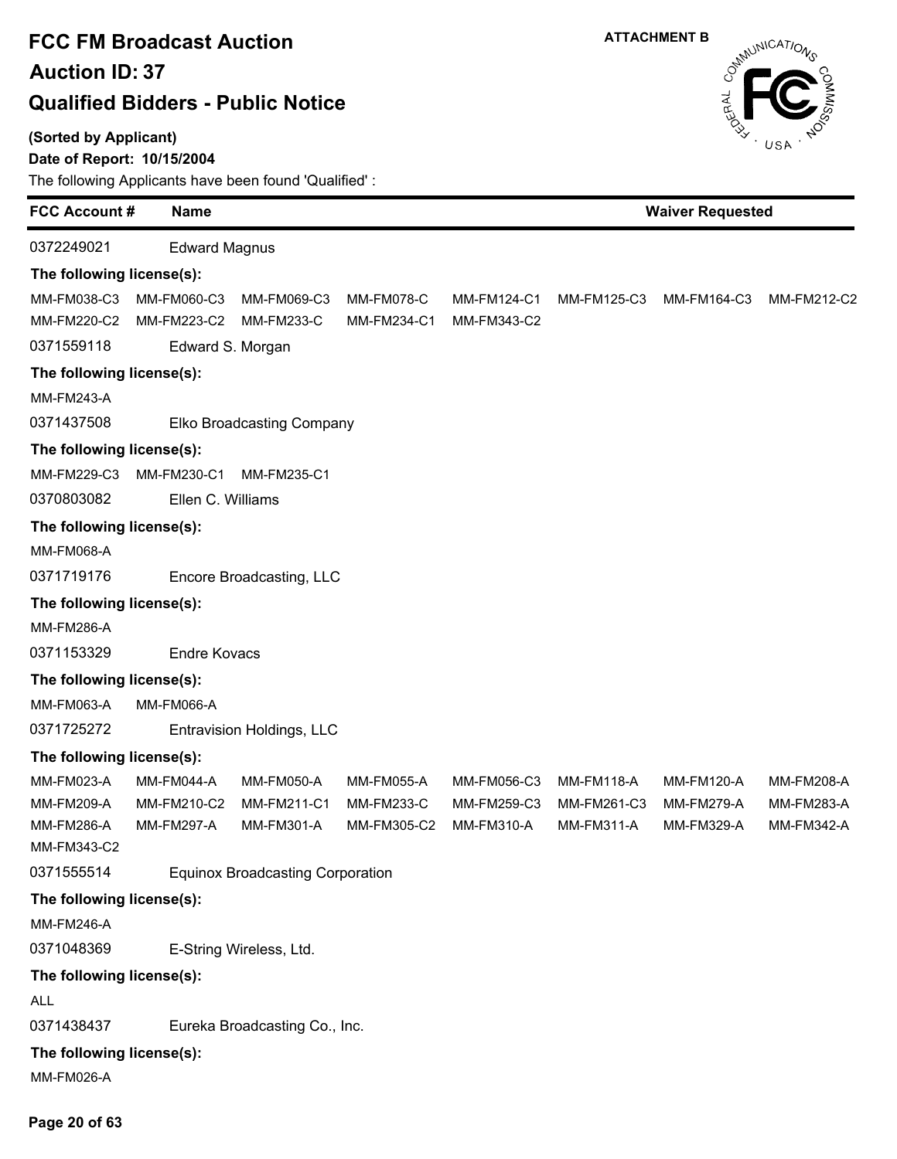**(Sorted by Applicant)**

### **Date of Report: 10/15/2004**

The following Applicants have been found 'Qualified' :

| <b>FCC Account#</b>                            | <b>Name</b>                                    |                                                |                                  | <b>Waiver Requested</b>                  |                                                |                                                      |                                               |
|------------------------------------------------|------------------------------------------------|------------------------------------------------|----------------------------------|------------------------------------------|------------------------------------------------|------------------------------------------------------|-----------------------------------------------|
| 0372249021                                     | <b>Edward Magnus</b>                           |                                                |                                  |                                          |                                                |                                                      |                                               |
| The following license(s):                      |                                                |                                                |                                  |                                          |                                                |                                                      |                                               |
| MM-FM038-C3<br>MM-FM220-C2<br>0371559118       | MM-FM060-C3<br>MM-FM223-C2<br>Edward S. Morgan | MM-FM069-C3<br><b>MM-FM233-C</b>               | <b>MM-FM078-C</b><br>MM-FM234-C1 | <b>MM-FM124-C1</b><br>MM-FM343-C2        | MM-FM125-C3                                    | MM-FM164-C3                                          | MM-FM212-C2                                   |
|                                                |                                                |                                                |                                  |                                          |                                                |                                                      |                                               |
| The following license(s):<br><b>MM-FM243-A</b> |                                                |                                                |                                  |                                          |                                                |                                                      |                                               |
| 0371437508                                     |                                                |                                                |                                  |                                          |                                                |                                                      |                                               |
|                                                |                                                | Elko Broadcasting Company                      |                                  |                                          |                                                |                                                      |                                               |
| The following license(s):                      |                                                |                                                |                                  |                                          |                                                |                                                      |                                               |
| MM-FM229-C3<br>0370803082                      | MM-FM230-C1<br>Ellen C. Williams               | MM-FM235-C1                                    |                                  |                                          |                                                |                                                      |                                               |
|                                                |                                                |                                                |                                  |                                          |                                                |                                                      |                                               |
| The following license(s):<br>MM-FM068-A        |                                                |                                                |                                  |                                          |                                                |                                                      |                                               |
| 0371719176                                     |                                                | Encore Broadcasting, LLC                       |                                  |                                          |                                                |                                                      |                                               |
|                                                |                                                |                                                |                                  |                                          |                                                |                                                      |                                               |
| The following license(s):<br><b>MM-FM286-A</b> |                                                |                                                |                                  |                                          |                                                |                                                      |                                               |
| 0371153329                                     | <b>Endre Kovacs</b>                            |                                                |                                  |                                          |                                                |                                                      |                                               |
|                                                |                                                |                                                |                                  |                                          |                                                |                                                      |                                               |
| The following license(s):                      |                                                |                                                |                                  |                                          |                                                |                                                      |                                               |
| MM-FM063-A<br>0371725272                       | <b>MM-FM066-A</b>                              |                                                |                                  |                                          |                                                |                                                      |                                               |
|                                                |                                                | Entravision Holdings, LLC                      |                                  |                                          |                                                |                                                      |                                               |
| The following license(s):<br><b>MM-FM023-A</b> | MM-FM044-A                                     |                                                | <b>MM-FM055-A</b>                |                                          |                                                |                                                      |                                               |
| MM-FM209-A<br><b>MM-FM286-A</b><br>MM-FM343-C2 | MM-FM210-C2<br><b>MM-FM297-A</b>               | <b>MM-FM050-A</b><br>MM-FM211-C1<br>MM-FM301-A | <b>MM-FM233-C</b><br>MM-FM305-C2 | MM-FM056-C3<br>MM-FM259-C3<br>MM-FM310-A | MM-FM118-A<br>MM-FM261-C3<br><b>MM-FM311-A</b> | MM-FM120-A<br><b>MM-FM279-A</b><br><b>MM-FM329-A</b> | <b>MM-FM208-A</b><br>MM-FM283-A<br>MM-FM342-A |
| 0371555514                                     |                                                | <b>Equinox Broadcasting Corporation</b>        |                                  |                                          |                                                |                                                      |                                               |
| The following license(s):                      |                                                |                                                |                                  |                                          |                                                |                                                      |                                               |
| <b>MM-FM246-A</b>                              |                                                |                                                |                                  |                                          |                                                |                                                      |                                               |
| 0371048369                                     |                                                | E-String Wireless, Ltd.                        |                                  |                                          |                                                |                                                      |                                               |
| The following license(s):                      |                                                |                                                |                                  |                                          |                                                |                                                      |                                               |
| <b>ALL</b>                                     |                                                |                                                |                                  |                                          |                                                |                                                      |                                               |
| 0371438437                                     |                                                | Eureka Broadcasting Co., Inc.                  |                                  |                                          |                                                |                                                      |                                               |
| The following license(s):                      |                                                |                                                |                                  |                                          |                                                |                                                      |                                               |
| MM-FM026-A                                     |                                                |                                                |                                  |                                          |                                                |                                                      |                                               |

**ATTACHMENT B**

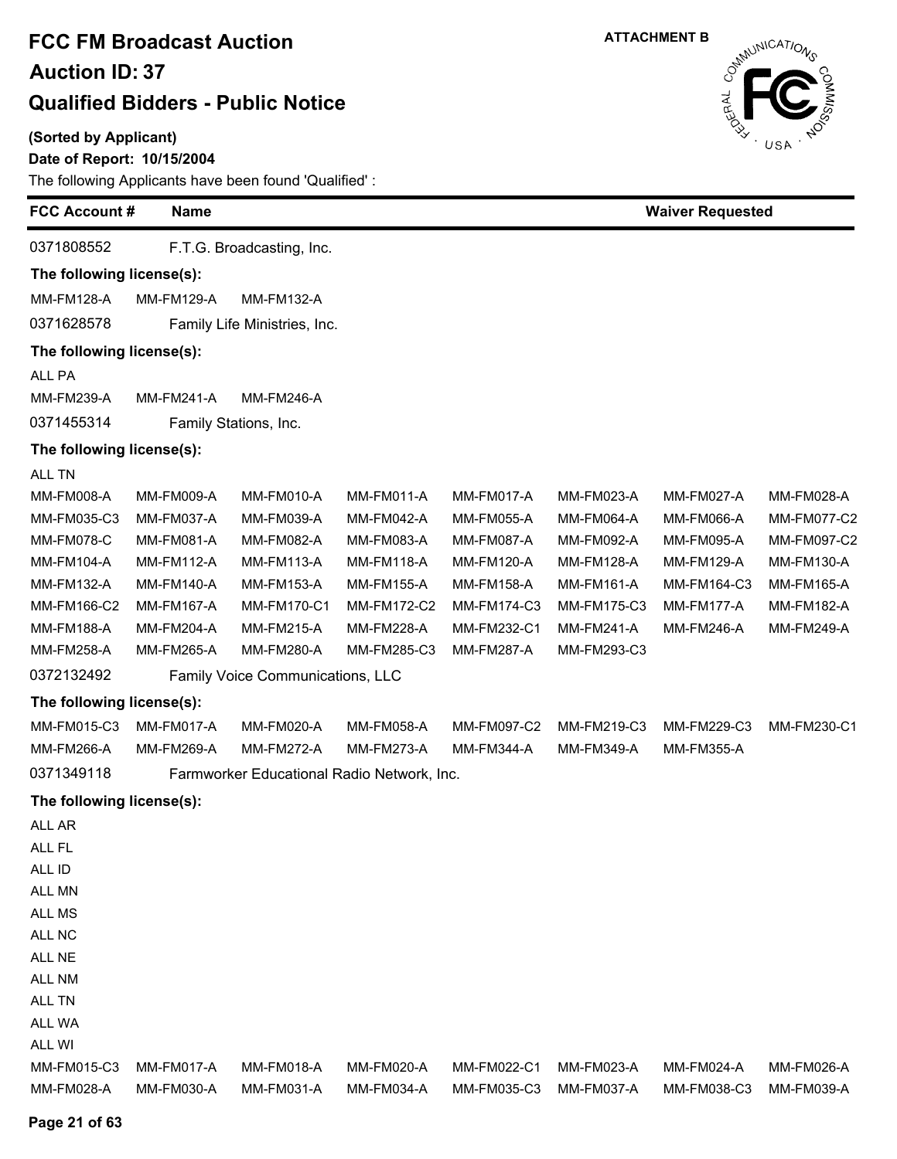**(Sorted by Applicant)**

**Page 21 of 63**

### **Date of Report: 10/15/2004**

| <b>FCC Account #</b>      | <b>Name</b>       |                                            |                    |                   |                   | <b>Waiver Requested</b> |                   |
|---------------------------|-------------------|--------------------------------------------|--------------------|-------------------|-------------------|-------------------------|-------------------|
| 0371808552                |                   | F.T.G. Broadcasting, Inc.                  |                    |                   |                   |                         |                   |
| The following license(s): |                   |                                            |                    |                   |                   |                         |                   |
| <b>MM-FM128-A</b>         | <b>MM-FM129-A</b> | <b>MM-FM132-A</b>                          |                    |                   |                   |                         |                   |
| 0371628578                |                   | Family Life Ministries, Inc.               |                    |                   |                   |                         |                   |
| The following license(s): |                   |                                            |                    |                   |                   |                         |                   |
| ALL PA                    |                   |                                            |                    |                   |                   |                         |                   |
| MM-FM239-A                | <b>MM-FM241-A</b> | MM-FM246-A                                 |                    |                   |                   |                         |                   |
| 0371455314                |                   | Family Stations, Inc.                      |                    |                   |                   |                         |                   |
| The following license(s): |                   |                                            |                    |                   |                   |                         |                   |
| ALL TN                    |                   |                                            |                    |                   |                   |                         |                   |
| <b>MM-FM008-A</b>         | <b>MM-FM009-A</b> | <b>MM-FM010-A</b>                          | MM-FM011-A         | MM-FM017-A        | MM-FM023-A        | MM-FM027-A              | MM-FM028-A        |
| MM-FM035-C3               | MM-FM037-A        | MM-FM039-A                                 | MM-FM042-A         | <b>MM-FM055-A</b> | MM-FM064-A        | MM-FM066-A              | MM-FM077-C2       |
| <b>MM-FM078-C</b>         | MM-FM081-A        | MM-FM082-A                                 | MM-FM083-A         | MM-FM087-A        | <b>MM-FM092-A</b> | MM-FM095-A              | MM-FM097-C2       |
| MM-FM104-A                | <b>MM-FM112-A</b> | MM-FM113-A                                 | <b>MM-FM118-A</b>  | <b>MM-FM120-A</b> | <b>MM-FM128-A</b> | MM-FM129-A              | MM-FM130-A        |
| MM-FM132-A                | <b>MM-FM140-A</b> | <b>MM-FM153-A</b>                          | <b>MM-FM155-A</b>  | <b>MM-FM158-A</b> | <b>MM-FM161-A</b> | MM-FM164-C3             | MM-FM165-A        |
| MM-FM166-C2               | <b>MM-FM167-A</b> | <b>MM-FM170-C1</b>                         | <b>MM-FM172-C2</b> | MM-FM174-C3       | MM-FM175-C3       | MM-FM177-A              | MM-FM182-A        |
| <b>MM-FM188-A</b>         | MM-FM204-A        | MM-FM215-A                                 | <b>MM-FM228-A</b>  | MM-FM232-C1       | MM-FM241-A        | MM-FM246-A              | <b>MM-FM249-A</b> |
| MM-FM258-A                | <b>MM-FM265-A</b> | MM-FM280-A                                 | MM-FM285-C3        | MM-FM287-A        | MM-FM293-C3       |                         |                   |
| 0372132492                |                   | Family Voice Communications, LLC           |                    |                   |                   |                         |                   |
| The following license(s): |                   |                                            |                    |                   |                   |                         |                   |
| MM-FM015-C3               | MM-FM017-A        | MM-FM020-A                                 | <b>MM-FM058-A</b>  | MM-FM097-C2       | MM-FM219-C3       | MM-FM229-C3             | MM-FM230-C1       |
| MM-FM266-A                | MM-FM269-A        | <b>MM-FM272-A</b>                          | MM-FM273-A         | MM-FM344-A        | MM-FM349-A        | MM-FM355-A              |                   |
| 0371349118                |                   | Farmworker Educational Radio Network, Inc. |                    |                   |                   |                         |                   |
| The following license(s): |                   |                                            |                    |                   |                   |                         |                   |
| ALL AR                    |                   |                                            |                    |                   |                   |                         |                   |
| ALL FL                    |                   |                                            |                    |                   |                   |                         |                   |
| ALL ID                    |                   |                                            |                    |                   |                   |                         |                   |
| ALL MN                    |                   |                                            |                    |                   |                   |                         |                   |
| ALL MS                    |                   |                                            |                    |                   |                   |                         |                   |
| ALL NC                    |                   |                                            |                    |                   |                   |                         |                   |
| ALL NE                    |                   |                                            |                    |                   |                   |                         |                   |
| ALL NM                    |                   |                                            |                    |                   |                   |                         |                   |
| ALL TN                    |                   |                                            |                    |                   |                   |                         |                   |
| ALL WA                    |                   |                                            |                    |                   |                   |                         |                   |
| ALL WI                    |                   |                                            |                    |                   |                   |                         |                   |
| MM-FM015-C3               | <b>MM-FM017-A</b> | MM-FM018-A                                 | MM-FM020-A         | MM-FM022-C1       | MM-FM023-A        | MM-FM024-A              | MM-FM026-A        |
| MM-FM028-A                | MM-FM030-A        | MM-FM031-A                                 | MM-FM034-A         | MM-FM035-C3       | MM-FM037-A        | MM-FM038-C3             | MM-FM039-A        |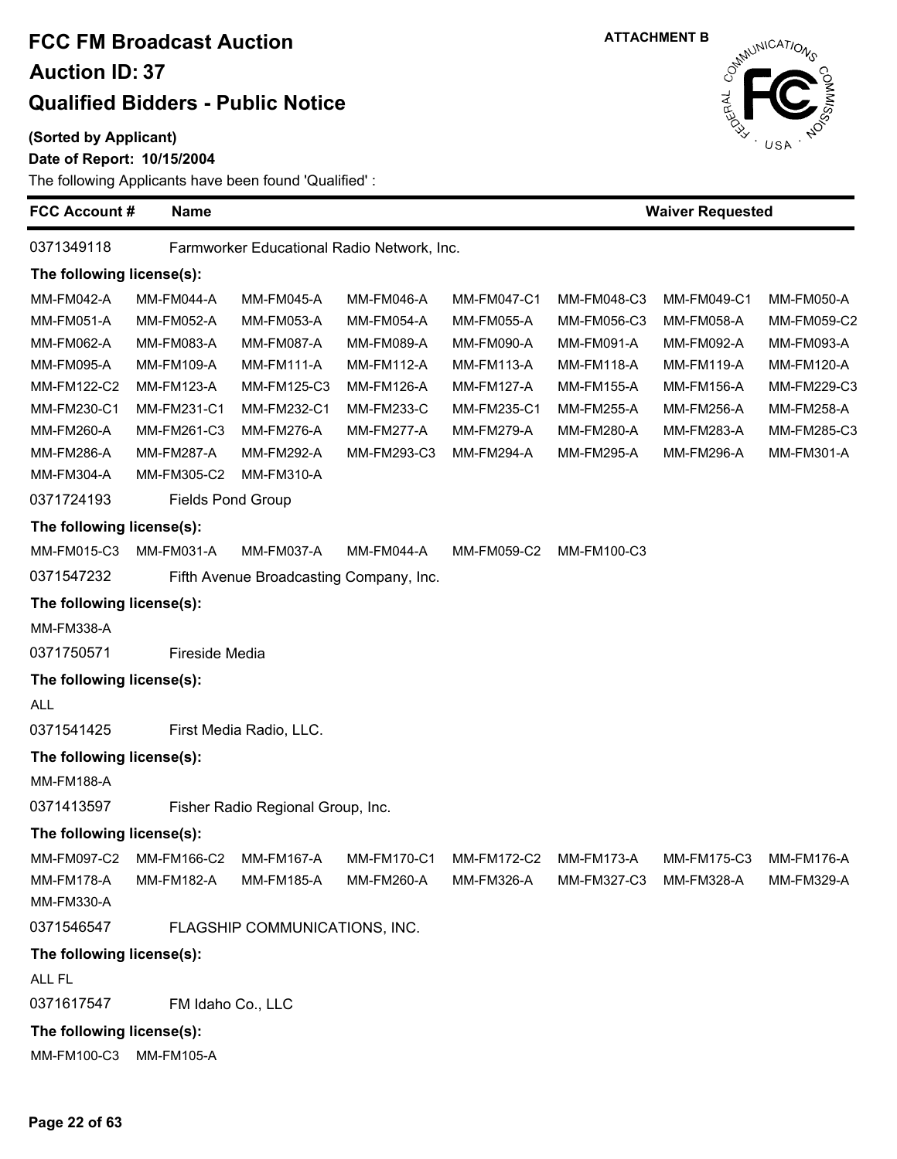#### **(Sorted by Applicant)**

### **Date of Report: 10/15/2004**

**FCC Account # Name**

The following Applicants have been found 'Qualified' :

| 0371349118                |                                  | Farmworker Educational Radio Network, Inc. |                   |                    |                        |                   |                   |
|---------------------------|----------------------------------|--------------------------------------------|-------------------|--------------------|------------------------|-------------------|-------------------|
| The following license(s): |                                  |                                            |                   |                    |                        |                   |                   |
| MM-FM042-A                | MM-FM044-A                       | MM-FM045-A                                 | MM-FM046-A        | <b>MM-FM047-C1</b> | MM-FM048-C3            | MM-FM049-C1       | MM-FM050-A        |
| <b>MM-FM051-A</b>         | MM-FM052-A                       | MM-FM053-A                                 | MM-FM054-A        | <b>MM-FM055-A</b>  | MM-FM056-C3            | <b>MM-FM058-A</b> | MM-FM059-C2       |
| MM-FM062-A                | MM-FM083-A                       | MM-FM087-A                                 | MM-FM089-A        | MM-FM090-A         | MM-FM091-A             | MM-FM092-A        | MM-FM093-A        |
| MM-FM095-A                | MM-FM109-A                       | MM-FM111-A                                 | <b>MM-FM112-A</b> | <b>MM-FM113-A</b>  | MM-FM118-A             | MM-FM119-A        | MM-FM120-A        |
| MM-FM122-C2               | <b>MM-FM123-A</b>                | MM-FM125-C3                                | <b>MM-FM126-A</b> | <b>MM-FM127-A</b>  | MM-FM155-A             | <b>MM-FM156-A</b> | MM-FM229-C3       |
| MM-FM230-C1               | MM-FM231-C1                      | MM-FM232-C1                                | <b>MM-FM233-C</b> | MM-FM235-C1        | MM-FM255-A             | MM-FM256-A        | MM-FM258-A        |
| MM-FM260-A                | MM-FM261-C3                      | MM-FM276-A                                 | MM-FM277-A        | MM-FM279-A         | MM-FM280-A             | MM-FM283-A        | MM-FM285-C3       |
| MM-FM286-A                | <b>MM-FM287-A</b>                | MM-FM292-A                                 | MM-FM293-C3       | <b>MM-FM294-A</b>  | MM-FM295-A             | MM-FM296-A        | MM-FM301-A        |
| MM-FM304-A                | MM-FM305-C2                      | MM-FM310-A                                 |                   |                    |                        |                   |                   |
| 0371724193                | <b>Fields Pond Group</b>         |                                            |                   |                    |                        |                   |                   |
| The following license(s): |                                  |                                            |                   |                    |                        |                   |                   |
| MM-FM015-C3               | MM-FM031-A                       | MM-FM037-A                                 | MM-FM044-A        | MM-FM059-C2        | MM-FM100-C3            |                   |                   |
| 0371547232                |                                  | Fifth Avenue Broadcasting Company, Inc.    |                   |                    |                        |                   |                   |
| The following license(s): |                                  |                                            |                   |                    |                        |                   |                   |
| MM-FM338-A                |                                  |                                            |                   |                    |                        |                   |                   |
| 0371750571                | Fireside Media                   |                                            |                   |                    |                        |                   |                   |
| The following license(s): |                                  |                                            |                   |                    |                        |                   |                   |
| ALL                       |                                  |                                            |                   |                    |                        |                   |                   |
| 0371541425                |                                  | First Media Radio, LLC.                    |                   |                    |                        |                   |                   |
| The following license(s): |                                  |                                            |                   |                    |                        |                   |                   |
| MM-FM188-A                |                                  |                                            |                   |                    |                        |                   |                   |
| 0371413597                |                                  | Fisher Radio Regional Group, Inc.          |                   |                    |                        |                   |                   |
| The following license(s): |                                  |                                            |                   |                    |                        |                   |                   |
| MM-FM097-C2               | MM-FM166-C2                      | MM-FM167-A                                 | MM-FM170-C1       | MM-FM172-C2        | <b>MM-FM173-A</b>      | MM-FM175-C3       | <b>MM-FM176-A</b> |
|                           | MM-FM178-A MM-FM182-A MM-FM185-A |                                            | MM-FM260-A        | MM-FM326-A         | MM-FM327-C3 MM-FM328-A |                   | MM-FM329-A        |
| <b>MM-FM330-A</b>         |                                  |                                            |                   |                    |                        |                   |                   |
| 0371546547                |                                  | FLAGSHIP COMMUNICATIONS, INC.              |                   |                    |                        |                   |                   |
| The following license(s): |                                  |                                            |                   |                    |                        |                   |                   |
| ALL FL                    |                                  |                                            |                   |                    |                        |                   |                   |
| 0371617547                | FM Idaho Co., LLC                |                                            |                   |                    |                        |                   |                   |
| The following license(s): |                                  |                                            |                   |                    |                        |                   |                   |
| MM-FM100-C3 MM-FM105-A    |                                  |                                            |                   |                    |                        |                   |                   |

**Waiver Requested**

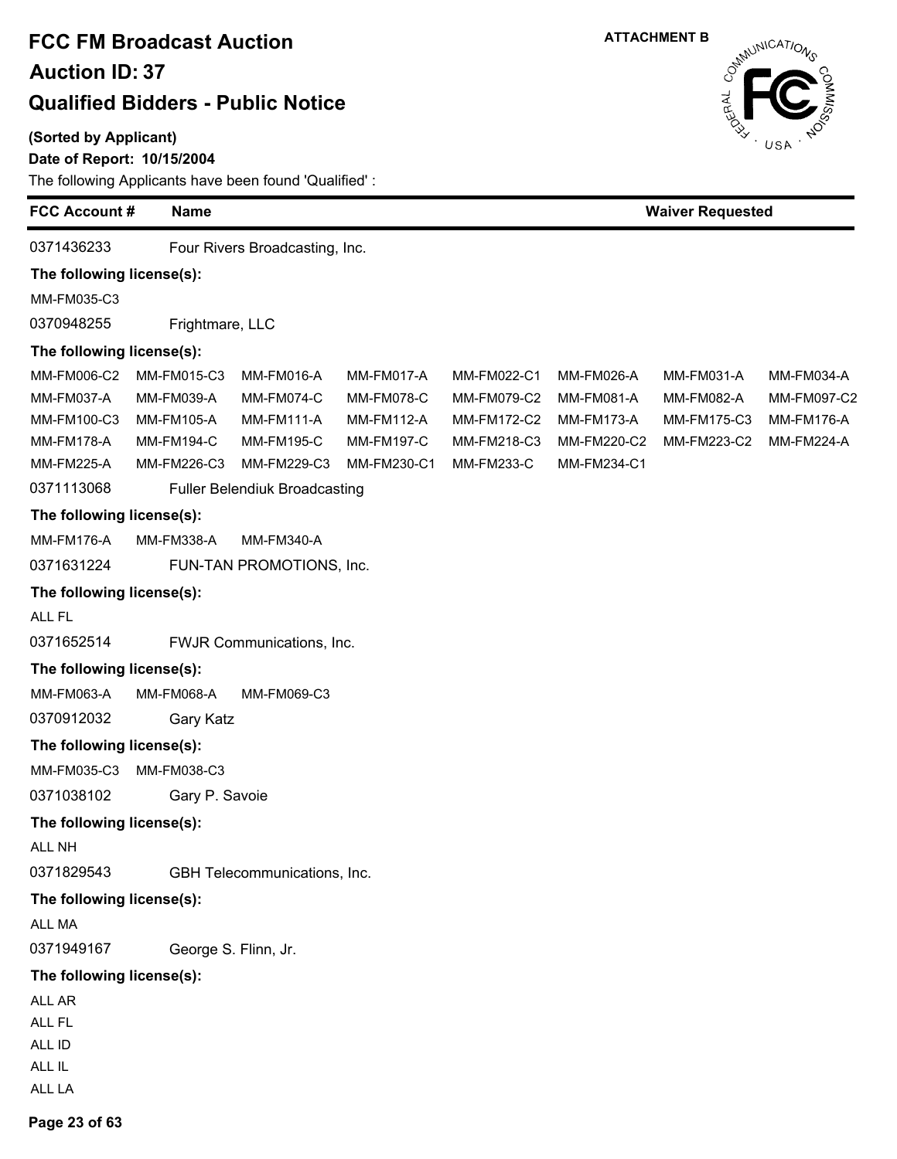### **(Sorted by Applicant)**

### **Date of Report: 10/15/2004**

The following Applicants have been found 'Qualified' :



| <b>FCC Account #</b>      | <b>Name</b>       |                                      |                   |             |                   | <b>Waiver Requested</b> |                   |  |  |
|---------------------------|-------------------|--------------------------------------|-------------------|-------------|-------------------|-------------------------|-------------------|--|--|
| 0371436233                |                   | Four Rivers Broadcasting, Inc.       |                   |             |                   |                         |                   |  |  |
| The following license(s): |                   |                                      |                   |             |                   |                         |                   |  |  |
| MM-FM035-C3               |                   |                                      |                   |             |                   |                         |                   |  |  |
| 0370948255                | Frightmare, LLC   |                                      |                   |             |                   |                         |                   |  |  |
| The following license(s): |                   |                                      |                   |             |                   |                         |                   |  |  |
| MM-FM006-C2               | MM-FM015-C3       | MM-FM016-A                           | <b>MM-FM017-A</b> | MM-FM022-C1 | MM-FM026-A        | MM-FM031-A              | MM-FM034-A        |  |  |
| MM-FM037-A                | MM-FM039-A        | MM-FM074-C                           | MM-FM078-C        | MM-FM079-C2 | MM-FM081-A        | MM-FM082-A              | MM-FM097-C2       |  |  |
| MM-FM100-C3               | MM-FM105-A        | MM-FM111-A                           | <b>MM-FM112-A</b> | MM-FM172-C2 | <b>MM-FM173-A</b> | MM-FM175-C3             | <b>MM-FM176-A</b> |  |  |
| <b>MM-FM178-A</b>         | <b>MM-FM194-C</b> | <b>MM-FM195-C</b>                    | <b>MM-FM197-C</b> | MM-FM218-C3 | MM-FM220-C2       | MM-FM223-C2             | <b>MM-FM224-A</b> |  |  |
| <b>MM-FM225-A</b>         | MM-FM226-C3       | MM-FM229-C3                          | MM-FM230-C1       | MM-FM233-C  | MM-FM234-C1       |                         |                   |  |  |
| 0371113068                |                   | <b>Fuller Belendiuk Broadcasting</b> |                   |             |                   |                         |                   |  |  |
| The following license(s): |                   |                                      |                   |             |                   |                         |                   |  |  |
| <b>MM-FM176-A</b>         | MM-FM338-A        | MM-FM340-A                           |                   |             |                   |                         |                   |  |  |
| 0371631224                |                   | FUN-TAN PROMOTIONS, Inc.             |                   |             |                   |                         |                   |  |  |
| The following license(s): |                   |                                      |                   |             |                   |                         |                   |  |  |
| ALL FL                    |                   |                                      |                   |             |                   |                         |                   |  |  |
| 0371652514                |                   | FWJR Communications, Inc.            |                   |             |                   |                         |                   |  |  |
| The following license(s): |                   |                                      |                   |             |                   |                         |                   |  |  |
| MM-FM063-A                | MM-FM068-A        | MM-FM069-C3                          |                   |             |                   |                         |                   |  |  |
| 0370912032                | <b>Gary Katz</b>  |                                      |                   |             |                   |                         |                   |  |  |
| The following license(s): |                   |                                      |                   |             |                   |                         |                   |  |  |
| MM-FM035-C3               | MM-FM038-C3       |                                      |                   |             |                   |                         |                   |  |  |
| 0371038102                | Gary P. Savoie    |                                      |                   |             |                   |                         |                   |  |  |
| The following license(s): |                   |                                      |                   |             |                   |                         |                   |  |  |
| ALL NH                    |                   |                                      |                   |             |                   |                         |                   |  |  |
| 0371829543                |                   | GBH Telecommunications, Inc.         |                   |             |                   |                         |                   |  |  |
| The following license(s): |                   |                                      |                   |             |                   |                         |                   |  |  |
| ALL MA                    |                   |                                      |                   |             |                   |                         |                   |  |  |
| 0371949167                |                   | George S. Flinn, Jr.                 |                   |             |                   |                         |                   |  |  |
| The following license(s): |                   |                                      |                   |             |                   |                         |                   |  |  |
| ALL AR                    |                   |                                      |                   |             |                   |                         |                   |  |  |
| ALL FL                    |                   |                                      |                   |             |                   |                         |                   |  |  |
| ALL ID                    |                   |                                      |                   |             |                   |                         |                   |  |  |
| ALL IL                    |                   |                                      |                   |             |                   |                         |                   |  |  |
| ALL LA                    |                   |                                      |                   |             |                   |                         |                   |  |  |

#### **Page 23 of 63**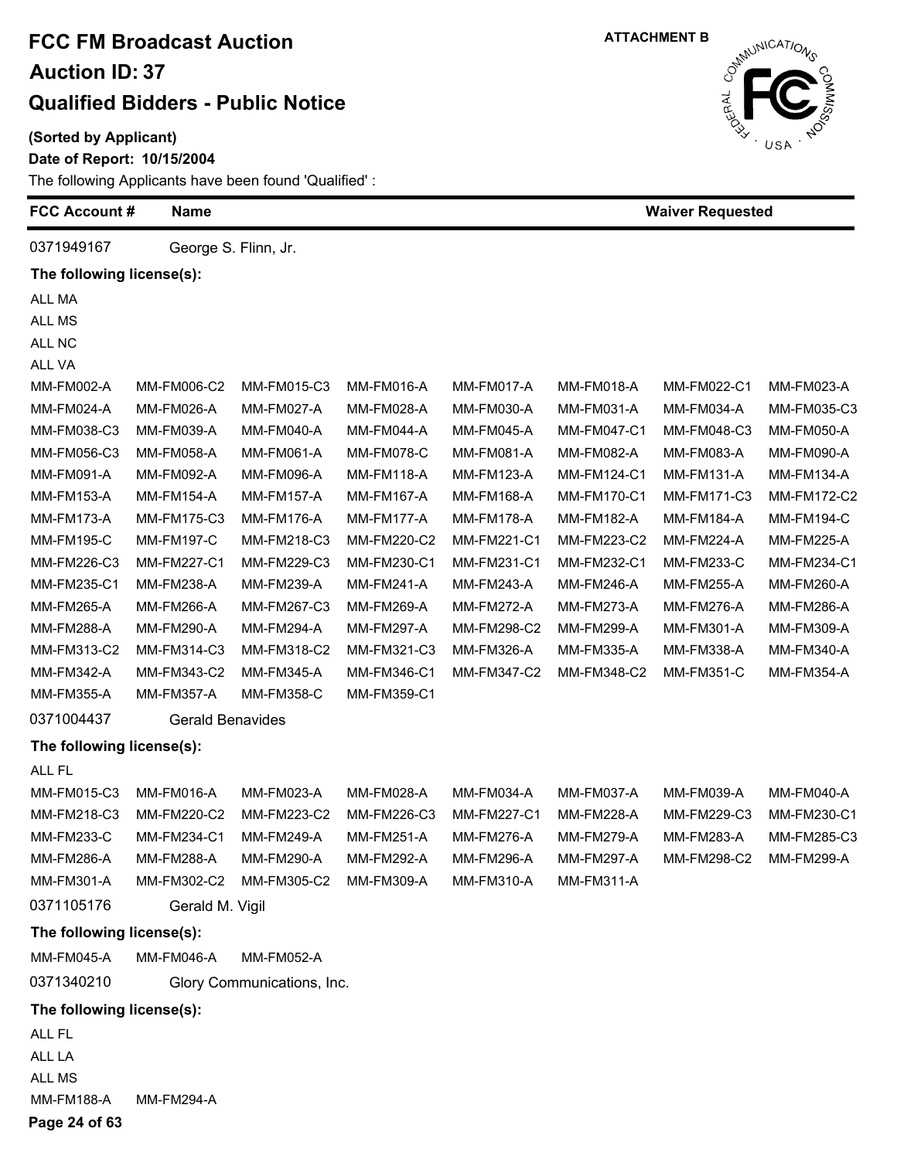**(Sorted by Applicant)**

**Date of Report: 10/15/2004**

The following Applicants have been found 'Qualified' :



| <b>FCC Account #</b>      | <b>Name</b>             |                            |                   |                   |                    | <b>Waiver Requested</b> |                   |
|---------------------------|-------------------------|----------------------------|-------------------|-------------------|--------------------|-------------------------|-------------------|
| 0371949167                | George S. Flinn, Jr.    |                            |                   |                   |                    |                         |                   |
| The following license(s): |                         |                            |                   |                   |                    |                         |                   |
| ALL MA                    |                         |                            |                   |                   |                    |                         |                   |
| ALL MS                    |                         |                            |                   |                   |                    |                         |                   |
| ALL NC                    |                         |                            |                   |                   |                    |                         |                   |
| ALL VA                    |                         |                            |                   |                   |                    |                         |                   |
| <b>MM-FM002-A</b>         | MM-FM006-C2             | MM-FM015-C3                | MM-FM016-A        | MM-FM017-A        | MM-FM018-A         | MM-FM022-C1             | MM-FM023-A        |
| MM-FM024-A                | MM-FM026-A              | MM-FM027-A                 | MM-FM028-A        | MM-FM030-A        | <b>MM-FM031-A</b>  | MM-FM034-A              | MM-FM035-C3       |
| MM-FM038-C3               | MM-FM039-A              | MM-FM040-A                 | MM-FM044-A        | MM-FM045-A        | MM-FM047-C1        | MM-FM048-C3             | MM-FM050-A        |
| MM-FM056-C3               | <b>MM-FM058-A</b>       | MM-FM061-A                 | MM-FM078-C        | MM-FM081-A        | <b>MM-FM082-A</b>  | MM-FM083-A              | MM-FM090-A        |
| <b>MM-FM091-A</b>         | MM-FM092-A              | <b>MM-FM096-A</b>          | <b>MM-FM118-A</b> | <b>MM-FM123-A</b> | MM-FM124-C1        | <b>MM-FM131-A</b>       | <b>MM-FM134-A</b> |
| <b>MM-FM153-A</b>         | <b>MM-FM154-A</b>       | <b>MM-FM157-A</b>          | <b>MM-FM167-A</b> | <b>MM-FM168-A</b> | <b>MM-FM170-C1</b> | MM-FM171-C3             | MM-FM172-C2       |
| <b>MM-FM173-A</b>         | <b>MM-FM175-C3</b>      | <b>MM-FM176-A</b>          | MM-FM177-A        | <b>MM-FM178-A</b> | <b>MM-FM182-A</b>  | MM-FM184-A              | <b>MM-FM194-C</b> |
| <b>MM-FM195-C</b>         | <b>MM-FM197-C</b>       | MM-FM218-C3                | MM-FM220-C2       | MM-FM221-C1       | MM-FM223-C2        | <b>MM-FM224-A</b>       | <b>MM-FM225-A</b> |
| MM-FM226-C3               | <b>MM-FM227-C1</b>      | MM-FM229-C3                | MM-FM230-C1       | MM-FM231-C1       | MM-FM232-C1        | MM-FM233-C              | MM-FM234-C1       |
| MM-FM235-C1               | MM-FM238-A              | <b>MM-FM239-A</b>          | MM-FM241-A        | MM-FM243-A        | <b>MM-FM246-A</b>  | <b>MM-FM255-A</b>       | MM-FM260-A        |
| MM-FM265-A                | <b>MM-FM266-A</b>       | MM-FM267-C3                | MM-FM269-A        | <b>MM-FM272-A</b> | <b>MM-FM273-A</b>  | <b>MM-FM276-A</b>       | MM-FM286-A        |
| MM-FM288-A                | <b>MM-FM290-A</b>       | <b>MM-FM294-A</b>          | <b>MM-FM297-A</b> | MM-FM298-C2       | MM-FM299-A         | MM-FM301-A              | MM-FM309-A        |
| MM-FM313-C2               | MM-FM314-C3             | MM-FM318-C2                | MM-FM321-C3       | MM-FM326-A        | MM-FM335-A         | MM-FM338-A              | MM-FM340-A        |
| MM-FM342-A                | MM-FM343-C2             | MM-FM345-A                 | MM-FM346-C1       | MM-FM347-C2       | MM-FM348-C2        | <b>MM-FM351-C</b>       | MM-FM354-A        |
| MM-FM355-A                | <b>MM-FM357-A</b>       | <b>MM-FM358-C</b>          | MM-FM359-C1       |                   |                    |                         |                   |
| 0371004437                | <b>Gerald Benavides</b> |                            |                   |                   |                    |                         |                   |
| The following license(s): |                         |                            |                   |                   |                    |                         |                   |
| ALL FL                    |                         |                            |                   |                   |                    |                         |                   |
| MM-FM015-C3               | MM-FM016-A              | MM-FM023-A                 | MM-FM028-A        | MM-FM034-A        | MM-FM037-A         | MM-FM039-A              | MM-FM040-A        |
| MM-FM218-C3               | MM-FM220-C2             | MM-FM223-C2                | MM-FM226-C3       | MM-FM227-C1       | <b>MM-FM228-A</b>  | MM-FM229-C3             | MM-FM230-C1       |
| <b>MM-FM233-C</b>         | MM-FM234-C1             | <b>MM-FM249-A</b>          | <b>MM-FM251-A</b> | <b>MM-FM276-A</b> | <b>MM-FM279-A</b>  | <b>MM-FM283-A</b>       | MM-FM285-C3       |
| <b>MM-FM286-A</b>         | <b>MM-FM288-A</b>       | <b>MM-FM290-A</b>          | MM-FM292-A        | <b>MM-FM296-A</b> | <b>MM-FM297-A</b>  | MM-FM298-C2             | <b>MM-FM299-A</b> |
| MM-FM301-A                | MM-FM302-C2             | MM-FM305-C2                | <b>MM-FM309-A</b> | MM-FM310-A        | MM-FM311-A         |                         |                   |
| 0371105176                | Gerald M. Vigil         |                            |                   |                   |                    |                         |                   |
| The following license(s): |                         |                            |                   |                   |                    |                         |                   |
| <b>MM-FM045-A</b>         | <b>MM-FM046-A</b>       | <b>MM-FM052-A</b>          |                   |                   |                    |                         |                   |
| 0371340210                |                         | Glory Communications, Inc. |                   |                   |                    |                         |                   |
| The following license(s): |                         |                            |                   |                   |                    |                         |                   |
| ALL FL                    |                         |                            |                   |                   |                    |                         |                   |
| ALL LA                    |                         |                            |                   |                   |                    |                         |                   |
| ALL MS                    |                         |                            |                   |                   |                    |                         |                   |
| <b>MM-FM188-A</b>         | <b>MM-FM294-A</b>       |                            |                   |                   |                    |                         |                   |

**Page 24 of 63**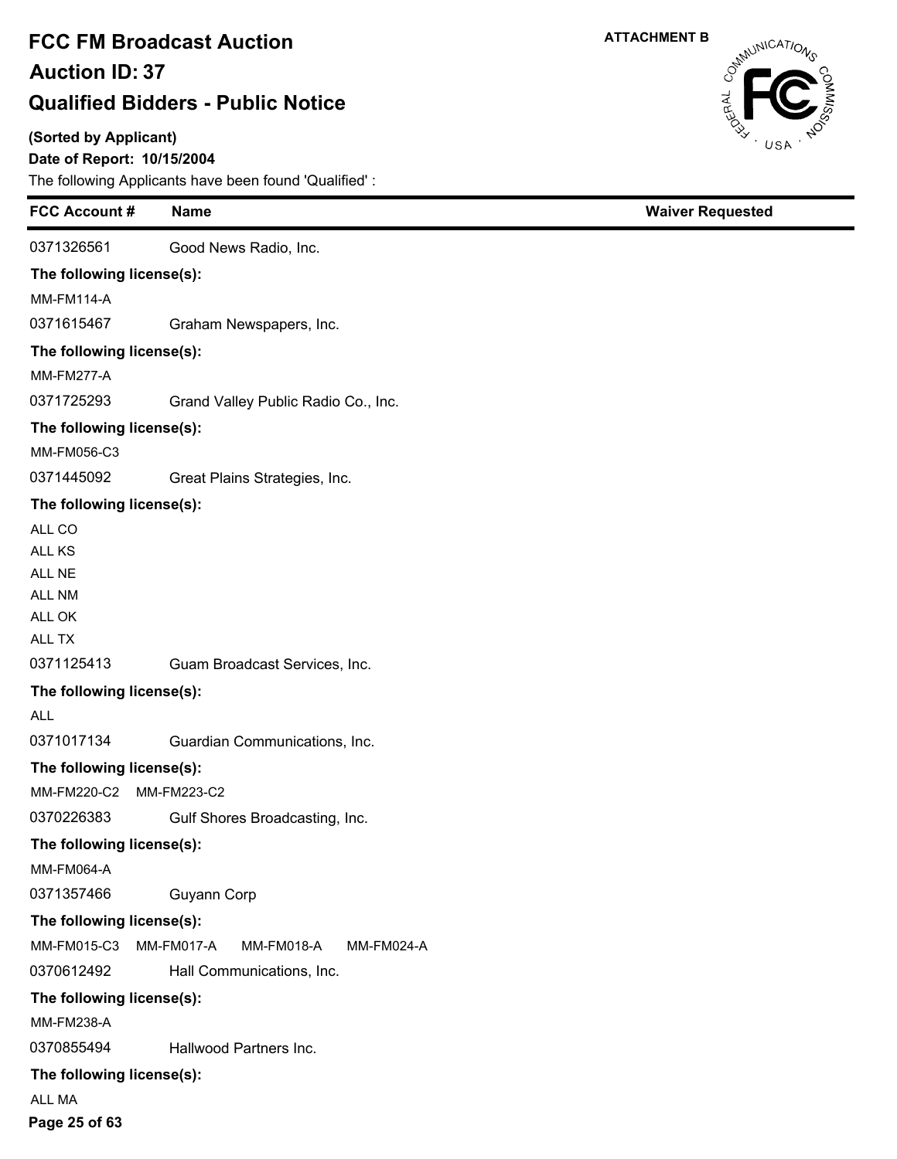#### **(Sorted by Applicant)**

### **Date of Report: 10/15/2004**

The following Applicants have been found 'Qualified' :

| <b>FCC Account #</b>      | <b>Name</b>                                   | <b>Waiver Requested</b> |
|---------------------------|-----------------------------------------------|-------------------------|
| 0371326561                | Good News Radio, Inc.                         |                         |
| The following license(s): |                                               |                         |
| <b>MM-FM114-A</b>         |                                               |                         |
| 0371615467                | Graham Newspapers, Inc.                       |                         |
| The following license(s): |                                               |                         |
| <b>MM-FM277-A</b>         |                                               |                         |
| 0371725293                | Grand Valley Public Radio Co., Inc.           |                         |
| The following license(s): |                                               |                         |
| MM-FM056-C3               |                                               |                         |
| 0371445092                | Great Plains Strategies, Inc.                 |                         |
| The following license(s): |                                               |                         |
| ALL CO                    |                                               |                         |
| ALL KS                    |                                               |                         |
| ALL NE                    |                                               |                         |
| <b>ALL NM</b>             |                                               |                         |
| ALL OK                    |                                               |                         |
| ALL TX                    |                                               |                         |
| 0371125413                | Guam Broadcast Services, Inc.                 |                         |
| The following license(s): |                                               |                         |
| <b>ALL</b>                |                                               |                         |
| 0371017134                | Guardian Communications, Inc.                 |                         |
| The following license(s): |                                               |                         |
| MM-FM220-C2               | MM-FM223-C2                                   |                         |
| 0370226383                | Gulf Shores Broadcasting, Inc.                |                         |
| The following license(s): |                                               |                         |
| <b>MM-FM064-A</b>         |                                               |                         |
| 0371357466                | Guyann Corp                                   |                         |
| The following license(s): |                                               |                         |
| MM-FM015-C3               | MM-FM017-A<br><b>MM-FM018-A</b><br>MM-FM024-A |                         |
| 0370612492                | Hall Communications, Inc.                     |                         |
| The following license(s): |                                               |                         |
| MM-FM238-A                |                                               |                         |
| 0370855494                | Hallwood Partners Inc.                        |                         |
| The following license(s): |                                               |                         |
| ALL MA                    |                                               |                         |
| Page 25 of 63             |                                               |                         |

USA

**ATTACHMENT B**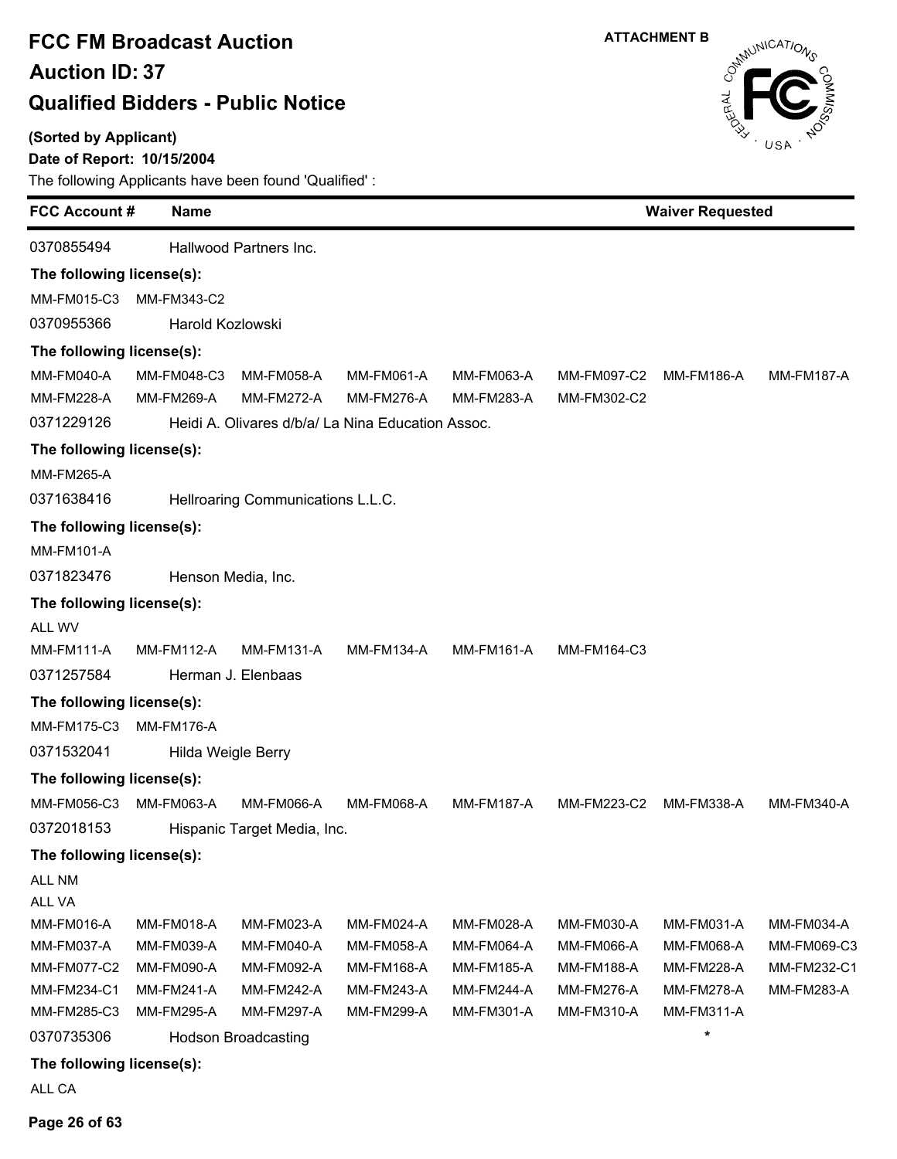**(Sorted by Applicant)**

 $\blacksquare$ 

Ė

#### **Date of Report: 10/15/2004**

The following Applicants have been found 'Qualified' :

| <b>FCC Account #</b><br><b>Name</b> |                                                                                                   |                                                                                                                                                          |                                                                                |                                                                 |                   |                                                 |
|-------------------------------------|---------------------------------------------------------------------------------------------------|----------------------------------------------------------------------------------------------------------------------------------------------------------|--------------------------------------------------------------------------------|-----------------------------------------------------------------|-------------------|-------------------------------------------------|
|                                     |                                                                                                   |                                                                                                                                                          |                                                                                |                                                                 |                   |                                                 |
| The following license(s):           |                                                                                                   |                                                                                                                                                          |                                                                                |                                                                 |                   |                                                 |
| MM-FM343-C2                         |                                                                                                   |                                                                                                                                                          |                                                                                |                                                                 |                   |                                                 |
|                                     |                                                                                                   |                                                                                                                                                          |                                                                                |                                                                 |                   |                                                 |
| The following license(s):           |                                                                                                   |                                                                                                                                                          |                                                                                |                                                                 |                   |                                                 |
| MM-FM048-C3                         | MM-FM058-A                                                                                        | <b>MM-FM061-A</b>                                                                                                                                        | MM-FM063-A                                                                     | MM-FM097-C2                                                     | MM-FM186-A        | <b>MM-FM187-A</b>                               |
| MM-FM269-A                          | <b>MM-FM272-A</b>                                                                                 | <b>MM-FM276-A</b>                                                                                                                                        | <b>MM-FM283-A</b>                                                              | MM-FM302-C2                                                     |                   |                                                 |
|                                     |                                                                                                   |                                                                                                                                                          |                                                                                |                                                                 |                   |                                                 |
| The following license(s):           |                                                                                                   |                                                                                                                                                          |                                                                                |                                                                 |                   |                                                 |
|                                     |                                                                                                   |                                                                                                                                                          |                                                                                |                                                                 |                   |                                                 |
|                                     |                                                                                                   |                                                                                                                                                          |                                                                                |                                                                 |                   |                                                 |
| The following license(s):           |                                                                                                   |                                                                                                                                                          |                                                                                |                                                                 |                   |                                                 |
|                                     |                                                                                                   |                                                                                                                                                          |                                                                                |                                                                 |                   |                                                 |
|                                     |                                                                                                   |                                                                                                                                                          |                                                                                |                                                                 |                   |                                                 |
|                                     |                                                                                                   |                                                                                                                                                          |                                                                                |                                                                 |                   |                                                 |
|                                     |                                                                                                   |                                                                                                                                                          |                                                                                |                                                                 |                   |                                                 |
| <b>MM-FM112-A</b>                   | <b>MM-FM131-A</b>                                                                                 | <b>MM-FM134-A</b>                                                                                                                                        | <b>MM-FM161-A</b>                                                              | MM-FM164-C3                                                     |                   |                                                 |
|                                     |                                                                                                   |                                                                                                                                                          |                                                                                |                                                                 |                   |                                                 |
| The following license(s):           |                                                                                                   |                                                                                                                                                          |                                                                                |                                                                 |                   |                                                 |
| MM-FM175-C3<br>MM-FM176-A           |                                                                                                   |                                                                                                                                                          |                                                                                |                                                                 |                   |                                                 |
|                                     |                                                                                                   |                                                                                                                                                          |                                                                                |                                                                 |                   |                                                 |
|                                     |                                                                                                   |                                                                                                                                                          |                                                                                |                                                                 |                   |                                                 |
| MM-FM063-A                          | <b>MM-FM066-A</b>                                                                                 | MM-FM068-A                                                                                                                                               | <b>MM-FM187-A</b>                                                              | MM-FM223-C2                                                     | MM-FM338-A        | <b>MM-FM340-A</b>                               |
|                                     |                                                                                                   |                                                                                                                                                          |                                                                                |                                                                 |                   |                                                 |
|                                     |                                                                                                   |                                                                                                                                                          |                                                                                |                                                                 |                   |                                                 |
|                                     |                                                                                                   |                                                                                                                                                          |                                                                                |                                                                 |                   |                                                 |
|                                     |                                                                                                   |                                                                                                                                                          |                                                                                |                                                                 |                   |                                                 |
| <b>MM-FM018-A</b>                   | MM-FM023-A                                                                                        | MM-FM024-A                                                                                                                                               | MM-FM028-A                                                                     | <b>MM-FM030-A</b>                                               | MM-FM031-A        | MM-FM034-A                                      |
| MM-FM039-A                          | MM-FM040-A                                                                                        | MM-FM058-A                                                                                                                                               | MM-FM064-A                                                                     | MM-FM066-A                                                      | <b>MM-FM068-A</b> | MM-FM069-C3                                     |
| MM-FM090-A                          | MM-FM092-A                                                                                        | MM-FM168-A                                                                                                                                               | <b>MM-FM185-A</b>                                                              | <b>MM-FM188-A</b>                                               | MM-FM228-A        | MM-FM232-C1                                     |
| <b>MM-FM241-A</b>                   | MM-FM242-A                                                                                        | MM-FM243-A                                                                                                                                               | <b>MM-FM244-A</b>                                                              | <b>MM-FM276-A</b>                                               | MM-FM278-A        | MM-FM283-A                                      |
|                                     |                                                                                                   |                                                                                                                                                          |                                                                                |                                                                 |                   |                                                 |
|                                     |                                                                                                   |                                                                                                                                                          |                                                                                |                                                                 |                   |                                                 |
|                                     | The following license(s):<br>The following license(s):<br>The following license(s):<br>MM-FM295-A | Hallwood Partners Inc.<br>Harold Kozlowski<br>Henson Media, Inc.<br>Herman J. Elenbaas<br>Hilda Weigle Berry<br>MM-FM297-A<br><b>Hodson Broadcasting</b> | Hellroaring Communications L.L.C.<br>Hispanic Target Media, Inc.<br>MM-FM299-A | Heidi A. Olivares d/b/a/ La Nina Education Assoc.<br>MM-FM301-A | MM-FM310-A        | <b>Waiver Requested</b><br>MM-FM311-A<br>$\ast$ |

#### **The following license(s):**

ALL CA

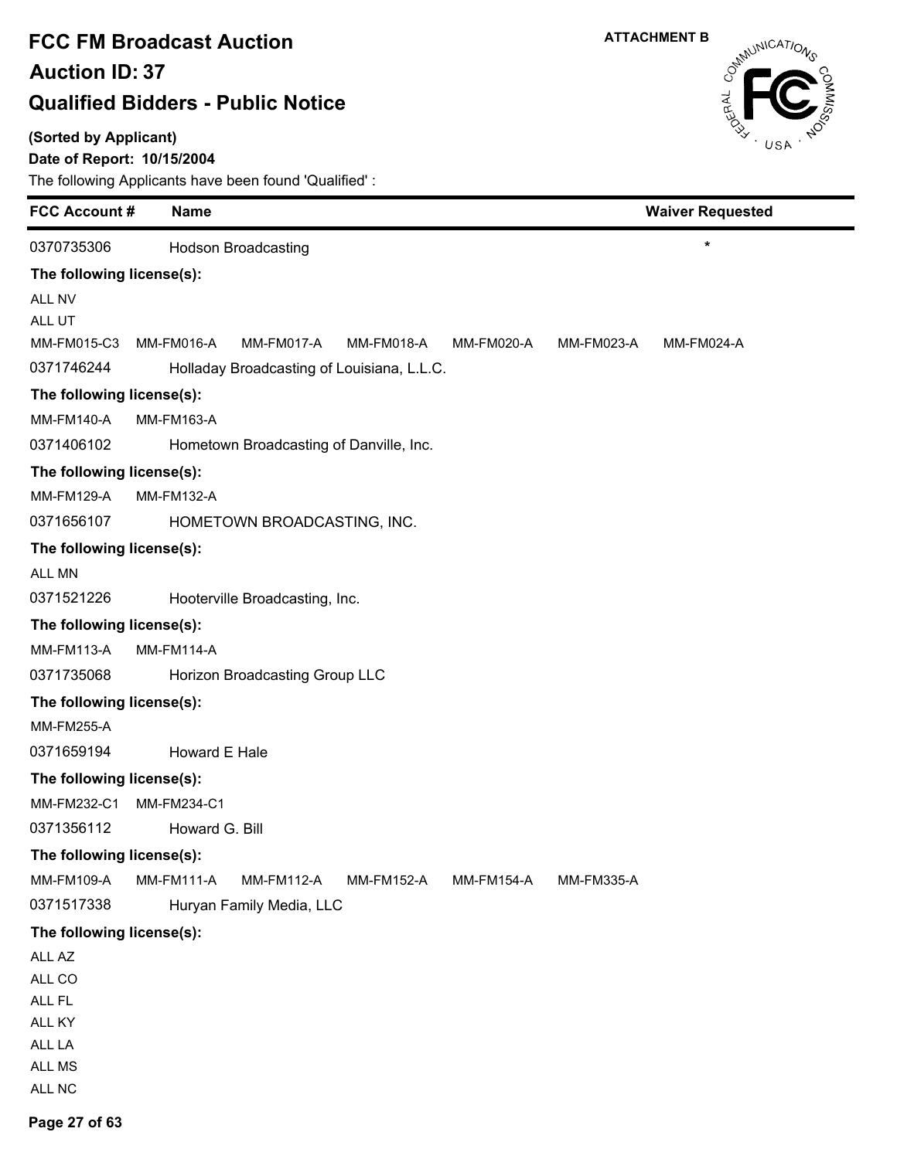#### **(Sorted by Applicant)**

### **Date of Report: 10/15/2004**



| <b>FCC Account #</b>      | <b>Name</b>                                                               | <b>Waiver Requested</b>  |
|---------------------------|---------------------------------------------------------------------------|--------------------------|
| 0370735306                | <b>Hodson Broadcasting</b>                                                | $\star$                  |
| The following license(s): |                                                                           |                          |
| ALL NV                    |                                                                           |                          |
| ALL UT                    |                                                                           |                          |
| MM-FM015-C3               | MM-FM016-A<br>MM-FM017-A<br><b>MM-FM018-A</b><br>MM-FM020-A               | MM-FM023-A<br>MM-FM024-A |
| 0371746244                | Holladay Broadcasting of Louisiana, L.L.C.                                |                          |
| The following license(s): |                                                                           |                          |
| <b>MM-FM140-A</b>         | <b>MM-FM163-A</b>                                                         |                          |
| 0371406102                | Hometown Broadcasting of Danville, Inc.                                   |                          |
| The following license(s): |                                                                           |                          |
| <b>MM-FM129-A</b>         | <b>MM-FM132-A</b>                                                         |                          |
| 0371656107                | HOMETOWN BROADCASTING, INC.                                               |                          |
| The following license(s): |                                                                           |                          |
| ALL MN                    |                                                                           |                          |
| 0371521226                | Hooterville Broadcasting, Inc.                                            |                          |
| The following license(s): |                                                                           |                          |
| <b>MM-FM113-A</b>         | <b>MM-FM114-A</b>                                                         |                          |
| 0371735068                | Horizon Broadcasting Group LLC                                            |                          |
| The following license(s): |                                                                           |                          |
| <b>MM-FM255-A</b>         |                                                                           |                          |
| 0371659194                | Howard E Hale                                                             |                          |
| The following license(s): |                                                                           |                          |
| MM-FM232-C1               | MM-FM234-C1                                                               |                          |
| 0371356112                | Howard G. Bill                                                            |                          |
| The following license(s): |                                                                           |                          |
| MM-FM109-A                | MM-FM111-A<br><b>MM-FM112-A</b><br><b>MM-FM152-A</b><br><b>MM-FM154-A</b> | MM-FM335-A               |
| 0371517338                | Huryan Family Media, LLC                                                  |                          |
| The following license(s): |                                                                           |                          |
| ALL AZ                    |                                                                           |                          |
| ALL CO                    |                                                                           |                          |
| ALL FL                    |                                                                           |                          |
| ALL KY                    |                                                                           |                          |
| ALL LA<br>ALL MS          |                                                                           |                          |
| ALL NC                    |                                                                           |                          |
|                           |                                                                           |                          |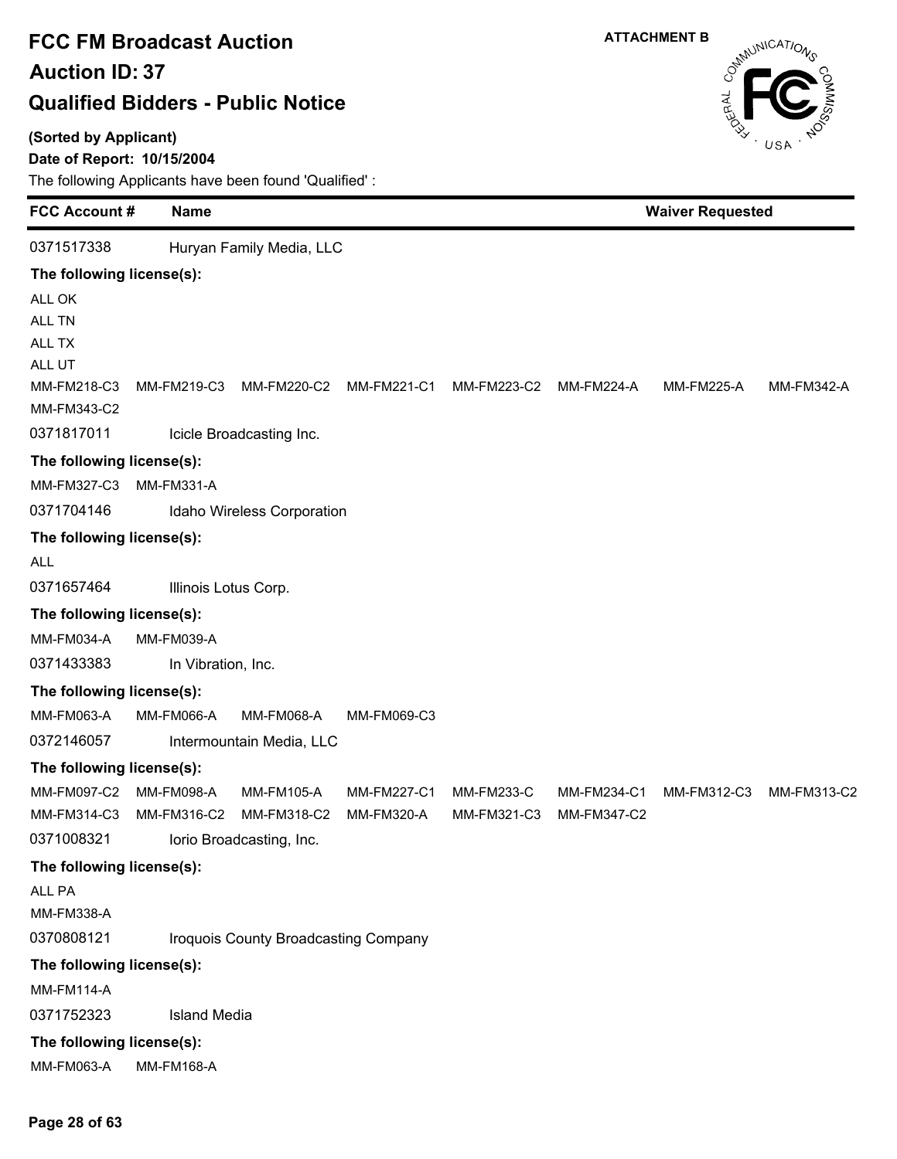#### **(Sorted by Applicant)**

### **Date of Report: 10/15/2004**

| <b>FCC Account#</b>        | <b>Name</b>          |                                      |             |                   | <b>Waiver Requested</b> |                   |             |  |
|----------------------------|----------------------|--------------------------------------|-------------|-------------------|-------------------------|-------------------|-------------|--|
| 0371517338                 |                      | Huryan Family Media, LLC             |             |                   |                         |                   |             |  |
| The following license(s):  |                      |                                      |             |                   |                         |                   |             |  |
| ALL OK                     |                      |                                      |             |                   |                         |                   |             |  |
| ALL TN                     |                      |                                      |             |                   |                         |                   |             |  |
| ALL TX                     |                      |                                      |             |                   |                         |                   |             |  |
| ALL UT                     |                      |                                      |             |                   |                         |                   |             |  |
| MM-FM218-C3<br>MM-FM343-C2 | MM-FM219-C3          | MM-FM220-C2                          | MM-FM221-C1 | MM-FM223-C2       | <b>MM-FM224-A</b>       | <b>MM-FM225-A</b> | MM-FM342-A  |  |
| 0371817011                 |                      | Icicle Broadcasting Inc.             |             |                   |                         |                   |             |  |
| The following license(s):  |                      |                                      |             |                   |                         |                   |             |  |
| MM-FM327-C3                | <b>MM-FM331-A</b>    |                                      |             |                   |                         |                   |             |  |
| 0371704146                 |                      | Idaho Wireless Corporation           |             |                   |                         |                   |             |  |
| The following license(s):  |                      |                                      |             |                   |                         |                   |             |  |
| <b>ALL</b>                 |                      |                                      |             |                   |                         |                   |             |  |
| 0371657464                 | Illinois Lotus Corp. |                                      |             |                   |                         |                   |             |  |
| The following license(s):  |                      |                                      |             |                   |                         |                   |             |  |
| MM-FM034-A                 | MM-FM039-A           |                                      |             |                   |                         |                   |             |  |
| 0371433383                 | In Vibration, Inc.   |                                      |             |                   |                         |                   |             |  |
| The following license(s):  |                      |                                      |             |                   |                         |                   |             |  |
| MM-FM063-A                 | <b>MM-FM066-A</b>    | <b>MM-FM068-A</b>                    | MM-FM069-C3 |                   |                         |                   |             |  |
| 0372146057                 |                      | Intermountain Media, LLC             |             |                   |                         |                   |             |  |
| The following license(s):  |                      |                                      |             |                   |                         |                   |             |  |
| MM-FM097-C2                | MM-FM098-A           | MM-FM105-A                           | MM-FM227-C1 | <b>MM-FM233-C</b> | MM-FM234-C1             | MM-FM312-C3       | MM-FM313-C2 |  |
| MM-FM314-C3                | MM-FM316-C2          | MM-FM318-C2                          | MM-FM320-A  | MM-FM321-C3       | MM-FM347-C2             |                   |             |  |
| 0371008321                 |                      | lorio Broadcasting, Inc.             |             |                   |                         |                   |             |  |
| The following license(s):  |                      |                                      |             |                   |                         |                   |             |  |
| ALL PA                     |                      |                                      |             |                   |                         |                   |             |  |
| MM-FM338-A                 |                      |                                      |             |                   |                         |                   |             |  |
| 0370808121                 |                      | Iroquois County Broadcasting Company |             |                   |                         |                   |             |  |
| The following license(s):  |                      |                                      |             |                   |                         |                   |             |  |
| <b>MM-FM114-A</b>          |                      |                                      |             |                   |                         |                   |             |  |
| 0371752323                 | <b>Island Media</b>  |                                      |             |                   |                         |                   |             |  |
| The following license(s):  |                      |                                      |             |                   |                         |                   |             |  |
| MM-FM063-A                 | MM-FM168-A           |                                      |             |                   |                         |                   |             |  |

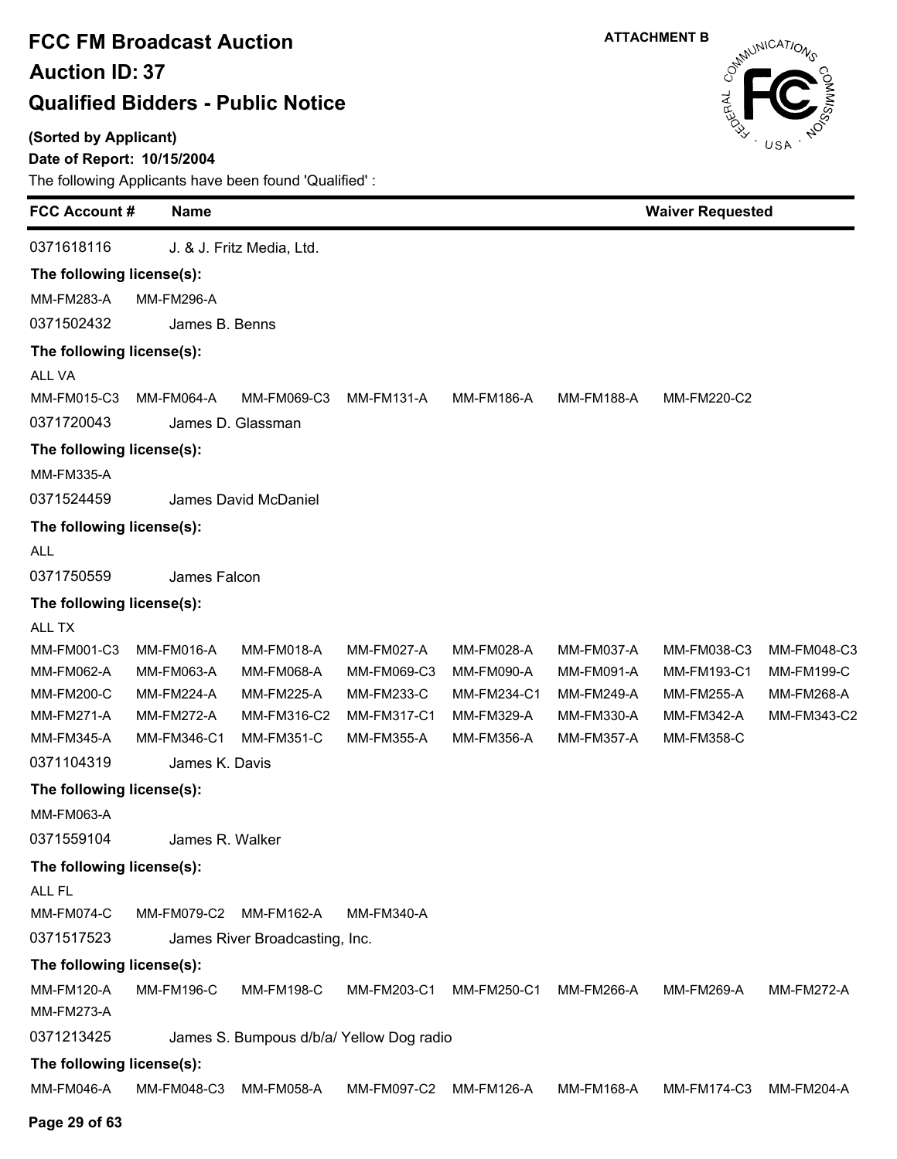**(Sorted by Applicant)**

### **Date of Report: 10/15/2004**



| <b>FCC Account#</b>       | <b>Name</b>       |                                          |                   |                   |                   | <b>Waiver Requested</b> |                   |
|---------------------------|-------------------|------------------------------------------|-------------------|-------------------|-------------------|-------------------------|-------------------|
| 0371618116                |                   | J. & J. Fritz Media, Ltd.                |                   |                   |                   |                         |                   |
| The following license(s): |                   |                                          |                   |                   |                   |                         |                   |
| <b>MM-FM283-A</b>         | <b>MM-FM296-A</b> |                                          |                   |                   |                   |                         |                   |
| 0371502432                | James B. Benns    |                                          |                   |                   |                   |                         |                   |
| The following license(s): |                   |                                          |                   |                   |                   |                         |                   |
| <b>ALL VA</b>             |                   |                                          |                   |                   |                   |                         |                   |
| MM-FM015-C3               | <b>MM-FM064-A</b> | MM-FM069-C3                              | <b>MM-FM131-A</b> | <b>MM-FM186-A</b> | <b>MM-FM188-A</b> | MM-FM220-C2             |                   |
| 0371720043                |                   | James D. Glassman                        |                   |                   |                   |                         |                   |
| The following license(s): |                   |                                          |                   |                   |                   |                         |                   |
| <b>MM-FM335-A</b>         |                   |                                          |                   |                   |                   |                         |                   |
| 0371524459                |                   | James David McDaniel                     |                   |                   |                   |                         |                   |
| The following license(s): |                   |                                          |                   |                   |                   |                         |                   |
| <b>ALL</b>                |                   |                                          |                   |                   |                   |                         |                   |
| 0371750559                | James Falcon      |                                          |                   |                   |                   |                         |                   |
| The following license(s): |                   |                                          |                   |                   |                   |                         |                   |
| ALL TX                    |                   |                                          |                   |                   |                   |                         |                   |
| MM-FM001-C3               | MM-FM016-A        | <b>MM-FM018-A</b>                        | <b>MM-FM027-A</b> | MM-FM028-A        | MM-FM037-A        | MM-FM038-C3             | MM-FM048-C3       |
| MM-FM062-A                | MM-FM063-A        | MM-FM068-A                               | MM-FM069-C3       | <b>MM-FM090-A</b> | <b>MM-FM091-A</b> | MM-FM193-C1             | <b>MM-FM199-C</b> |
| MM-FM200-C                | <b>MM-FM224-A</b> | <b>MM-FM225-A</b>                        | <b>MM-FM233-C</b> | MM-FM234-C1       | MM-FM249-A        | <b>MM-FM255-A</b>       | MM-FM268-A        |
| <b>MM-FM271-A</b>         | <b>MM-FM272-A</b> | MM-FM316-C2                              | MM-FM317-C1       | MM-FM329-A        | MM-FM330-A        | MM-FM342-A              | MM-FM343-C2       |
| MM-FM345-A                | MM-FM346-C1       | <b>MM-FM351-C</b>                        | MM-FM355-A        | <b>MM-FM356-A</b> | <b>MM-FM357-A</b> | MM-FM358-C              |                   |
| 0371104319                | James K. Davis    |                                          |                   |                   |                   |                         |                   |
| The following license(s): |                   |                                          |                   |                   |                   |                         |                   |
| MM-FM063-A                |                   |                                          |                   |                   |                   |                         |                   |
| 0371559104                | James R. Walker   |                                          |                   |                   |                   |                         |                   |
| The following license(s): |                   |                                          |                   |                   |                   |                         |                   |
| ALL FL                    |                   |                                          |                   |                   |                   |                         |                   |
| MM-FM074-C                | MM-FM079-C2       | <b>MM-FM162-A</b>                        | <b>MM-FM340-A</b> |                   |                   |                         |                   |
| 0371517523                |                   | James River Broadcasting, Inc.           |                   |                   |                   |                         |                   |
| The following license(s): |                   |                                          |                   |                   |                   |                         |                   |
| <b>MM-FM120-A</b>         | <b>MM-FM196-C</b> | <b>MM-FM198-C</b>                        | MM-FM203-C1       | MM-FM250-C1       | <b>MM-FM266-A</b> | MM-FM269-A              | <b>MM-FM272-A</b> |
| <b>MM-FM273-A</b>         |                   |                                          |                   |                   |                   |                         |                   |
| 0371213425                |                   | James S. Bumpous d/b/a/ Yellow Dog radio |                   |                   |                   |                         |                   |
| The following license(s): |                   |                                          |                   |                   |                   |                         |                   |
| <b>MM-FM046-A</b>         | MM-FM048-C3       | <b>MM-FM058-A</b>                        | MM-FM097-C2       | <b>MM-FM126-A</b> | <b>MM-FM168-A</b> | MM-FM174-C3             | <b>MM-FM204-A</b> |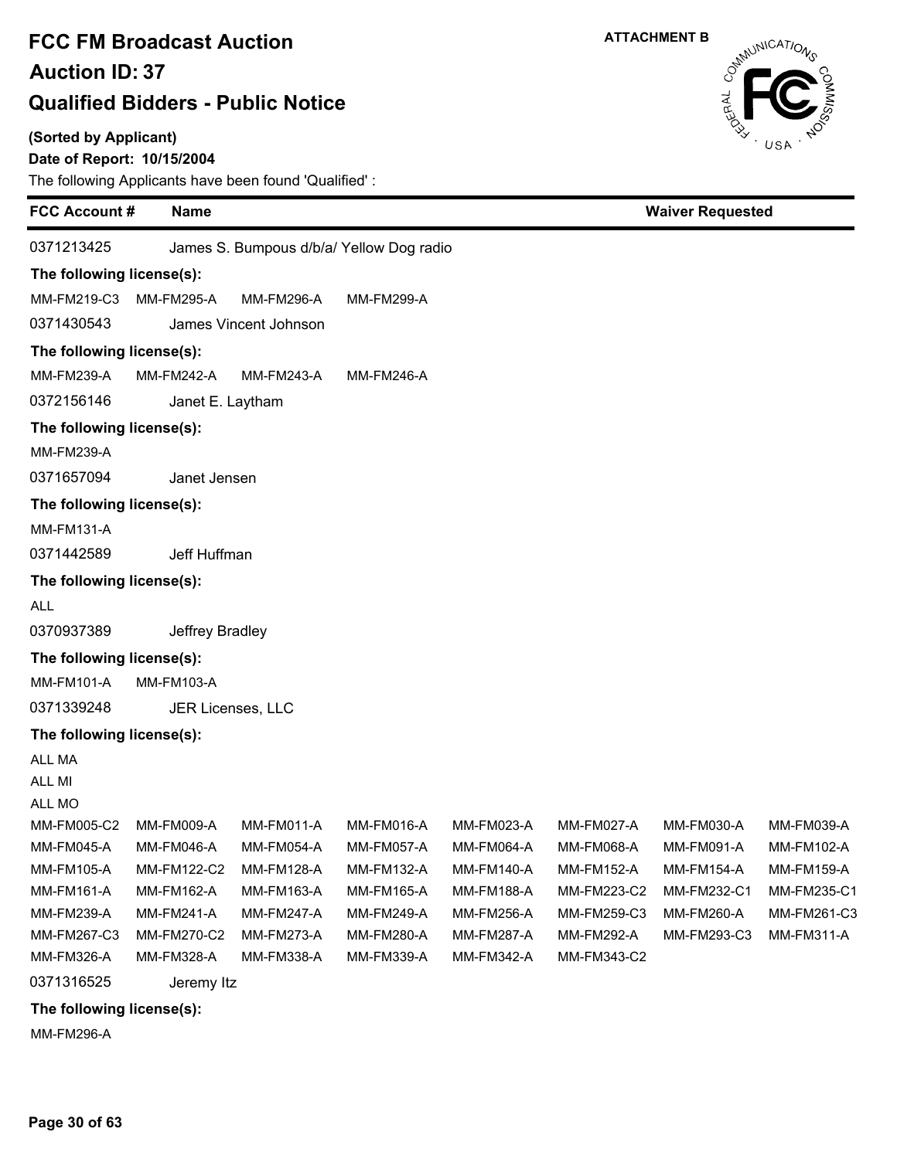#### **(Sorted by Applicant)**

### **Date of Report: 10/15/2004**

The following Applicants have been found 'Qualified' :

| <b>FCC Account#</b>       | <b>Name</b>              |                       |                                          |                   |                   | <b>Waiver Requested</b> |             |
|---------------------------|--------------------------|-----------------------|------------------------------------------|-------------------|-------------------|-------------------------|-------------|
| 0371213425                |                          |                       | James S. Bumpous d/b/a/ Yellow Dog radio |                   |                   |                         |             |
| The following license(s): |                          |                       |                                          |                   |                   |                         |             |
| MM-FM219-C3               | <b>MM-FM295-A</b>        | <b>MM-FM296-A</b>     | <b>MM-FM299-A</b>                        |                   |                   |                         |             |
| 0371430543                |                          | James Vincent Johnson |                                          |                   |                   |                         |             |
| The following license(s): |                          |                       |                                          |                   |                   |                         |             |
| MM-FM239-A                | <b>MM-FM242-A</b>        | MM-FM243-A            | <b>MM-FM246-A</b>                        |                   |                   |                         |             |
| 0372156146                | Janet E. Laytham         |                       |                                          |                   |                   |                         |             |
| The following license(s): |                          |                       |                                          |                   |                   |                         |             |
| <b>MM-FM239-A</b>         |                          |                       |                                          |                   |                   |                         |             |
| 0371657094                | Janet Jensen             |                       |                                          |                   |                   |                         |             |
| The following license(s): |                          |                       |                                          |                   |                   |                         |             |
| <b>MM-FM131-A</b>         |                          |                       |                                          |                   |                   |                         |             |
| 0371442589                | Jeff Huffman             |                       |                                          |                   |                   |                         |             |
| The following license(s): |                          |                       |                                          |                   |                   |                         |             |
| <b>ALL</b>                |                          |                       |                                          |                   |                   |                         |             |
| 0370937389                | Jeffrey Bradley          |                       |                                          |                   |                   |                         |             |
| The following license(s): |                          |                       |                                          |                   |                   |                         |             |
| MM-FM101-A                | <b>MM-FM103-A</b>        |                       |                                          |                   |                   |                         |             |
| 0371339248                | JER Licenses, LLC        |                       |                                          |                   |                   |                         |             |
| The following license(s): |                          |                       |                                          |                   |                   |                         |             |
| ALL MA                    |                          |                       |                                          |                   |                   |                         |             |
| ALL MI                    |                          |                       |                                          |                   |                   |                         |             |
| ALL MO                    |                          |                       |                                          |                   |                   |                         |             |
| MM-FM005-C2               | MM-FM009-A               | MM-FM011-A            | MM-FM016-A                               | MM-FM023-A        | MM-FM027-A        | MM-FM030-A              | MM-FM039-A  |
| MM-FM045-A                | MM-FM046-A               | MM-FM054-A            | MM-FM057-A                               | MM-FM064-A        | MM-FM068-A        | MM-FM091-A              | MM-FM102-A  |
| MM-FM105-A                | MM-FM122-C2              | <b>MM-FM128-A</b>     | <b>MM-FM132-A</b>                        | <b>MM-FM140-A</b> | <b>MM-FM152-A</b> | <b>MM-FM154-A</b>       | MM-FM159-A  |
| MM-FM161-A                | MM-FM162-A               | MM-FM163-A            | MM-FM165-A                               | MM-FM188-A        | MM-FM223-C2       | MM-FM232-C1             | MM-FM235-C1 |
| MM-FM239-A                | MM-FM241-A               | MM-FM247-A            | MM-FM249-A                               | <b>MM-FM256-A</b> | MM-FM259-C3       | MM-FM260-A              | MM-FM261-C3 |
| MM-FM267-C3               | MM-FM270-C2              | <b>MM-FM273-A</b>     | MM-FM280-A                               | <b>MM-FM287-A</b> | <b>MM-FM292-A</b> | MM-FM293-C3             | MM-FM311-A  |
| MM-FM326-A                | MM-FM328-A               | MM-FM338-A            | MM-FM339-A                               | MM-FM342-A        | MM-FM343-C2       |                         |             |
| 0371316525                | Jeremy Itz               |                       |                                          |                   |                   |                         |             |
|                           | $F_n$ llandww Baanaa/a). |                       |                                          |                   |                   |                         |             |

**The following license(s):**

MM-FM296-A

**Page 30 of 63**



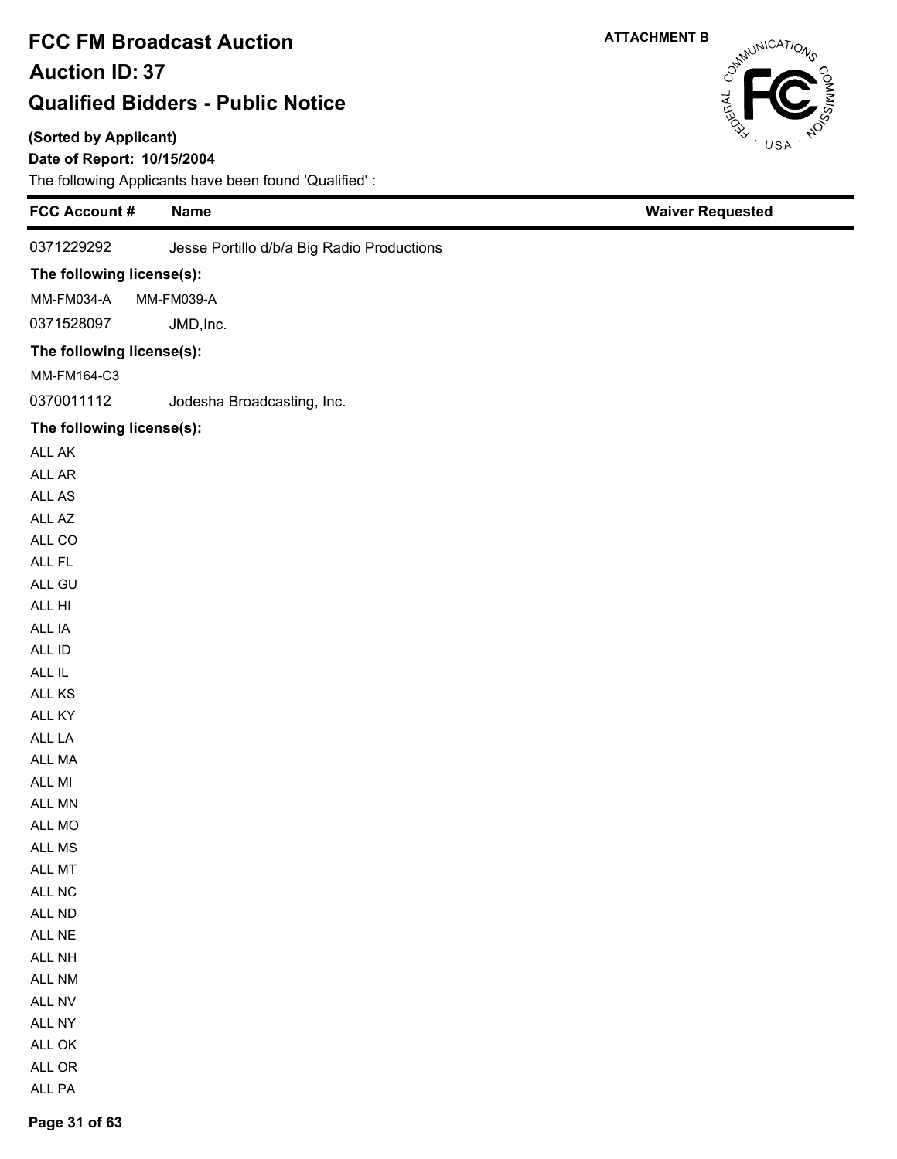### **(Sorted by Applicant)**

### **Date of Report: 10/15/2004**

The following Applicants have been found 'Qualified' :

|                           | The following Applicants have been found Qualified. |                         |
|---------------------------|-----------------------------------------------------|-------------------------|
| FCC Account #             | <b>Name</b>                                         | <b>Waiver Requested</b> |
| 0371229292                | Jesse Portillo d/b/a Big Radio Productions          |                         |
| The following license(s): |                                                     |                         |
| MM-FM034-A                | MM-FM039-A                                          |                         |
| 0371528097                | JMD, Inc.                                           |                         |
| The following license(s): |                                                     |                         |
| MM-FM164-C3               |                                                     |                         |
| 0370011112                | Jodesha Broadcasting, Inc.                          |                         |
|                           |                                                     |                         |
| The following license(s): |                                                     |                         |
| ALL AK                    |                                                     |                         |
| ALL AR                    |                                                     |                         |
| ALL AS                    |                                                     |                         |
| ALL AZ<br>ALL CO          |                                                     |                         |
| ALL FL                    |                                                     |                         |
| ALL GU                    |                                                     |                         |
| ALL HI                    |                                                     |                         |
| ALL IA                    |                                                     |                         |
| ALL ID                    |                                                     |                         |
| ALL IL                    |                                                     |                         |
| ALL KS                    |                                                     |                         |
| ALL KY                    |                                                     |                         |
| ALL LA                    |                                                     |                         |
| ALL MA                    |                                                     |                         |
| ALL MI                    |                                                     |                         |
| ALL MN                    |                                                     |                         |
| ALL MO                    |                                                     |                         |
| ALL MS                    |                                                     |                         |
| ALL MT                    |                                                     |                         |
| ALL NC                    |                                                     |                         |
| ALL ND                    |                                                     |                         |
| ALL NE                    |                                                     |                         |
| ALL NH                    |                                                     |                         |
| ALL NM                    |                                                     |                         |
| ALL NV                    |                                                     |                         |
| ALL NY                    |                                                     |                         |
| ALL OK                    |                                                     |                         |
| ALL OR                    |                                                     |                         |
| ALL PA                    |                                                     |                         |

CataluniCATIONS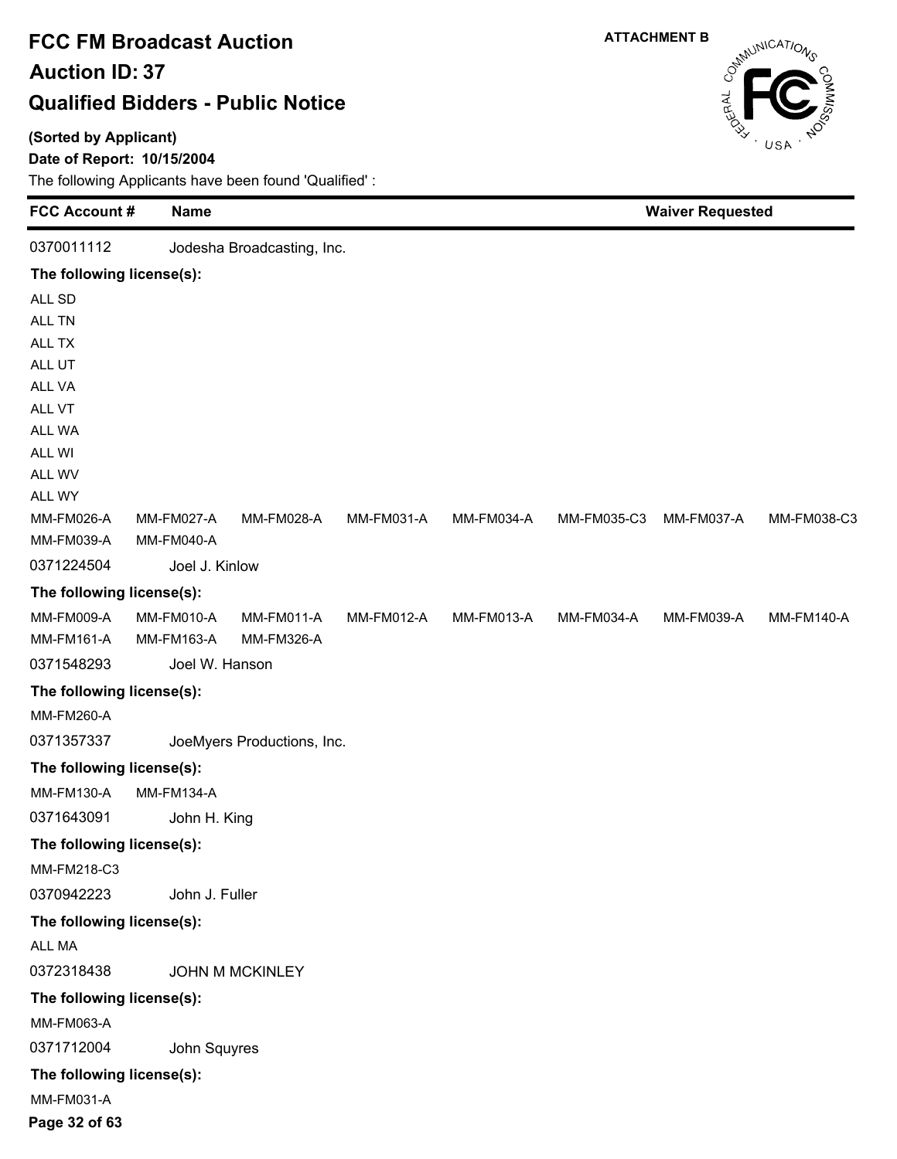### **(Sorted by Applicant)**

### **Date of Report: 10/15/2004**

The following Applicants have been found 'Qualified' :

| <b>FCC Account #</b>      | <b>Name</b>       |                            |            |            |             | <b>Waiver Requested</b> |                   |
|---------------------------|-------------------|----------------------------|------------|------------|-------------|-------------------------|-------------------|
| 0370011112                |                   | Jodesha Broadcasting, Inc. |            |            |             |                         |                   |
| The following license(s): |                   |                            |            |            |             |                         |                   |
| ALL SD                    |                   |                            |            |            |             |                         |                   |
| ALL TN                    |                   |                            |            |            |             |                         |                   |
| ALL TX                    |                   |                            |            |            |             |                         |                   |
| ALL UT                    |                   |                            |            |            |             |                         |                   |
| ALL VA                    |                   |                            |            |            |             |                         |                   |
| ALL VT                    |                   |                            |            |            |             |                         |                   |
| ALL WA                    |                   |                            |            |            |             |                         |                   |
| ALL WI<br>ALL WV          |                   |                            |            |            |             |                         |                   |
| ALL WY                    |                   |                            |            |            |             |                         |                   |
| MM-FM026-A                | MM-FM027-A        | MM-FM028-A                 | MM-FM031-A | MM-FM034-A | MM-FM035-C3 | MM-FM037-A              | MM-FM038-C3       |
| MM-FM039-A                | MM-FM040-A        |                            |            |            |             |                         |                   |
| 0371224504                | Joel J. Kinlow    |                            |            |            |             |                         |                   |
| The following license(s): |                   |                            |            |            |             |                         |                   |
| <b>MM-FM009-A</b>         | MM-FM010-A        | <b>MM-FM011-A</b>          | MM-FM012-A | MM-FM013-A | MM-FM034-A  | MM-FM039-A              | <b>MM-FM140-A</b> |
| MM-FM161-A                | MM-FM163-A        | MM-FM326-A                 |            |            |             |                         |                   |
| 0371548293                | Joel W. Hanson    |                            |            |            |             |                         |                   |
| The following license(s): |                   |                            |            |            |             |                         |                   |
| MM-FM260-A                |                   |                            |            |            |             |                         |                   |
| 0371357337                |                   | JoeMyers Productions, Inc. |            |            |             |                         |                   |
| The following license(s): |                   |                            |            |            |             |                         |                   |
| MM-FM130-A                | <b>MM-FM134-A</b> |                            |            |            |             |                         |                   |
| 0371643091                | John H. King      |                            |            |            |             |                         |                   |
| The following license(s): |                   |                            |            |            |             |                         |                   |
| MM-FM218-C3               |                   |                            |            |            |             |                         |                   |
| 0370942223                | John J. Fuller    |                            |            |            |             |                         |                   |
| The following license(s): |                   |                            |            |            |             |                         |                   |
| ALL MA                    |                   |                            |            |            |             |                         |                   |
| 0372318438                |                   | <b>JOHN M MCKINLEY</b>     |            |            |             |                         |                   |
| The following license(s): |                   |                            |            |            |             |                         |                   |
| MM-FM063-A                |                   |                            |            |            |             |                         |                   |
| 0371712004                | John Squyres      |                            |            |            |             |                         |                   |
| The following license(s): |                   |                            |            |            |             |                         |                   |
| MM-FM031-A                |                   |                            |            |            |             |                         |                   |
|                           |                   |                            |            |            |             |                         |                   |



**Page 32 of 63**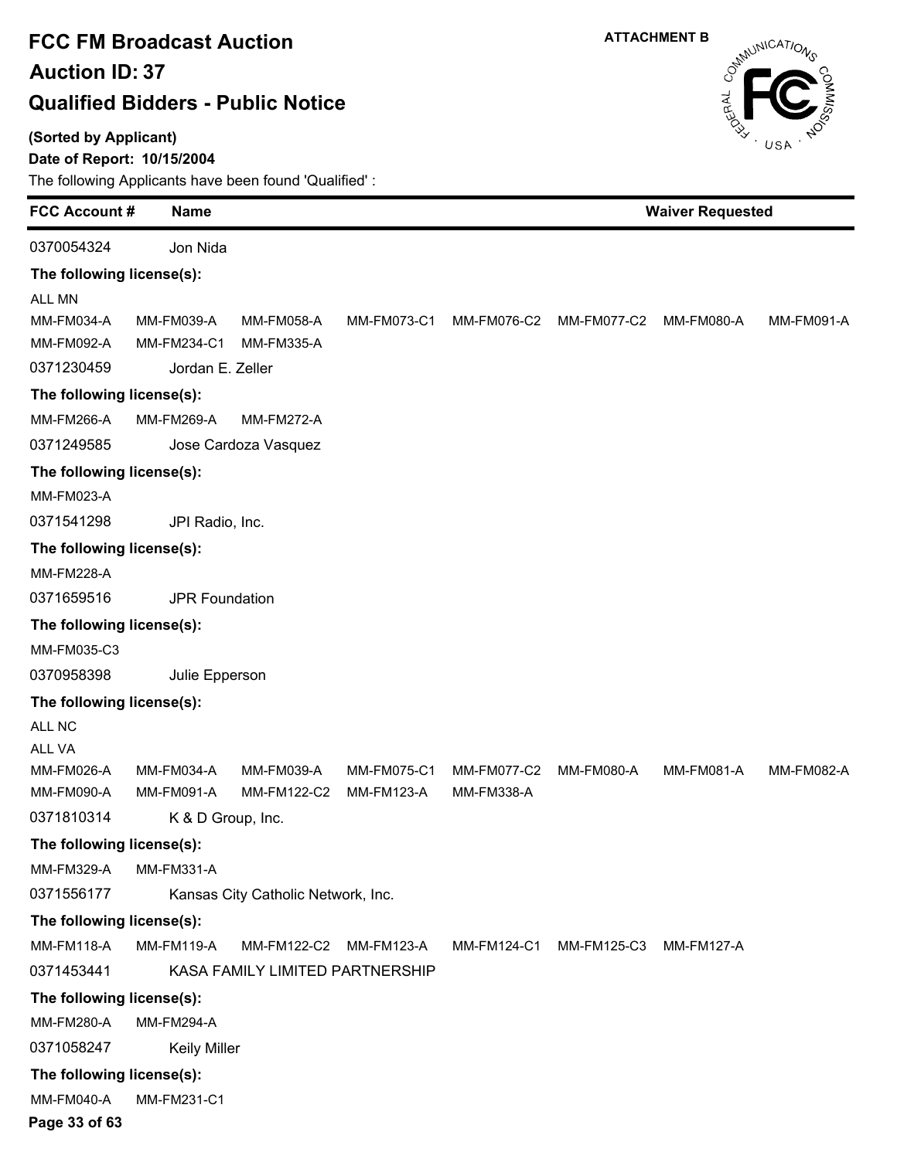#### **(Sorted by Applicant)**

#### **Date of Report: 10/15/2004**

The following Applicants have been found 'Qualified' :

| <b>FCC Account #</b>      | <b>Name</b>           |                                    |                   |                   |                   | <b>Waiver Requested</b> |                   |
|---------------------------|-----------------------|------------------------------------|-------------------|-------------------|-------------------|-------------------------|-------------------|
| 0370054324                | Jon Nida              |                                    |                   |                   |                   |                         |                   |
| The following license(s): |                       |                                    |                   |                   |                   |                         |                   |
| <b>ALL MN</b>             |                       |                                    |                   |                   |                   |                         |                   |
| MM-FM034-A                | MM-FM039-A            | <b>MM-FM058-A</b>                  | MM-FM073-C1       | MM-FM076-C2       | MM-FM077-C2       | MM-FM080-A              | MM-FM091-A        |
| MM-FM092-A                | MM-FM234-C1           | <b>MM-FM335-A</b>                  |                   |                   |                   |                         |                   |
| 0371230459                | Jordan E. Zeller      |                                    |                   |                   |                   |                         |                   |
| The following license(s): |                       |                                    |                   |                   |                   |                         |                   |
| MM-FM266-A                | MM-FM269-A            | <b>MM-FM272-A</b>                  |                   |                   |                   |                         |                   |
| 0371249585                |                       | Jose Cardoza Vasquez               |                   |                   |                   |                         |                   |
| The following license(s): |                       |                                    |                   |                   |                   |                         |                   |
| <b>MM-FM023-A</b>         |                       |                                    |                   |                   |                   |                         |                   |
| 0371541298                | JPI Radio, Inc.       |                                    |                   |                   |                   |                         |                   |
| The following license(s): |                       |                                    |                   |                   |                   |                         |                   |
| <b>MM-FM228-A</b>         |                       |                                    |                   |                   |                   |                         |                   |
| 0371659516                | <b>JPR Foundation</b> |                                    |                   |                   |                   |                         |                   |
| The following license(s): |                       |                                    |                   |                   |                   |                         |                   |
| MM-FM035-C3               |                       |                                    |                   |                   |                   |                         |                   |
| 0370958398                | Julie Epperson        |                                    |                   |                   |                   |                         |                   |
| The following license(s): |                       |                                    |                   |                   |                   |                         |                   |
| ALL NC                    |                       |                                    |                   |                   |                   |                         |                   |
| ALL VA                    |                       |                                    |                   |                   |                   |                         |                   |
| <b>MM-FM026-A</b>         | <b>MM-FM034-A</b>     | MM-FM039-A                         | MM-FM075-C1       | MM-FM077-C2       | <b>MM-FM080-A</b> | MM-FM081-A              | <b>MM-FM082-A</b> |
| MM-FM090-A                | MM-FM091-A            | MM-FM122-C2                        | <b>MM-FM123-A</b> | <b>MM-FM338-A</b> |                   |                         |                   |
| 0371810314                | K & D Group, Inc.     |                                    |                   |                   |                   |                         |                   |
| The following license(s): |                       |                                    |                   |                   |                   |                         |                   |
| <b>MM-FM329-A</b>         | <b>MM-FM331-A</b>     |                                    |                   |                   |                   |                         |                   |
| 0371556177                |                       | Kansas City Catholic Network, Inc. |                   |                   |                   |                         |                   |
| The following license(s): |                       |                                    |                   |                   |                   |                         |                   |
| <b>MM-FM118-A</b>         | <b>MM-FM119-A</b>     | MM-FM122-C2                        | <b>MM-FM123-A</b> | MM-FM124-C1       | MM-FM125-C3       | <b>MM-FM127-A</b>       |                   |
| 0371453441                |                       | KASA FAMILY LIMITED PARTNERSHIP    |                   |                   |                   |                         |                   |
| The following license(s): |                       |                                    |                   |                   |                   |                         |                   |
| <b>MM-FM280-A</b>         | <b>MM-FM294-A</b>     |                                    |                   |                   |                   |                         |                   |
| 0371058247                | <b>Keily Miller</b>   |                                    |                   |                   |                   |                         |                   |
| The following license(s): |                       |                                    |                   |                   |                   |                         |                   |
| MM-FM040-A                | MM-FM231-C1           |                                    |                   |                   |                   |                         |                   |

**ATTACHMENT B**

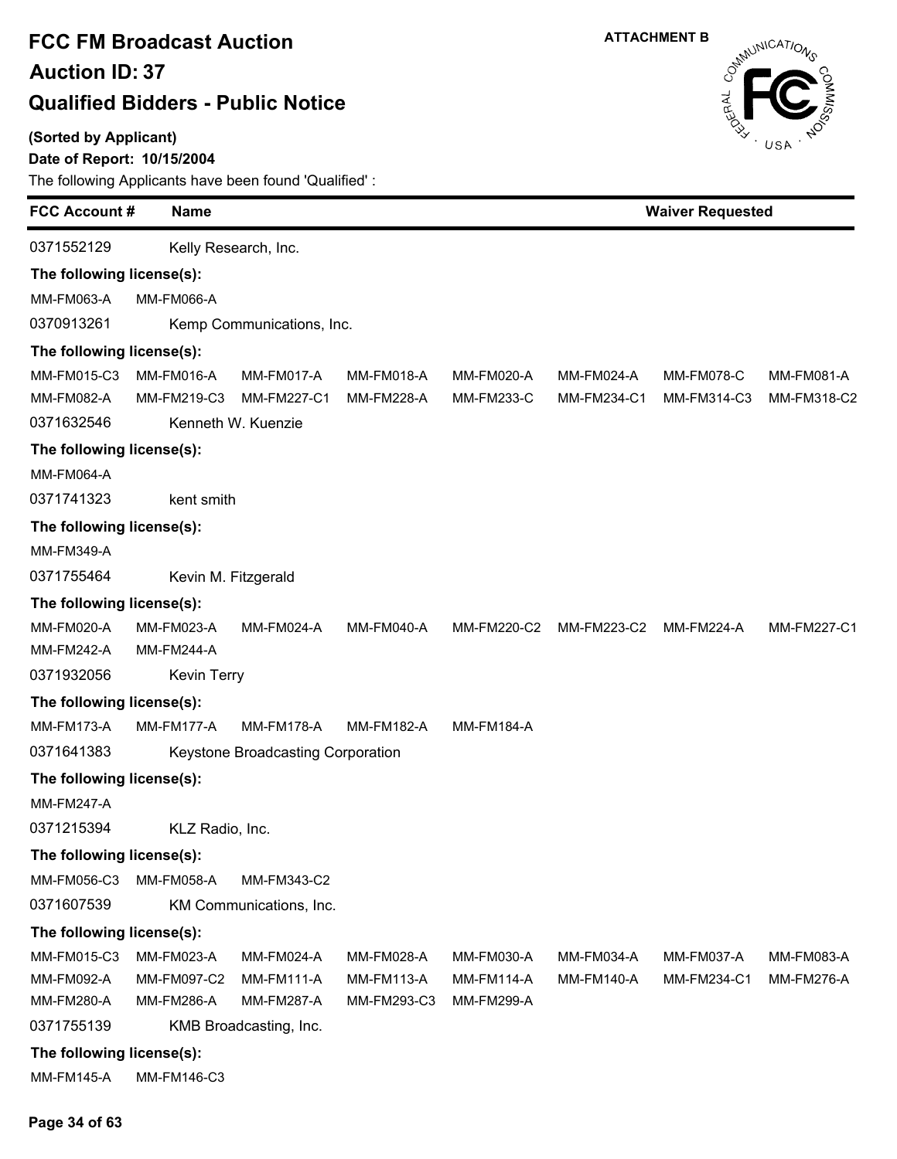### **(Sorted by Applicant)**

### **Date of Report: 10/15/2004**

| <b>ATTACHMENT B</b> |
|---------------------|
|                     |



| <b>FCC Account #</b>      | <b>Name</b>        |                                   |                   |                   |                   | <b>Waiver Requested</b> |                   |  |  |
|---------------------------|--------------------|-----------------------------------|-------------------|-------------------|-------------------|-------------------------|-------------------|--|--|
| 0371552129                |                    | Kelly Research, Inc.              |                   |                   |                   |                         |                   |  |  |
| The following license(s): |                    |                                   |                   |                   |                   |                         |                   |  |  |
| MM-FM063-A                | <b>MM-FM066-A</b>  |                                   |                   |                   |                   |                         |                   |  |  |
| 0370913261                |                    | Kemp Communications, Inc.         |                   |                   |                   |                         |                   |  |  |
| The following license(s): |                    |                                   |                   |                   |                   |                         |                   |  |  |
| MM-FM015-C3               | MM-FM016-A         | MM-FM017-A                        | MM-FM018-A        | MM-FM020-A        | MM-FM024-A        | <b>MM-FM078-C</b>       | <b>MM-FM081-A</b> |  |  |
| MM-FM082-A                | MM-FM219-C3        | <b>MM-FM227-C1</b>                | MM-FM228-A        | <b>MM-FM233-C</b> | MM-FM234-C1       | MM-FM314-C3             | MM-FM318-C2       |  |  |
| 0371632546                |                    | Kenneth W. Kuenzie                |                   |                   |                   |                         |                   |  |  |
| The following license(s): |                    |                                   |                   |                   |                   |                         |                   |  |  |
| <b>MM-FM064-A</b>         |                    |                                   |                   |                   |                   |                         |                   |  |  |
| 0371741323                | kent smith         |                                   |                   |                   |                   |                         |                   |  |  |
| The following license(s): |                    |                                   |                   |                   |                   |                         |                   |  |  |
| <b>MM-FM349-A</b>         |                    |                                   |                   |                   |                   |                         |                   |  |  |
| 0371755464                |                    | Kevin M. Fitzgerald               |                   |                   |                   |                         |                   |  |  |
| The following license(s): |                    |                                   |                   |                   |                   |                         |                   |  |  |
| <b>MM-FM020-A</b>         | <b>MM-FM023-A</b>  | MM-FM024-A                        | <b>MM-FM040-A</b> | MM-FM220-C2       | MM-FM223-C2       | MM-FM224-A              | MM-FM227-C1       |  |  |
| <b>MM-FM242-A</b>         | <b>MM-FM244-A</b>  |                                   |                   |                   |                   |                         |                   |  |  |
| 0371932056                | <b>Kevin Terry</b> |                                   |                   |                   |                   |                         |                   |  |  |
| The following license(s): |                    |                                   |                   |                   |                   |                         |                   |  |  |
| <b>MM-FM173-A</b>         | MM-FM177-A         | <b>MM-FM178-A</b>                 | MM-FM182-A        | <b>MM-FM184-A</b> |                   |                         |                   |  |  |
| 0371641383                |                    | Keystone Broadcasting Corporation |                   |                   |                   |                         |                   |  |  |
| The following license(s): |                    |                                   |                   |                   |                   |                         |                   |  |  |
| <b>MM-FM247-A</b>         |                    |                                   |                   |                   |                   |                         |                   |  |  |
| 0371215394                | KLZ Radio, Inc.    |                                   |                   |                   |                   |                         |                   |  |  |
| The following license(s): |                    |                                   |                   |                   |                   |                         |                   |  |  |
| MM-FM056-C3               | MM-FM058-A         | MM-FM343-C2                       |                   |                   |                   |                         |                   |  |  |
| 0371607539                |                    | KM Communications, Inc.           |                   |                   |                   |                         |                   |  |  |
| The following license(s): |                    |                                   |                   |                   |                   |                         |                   |  |  |
| MM-FM015-C3               | <b>MM-FM023-A</b>  | MM-FM024-A                        | MM-FM028-A        | MM-FM030-A        | <b>MM-FM034-A</b> | MM-FM037-A              | MM-FM083-A        |  |  |
| MM-FM092-A                | MM-FM097-C2        | <b>MM-FM111-A</b>                 | MM-FM113-A        | <b>MM-FM114-A</b> | MM-FM140-A        | MM-FM234-C1             | <b>MM-FM276-A</b> |  |  |
| MM-FM280-A                | MM-FM286-A         | <b>MM-FM287-A</b>                 | MM-FM293-C3       | <b>MM-FM299-A</b> |                   |                         |                   |  |  |
| 0371755139                |                    | KMB Broadcasting, Inc.            |                   |                   |                   |                         |                   |  |  |
| The following license(s): |                    |                                   |                   |                   |                   |                         |                   |  |  |
| <b>MM-FM145-A</b>         | MM-FM146-C3        |                                   |                   |                   |                   |                         |                   |  |  |
|                           |                    |                                   |                   |                   |                   |                         |                   |  |  |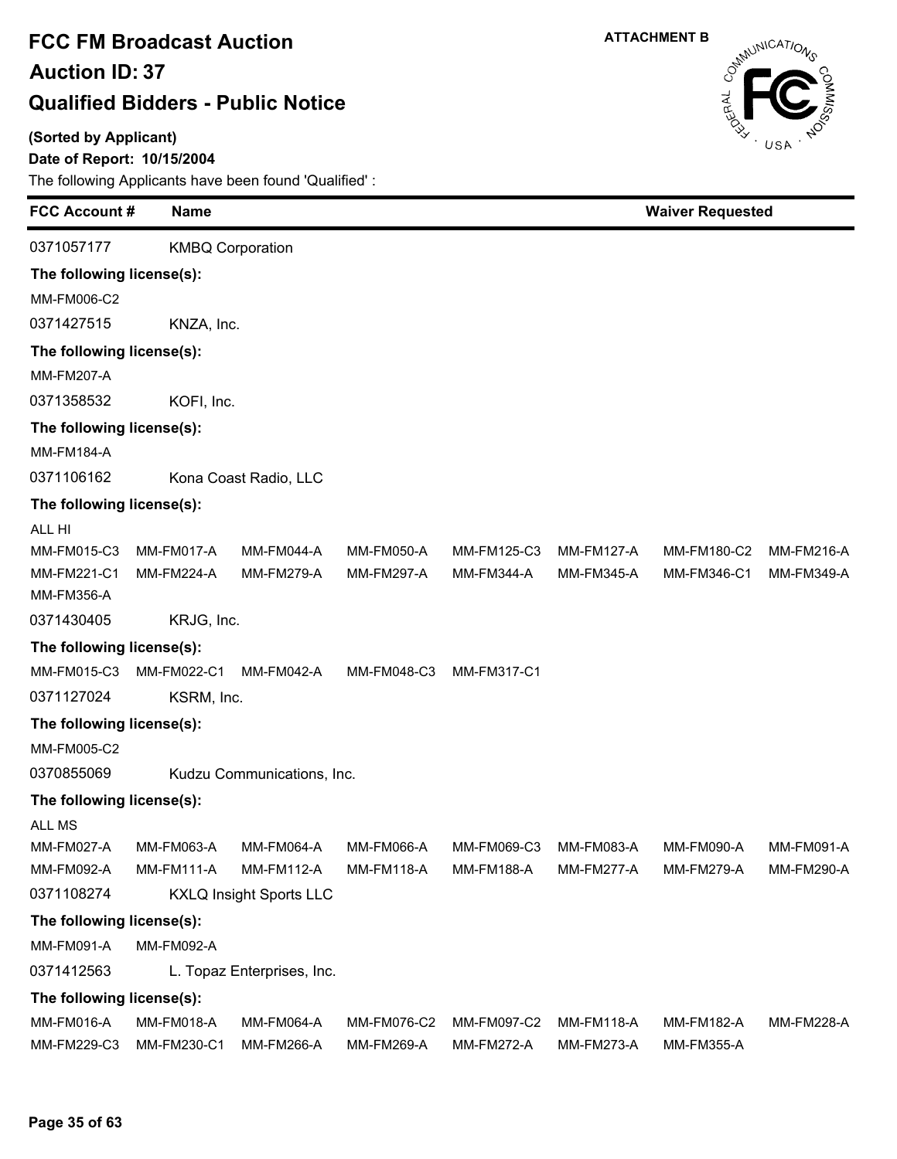### **(Sorted by Applicant)**

### **Date of Report: 10/15/2004**



| <b>FCC Account #</b><br><b>Name</b> |                                                                                                                                                                                         |                                                                                                                                                           | <b>Waiver Requested</b>                                                                                                                             |                                                 |                                 |                                        |
|-------------------------------------|-----------------------------------------------------------------------------------------------------------------------------------------------------------------------------------------|-----------------------------------------------------------------------------------------------------------------------------------------------------------|-----------------------------------------------------------------------------------------------------------------------------------------------------|-------------------------------------------------|---------------------------------|----------------------------------------|
|                                     |                                                                                                                                                                                         |                                                                                                                                                           |                                                                                                                                                     |                                                 |                                 |                                        |
| The following license(s):           |                                                                                                                                                                                         |                                                                                                                                                           |                                                                                                                                                     |                                                 |                                 |                                        |
|                                     |                                                                                                                                                                                         |                                                                                                                                                           |                                                                                                                                                     |                                                 |                                 |                                        |
|                                     |                                                                                                                                                                                         |                                                                                                                                                           |                                                                                                                                                     |                                                 |                                 |                                        |
| The following license(s):           |                                                                                                                                                                                         |                                                                                                                                                           |                                                                                                                                                     |                                                 |                                 |                                        |
|                                     |                                                                                                                                                                                         |                                                                                                                                                           |                                                                                                                                                     |                                                 |                                 |                                        |
|                                     |                                                                                                                                                                                         |                                                                                                                                                           |                                                                                                                                                     |                                                 |                                 |                                        |
| The following license(s):           |                                                                                                                                                                                         |                                                                                                                                                           |                                                                                                                                                     |                                                 |                                 |                                        |
|                                     |                                                                                                                                                                                         |                                                                                                                                                           |                                                                                                                                                     |                                                 |                                 |                                        |
|                                     |                                                                                                                                                                                         |                                                                                                                                                           |                                                                                                                                                     |                                                 |                                 |                                        |
| The following license(s):           |                                                                                                                                                                                         |                                                                                                                                                           |                                                                                                                                                     |                                                 |                                 |                                        |
|                                     |                                                                                                                                                                                         |                                                                                                                                                           |                                                                                                                                                     |                                                 |                                 |                                        |
| MM-FM017-A                          | MM-FM044-A                                                                                                                                                                              | MM-FM050-A                                                                                                                                                | MM-FM125-C3                                                                                                                                         | <b>MM-FM127-A</b>                               | MM-FM180-C2                     | MM-FM216-A                             |
| <b>MM-FM224-A</b>                   | <b>MM-FM279-A</b>                                                                                                                                                                       | <b>MM-FM297-A</b>                                                                                                                                         | <b>MM-FM344-A</b>                                                                                                                                   | <b>MM-FM345-A</b>                               | MM-FM346-C1                     | MM-FM349-A                             |
|                                     |                                                                                                                                                                                         |                                                                                                                                                           |                                                                                                                                                     |                                                 |                                 |                                        |
|                                     |                                                                                                                                                                                         |                                                                                                                                                           |                                                                                                                                                     |                                                 |                                 |                                        |
|                                     |                                                                                                                                                                                         |                                                                                                                                                           |                                                                                                                                                     |                                                 |                                 |                                        |
|                                     |                                                                                                                                                                                         |                                                                                                                                                           |                                                                                                                                                     |                                                 |                                 |                                        |
|                                     |                                                                                                                                                                                         |                                                                                                                                                           |                                                                                                                                                     |                                                 |                                 |                                        |
|                                     |                                                                                                                                                                                         |                                                                                                                                                           |                                                                                                                                                     |                                                 |                                 |                                        |
|                                     |                                                                                                                                                                                         |                                                                                                                                                           |                                                                                                                                                     |                                                 |                                 |                                        |
|                                     |                                                                                                                                                                                         |                                                                                                                                                           |                                                                                                                                                     |                                                 |                                 |                                        |
| The following license(s):           |                                                                                                                                                                                         |                                                                                                                                                           |                                                                                                                                                     |                                                 |                                 |                                        |
|                                     |                                                                                                                                                                                         |                                                                                                                                                           |                                                                                                                                                     |                                                 |                                 |                                        |
|                                     |                                                                                                                                                                                         |                                                                                                                                                           |                                                                                                                                                     |                                                 |                                 | MM-FM091-A<br>MM-FM290-A               |
|                                     |                                                                                                                                                                                         |                                                                                                                                                           |                                                                                                                                                     |                                                 |                                 |                                        |
|                                     |                                                                                                                                                                                         |                                                                                                                                                           |                                                                                                                                                     |                                                 |                                 |                                        |
|                                     |                                                                                                                                                                                         |                                                                                                                                                           |                                                                                                                                                     |                                                 |                                 |                                        |
|                                     |                                                                                                                                                                                         |                                                                                                                                                           |                                                                                                                                                     |                                                 |                                 |                                        |
|                                     |                                                                                                                                                                                         |                                                                                                                                                           |                                                                                                                                                     |                                                 |                                 |                                        |
|                                     |                                                                                                                                                                                         |                                                                                                                                                           |                                                                                                                                                     |                                                 |                                 |                                        |
| <b>MM-FM018-A</b>                   | <b>MM-FM064-A</b>                                                                                                                                                                       | MM-FM076-C2                                                                                                                                               | MM-FM097-C2                                                                                                                                         | <b>MM-FM118-A</b>                               | <b>MM-FM182-A</b>               | <b>MM-FM228-A</b>                      |
|                                     | The following license(s):<br>MM-FM022-C1<br>The following license(s):<br><b>MM-FM063-A</b><br><b>MM-FM111-A</b><br>The following license(s):<br>MM-FM092-A<br>The following license(s): | <b>KMBQ Corporation</b><br>KNZA, Inc.<br>KOFI, Inc.<br>Kona Coast Radio, LLC<br>KRJG, Inc.<br>MM-FM042-A<br>KSRM, Inc.<br>MM-FM064-A<br><b>MM-FM112-A</b> | MM-FM048-C3<br>Kudzu Communications, Inc.<br><b>MM-FM066-A</b><br><b>MM-FM118-A</b><br><b>KXLQ Insight Sports LLC</b><br>L. Topaz Enterprises, Inc. | MM-FM317-C1<br>MM-FM069-C3<br><b>MM-FM188-A</b> | MM-FM083-A<br><b>MM-FM277-A</b> | <b>MM-FM090-A</b><br><b>MM-FM279-A</b> |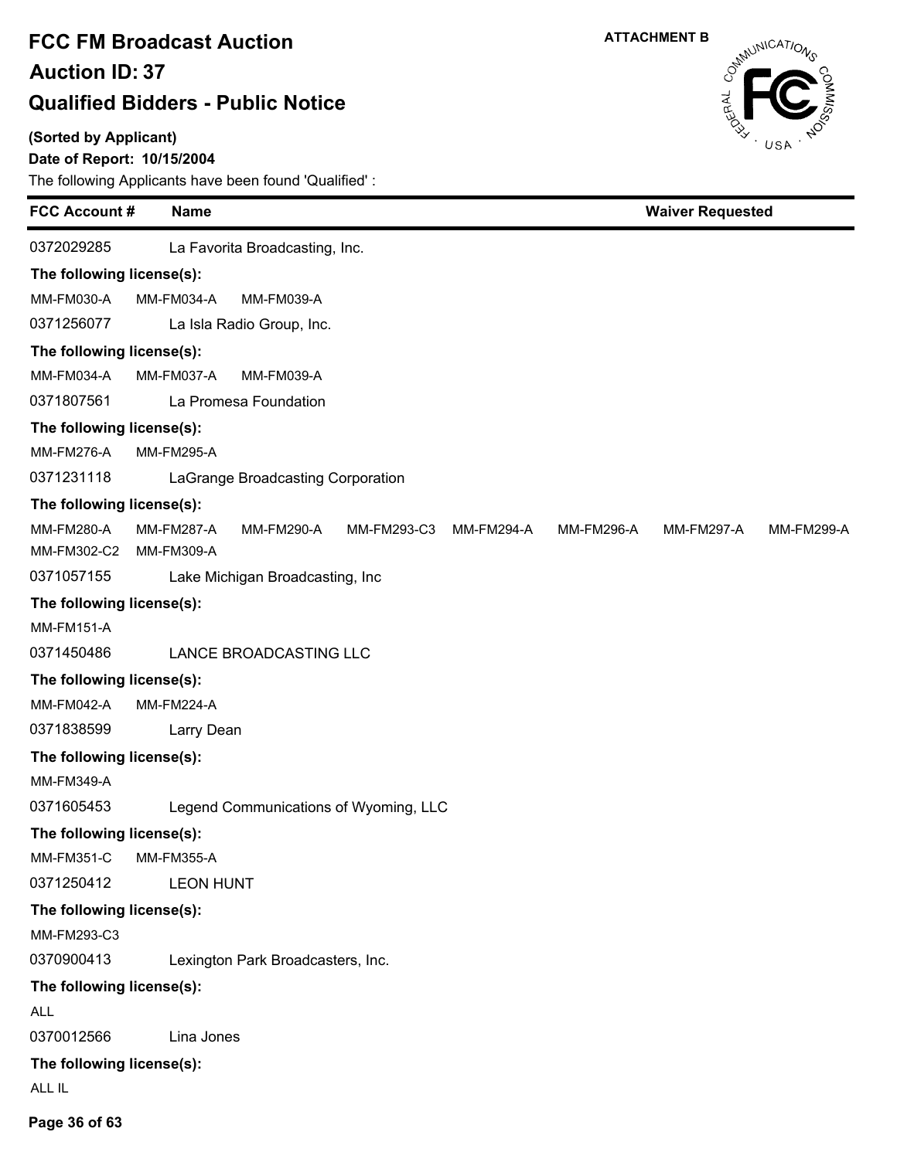**(Sorted by Applicant)**

### **Date of Report: 10/15/2004**

| <b>FCC Account #</b><br><b>Name</b>                                 | <b>Waiver Requested</b>                                     |
|---------------------------------------------------------------------|-------------------------------------------------------------|
| 0372029285<br>La Favorita Broadcasting, Inc.                        |                                                             |
| The following license(s):                                           |                                                             |
| MM-FM030-A<br>MM-FM034-A<br>MM-FM039-A                              |                                                             |
| 0371256077<br>La Isla Radio Group, Inc.                             |                                                             |
| The following license(s):                                           |                                                             |
| MM-FM034-A<br>MM-FM037-A<br>MM-FM039-A                              |                                                             |
| 0371807561<br>La Promesa Foundation                                 |                                                             |
| The following license(s):                                           |                                                             |
| <b>MM-FM276-A</b><br><b>MM-FM295-A</b>                              |                                                             |
| 0371231118<br>LaGrange Broadcasting Corporation                     |                                                             |
| The following license(s):                                           |                                                             |
| <b>MM-FM280-A</b><br><b>MM-FM287-A</b><br>MM-FM290-A<br>MM-FM293-C3 | MM-FM294-A<br>MM-FM296-A<br>MM-FM297-A<br><b>MM-FM299-A</b> |
| MM-FM302-C2<br>MM-FM309-A                                           |                                                             |
| 0371057155<br>Lake Michigan Broadcasting, Inc                       |                                                             |
| The following license(s):                                           |                                                             |
| <b>MM-FM151-A</b>                                                   |                                                             |
| 0371450486<br>LANCE BROADCASTING LLC                                |                                                             |
| The following license(s):                                           |                                                             |
| <b>MM-FM042-A</b><br><b>MM-FM224-A</b>                              |                                                             |
| 0371838599<br>Larry Dean                                            |                                                             |
| The following license(s):                                           |                                                             |
| <b>MM-FM349-A</b>                                                   |                                                             |
| 0371605453<br>Legend Communications of Wyoming, LLC                 |                                                             |
| The following license(s):                                           |                                                             |
| <b>MM-FM351-C</b><br><b>MM-FM355-A</b>                              |                                                             |
| 0371250412<br><b>LEON HUNT</b>                                      |                                                             |
| The following license(s):                                           |                                                             |
| MM-FM293-C3                                                         |                                                             |
| 0370900413<br>Lexington Park Broadcasters, Inc.                     |                                                             |
| The following license(s):                                           |                                                             |
| <b>ALL</b>                                                          |                                                             |
| 0370012566<br>Lina Jones                                            |                                                             |
| The following license(s):                                           |                                                             |
| ALL IL                                                              |                                                             |
|                                                                     |                                                             |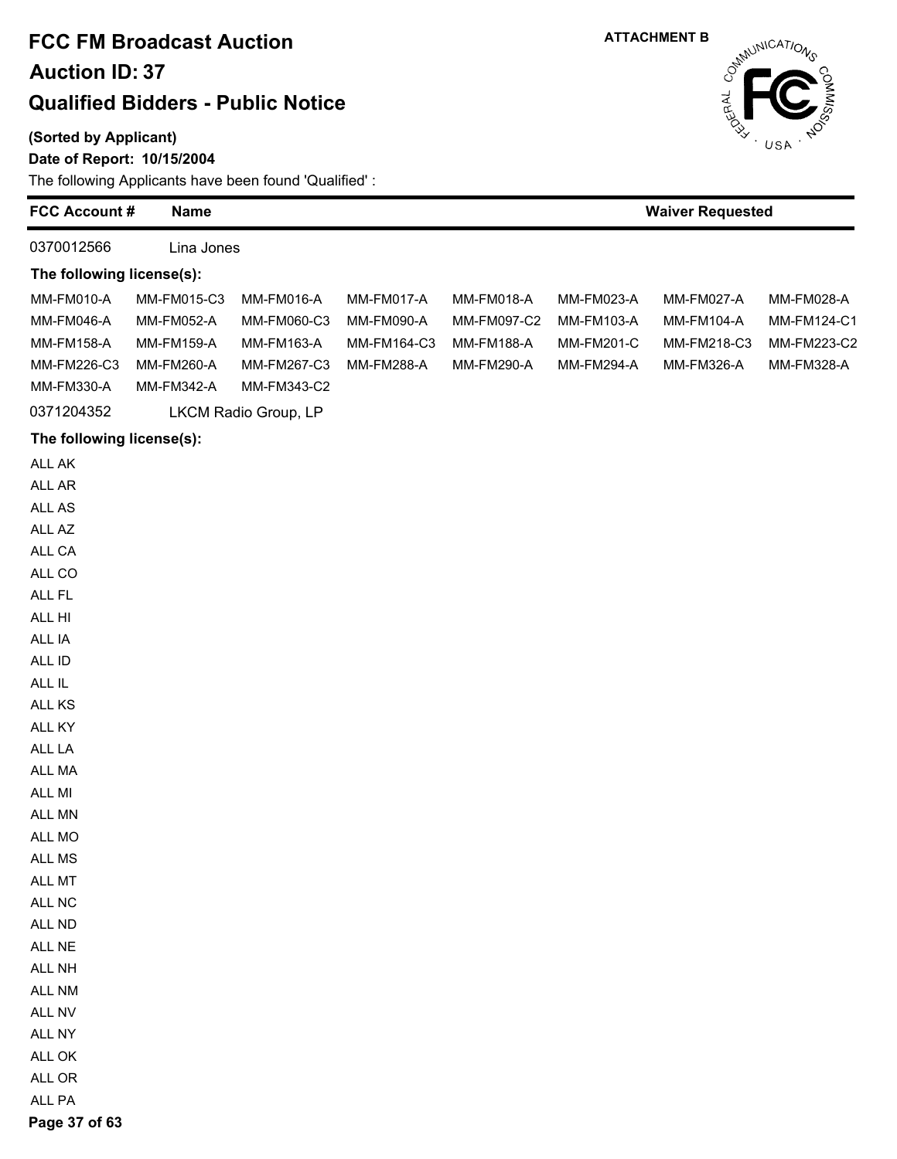#### **(Sorted by Applicant)**

#### **Date of Report: 10/15/2004**

The following Applicants have been found 'Qualified' :

| <b>FCC Account #</b>                                                                                                                                                   | <b>Name</b>                                                                |                                                                       |                                                       |                                                              |                                                             | <b>Waiver Requested</b>                                      |                                                        |
|------------------------------------------------------------------------------------------------------------------------------------------------------------------------|----------------------------------------------------------------------------|-----------------------------------------------------------------------|-------------------------------------------------------|--------------------------------------------------------------|-------------------------------------------------------------|--------------------------------------------------------------|--------------------------------------------------------|
| 0370012566                                                                                                                                                             | Lina Jones                                                                 |                                                                       |                                                       |                                                              |                                                             |                                                              |                                                        |
| The following license(s):                                                                                                                                              |                                                                            |                                                                       |                                                       |                                                              |                                                             |                                                              |                                                        |
| MM-FM010-A<br><b>MM-FM046-A</b><br><b>MM-FM158-A</b><br>MM-FM226-C3<br>MM-FM330-A                                                                                      | MM-FM015-C3<br>MM-FM052-A<br><b>MM-FM159-A</b><br>MM-FM260-A<br>MM-FM342-A | MM-FM016-A<br>MM-FM060-C3<br>MM-FM163-A<br>MM-FM267-C3<br>MM-FM343-C2 | MM-FM017-A<br>MM-FM090-A<br>MM-FM164-C3<br>MM-FM288-A | MM-FM018-A<br>MM-FM097-C2<br><b>MM-FM188-A</b><br>MM-FM290-A | MM-FM023-A<br>MM-FM103-A<br>MM-FM201-C<br><b>MM-FM294-A</b> | MM-FM027-A<br><b>MM-FM104-A</b><br>MM-FM218-C3<br>MM-FM326-A | MM-FM028-A<br>MM-FM124-C1<br>MM-FM223-C2<br>MM-FM328-A |
| 0371204352                                                                                                                                                             |                                                                            | LKCM Radio Group, LP                                                  |                                                       |                                                              |                                                             |                                                              |                                                        |
|                                                                                                                                                                        |                                                                            |                                                                       |                                                       |                                                              |                                                             |                                                              |                                                        |
| The following license(s):                                                                                                                                              |                                                                            |                                                                       |                                                       |                                                              |                                                             |                                                              |                                                        |
| ALL AK<br>ALL AR<br>ALL AS<br>ALL AZ<br>ALL CA<br>ALL CO<br>ALL FL<br>ALL HI<br>ALL IA<br>ALL ID<br>ALL IL<br>ALL KS<br>ALL KY<br>ALL LA<br>ALL MA<br>ALL MI<br>ALL MN |                                                                            |                                                                       |                                                       |                                                              |                                                             |                                                              |                                                        |
| ALL MO<br>ALL MS                                                                                                                                                       |                                                                            |                                                                       |                                                       |                                                              |                                                             |                                                              |                                                        |
| ALL MT                                                                                                                                                                 |                                                                            |                                                                       |                                                       |                                                              |                                                             |                                                              |                                                        |
| ALL NC                                                                                                                                                                 |                                                                            |                                                                       |                                                       |                                                              |                                                             |                                                              |                                                        |
| ALL ND                                                                                                                                                                 |                                                                            |                                                                       |                                                       |                                                              |                                                             |                                                              |                                                        |
| ALL NE                                                                                                                                                                 |                                                                            |                                                                       |                                                       |                                                              |                                                             |                                                              |                                                        |
| ALL NH                                                                                                                                                                 |                                                                            |                                                                       |                                                       |                                                              |                                                             |                                                              |                                                        |
| ALL NM                                                                                                                                                                 |                                                                            |                                                                       |                                                       |                                                              |                                                             |                                                              |                                                        |
| ALL NV                                                                                                                                                                 |                                                                            |                                                                       |                                                       |                                                              |                                                             |                                                              |                                                        |
| ALL NY                                                                                                                                                                 |                                                                            |                                                                       |                                                       |                                                              |                                                             |                                                              |                                                        |
| ALL OK                                                                                                                                                                 |                                                                            |                                                                       |                                                       |                                                              |                                                             |                                                              |                                                        |
| ALL OR                                                                                                                                                                 |                                                                            |                                                                       |                                                       |                                                              |                                                             |                                                              |                                                        |
| ALL PA                                                                                                                                                                 |                                                                            |                                                                       |                                                       |                                                              |                                                             |                                                              |                                                        |

**ATTACHMENT B**

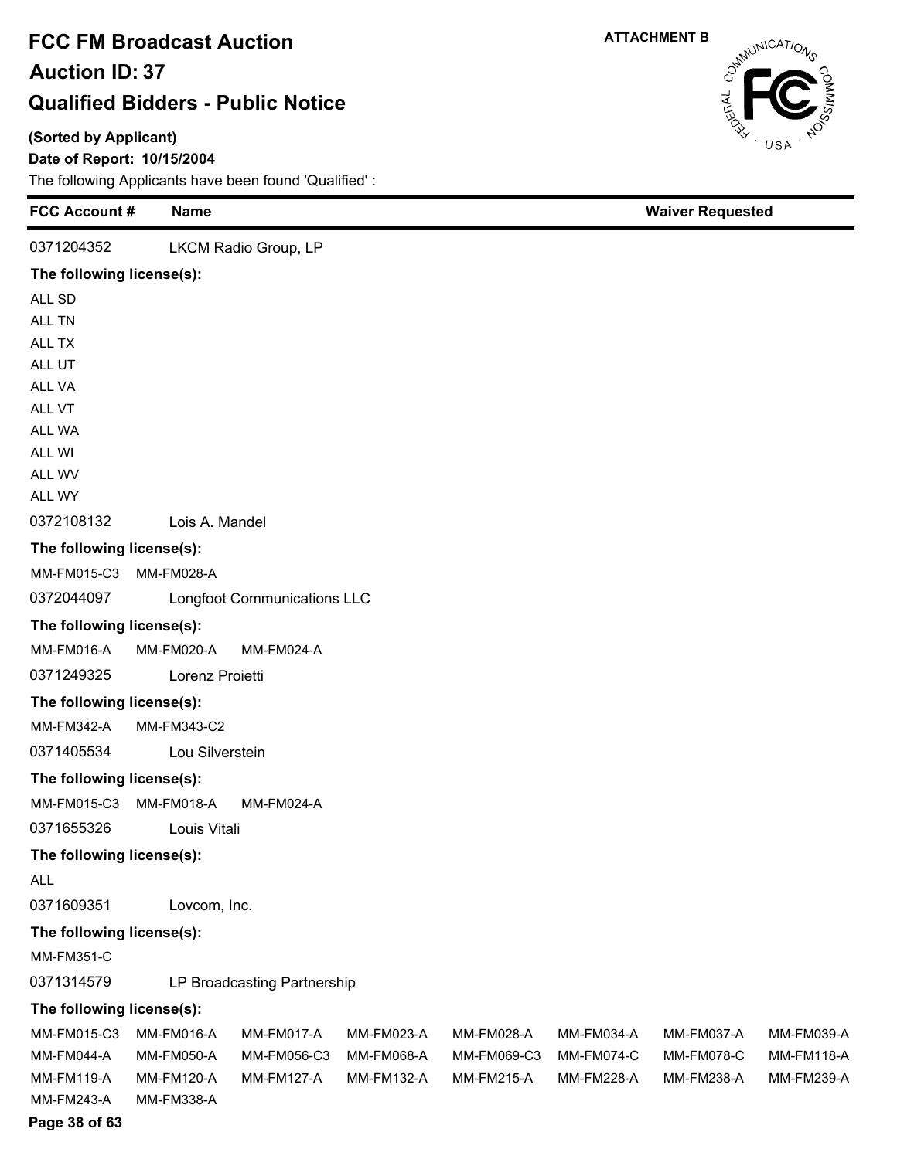### **(Sorted by Applicant)**

### **Date of Report: 10/15/2004**

The following Applicants have been found 'Qualified' :

| <b>FCC Account #</b>      | <b>Name</b>       |                                    |            |                   |                   | <b>Waiver Requested</b> |                   |
|---------------------------|-------------------|------------------------------------|------------|-------------------|-------------------|-------------------------|-------------------|
| 0371204352                |                   | LKCM Radio Group, LP               |            |                   |                   |                         |                   |
| The following license(s): |                   |                                    |            |                   |                   |                         |                   |
| ALL SD                    |                   |                                    |            |                   |                   |                         |                   |
| ALL TN                    |                   |                                    |            |                   |                   |                         |                   |
| ALL TX                    |                   |                                    |            |                   |                   |                         |                   |
| ALL UT                    |                   |                                    |            |                   |                   |                         |                   |
| ALL VA                    |                   |                                    |            |                   |                   |                         |                   |
| ALL VT                    |                   |                                    |            |                   |                   |                         |                   |
| ALL WA                    |                   |                                    |            |                   |                   |                         |                   |
| ALL WI                    |                   |                                    |            |                   |                   |                         |                   |
| ALL WV<br>ALL WY          |                   |                                    |            |                   |                   |                         |                   |
| 0372108132                | Lois A. Mandel    |                                    |            |                   |                   |                         |                   |
| The following license(s): |                   |                                    |            |                   |                   |                         |                   |
| MM-FM015-C3               | MM-FM028-A        |                                    |            |                   |                   |                         |                   |
| 0372044097                |                   | <b>Longfoot Communications LLC</b> |            |                   |                   |                         |                   |
| The following license(s): |                   |                                    |            |                   |                   |                         |                   |
| MM-FM016-A                | MM-FM020-A        | MM-FM024-A                         |            |                   |                   |                         |                   |
| 0371249325                | Lorenz Proietti   |                                    |            |                   |                   |                         |                   |
| The following license(s): |                   |                                    |            |                   |                   |                         |                   |
| MM-FM342-A                | MM-FM343-C2       |                                    |            |                   |                   |                         |                   |
| 0371405534                | Lou Silverstein   |                                    |            |                   |                   |                         |                   |
| The following license(s): |                   |                                    |            |                   |                   |                         |                   |
| MM-FM015-C3               | MM-FM018-A        | MM-FM024-A                         |            |                   |                   |                         |                   |
| 0371655326                | Louis Vitali      |                                    |            |                   |                   |                         |                   |
| The following license(s): |                   |                                    |            |                   |                   |                         |                   |
| <b>ALL</b>                |                   |                                    |            |                   |                   |                         |                   |
| 0371609351                | Lovcom, Inc.      |                                    |            |                   |                   |                         |                   |
| The following license(s): |                   |                                    |            |                   |                   |                         |                   |
| <b>MM-FM351-C</b>         |                   |                                    |            |                   |                   |                         |                   |
| 0371314579                |                   | LP Broadcasting Partnership        |            |                   |                   |                         |                   |
| The following license(s): |                   |                                    |            |                   |                   |                         |                   |
| MM-FM015-C3               | MM-FM016-A        | MM-FM017-A                         | MM-FM023-A | MM-FM028-A        | MM-FM034-A        | MM-FM037-A              | MM-FM039-A        |
| MM-FM044-A                | MM-FM050-A        | MM-FM056-C3                        | MM-FM068-A | MM-FM069-C3       | MM-FM074-C        | <b>MM-FM078-C</b>       | <b>MM-FM118-A</b> |
| <b>MM-FM119-A</b>         | <b>MM-FM120-A</b> | <b>MM-FM127-A</b>                  | MM-FM132-A | <b>MM-FM215-A</b> | <b>MM-FM228-A</b> | MM-FM238-A              | MM-FM239-A        |
| MM-FM243-A                | MM-FM338-A        |                                    |            |                   |                   |                         |                   |
| Page 38 of 63             |                   |                                    |            |                   |                   |                         |                   |

CataluniCATIONS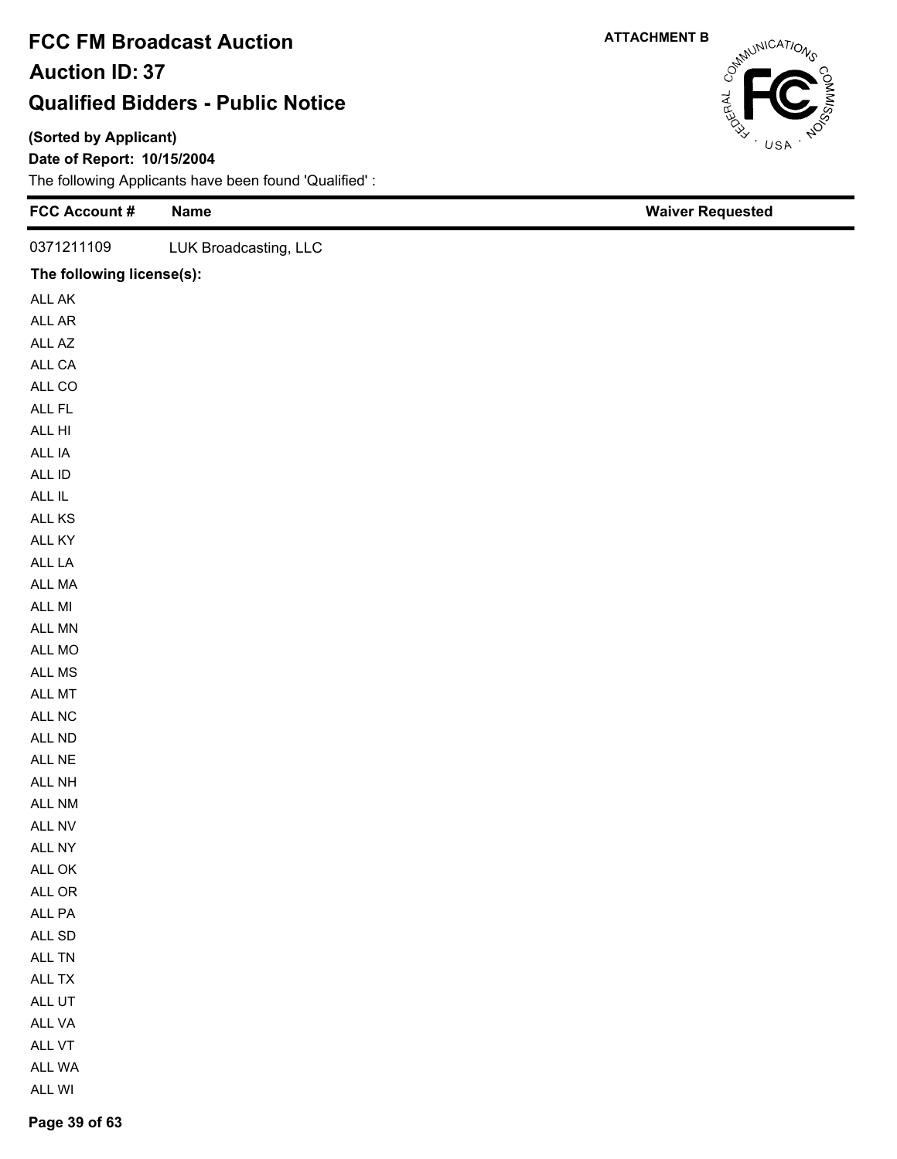#### **(Sorted by Applicant)**

**Date of Report: 10/15/2004**

The following Applicants have been found 'Qualified' :

| FCC Account #             | <b>Name</b>           | <b>Waiver Requested</b> |
|---------------------------|-----------------------|-------------------------|
| 0371211109                | LUK Broadcasting, LLC |                         |
| The following license(s): |                       |                         |
| ALL AK                    |                       |                         |
| ALL AR                    |                       |                         |
| ALL AZ                    |                       |                         |
| ALL CA                    |                       |                         |
| ALL CO                    |                       |                         |
| ALL FL                    |                       |                         |
| ALL HI                    |                       |                         |
| ALL IA                    |                       |                         |
| ALL ID                    |                       |                         |
| ALL IL                    |                       |                         |
| ALL KS                    |                       |                         |
| ALL KY                    |                       |                         |
| ALL LA                    |                       |                         |
| ALL MA                    |                       |                         |
| ALL MI                    |                       |                         |
| ALL MN                    |                       |                         |
| ALL MO                    |                       |                         |
| ALL MS                    |                       |                         |
| ALL MT                    |                       |                         |
| ALL NC                    |                       |                         |
| ALL ND                    |                       |                         |
| ALL NE                    |                       |                         |
| ALL NH                    |                       |                         |
| ALL NM                    |                       |                         |
| ALL NV                    |                       |                         |
| ALL NY                    |                       |                         |
| ALL OK                    |                       |                         |
| ALL OR                    |                       |                         |
| ALL PA                    |                       |                         |
| $\sf ALL$ SD              |                       |                         |
| ALL TN                    |                       |                         |
| ALL TX                    |                       |                         |
| ALL UT                    |                       |                         |
| ALL VA                    |                       |                         |
| ALL VT                    |                       |                         |
| ALL WA                    |                       |                         |
| ALL WI                    |                       |                         |



**Page 39 of 63**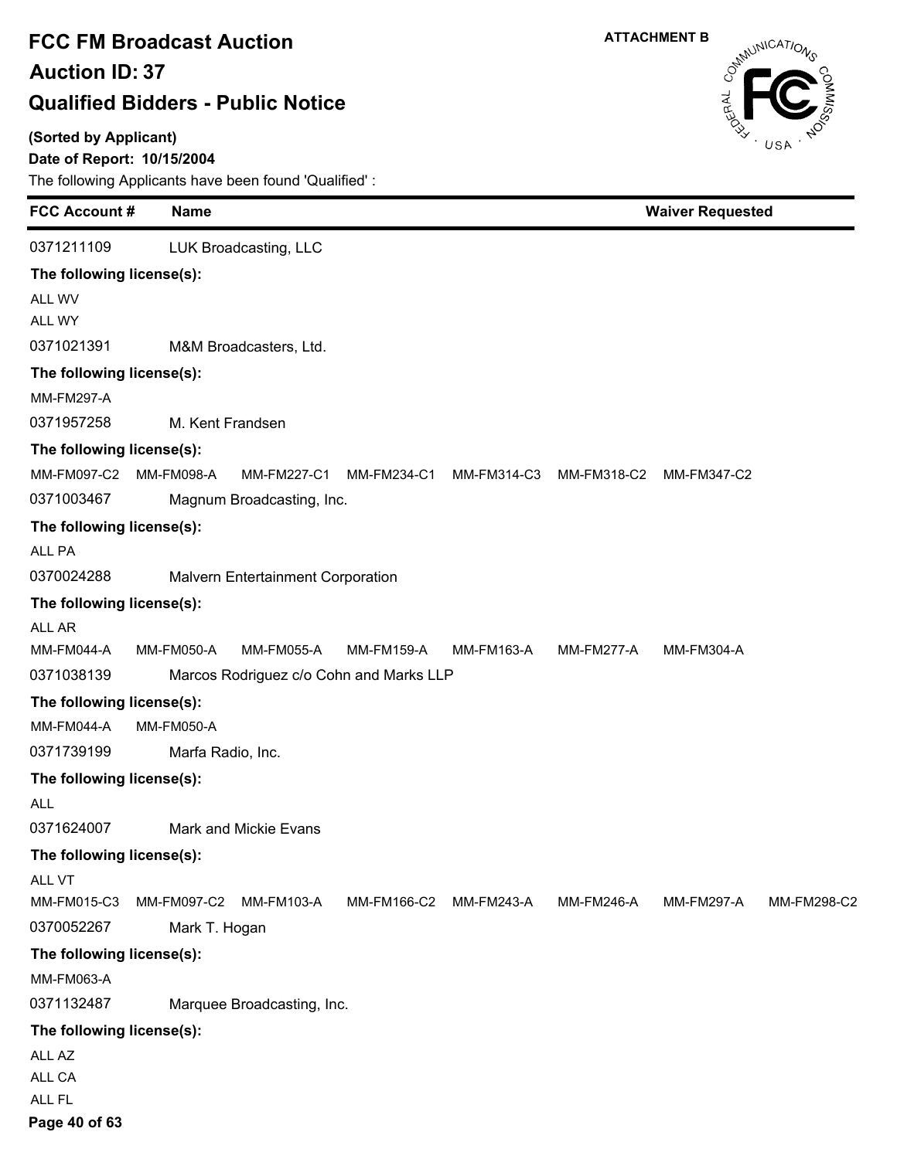#### **(Sorted by Applicant)**

### **Date of Report: 10/15/2004**

**FCC Account # Name**

The following Applicants have been found 'Qualified' :

| 0371211109                |                        | LUK Broadcasting, LLC                   |             |                                                             |                   |                   |             |
|---------------------------|------------------------|-----------------------------------------|-------------|-------------------------------------------------------------|-------------------|-------------------|-------------|
| The following license(s): |                        |                                         |             |                                                             |                   |                   |             |
| ALL WV                    |                        |                                         |             |                                                             |                   |                   |             |
| ALL WY                    |                        |                                         |             |                                                             |                   |                   |             |
| 0371021391                |                        | M&M Broadcasters, Ltd.                  |             |                                                             |                   |                   |             |
| The following license(s): |                        |                                         |             |                                                             |                   |                   |             |
| <b>MM-FM297-A</b>         |                        |                                         |             |                                                             |                   |                   |             |
| 0371957258                |                        | M. Kent Frandsen                        |             |                                                             |                   |                   |             |
| The following license(s): |                        |                                         |             |                                                             |                   |                   |             |
|                           | MM-FM097-C2 MM-FM098-A |                                         |             | MM-FM227-C1 MM-FM234-C1 MM-FM314-C3 MM-FM318-C2 MM-FM347-C2 |                   |                   |             |
| 0371003467                |                        | Magnum Broadcasting, Inc.               |             |                                                             |                   |                   |             |
| The following license(s): |                        |                                         |             |                                                             |                   |                   |             |
| ALL PA                    |                        |                                         |             |                                                             |                   |                   |             |
| 0370024288                |                        | Malvern Entertainment Corporation       |             |                                                             |                   |                   |             |
| The following license(s): |                        |                                         |             |                                                             |                   |                   |             |
| ALL AR                    |                        |                                         |             |                                                             |                   |                   |             |
| MM-FM044-A                | <b>MM-FM050-A</b>      | MM-FM055-A                              | MM-FM159-A  | MM-FM163-A                                                  | MM-FM277-A        | <b>MM-FM304-A</b> |             |
| 0371038139                |                        | Marcos Rodriguez c/o Cohn and Marks LLP |             |                                                             |                   |                   |             |
| The following license(s): |                        |                                         |             |                                                             |                   |                   |             |
| MM-FM044-A                | <b>MM-FM050-A</b>      |                                         |             |                                                             |                   |                   |             |
| 0371739199                | Marfa Radio, Inc.      |                                         |             |                                                             |                   |                   |             |
| The following license(s): |                        |                                         |             |                                                             |                   |                   |             |
| ALL                       |                        |                                         |             |                                                             |                   |                   |             |
| 0371624007                |                        | Mark and Mickie Evans                   |             |                                                             |                   |                   |             |
| The following license(s): |                        |                                         |             |                                                             |                   |                   |             |
| ALL VT                    |                        |                                         |             |                                                             |                   |                   |             |
| MM-FM015-C3               |                        | MM-FM097-C2 MM-FM103-A                  | MM-FM166-C2 | <b>MM-FM243-A</b>                                           | <b>MM-FM246-A</b> | <b>MM-FM297-A</b> | MM-FM298-C2 |
| 0370052267                | Mark T. Hogan          |                                         |             |                                                             |                   |                   |             |
| The following license(s): |                        |                                         |             |                                                             |                   |                   |             |
| MM-FM063-A                |                        |                                         |             |                                                             |                   |                   |             |
| 0371132487                |                        | Marquee Broadcasting, Inc.              |             |                                                             |                   |                   |             |
| The following license(s): |                        |                                         |             |                                                             |                   |                   |             |
| ALL AZ                    |                        |                                         |             |                                                             |                   |                   |             |
| ALL CA                    |                        |                                         |             |                                                             |                   |                   |             |
| ALL FL                    |                        |                                         |             |                                                             |                   |                   |             |

**Waiver Requested**

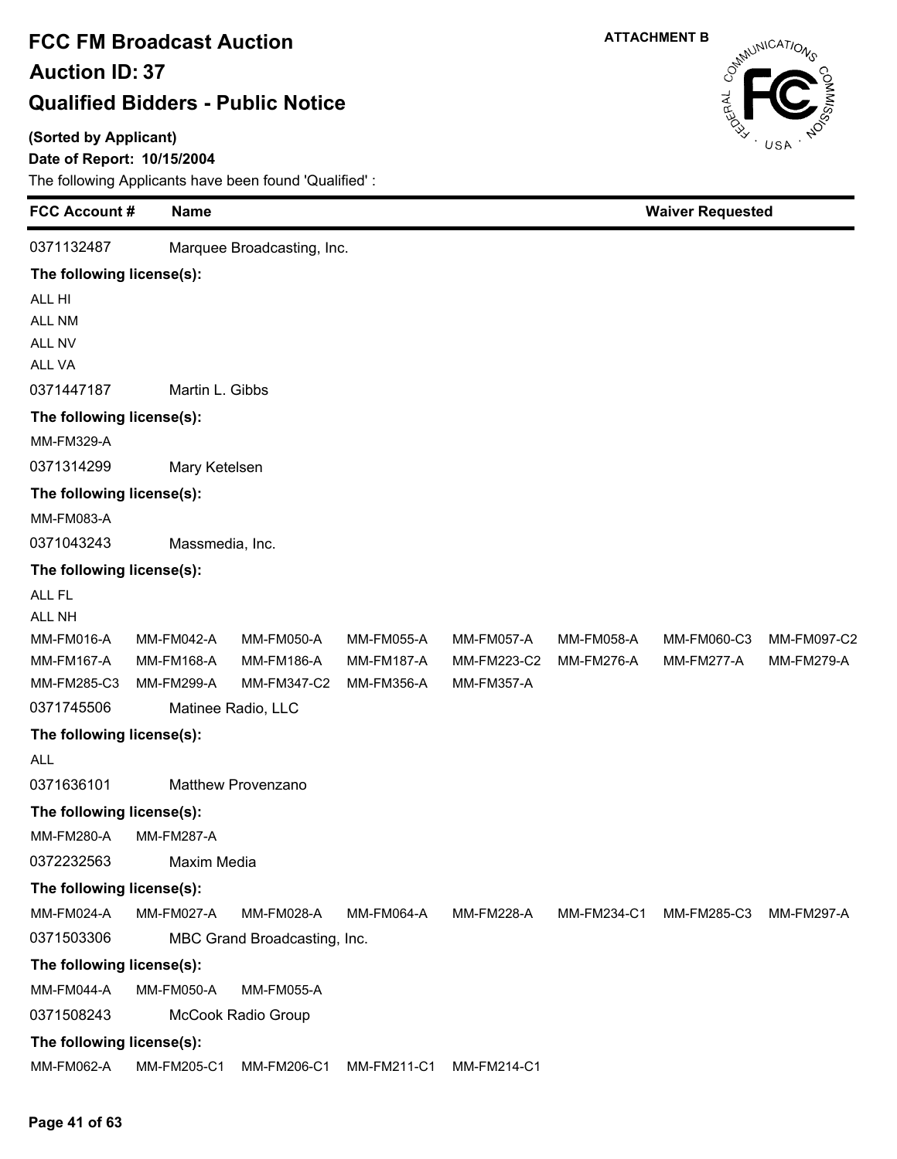#### **(Sorted by Applicant)**

### **Date of Report: 10/15/2004**

| <b>FCC Account #</b>      | <b>Name</b>       |                              |                   |                   |                   | <b>Waiver Requested</b> |                   |  |
|---------------------------|-------------------|------------------------------|-------------------|-------------------|-------------------|-------------------------|-------------------|--|
| 0371132487                |                   | Marquee Broadcasting, Inc.   |                   |                   |                   |                         |                   |  |
| The following license(s): |                   |                              |                   |                   |                   |                         |                   |  |
| ALL HI                    |                   |                              |                   |                   |                   |                         |                   |  |
| ALL NM                    |                   |                              |                   |                   |                   |                         |                   |  |
| ALL NV                    |                   |                              |                   |                   |                   |                         |                   |  |
| ALL VA                    |                   |                              |                   |                   |                   |                         |                   |  |
| 0371447187                | Martin L. Gibbs   |                              |                   |                   |                   |                         |                   |  |
| The following license(s): |                   |                              |                   |                   |                   |                         |                   |  |
| <b>MM-FM329-A</b>         |                   |                              |                   |                   |                   |                         |                   |  |
| 0371314299                | Mary Ketelsen     |                              |                   |                   |                   |                         |                   |  |
| The following license(s): |                   |                              |                   |                   |                   |                         |                   |  |
| <b>MM-FM083-A</b>         |                   |                              |                   |                   |                   |                         |                   |  |
| 0371043243                | Massmedia, Inc.   |                              |                   |                   |                   |                         |                   |  |
| The following license(s): |                   |                              |                   |                   |                   |                         |                   |  |
| ALL FL                    |                   |                              |                   |                   |                   |                         |                   |  |
| ALL NH                    |                   |                              |                   |                   |                   |                         |                   |  |
| MM-FM016-A                | <b>MM-FM042-A</b> | <b>MM-FM050-A</b>            | <b>MM-FM055-A</b> | <b>MM-FM057-A</b> | <b>MM-FM058-A</b> | MM-FM060-C3             | MM-FM097-C2       |  |
| <b>MM-FM167-A</b>         | <b>MM-FM168-A</b> | <b>MM-FM186-A</b>            | MM-FM187-A        | MM-FM223-C2       | <b>MM-FM276-A</b> | MM-FM277-A              | <b>MM-FM279-A</b> |  |
| MM-FM285-C3               | <b>MM-FM299-A</b> | MM-FM347-C2                  | <b>MM-FM356-A</b> | <b>MM-FM357-A</b> |                   |                         |                   |  |
| 0371745506                |                   | Matinee Radio, LLC           |                   |                   |                   |                         |                   |  |
| The following license(s): |                   |                              |                   |                   |                   |                         |                   |  |
| <b>ALL</b>                |                   |                              |                   |                   |                   |                         |                   |  |
| 0371636101                |                   | <b>Matthew Provenzano</b>    |                   |                   |                   |                         |                   |  |
| The following license(s): |                   |                              |                   |                   |                   |                         |                   |  |
| <b>MM-FM280-A</b>         | <b>MM-FM287-A</b> |                              |                   |                   |                   |                         |                   |  |
| 0372232563                | Maxim Media       |                              |                   |                   |                   |                         |                   |  |
| The following license(s): |                   |                              |                   |                   |                   |                         |                   |  |
| MM-FM024-A                | <b>MM-FM027-A</b> | MM-FM028-A                   | <b>MM-FM064-A</b> | <b>MM-FM228-A</b> | MM-FM234-C1       | MM-FM285-C3             | <b>MM-FM297-A</b> |  |
| 0371503306                |                   | MBC Grand Broadcasting, Inc. |                   |                   |                   |                         |                   |  |
| The following license(s): |                   |                              |                   |                   |                   |                         |                   |  |
| MM-FM044-A                | <b>MM-FM050-A</b> | <b>MM-FM055-A</b>            |                   |                   |                   |                         |                   |  |
| 0371508243                |                   | McCook Radio Group           |                   |                   |                   |                         |                   |  |
| The following license(s): |                   |                              |                   |                   |                   |                         |                   |  |
| MM-FM062-A                | MM-FM205-C1       | MM-FM206-C1                  | MM-FM211-C1       | MM-FM214-C1       |                   |                         |                   |  |



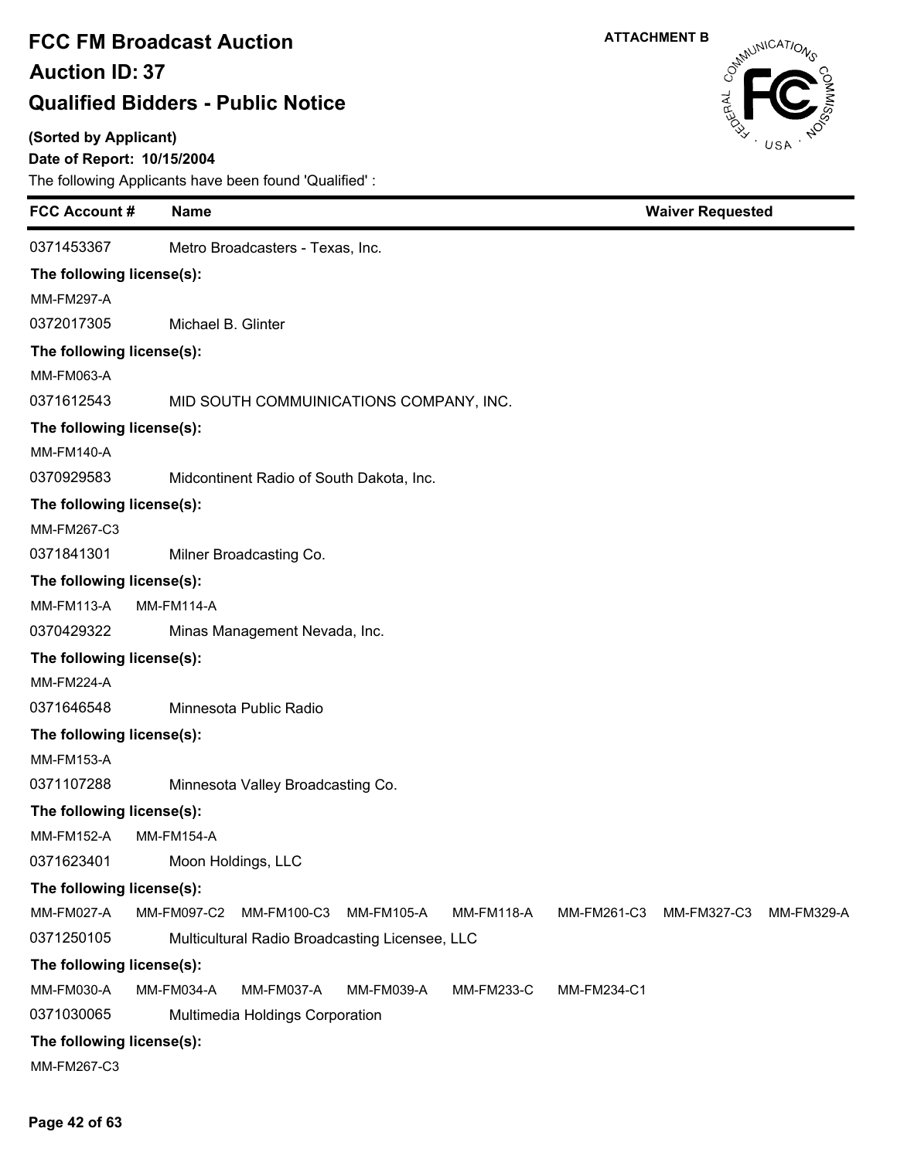#### **(Sorted by Applicant)**

### **Date of Report: 10/15/2004**

The following Applicants have been found 'Qualified' :

| <b>FCC Account#</b>       | <b>Name</b>                   |                                                |                   |                   |             | <b>Waiver Requested</b> |            |  |  |
|---------------------------|-------------------------------|------------------------------------------------|-------------------|-------------------|-------------|-------------------------|------------|--|--|
| 0371453367                |                               | Metro Broadcasters - Texas, Inc.               |                   |                   |             |                         |            |  |  |
| The following license(s): |                               |                                                |                   |                   |             |                         |            |  |  |
| <b>MM-FM297-A</b>         |                               |                                                |                   |                   |             |                         |            |  |  |
| 0372017305                | Michael B. Glinter            |                                                |                   |                   |             |                         |            |  |  |
| The following license(s): |                               |                                                |                   |                   |             |                         |            |  |  |
| MM-FM063-A                |                               |                                                |                   |                   |             |                         |            |  |  |
| 0371612543                |                               | MID SOUTH COMMUINICATIONS COMPANY, INC.        |                   |                   |             |                         |            |  |  |
| The following license(s): |                               |                                                |                   |                   |             |                         |            |  |  |
| <b>MM-FM140-A</b>         |                               |                                                |                   |                   |             |                         |            |  |  |
| 0370929583                |                               | Midcontinent Radio of South Dakota, Inc.       |                   |                   |             |                         |            |  |  |
| The following license(s): |                               |                                                |                   |                   |             |                         |            |  |  |
| MM-FM267-C3               |                               |                                                |                   |                   |             |                         |            |  |  |
| 0371841301                |                               | Milner Broadcasting Co.                        |                   |                   |             |                         |            |  |  |
| The following license(s): |                               |                                                |                   |                   |             |                         |            |  |  |
| <b>MM-FM113-A</b>         | <b>MM-FM114-A</b>             |                                                |                   |                   |             |                         |            |  |  |
| 0370429322                | Minas Management Nevada, Inc. |                                                |                   |                   |             |                         |            |  |  |
| The following license(s): |                               |                                                |                   |                   |             |                         |            |  |  |
| <b>MM-FM224-A</b>         |                               |                                                |                   |                   |             |                         |            |  |  |
| 0371646548                |                               | Minnesota Public Radio                         |                   |                   |             |                         |            |  |  |
| The following license(s): |                               |                                                |                   |                   |             |                         |            |  |  |
| <b>MM-FM153-A</b>         |                               |                                                |                   |                   |             |                         |            |  |  |
| 0371107288                |                               | Minnesota Valley Broadcasting Co.              |                   |                   |             |                         |            |  |  |
| The following license(s): |                               |                                                |                   |                   |             |                         |            |  |  |
| <b>MM-FM152-A</b>         | <b>MM-FM154-A</b>             |                                                |                   |                   |             |                         |            |  |  |
| 0371623401                |                               | Moon Holdings, LLC                             |                   |                   |             |                         |            |  |  |
| The following license(s): |                               |                                                |                   |                   |             |                         |            |  |  |
| <b>MM-FM027-A</b>         | MM-FM097-C2                   | MM-FM100-C3                                    | MM-FM105-A        | <b>MM-FM118-A</b> | MM-FM261-C3 | MM-FM327-C3             | MM-FM329-A |  |  |
| 0371250105                |                               | Multicultural Radio Broadcasting Licensee, LLC |                   |                   |             |                         |            |  |  |
| The following license(s): |                               |                                                |                   |                   |             |                         |            |  |  |
| MM-FM030-A                | <b>MM-FM034-A</b>             | <b>MM-FM037-A</b>                              | <b>MM-FM039-A</b> | <b>MM-FM233-C</b> | MM-FM234-C1 |                         |            |  |  |
| 0371030065                |                               | Multimedia Holdings Corporation                |                   |                   |             |                         |            |  |  |
| The following license(s): |                               |                                                |                   |                   |             |                         |            |  |  |
| MM-FM267-C3               |                               |                                                |                   |                   |             |                         |            |  |  |

CataluniCATIONS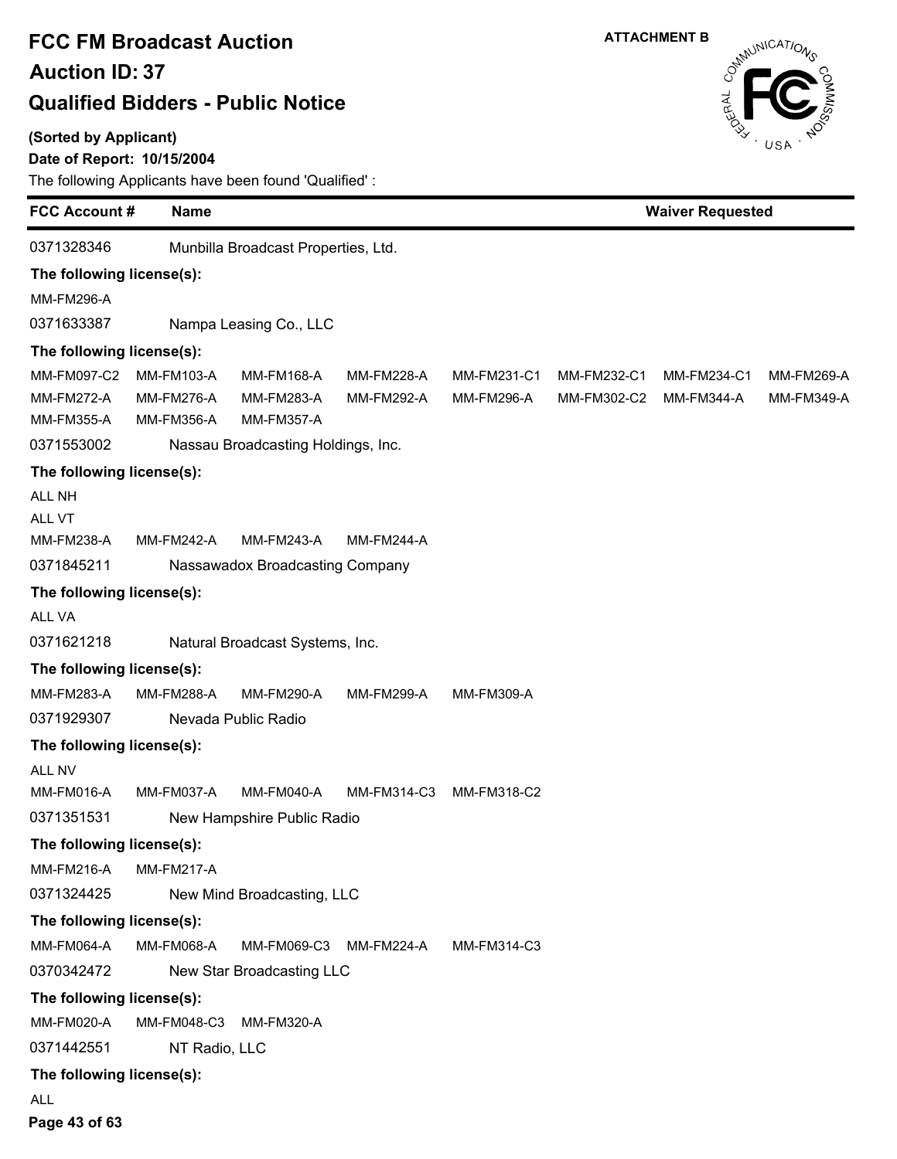#### **(Sorted by Applicant)**

### **Date of Report: 10/15/2004**

The following Applicants have been found 'Qualified' :

|                           | <b>FCC Account #</b><br><b>Name</b> |                                     |                   |             | <b>Waiver Requested</b> |                   |                   |  |
|---------------------------|-------------------------------------|-------------------------------------|-------------------|-------------|-------------------------|-------------------|-------------------|--|
| 0371328346                |                                     | Munbilla Broadcast Properties, Ltd. |                   |             |                         |                   |                   |  |
| The following license(s): |                                     |                                     |                   |             |                         |                   |                   |  |
| <b>MM-FM296-A</b>         |                                     |                                     |                   |             |                         |                   |                   |  |
| 0371633387                |                                     | Nampa Leasing Co., LLC              |                   |             |                         |                   |                   |  |
| The following license(s): |                                     |                                     |                   |             |                         |                   |                   |  |
| MM-FM097-C2               | <b>MM-FM103-A</b>                   | <b>MM-FM168-A</b>                   | <b>MM-FM228-A</b> | MM-FM231-C1 | MM-FM232-C1             | MM-FM234-C1       | MM-FM269-A        |  |
| <b>MM-FM272-A</b>         | <b>MM-FM276-A</b>                   | <b>MM-FM283-A</b>                   | MM-FM292-A        | MM-FM296-A  | MM-FM302-C2             | <b>MM-FM344-A</b> | <b>MM-FM349-A</b> |  |
| MM-FM355-A                | <b>MM-FM356-A</b>                   | <b>MM-FM357-A</b>                   |                   |             |                         |                   |                   |  |
| 0371553002                |                                     | Nassau Broadcasting Holdings, Inc.  |                   |             |                         |                   |                   |  |
| The following license(s): |                                     |                                     |                   |             |                         |                   |                   |  |
| ALL NH                    |                                     |                                     |                   |             |                         |                   |                   |  |
| ALL VT                    |                                     |                                     |                   |             |                         |                   |                   |  |
| MM-FM238-A                | <b>MM-FM242-A</b>                   | MM-FM243-A                          | <b>MM-FM244-A</b> |             |                         |                   |                   |  |
| 0371845211                |                                     | Nassawadox Broadcasting Company     |                   |             |                         |                   |                   |  |
| The following license(s): |                                     |                                     |                   |             |                         |                   |                   |  |
| ALL VA                    |                                     |                                     |                   |             |                         |                   |                   |  |
| 0371621218                |                                     | Natural Broadcast Systems, Inc.     |                   |             |                         |                   |                   |  |
| The following license(s): |                                     |                                     |                   |             |                         |                   |                   |  |
| MM-FM283-A                | <b>MM-FM288-A</b>                   | MM-FM290-A                          | <b>MM-FM299-A</b> | MM-FM309-A  |                         |                   |                   |  |
| 0371929307                |                                     | Nevada Public Radio                 |                   |             |                         |                   |                   |  |
| The following license(s): |                                     |                                     |                   |             |                         |                   |                   |  |
| ALL NV                    |                                     |                                     |                   |             |                         |                   |                   |  |
| MM-FM016-A                | MM-FM037-A                          | <b>MM-FM040-A</b>                   | MM-FM314-C3       | MM-FM318-C2 |                         |                   |                   |  |
| 0371351531                |                                     | New Hampshire Public Radio          |                   |             |                         |                   |                   |  |
| The following license(s): |                                     |                                     |                   |             |                         |                   |                   |  |
| <b>MM-FM216-A</b>         | <b>MM-FM217-A</b>                   |                                     |                   |             |                         |                   |                   |  |
| 0371324425                |                                     | New Mind Broadcasting, LLC          |                   |             |                         |                   |                   |  |
| The following license(s): |                                     |                                     |                   |             |                         |                   |                   |  |
| <b>MM-FM064-A</b>         | <b>MM-FM068-A</b>                   | MM-FM069-C3                         | MM-FM224-A        | MM-FM314-C3 |                         |                   |                   |  |
| 0370342472                |                                     | New Star Broadcasting LLC           |                   |             |                         |                   |                   |  |
| The following license(s): |                                     |                                     |                   |             |                         |                   |                   |  |
| <b>MM-FM020-A</b>         | MM-FM048-C3                         | <b>MM-FM320-A</b>                   |                   |             |                         |                   |                   |  |
| 0371442551                | NT Radio, LLC                       |                                     |                   |             |                         |                   |                   |  |
| The following license(s): |                                     |                                     |                   |             |                         |                   |                   |  |
|                           |                                     |                                     |                   |             |                         |                   |                   |  |

ALL

**Page 43 of 63**

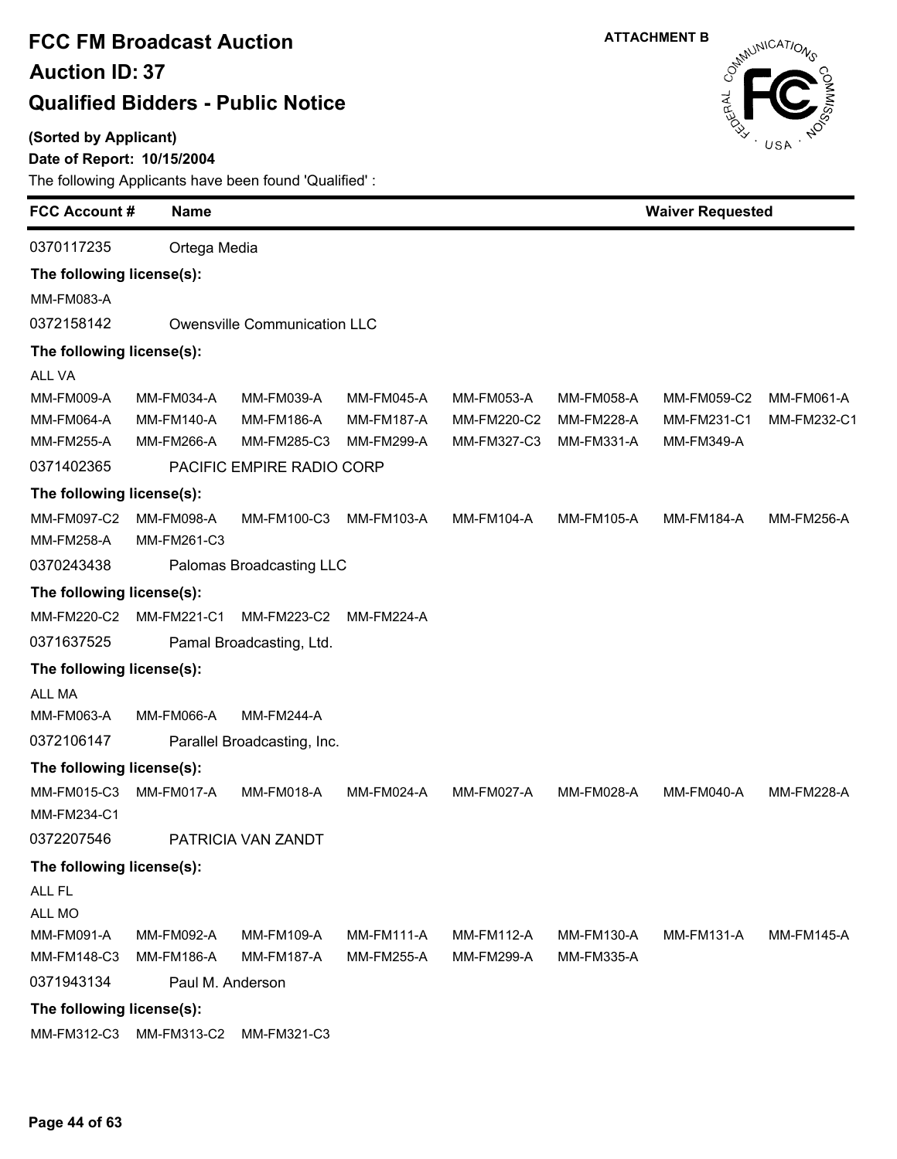**(Sorted by Applicant)**

### **Date of Report: 10/15/2004**



| <b>FCC Account#</b>       | <b>Name</b>       |                              |                   |                   |                   |                   | <b>Waiver Requested</b> |  |  |
|---------------------------|-------------------|------------------------------|-------------------|-------------------|-------------------|-------------------|-------------------------|--|--|
| 0370117235                | Ortega Media      |                              |                   |                   |                   |                   |                         |  |  |
| The following license(s): |                   |                              |                   |                   |                   |                   |                         |  |  |
| MM-FM083-A                |                   |                              |                   |                   |                   |                   |                         |  |  |
| 0372158142                |                   | Owensville Communication LLC |                   |                   |                   |                   |                         |  |  |
| The following license(s): |                   |                              |                   |                   |                   |                   |                         |  |  |
| <b>ALL VA</b>             |                   |                              |                   |                   |                   |                   |                         |  |  |
| <b>MM-FM009-A</b>         | MM-FM034-A        | MM-FM039-A                   | <b>MM-FM045-A</b> | <b>MM-FM053-A</b> | <b>MM-FM058-A</b> | MM-FM059-C2       | MM-FM061-A              |  |  |
| <b>MM-FM064-A</b>         | <b>MM-FM140-A</b> | <b>MM-FM186-A</b>            | <b>MM-FM187-A</b> | MM-FM220-C2       | <b>MM-FM228-A</b> | MM-FM231-C1       | MM-FM232-C1             |  |  |
| <b>MM-FM255-A</b>         | <b>MM-FM266-A</b> | MM-FM285-C3                  | MM-FM299-A        | MM-FM327-C3       | <b>MM-FM331-A</b> | MM-FM349-A        |                         |  |  |
| 0371402365                |                   | PACIFIC EMPIRE RADIO CORP    |                   |                   |                   |                   |                         |  |  |
| The following license(s): |                   |                              |                   |                   |                   |                   |                         |  |  |
| MM-FM097-C2               | <b>MM-FM098-A</b> | MM-FM100-C3                  | MM-FM103-A        | <b>MM-FM104-A</b> | <b>MM-FM105-A</b> | <b>MM-FM184-A</b> | <b>MM-FM256-A</b>       |  |  |
| <b>MM-FM258-A</b>         | MM-FM261-C3       |                              |                   |                   |                   |                   |                         |  |  |
| 0370243438                |                   | Palomas Broadcasting LLC     |                   |                   |                   |                   |                         |  |  |
| The following license(s): |                   |                              |                   |                   |                   |                   |                         |  |  |
| MM-FM220-C2               | MM-FM221-C1       | MM-FM223-C2                  | <b>MM-FM224-A</b> |                   |                   |                   |                         |  |  |
| 0371637525                |                   | Pamal Broadcasting, Ltd.     |                   |                   |                   |                   |                         |  |  |
| The following license(s): |                   |                              |                   |                   |                   |                   |                         |  |  |
| <b>ALL MA</b>             |                   |                              |                   |                   |                   |                   |                         |  |  |
| MM-FM063-A                | <b>MM-FM066-A</b> | <b>MM-FM244-A</b>            |                   |                   |                   |                   |                         |  |  |
| 0372106147                |                   | Parallel Broadcasting, Inc.  |                   |                   |                   |                   |                         |  |  |
| The following license(s): |                   |                              |                   |                   |                   |                   |                         |  |  |
| MM-FM015-C3               | MM-FM017-A        | <b>MM-FM018-A</b>            | MM-FM024-A        | MM-FM027-A        | <b>MM-FM028-A</b> | MM-FM040-A        | <b>MM-FM228-A</b>       |  |  |
| MM-FM234-C1               |                   |                              |                   |                   |                   |                   |                         |  |  |
| 0372207546                |                   | PATRICIA VAN ZANDT           |                   |                   |                   |                   |                         |  |  |
| The following license(s): |                   |                              |                   |                   |                   |                   |                         |  |  |
| ALL FL                    |                   |                              |                   |                   |                   |                   |                         |  |  |
| ALL MO                    |                   |                              |                   |                   |                   |                   |                         |  |  |
| <b>MM-FM091-A</b>         | MM-FM092-A        | <b>MM-FM109-A</b>            | <b>MM-FM111-A</b> | <b>MM-FM112-A</b> | <b>MM-FM130-A</b> | <b>MM-FM131-A</b> | <b>MM-FM145-A</b>       |  |  |
| MM-FM148-C3               | <b>MM-FM186-A</b> | <b>MM-FM187-A</b>            | <b>MM-FM255-A</b> | MM-FM299-A        | <b>MM-FM335-A</b> |                   |                         |  |  |
| 0371943134                | Paul M. Anderson  |                              |                   |                   |                   |                   |                         |  |  |
| The following license(s): |                   |                              |                   |                   |                   |                   |                         |  |  |
| MM-FM312-C3               | MM-FM313-C2       | MM-FM321-C3                  |                   |                   |                   |                   |                         |  |  |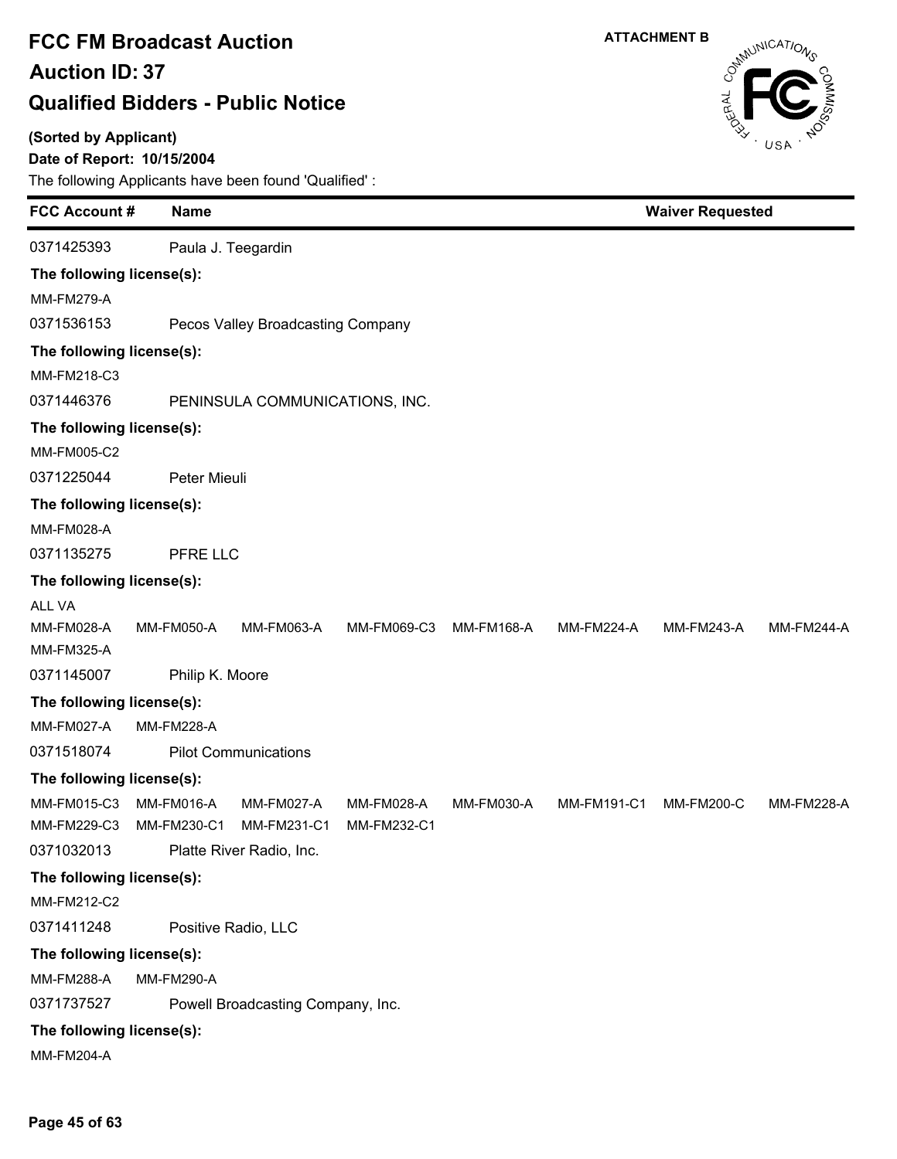#### **(Sorted by Applicant)**

### **Date of Report: 10/15/2004**



| Paula J. Teegardin<br>The following license(s):<br><b>MM-FM279-A</b><br>Pecos Valley Broadcasting Company<br>The following license(s):<br>MM-FM218-C3<br>PENINSULA COMMUNICATIONS, INC.<br>The following license(s):<br>MM-FM005-C2<br>Peter Mieuli<br>The following license(s):<br>MM-FM028-A<br>PFRE LLC<br>The following license(s):<br><b>ALL VA</b><br>MM-FM028-A<br><b>MM-FM224-A</b><br><b>MM-FM244-A</b><br><b>MM-FM050-A</b><br><b>MM-FM063-A</b><br>MM-FM069-C3<br>MM-FM168-A<br><b>MM-FM243-A</b><br>MM-FM325-A<br>0371145007<br>Philip K. Moore<br>The following license(s):<br><b>MM-FM027-A</b><br><b>MM-FM228-A</b><br>0371518074<br><b>Pilot Communications</b><br>The following license(s):<br>MM-FM015-C3<br>MM-FM016-A<br><b>MM-FM027-A</b><br>MM-FM191-C1<br><b>MM-FM228-A</b><br><b>MM-FM028-A</b><br>MM-FM030-A<br>MM-FM200-C<br>MM-FM229-C3<br>MM-FM231-C1 | <b>FCC Account#</b> | <b>Name</b> | <b>Waiver Requested</b> |             |  |  |  |  |
|-----------------------------------------------------------------------------------------------------------------------------------------------------------------------------------------------------------------------------------------------------------------------------------------------------------------------------------------------------------------------------------------------------------------------------------------------------------------------------------------------------------------------------------------------------------------------------------------------------------------------------------------------------------------------------------------------------------------------------------------------------------------------------------------------------------------------------------------------------------------------------------|---------------------|-------------|-------------------------|-------------|--|--|--|--|
|                                                                                                                                                                                                                                                                                                                                                                                                                                                                                                                                                                                                                                                                                                                                                                                                                                                                                   | 0371425393          |             |                         |             |  |  |  |  |
|                                                                                                                                                                                                                                                                                                                                                                                                                                                                                                                                                                                                                                                                                                                                                                                                                                                                                   |                     |             |                         |             |  |  |  |  |
|                                                                                                                                                                                                                                                                                                                                                                                                                                                                                                                                                                                                                                                                                                                                                                                                                                                                                   |                     |             |                         |             |  |  |  |  |
|                                                                                                                                                                                                                                                                                                                                                                                                                                                                                                                                                                                                                                                                                                                                                                                                                                                                                   | 0371536153          |             |                         |             |  |  |  |  |
|                                                                                                                                                                                                                                                                                                                                                                                                                                                                                                                                                                                                                                                                                                                                                                                                                                                                                   |                     |             |                         |             |  |  |  |  |
|                                                                                                                                                                                                                                                                                                                                                                                                                                                                                                                                                                                                                                                                                                                                                                                                                                                                                   |                     |             |                         |             |  |  |  |  |
|                                                                                                                                                                                                                                                                                                                                                                                                                                                                                                                                                                                                                                                                                                                                                                                                                                                                                   | 0371446376          |             |                         |             |  |  |  |  |
|                                                                                                                                                                                                                                                                                                                                                                                                                                                                                                                                                                                                                                                                                                                                                                                                                                                                                   |                     |             |                         |             |  |  |  |  |
|                                                                                                                                                                                                                                                                                                                                                                                                                                                                                                                                                                                                                                                                                                                                                                                                                                                                                   |                     |             |                         |             |  |  |  |  |
|                                                                                                                                                                                                                                                                                                                                                                                                                                                                                                                                                                                                                                                                                                                                                                                                                                                                                   | 0371225044          |             |                         |             |  |  |  |  |
|                                                                                                                                                                                                                                                                                                                                                                                                                                                                                                                                                                                                                                                                                                                                                                                                                                                                                   |                     |             |                         |             |  |  |  |  |
|                                                                                                                                                                                                                                                                                                                                                                                                                                                                                                                                                                                                                                                                                                                                                                                                                                                                                   |                     |             |                         |             |  |  |  |  |
|                                                                                                                                                                                                                                                                                                                                                                                                                                                                                                                                                                                                                                                                                                                                                                                                                                                                                   | 0371135275          |             |                         |             |  |  |  |  |
|                                                                                                                                                                                                                                                                                                                                                                                                                                                                                                                                                                                                                                                                                                                                                                                                                                                                                   |                     |             |                         |             |  |  |  |  |
|                                                                                                                                                                                                                                                                                                                                                                                                                                                                                                                                                                                                                                                                                                                                                                                                                                                                                   |                     |             |                         |             |  |  |  |  |
|                                                                                                                                                                                                                                                                                                                                                                                                                                                                                                                                                                                                                                                                                                                                                                                                                                                                                   |                     |             |                         |             |  |  |  |  |
|                                                                                                                                                                                                                                                                                                                                                                                                                                                                                                                                                                                                                                                                                                                                                                                                                                                                                   |                     |             |                         |             |  |  |  |  |
|                                                                                                                                                                                                                                                                                                                                                                                                                                                                                                                                                                                                                                                                                                                                                                                                                                                                                   |                     |             |                         |             |  |  |  |  |
|                                                                                                                                                                                                                                                                                                                                                                                                                                                                                                                                                                                                                                                                                                                                                                                                                                                                                   |                     |             |                         |             |  |  |  |  |
|                                                                                                                                                                                                                                                                                                                                                                                                                                                                                                                                                                                                                                                                                                                                                                                                                                                                                   |                     |             |                         |             |  |  |  |  |
|                                                                                                                                                                                                                                                                                                                                                                                                                                                                                                                                                                                                                                                                                                                                                                                                                                                                                   |                     |             |                         |             |  |  |  |  |
|                                                                                                                                                                                                                                                                                                                                                                                                                                                                                                                                                                                                                                                                                                                                                                                                                                                                                   |                     |             |                         |             |  |  |  |  |
|                                                                                                                                                                                                                                                                                                                                                                                                                                                                                                                                                                                                                                                                                                                                                                                                                                                                                   |                     |             |                         |             |  |  |  |  |
| 0371032013                                                                                                                                                                                                                                                                                                                                                                                                                                                                                                                                                                                                                                                                                                                                                                                                                                                                        |                     | MM-FM230-C1 |                         | MM-FM232-C1 |  |  |  |  |
| Platte River Radio, Inc.                                                                                                                                                                                                                                                                                                                                                                                                                                                                                                                                                                                                                                                                                                                                                                                                                                                          |                     |             |                         |             |  |  |  |  |
| The following license(s):<br>MM-FM212-C2                                                                                                                                                                                                                                                                                                                                                                                                                                                                                                                                                                                                                                                                                                                                                                                                                                          |                     |             |                         |             |  |  |  |  |
| Positive Radio, LLC                                                                                                                                                                                                                                                                                                                                                                                                                                                                                                                                                                                                                                                                                                                                                                                                                                                               | 0371411248          |             |                         |             |  |  |  |  |
|                                                                                                                                                                                                                                                                                                                                                                                                                                                                                                                                                                                                                                                                                                                                                                                                                                                                                   |                     |             |                         |             |  |  |  |  |
| The following license(s):<br><b>MM-FM288-A</b><br><b>MM-FM290-A</b>                                                                                                                                                                                                                                                                                                                                                                                                                                                                                                                                                                                                                                                                                                                                                                                                               |                     |             |                         |             |  |  |  |  |
| Powell Broadcasting Company, Inc.                                                                                                                                                                                                                                                                                                                                                                                                                                                                                                                                                                                                                                                                                                                                                                                                                                                 | 0371737527          |             |                         |             |  |  |  |  |
| The following license(s):                                                                                                                                                                                                                                                                                                                                                                                                                                                                                                                                                                                                                                                                                                                                                                                                                                                         |                     |             |                         |             |  |  |  |  |
| <b>MM-FM204-A</b>                                                                                                                                                                                                                                                                                                                                                                                                                                                                                                                                                                                                                                                                                                                                                                                                                                                                 |                     |             |                         |             |  |  |  |  |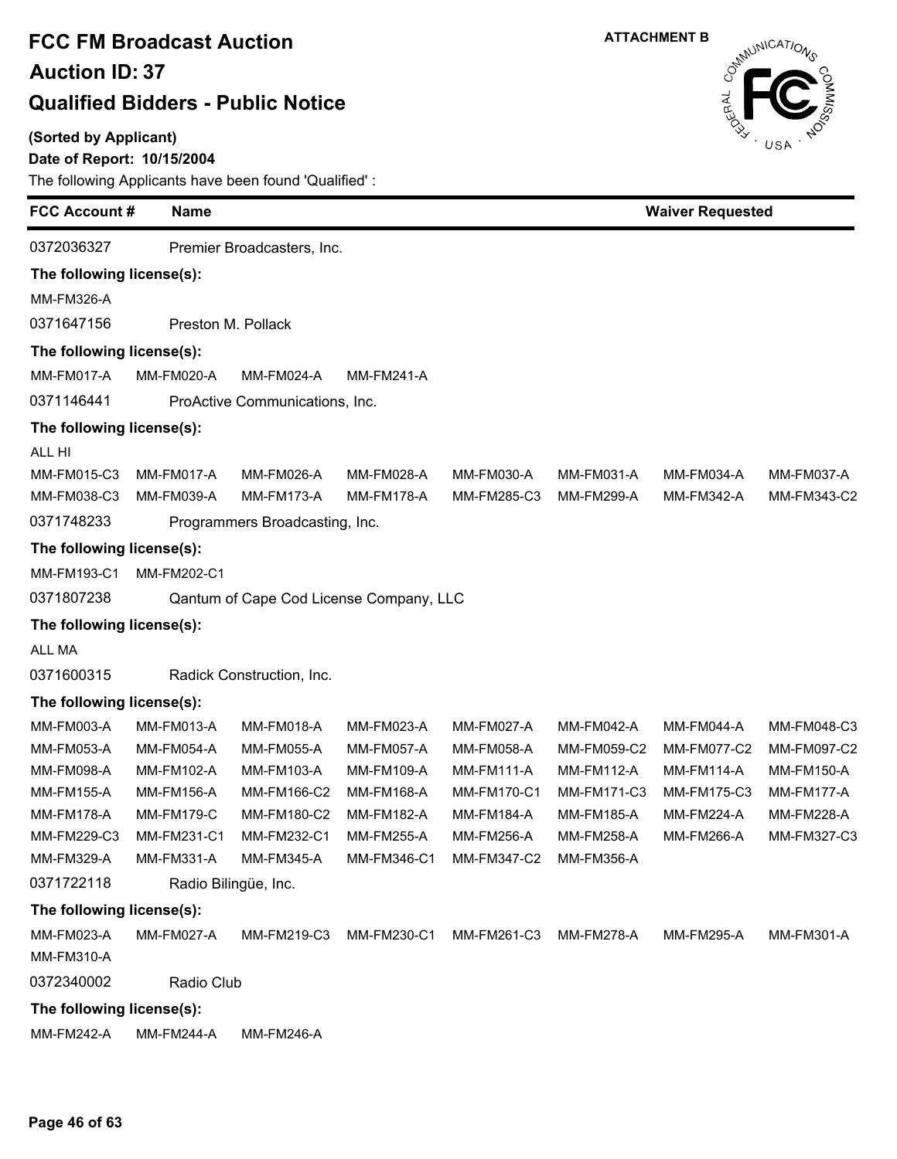### **(Sorted by Applicant)**

### **Date of Report: 10/15/2004**



| <b>FCC Account#</b>       | <b>Name</b>       |                                         |                   |                    |                    |                    | <b>Waiver Requested</b> |  |  |
|---------------------------|-------------------|-----------------------------------------|-------------------|--------------------|--------------------|--------------------|-------------------------|--|--|
| 0372036327                |                   | Premier Broadcasters, Inc.              |                   |                    |                    |                    |                         |  |  |
| The following license(s): |                   |                                         |                   |                    |                    |                    |                         |  |  |
| MM-FM326-A                |                   |                                         |                   |                    |                    |                    |                         |  |  |
| 0371647156                |                   | Preston M. Pollack                      |                   |                    |                    |                    |                         |  |  |
| The following license(s): |                   |                                         |                   |                    |                    |                    |                         |  |  |
| <b>MM-FM017-A</b>         | MM-FM020-A        | MM-FM024-A                              | <b>MM-FM241-A</b> |                    |                    |                    |                         |  |  |
| 0371146441                |                   | ProActive Communications, Inc.          |                   |                    |                    |                    |                         |  |  |
| The following license(s): |                   |                                         |                   |                    |                    |                    |                         |  |  |
| ALL HI                    |                   |                                         |                   |                    |                    |                    |                         |  |  |
| MM-FM015-C3               | MM-FM017-A        | MM-FM026-A                              | MM-FM028-A        | MM-FM030-A         | <b>MM-FM031-A</b>  | MM-FM034-A         | MM-FM037-A              |  |  |
| MM-FM038-C3               | MM-FM039-A        | MM-FM173-A                              | <b>MM-FM178-A</b> | MM-FM285-C3        | <b>MM-FM299-A</b>  | <b>MM-FM342-A</b>  | MM-FM343-C2             |  |  |
| 0371748233                |                   | Programmers Broadcasting, Inc.          |                   |                    |                    |                    |                         |  |  |
| The following license(s): |                   |                                         |                   |                    |                    |                    |                         |  |  |
| MM-FM193-C1               | MM-FM202-C1       |                                         |                   |                    |                    |                    |                         |  |  |
| 0371807238                |                   | Qantum of Cape Cod License Company, LLC |                   |                    |                    |                    |                         |  |  |
| The following license(s): |                   |                                         |                   |                    |                    |                    |                         |  |  |
| ALL MA                    |                   |                                         |                   |                    |                    |                    |                         |  |  |
| 0371600315                |                   | Radick Construction, Inc.               |                   |                    |                    |                    |                         |  |  |
| The following license(s): |                   |                                         |                   |                    |                    |                    |                         |  |  |
| MM-FM003-A                | MM-FM013-A        | MM-FM018-A                              | MM-FM023-A        | <b>MM-FM027-A</b>  | <b>MM-FM042-A</b>  | MM-FM044-A         | MM-FM048-C3             |  |  |
| MM-FM053-A                | MM-FM054-A        | <b>MM-FM055-A</b>                       | <b>MM-FM057-A</b> | <b>MM-FM058-A</b>  | MM-FM059-C2        | <b>MM-FM077-C2</b> | MM-FM097-C2             |  |  |
| MM-FM098-A                | MM-FM102-A        | MM-FM103-A                              | MM-FM109-A        | <b>MM-FM111-A</b>  | <b>MM-FM112-A</b>  | <b>MM-FM114-A</b>  | <b>MM-FM150-A</b>       |  |  |
| <b>MM-FM155-A</b>         | <b>MM-FM156-A</b> | MM-FM166-C2                             | MM-FM168-A        | <b>MM-FM170-C1</b> | <b>MM-FM171-C3</b> | MM-FM175-C3        | MM-FM177-A              |  |  |
| <b>MM-FM178-A</b>         | <b>MM-FM179-C</b> | MM-FM180-C2                             | MM-FM182-A        | <b>MM-FM184-A</b>  | <b>MM-FM185-A</b>  | <b>MM-FM224-A</b>  | <b>MM-FM228-A</b>       |  |  |
| MM-FM229-C3               | MM-FM231-C1       | MM-FM232-C1                             | <b>MM-FM255-A</b> | <b>MM-FM256-A</b>  | <b>MM-FM258-A</b>  | <b>MM-FM266-A</b>  | MM-FM327-C3             |  |  |
| MM-FM329-A                | MM-FM331-A        | <b>MM-FM345-A</b>                       | MM-FM346-C1       | <b>MM-FM347-C2</b> | <b>MM-FM356-A</b>  |                    |                         |  |  |
| 0371722118                |                   | Radio Bilingüe, Inc.                    |                   |                    |                    |                    |                         |  |  |
| The following license(s): |                   |                                         |                   |                    |                    |                    |                         |  |  |
| MM-FM023-A                | MM-FM027-A        | MM-FM219-C3                             | MM-FM230-C1       | MM-FM261-C3        | MM-FM278-A         | MM-FM295-A         | <b>MM-FM301-A</b>       |  |  |
| MM-FM310-A                |                   |                                         |                   |                    |                    |                    |                         |  |  |
| 0372340002                | Radio Club        |                                         |                   |                    |                    |                    |                         |  |  |
| The following license(s): |                   |                                         |                   |                    |                    |                    |                         |  |  |
| MM-FM242-A                | <b>MM-FM244-A</b> | <b>MM-FM246-A</b>                       |                   |                    |                    |                    |                         |  |  |
|                           |                   |                                         |                   |                    |                    |                    |                         |  |  |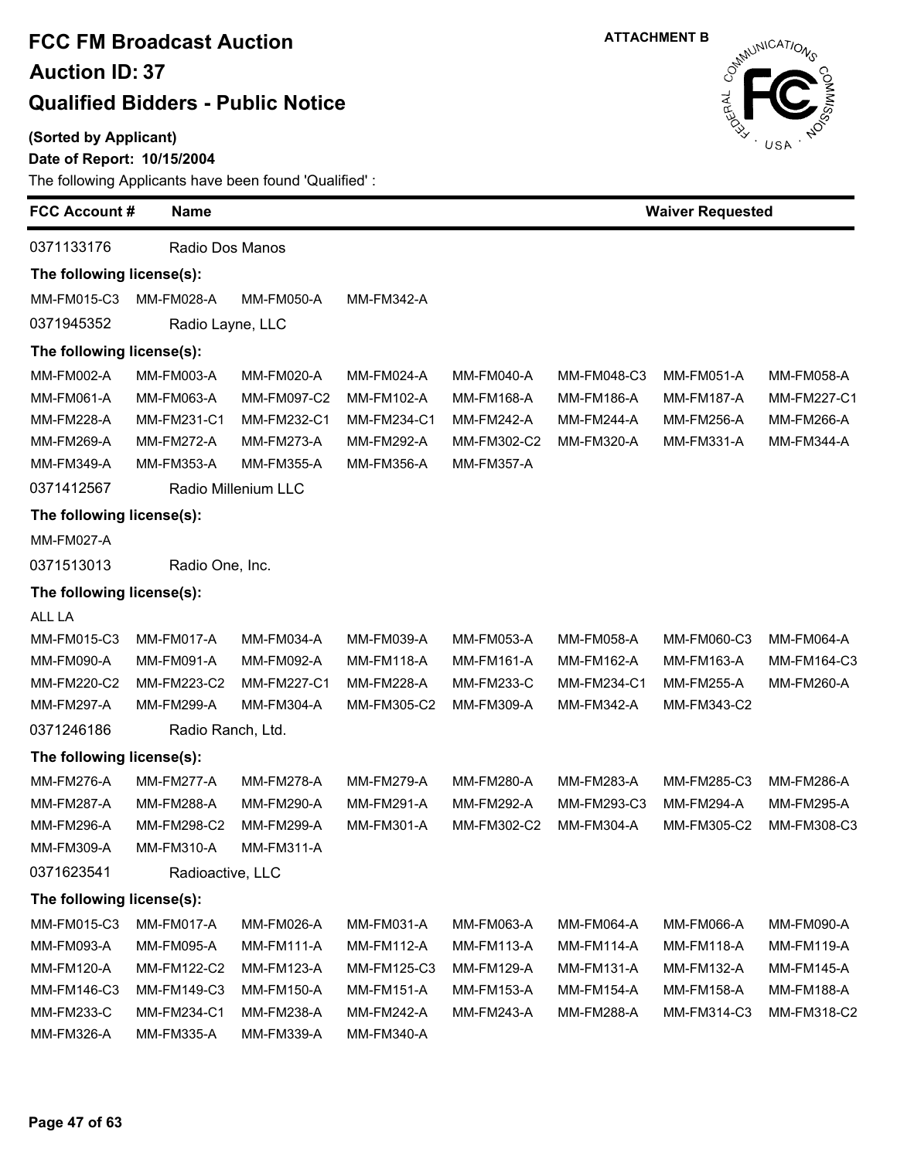#### **(Sorted by Applicant)**

### **Date of Report: 10/15/2004**



| <b>FCC Account #</b>      | <b>Name</b>           |                     |                   |                   | <b>Waiver Requested</b> |                   |                   |
|---------------------------|-----------------------|---------------------|-------------------|-------------------|-------------------------|-------------------|-------------------|
| 0371133176                | Radio Dos Manos       |                     |                   |                   |                         |                   |                   |
| The following license(s): |                       |                     |                   |                   |                         |                   |                   |
| MM-FM015-C3               | MM-FM028-A            | <b>MM-FM050-A</b>   | <b>MM-FM342-A</b> |                   |                         |                   |                   |
| 0371945352                | Radio Layne, LLC      |                     |                   |                   |                         |                   |                   |
| The following license(s): |                       |                     |                   |                   |                         |                   |                   |
| MM-FM002-A                | MM-FM003-A            | MM-FM020-A          | MM-FM024-A        | <b>MM-FM040-A</b> | MM-FM048-C3             | <b>MM-FM051-A</b> | MM-FM058-A        |
| <b>MM-FM061-A</b>         | <b>MM-FM063-A</b>     | MM-FM097-C2         | MM-FM102-A        | <b>MM-FM168-A</b> | <b>MM-FM186-A</b>       | <b>MM-FM187-A</b> | MM-FM227-C1       |
| <b>MM-FM228-A</b>         | MM-FM231-C1           | MM-FM232-C1         | MM-FM234-C1       | <b>MM-FM242-A</b> | <b>MM-FM244-A</b>       | MM-FM256-A        | MM-FM266-A        |
| <b>MM-FM269-A</b>         | <b>MM-FM272-A</b>     | <b>MM-FM273-A</b>   | <b>MM-FM292-A</b> | MM-FM302-C2       | MM-FM320-A              | MM-FM331-A        | <b>MM-FM344-A</b> |
| MM-FM349-A                | <b>MM-FM353-A</b>     | <b>MM-FM355-A</b>   | <b>MM-FM356-A</b> | <b>MM-FM357-A</b> |                         |                   |                   |
| 0371412567                |                       | Radio Millenium LLC |                   |                   |                         |                   |                   |
| The following license(s): |                       |                     |                   |                   |                         |                   |                   |
| MM-FM027-A                |                       |                     |                   |                   |                         |                   |                   |
| 0371513013                | Radio One, Inc.       |                     |                   |                   |                         |                   |                   |
| The following license(s): |                       |                     |                   |                   |                         |                   |                   |
| ALL LA                    |                       |                     |                   |                   |                         |                   |                   |
| MM-FM015-C3               | MM-FM017-A            | MM-FM034-A          | MM-FM039-A        | <b>MM-FM053-A</b> | <b>MM-FM058-A</b>       | MM-FM060-C3       | MM-FM064-A        |
| <b>MM-FM090-A</b>         | MM-FM091-A            | MM-FM092-A          | <b>MM-FM118-A</b> | <b>MM-FM161-A</b> | <b>MM-FM162-A</b>       | MM-FM163-A        | MM-FM164-C3       |
| MM-FM220-C2               | MM-FM223-C2           | <b>MM-FM227-C1</b>  | <b>MM-FM228-A</b> | <b>MM-FM233-C</b> | MM-FM234-C1             | <b>MM-FM255-A</b> | MM-FM260-A        |
| <b>MM-FM297-A</b>         | <b>MM-FM299-A</b>     | <b>MM-FM304-A</b>   | MM-FM305-C2       | MM-FM309-A        | <b>MM-FM342-A</b>       | MM-FM343-C2       |                   |
| 0371246186                | Radio Ranch, Ltd.     |                     |                   |                   |                         |                   |                   |
| The following license(s): |                       |                     |                   |                   |                         |                   |                   |
| <b>MM-FM276-A</b>         | <b>MM-FM277-A</b>     | <b>MM-FM278-A</b>   | <b>MM-FM279-A</b> | <b>MM-FM280-A</b> | <b>MM-FM283-A</b>       | MM-FM285-C3       | <b>MM-FM286-A</b> |
| <b>MM-FM287-A</b>         | MM-FM288-A            | <b>MM-FM290-A</b>   | <b>MM-FM291-A</b> | <b>MM-FM292-A</b> | MM-FM293-C3             | <b>MM-FM294-A</b> | MM-FM295-A        |
| <b>MM-FM296-A</b>         | MM-FM298-C2           | <b>MM-FM299-A</b>   | MM-FM301-A        | MM-FM302-C2       | MM-FM304-A              | MM-FM305-C2       | MM-FM308-C3       |
| MM-FM309-A                | MM-FM310-A MM-FM311-A |                     |                   |                   |                         |                   |                   |
| 0371623541                | Radioactive, LLC      |                     |                   |                   |                         |                   |                   |
| The following license(s): |                       |                     |                   |                   |                         |                   |                   |
| MM-FM015-C3               | MM-FM017-A            | MM-FM026-A          | MM-FM031-A        | MM-FM063-A        | MM-FM064-A              | MM-FM066-A        | MM-FM090-A        |
| MM-FM093-A                | MM-FM095-A            | MM-FM111-A          | <b>MM-FM112-A</b> | MM-FM113-A        | <b>MM-FM114-A</b>       | MM-FM118-A        | <b>MM-FM119-A</b> |
| <b>MM-FM120-A</b>         | MM-FM122-C2           | <b>MM-FM123-A</b>   | MM-FM125-C3       | MM-FM129-A        | <b>MM-FM131-A</b>       | MM-FM132-A        | <b>MM-FM145-A</b> |
| MM-FM146-C3               | MM-FM149-C3           | MM-FM150-A          | MM-FM151-A        | MM-FM153-A        | <b>MM-FM154-A</b>       | MM-FM158-A        | MM-FM188-A        |
| <b>MM-FM233-C</b>         | MM-FM234-C1           | MM-FM238-A          | <b>MM-FM242-A</b> | MM-FM243-A        | MM-FM288-A              | MM-FM314-C3       | MM-FM318-C2       |
| MM-FM326-A                | MM-FM335-A            | MM-FM339-A          | MM-FM340-A        |                   |                         |                   |                   |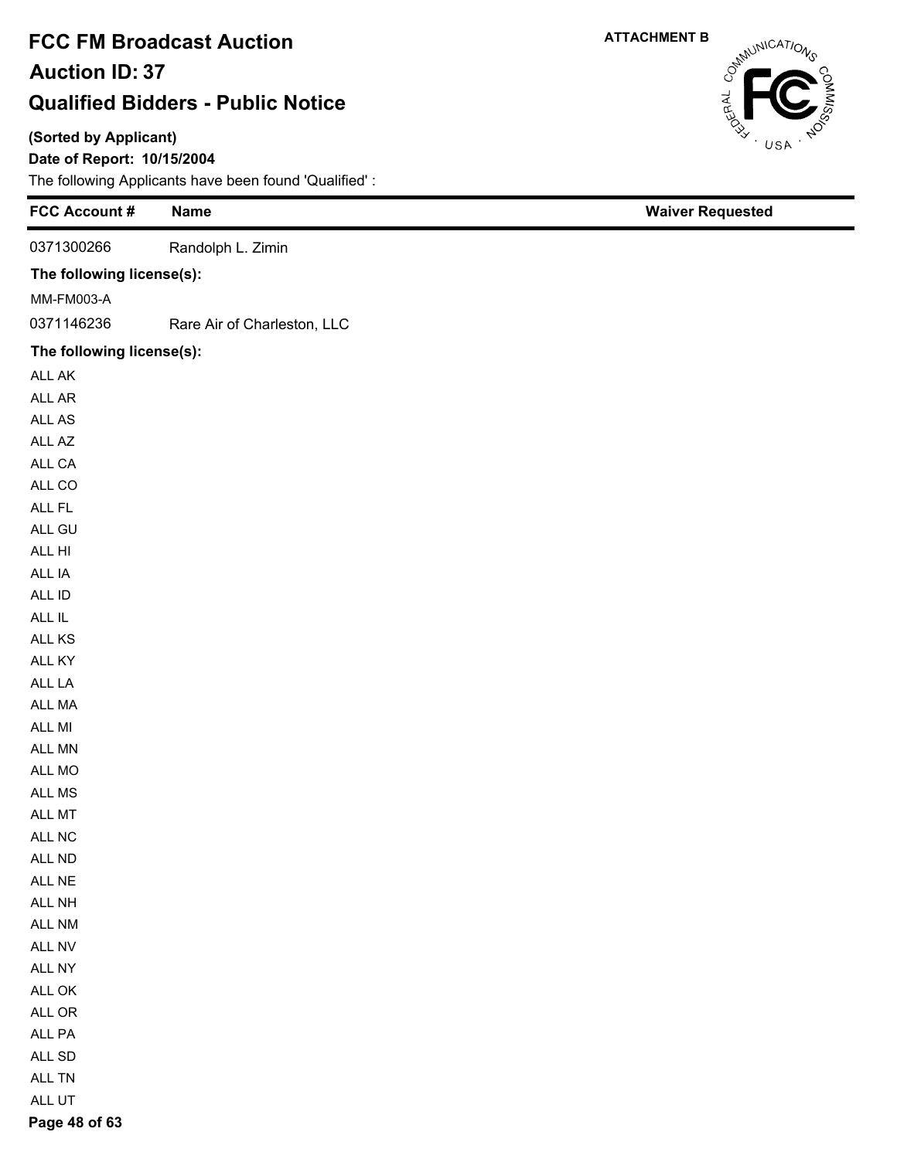### **(Sorted by Applicant)**

**Page 48 of 63**

### **Date of Report: 10/15/2004**

The following Applicants have been found 'Qualified' :

| <b>FCC Account #</b>      | <b>Name</b>                 | <b>Waiver Requested</b> |
|---------------------------|-----------------------------|-------------------------|
| 0371300266                | Randolph L. Zimin           |                         |
| The following license(s): |                             |                         |
| MM-FM003-A                |                             |                         |
| 0371146236                | Rare Air of Charleston, LLC |                         |
| The following license(s): |                             |                         |
| ALL AK                    |                             |                         |
| ALL AR                    |                             |                         |
| ALL AS                    |                             |                         |
| ALL AZ                    |                             |                         |
| ALL CA                    |                             |                         |
| ALL CO                    |                             |                         |
| ALL FL                    |                             |                         |
| ALL GU                    |                             |                         |
| ALL HI                    |                             |                         |
| ALL IA                    |                             |                         |
| ALL ID                    |                             |                         |
| $\sf ALL\; IL$            |                             |                         |
| ALL KS                    |                             |                         |
| ALL KY                    |                             |                         |
| ALL LA                    |                             |                         |
| ALL MA                    |                             |                         |
| ALL MI                    |                             |                         |
| ALL MN                    |                             |                         |
| ALL MO                    |                             |                         |
| ALL MS                    |                             |                         |
| ALL MT                    |                             |                         |
| ALL NC                    |                             |                         |
| ALL ND                    |                             |                         |
| ALL NE                    |                             |                         |
| ALL NH                    |                             |                         |
| ALL NM                    |                             |                         |
| ALL NV                    |                             |                         |
| ALL NY                    |                             |                         |
| $\mathsf{ALL}$ OK         |                             |                         |
| ALL OR                    |                             |                         |
| ALL PA                    |                             |                         |
| ALL SD                    |                             |                         |
| ALL TN                    |                             |                         |
| ALL UT                    |                             |                         |

Cathrunications USA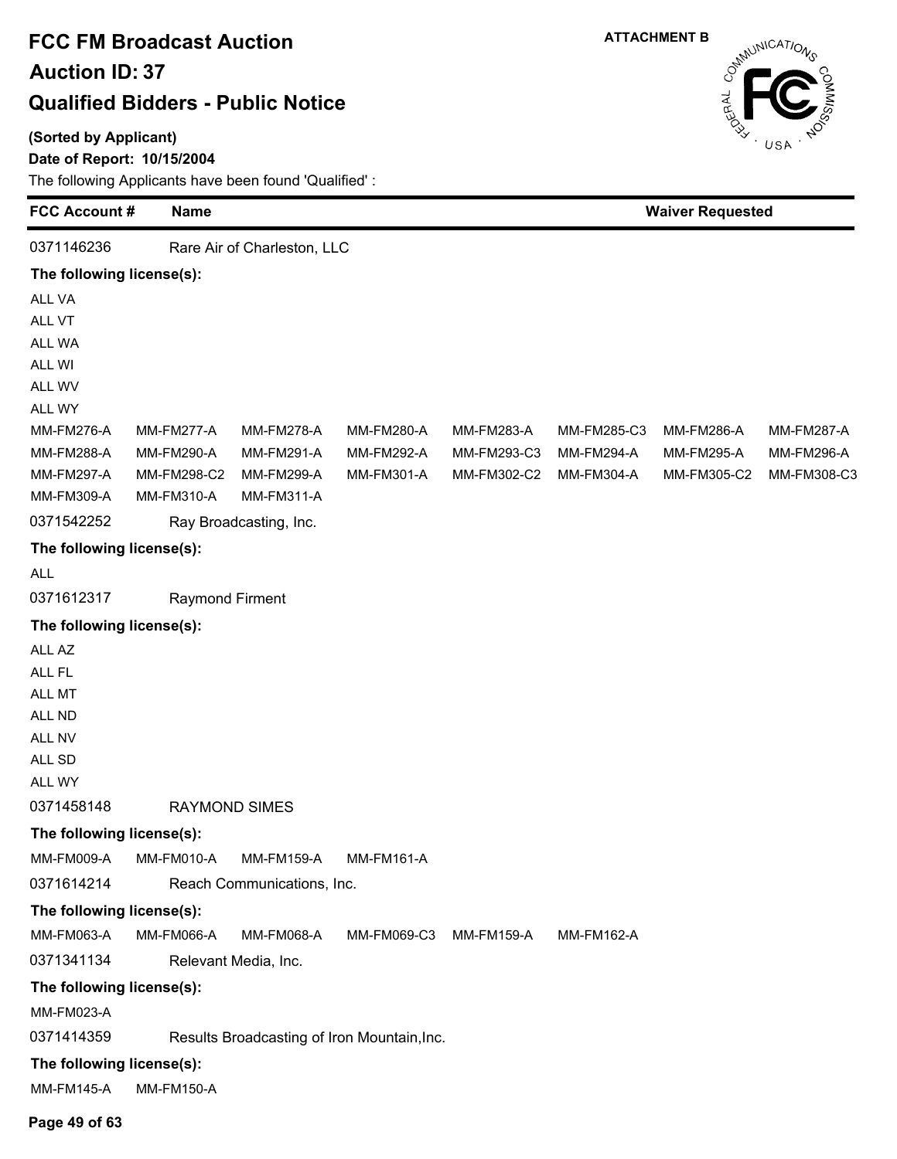#### **(Sorted by Applicant)**

### **Date of Report: 10/15/2004**



| <b>FCC Account#</b>                     | Name                   |                                      |                                             |                   | <b>Waiver Requested</b> |                   |                   |
|-----------------------------------------|------------------------|--------------------------------------|---------------------------------------------|-------------------|-------------------------|-------------------|-------------------|
| 0371146236                              |                        | Rare Air of Charleston, LLC          |                                             |                   |                         |                   |                   |
| The following license(s):               |                        |                                      |                                             |                   |                         |                   |                   |
| ALL VA                                  |                        |                                      |                                             |                   |                         |                   |                   |
| ALL VT                                  |                        |                                      |                                             |                   |                         |                   |                   |
| ALL WA                                  |                        |                                      |                                             |                   |                         |                   |                   |
| ALL WI                                  |                        |                                      |                                             |                   |                         |                   |                   |
| ALL WV                                  |                        |                                      |                                             |                   |                         |                   |                   |
| ALL WY                                  |                        |                                      |                                             |                   |                         |                   |                   |
| <b>MM-FM276-A</b>                       | <b>MM-FM277-A</b>      | <b>MM-FM278-A</b>                    | MM-FM280-A                                  | MM-FM283-A        | MM-FM285-C3             | <b>MM-FM286-A</b> | <b>MM-FM287-A</b> |
| MM-FM288-A                              | <b>MM-FM290-A</b>      | MM-FM291-A                           | <b>MM-FM292-A</b>                           | MM-FM293-C3       | <b>MM-FM294-A</b>       | <b>MM-FM295-A</b> | MM-FM296-A        |
| <b>MM-FM297-A</b>                       | MM-FM298-C2            | <b>MM-FM299-A</b>                    | MM-FM301-A                                  | MM-FM302-C2       | MM-FM304-A              | MM-FM305-C2       | MM-FM308-C3       |
| MM-FM309-A<br>0371542252                | MM-FM310-A             | MM-FM311-A<br>Ray Broadcasting, Inc. |                                             |                   |                         |                   |                   |
|                                         |                        |                                      |                                             |                   |                         |                   |                   |
| The following license(s):<br><b>ALL</b> |                        |                                      |                                             |                   |                         |                   |                   |
| 0371612317                              | <b>Raymond Firment</b> |                                      |                                             |                   |                         |                   |                   |
| The following license(s):               |                        |                                      |                                             |                   |                         |                   |                   |
| ALL AZ                                  |                        |                                      |                                             |                   |                         |                   |                   |
| ALL FL                                  |                        |                                      |                                             |                   |                         |                   |                   |
| ALL MT                                  |                        |                                      |                                             |                   |                         |                   |                   |
| ALL ND                                  |                        |                                      |                                             |                   |                         |                   |                   |
| ALL NV                                  |                        |                                      |                                             |                   |                         |                   |                   |
| ALL SD                                  |                        |                                      |                                             |                   |                         |                   |                   |
| ALL WY                                  |                        |                                      |                                             |                   |                         |                   |                   |
| 0371458148                              |                        | <b>RAYMOND SIMES</b>                 |                                             |                   |                         |                   |                   |
| The following license(s):               |                        |                                      |                                             |                   |                         |                   |                   |
| <b>MM-FM009-A</b>                       | MM-FM010-A             | <b>MM-FM159-A</b>                    | <b>MM-FM161-A</b>                           |                   |                         |                   |                   |
| 0371614214                              |                        | Reach Communications, Inc.           |                                             |                   |                         |                   |                   |
| The following license(s):               |                        |                                      |                                             |                   |                         |                   |                   |
| MM-FM063-A                              | <b>MM-FM066-A</b>      | MM-FM068-A                           | MM-FM069-C3                                 | <b>MM-FM159-A</b> | MM-FM162-A              |                   |                   |
| 0371341134                              |                        | Relevant Media, Inc.                 |                                             |                   |                         |                   |                   |
| The following license(s):               |                        |                                      |                                             |                   |                         |                   |                   |
| MM-FM023-A                              |                        |                                      |                                             |                   |                         |                   |                   |
| 0371414359                              |                        |                                      | Results Broadcasting of Iron Mountain, Inc. |                   |                         |                   |                   |
| The following license(s):               |                        |                                      |                                             |                   |                         |                   |                   |
| <b>MM-FM145-A</b>                       | <b>MM-FM150-A</b>      |                                      |                                             |                   |                         |                   |                   |
| Page 49 of 63                           |                        |                                      |                                             |                   |                         |                   |                   |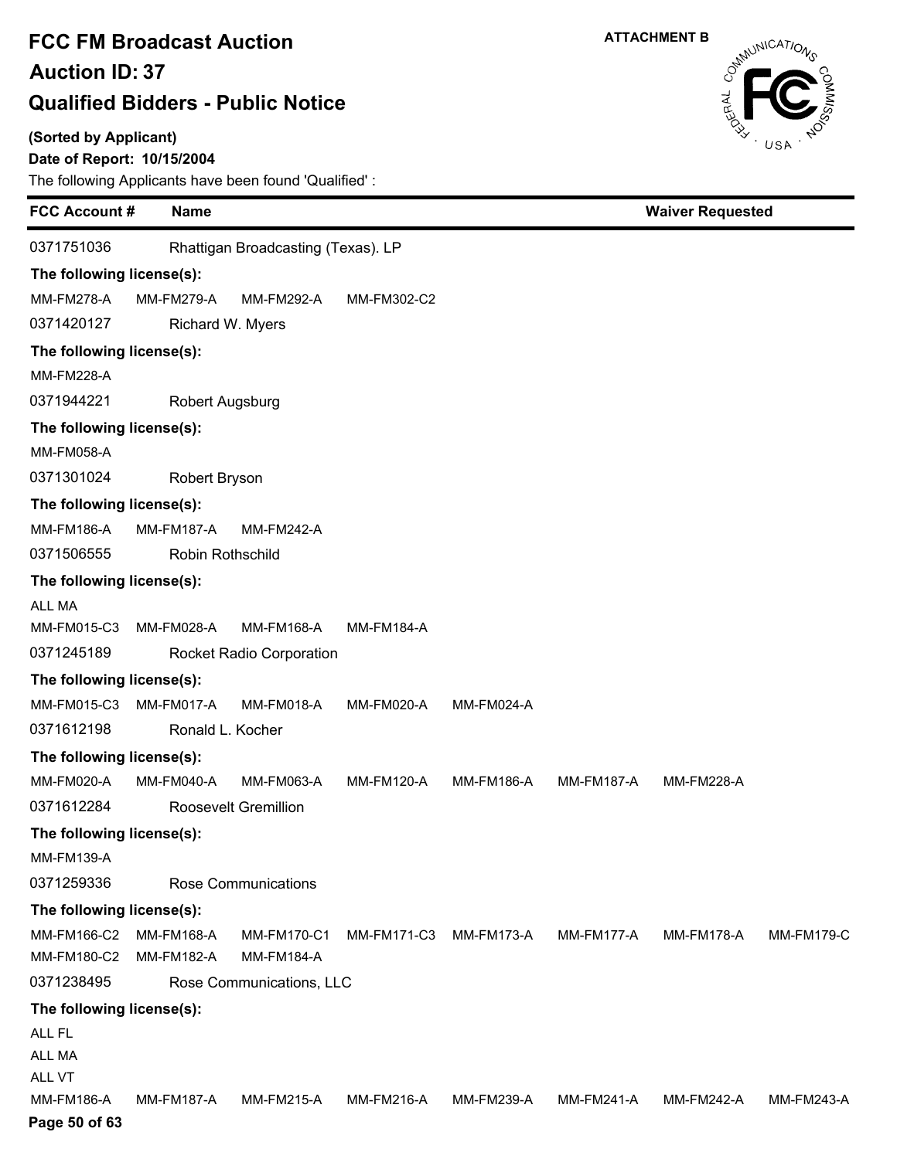### **(Sorted by Applicant)**

### **Date of Report: 10/15/2004**

| <b>FCC Account #</b>        |  | <b>Name</b>       |                                    |                   |                   |                   | <b>Waiver Requested</b> |                   |
|-----------------------------|--|-------------------|------------------------------------|-------------------|-------------------|-------------------|-------------------------|-------------------|
| 0371751036                  |  |                   | Rhattigan Broadcasting (Texas). LP |                   |                   |                   |                         |                   |
| The following license(s):   |  |                   |                                    |                   |                   |                   |                         |                   |
| <b>MM-FM278-A</b>           |  | <b>MM-FM279-A</b> | <b>MM-FM292-A</b>                  | MM-FM302-C2       |                   |                   |                         |                   |
| 0371420127                  |  | Richard W. Myers  |                                    |                   |                   |                   |                         |                   |
| The following license(s):   |  |                   |                                    |                   |                   |                   |                         |                   |
| <b>MM-FM228-A</b>           |  |                   |                                    |                   |                   |                   |                         |                   |
| 0371944221                  |  | Robert Augsburg   |                                    |                   |                   |                   |                         |                   |
| The following license(s):   |  |                   |                                    |                   |                   |                   |                         |                   |
| <b>MM-FM058-A</b>           |  |                   |                                    |                   |                   |                   |                         |                   |
| 0371301024                  |  | Robert Bryson     |                                    |                   |                   |                   |                         |                   |
| The following license(s):   |  |                   |                                    |                   |                   |                   |                         |                   |
| <b>MM-FM186-A</b>           |  | <b>MM-FM187-A</b> | <b>MM-FM242-A</b>                  |                   |                   |                   |                         |                   |
| 0371506555                  |  | Robin Rothschild  |                                    |                   |                   |                   |                         |                   |
| The following license(s):   |  |                   |                                    |                   |                   |                   |                         |                   |
| <b>ALL MA</b>               |  |                   |                                    |                   |                   |                   |                         |                   |
| MM-FM015-C3                 |  | <b>MM-FM028-A</b> | <b>MM-FM168-A</b>                  | <b>MM-FM184-A</b> |                   |                   |                         |                   |
| 0371245189                  |  |                   | <b>Rocket Radio Corporation</b>    |                   |                   |                   |                         |                   |
| The following license(s):   |  |                   |                                    |                   |                   |                   |                         |                   |
| MM-FM015-C3                 |  | MM-FM017-A        | MM-FM018-A                         | MM-FM020-A        | <b>MM-FM024-A</b> |                   |                         |                   |
| 0371612198                  |  | Ronald L. Kocher  |                                    |                   |                   |                   |                         |                   |
| The following license(s):   |  |                   |                                    |                   |                   |                   |                         |                   |
| MM-FM020-A                  |  | MM-FM040-A        | MM-FM063-A                         | <b>MM-FM120-A</b> | <b>MM-FM186-A</b> | <b>MM-FM187-A</b> | <b>MM-FM228-A</b>       |                   |
| 0371612284                  |  |                   | <b>Roosevelt Gremillion</b>        |                   |                   |                   |                         |                   |
| The following license(s):   |  |                   |                                    |                   |                   |                   |                         |                   |
| <b>MM-FM139-A</b>           |  |                   |                                    |                   |                   |                   |                         |                   |
| 0371259336                  |  |                   | <b>Rose Communications</b>         |                   |                   |                   |                         |                   |
| The following license(s):   |  |                   |                                    |                   |                   |                   |                         |                   |
| MM-FM166-C2                 |  | <b>MM-FM168-A</b> | <b>MM-FM170-C1</b>                 | MM-FM171-C3       | <b>MM-FM173-A</b> | MM-FM177-A        | <b>MM-FM178-A</b>       | <b>MM-FM179-C</b> |
| MM-FM180-C2                 |  | MM-FM182-A        | <b>MM-FM184-A</b>                  |                   |                   |                   |                         |                   |
| 0371238495                  |  |                   | Rose Communications, LLC           |                   |                   |                   |                         |                   |
| The following license(s):   |  |                   |                                    |                   |                   |                   |                         |                   |
| ALL FL                      |  |                   |                                    |                   |                   |                   |                         |                   |
| ALL MA                      |  |                   |                                    |                   |                   |                   |                         |                   |
| ALL VT<br><b>MM-FM186-A</b> |  | <b>MM-FM187-A</b> | <b>MM-FM215-A</b>                  | MM-FM216-A        | MM-FM239-A        | MM-FM241-A        | <b>MM-FM242-A</b>       | MM-FM243-A        |
| Page 50 of 63               |  |                   |                                    |                   |                   |                   |                         |                   |

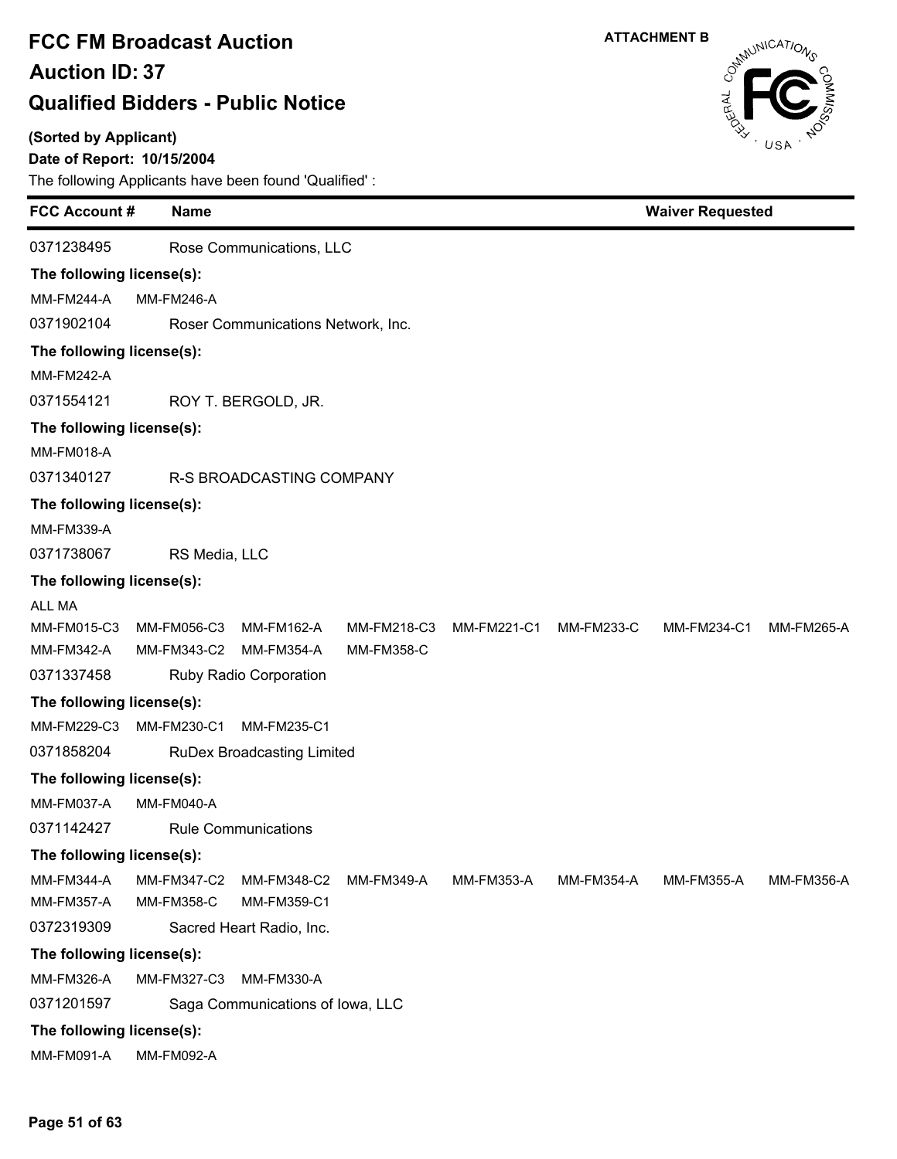#### **(Sorted by Applicant)**

### **Date of Report: 10/15/2004**



| <b>FCC Account #</b>      |                   | <b>Name</b>   |                                    |                   |             |                   | <b>Waiver Requested</b> |                   |  |
|---------------------------|-------------------|---------------|------------------------------------|-------------------|-------------|-------------------|-------------------------|-------------------|--|
| 0371238495                |                   |               | Rose Communications, LLC           |                   |             |                   |                         |                   |  |
| The following license(s): |                   |               |                                    |                   |             |                   |                         |                   |  |
| <b>MM-FM244-A</b>         | <b>MM-FM246-A</b> |               |                                    |                   |             |                   |                         |                   |  |
| 0371902104                |                   |               | Roser Communications Network, Inc. |                   |             |                   |                         |                   |  |
| The following license(s): |                   |               |                                    |                   |             |                   |                         |                   |  |
| <b>MM-FM242-A</b>         |                   |               |                                    |                   |             |                   |                         |                   |  |
| 0371554121                |                   |               | ROY T. BERGOLD, JR.                |                   |             |                   |                         |                   |  |
| The following license(s): |                   |               |                                    |                   |             |                   |                         |                   |  |
| MM-FM018-A                |                   |               |                                    |                   |             |                   |                         |                   |  |
| 0371340127                |                   |               | R-S BROADCASTING COMPANY           |                   |             |                   |                         |                   |  |
| The following license(s): |                   |               |                                    |                   |             |                   |                         |                   |  |
| <b>MM-FM339-A</b>         |                   |               |                                    |                   |             |                   |                         |                   |  |
| 0371738067                |                   | RS Media, LLC |                                    |                   |             |                   |                         |                   |  |
| The following license(s): |                   |               |                                    |                   |             |                   |                         |                   |  |
| <b>ALL MA</b>             |                   |               |                                    |                   |             |                   |                         |                   |  |
| MM-FM015-C3               | MM-FM056-C3       |               | MM-FM162-A                         | MM-FM218-C3       | MM-FM221-C1 | <b>MM-FM233-C</b> | MM-FM234-C1             | MM-FM265-A        |  |
| MM-FM342-A                | MM-FM343-C2       |               | MM-FM354-A                         | <b>MM-FM358-C</b> |             |                   |                         |                   |  |
| 0371337458                |                   |               | Ruby Radio Corporation             |                   |             |                   |                         |                   |  |
| The following license(s): |                   |               |                                    |                   |             |                   |                         |                   |  |
| MM-FM229-C3               | MM-FM230-C1       |               | MM-FM235-C1                        |                   |             |                   |                         |                   |  |
| 0371858204                |                   |               | <b>RuDex Broadcasting Limited</b>  |                   |             |                   |                         |                   |  |
| The following license(s): |                   |               |                                    |                   |             |                   |                         |                   |  |
| MM-FM037-A                | <b>MM-FM040-A</b> |               |                                    |                   |             |                   |                         |                   |  |
| 0371142427                |                   |               | <b>Rule Communications</b>         |                   |             |                   |                         |                   |  |
| The following license(s): |                   |               |                                    |                   |             |                   |                         |                   |  |
| <b>MM-FM344-A</b>         | MM-FM347-C2       |               | MM-FM348-C2                        | <b>MM-FM349-A</b> | MM-FM353-A  | <b>MM-FM354-A</b> | <b>MM-FM355-A</b>       | <b>MM-FM356-A</b> |  |
| <b>MM-FM357-A</b>         | MM-FM358-C        |               | MM-FM359-C1                        |                   |             |                   |                         |                   |  |
| 0372319309                |                   |               | Sacred Heart Radio, Inc.           |                   |             |                   |                         |                   |  |
| The following license(s): |                   |               |                                    |                   |             |                   |                         |                   |  |
| MM-FM326-A                | MM-FM327-C3       |               | <b>MM-FM330-A</b>                  |                   |             |                   |                         |                   |  |
| 0371201597                |                   |               | Saga Communications of Iowa, LLC   |                   |             |                   |                         |                   |  |
| The following license(s): |                   |               |                                    |                   |             |                   |                         |                   |  |
| MM-FM091-A                | MM-FM092-A        |               |                                    |                   |             |                   |                         |                   |  |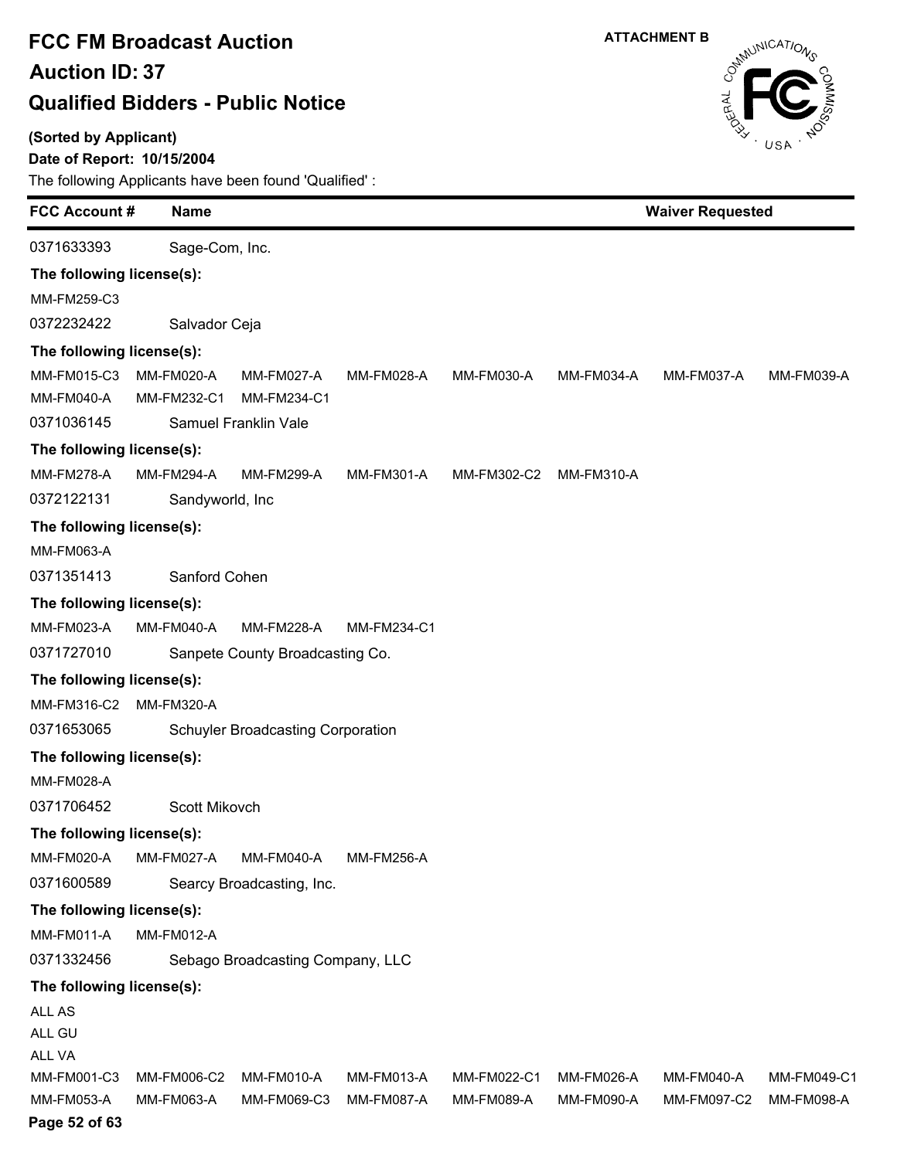### **(Sorted by Applicant)**

**Date of Report: 10/15/2004**



| <b>FCC Account#</b>       |  | <b>Name</b>               |                                          | <b>Waiver Requested</b>         |                           |                          |                                  |                           |
|---------------------------|--|---------------------------|------------------------------------------|---------------------------------|---------------------------|--------------------------|----------------------------------|---------------------------|
| 0371633393                |  | Sage-Com, Inc.            |                                          |                                 |                           |                          |                                  |                           |
| The following license(s): |  |                           |                                          |                                 |                           |                          |                                  |                           |
| MM-FM259-C3               |  |                           |                                          |                                 |                           |                          |                                  |                           |
| 0372232422                |  | Salvador Ceja             |                                          |                                 |                           |                          |                                  |                           |
| The following license(s): |  |                           |                                          |                                 |                           |                          |                                  |                           |
| MM-FM015-C3               |  | MM-FM020-A                | MM-FM027-A                               | MM-FM028-A                      | MM-FM030-A                | MM-FM034-A               | MM-FM037-A                       | MM-FM039-A                |
| MM-FM040-A                |  | MM-FM232-C1               | MM-FM234-C1                              |                                 |                           |                          |                                  |                           |
| 0371036145                |  |                           | Samuel Franklin Vale                     |                                 |                           |                          |                                  |                           |
| The following license(s): |  |                           |                                          |                                 |                           |                          |                                  |                           |
| <b>MM-FM278-A</b>         |  | <b>MM-FM294-A</b>         | <b>MM-FM299-A</b>                        | MM-FM301-A                      | MM-FM302-C2               | <b>MM-FM310-A</b>        |                                  |                           |
| 0372122131                |  | Sandyworld, Inc           |                                          |                                 |                           |                          |                                  |                           |
| The following license(s): |  |                           |                                          |                                 |                           |                          |                                  |                           |
| MM-FM063-A                |  |                           |                                          |                                 |                           |                          |                                  |                           |
| 0371351413                |  | Sanford Cohen             |                                          |                                 |                           |                          |                                  |                           |
| The following license(s): |  |                           |                                          |                                 |                           |                          |                                  |                           |
| MM-FM023-A                |  | <b>MM-FM040-A</b>         | <b>MM-FM228-A</b>                        | MM-FM234-C1                     |                           |                          |                                  |                           |
| 0371727010                |  |                           | Sanpete County Broadcasting Co.          |                                 |                           |                          |                                  |                           |
| The following license(s): |  |                           |                                          |                                 |                           |                          |                                  |                           |
| MM-FM316-C2               |  | <b>MM-FM320-A</b>         |                                          |                                 |                           |                          |                                  |                           |
| 0371653065                |  |                           | <b>Schuyler Broadcasting Corporation</b> |                                 |                           |                          |                                  |                           |
| The following license(s): |  |                           |                                          |                                 |                           |                          |                                  |                           |
| MM-FM028-A                |  |                           |                                          |                                 |                           |                          |                                  |                           |
| 0371706452                |  | Scott Mikovch             |                                          |                                 |                           |                          |                                  |                           |
| The following license(s): |  |                           |                                          |                                 |                           |                          |                                  |                           |
| MM-FM020-A                |  |                           | MM-FM027-A MM-FM040-A                    | MM-FM256-A                      |                           |                          |                                  |                           |
| 0371600589                |  |                           | Searcy Broadcasting, Inc.                |                                 |                           |                          |                                  |                           |
| The following license(s): |  |                           |                                          |                                 |                           |                          |                                  |                           |
| <b>MM-FM011-A</b>         |  | <b>MM-FM012-A</b>         |                                          |                                 |                           |                          |                                  |                           |
| 0371332456                |  |                           | Sebago Broadcasting Company, LLC         |                                 |                           |                          |                                  |                           |
| The following license(s): |  |                           |                                          |                                 |                           |                          |                                  |                           |
| ALL AS                    |  |                           |                                          |                                 |                           |                          |                                  |                           |
| ALL GU                    |  |                           |                                          |                                 |                           |                          |                                  |                           |
| ALL VA                    |  |                           |                                          |                                 |                           |                          |                                  |                           |
| MM-FM001-C3<br>MM-FM053-A |  | MM-FM006-C2<br>MM-FM063-A | MM-FM010-A<br>MM-FM069-C3                | MM-FM013-A<br><b>MM-FM087-A</b> | MM-FM022-C1<br>MM-FM089-A | MM-FM026-A<br>MM-FM090-A | <b>MM-FM040-A</b><br>MM-FM097-C2 | MM-FM049-C1<br>MM-FM098-A |
| Page 52 of 63             |  |                           |                                          |                                 |                           |                          |                                  |                           |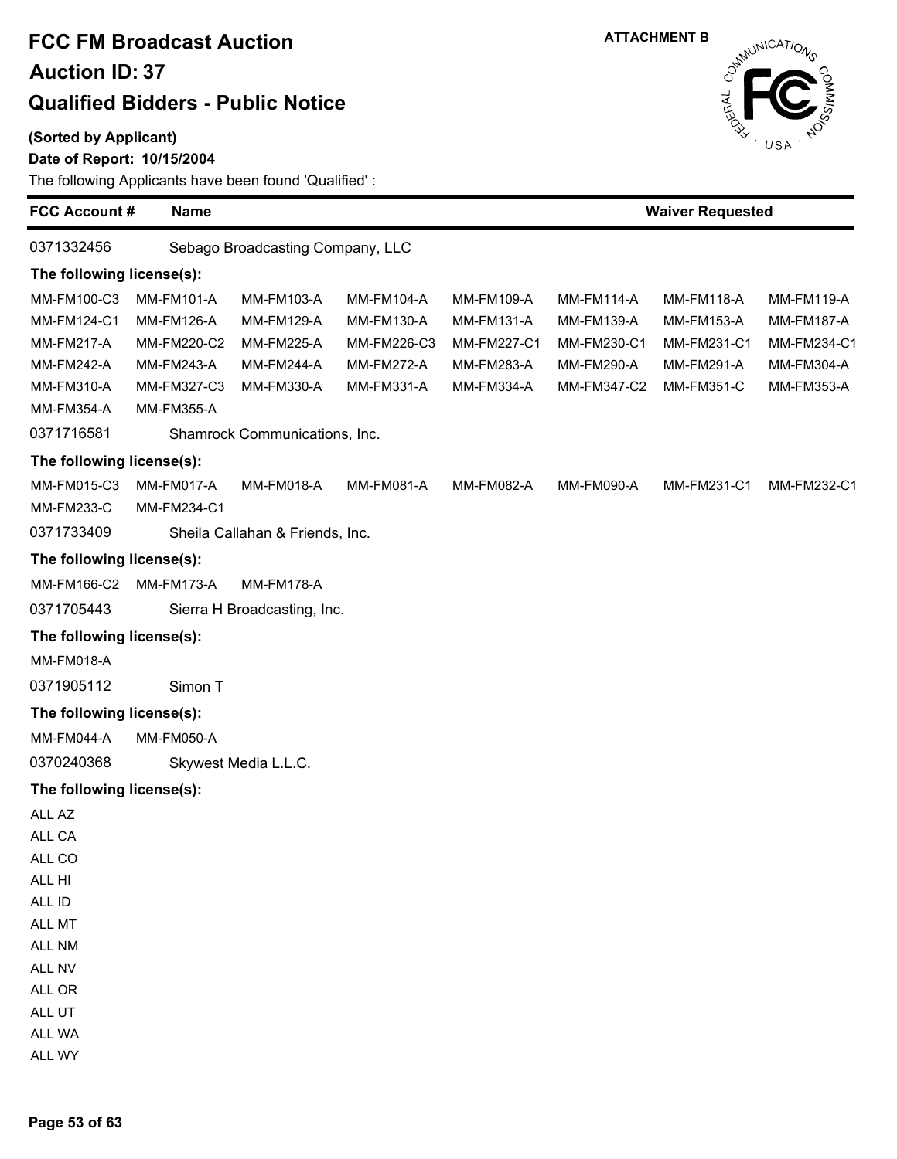#### **(Sorted by Applicant)**

#### **Date of Report: 10/15/2004**



| <b>FCC Account #</b>      | <b>Name</b>       |                                  |                   |                   |                   | <b>Waiver Requested</b> |                   |
|---------------------------|-------------------|----------------------------------|-------------------|-------------------|-------------------|-------------------------|-------------------|
| 0371332456                |                   | Sebago Broadcasting Company, LLC |                   |                   |                   |                         |                   |
| The following license(s): |                   |                                  |                   |                   |                   |                         |                   |
| MM-FM100-C3               | <b>MM-FM101-A</b> | MM-FM103-A                       | <b>MM-FM104-A</b> | MM-FM109-A        | <b>MM-FM114-A</b> | <b>MM-FM118-A</b>       | MM-FM119-A        |
| MM-FM124-C1               | <b>MM-FM126-A</b> | MM-FM129-A                       | <b>MM-FM130-A</b> | <b>MM-FM131-A</b> | MM-FM139-A        | <b>MM-FM153-A</b>       | <b>MM-FM187-A</b> |
| <b>MM-FM217-A</b>         | MM-FM220-C2       | <b>MM-FM225-A</b>                | MM-FM226-C3       | MM-FM227-C1       | MM-FM230-C1       | MM-FM231-C1             | MM-FM234-C1       |
| <b>MM-FM242-A</b>         | MM-FM243-A        | <b>MM-FM244-A</b>                | <b>MM-FM272-A</b> | MM-FM283-A        | MM-FM290-A        | <b>MM-FM291-A</b>       | MM-FM304-A        |
| MM-FM310-A                | MM-FM327-C3       | MM-FM330-A                       | MM-FM331-A        | MM-FM334-A        | MM-FM347-C2       | <b>MM-FM351-C</b>       | MM-FM353-A        |
| MM-FM354-A                | MM-FM355-A        |                                  |                   |                   |                   |                         |                   |
| 0371716581                |                   | Shamrock Communications, Inc.    |                   |                   |                   |                         |                   |
| The following license(s): |                   |                                  |                   |                   |                   |                         |                   |
| MM-FM015-C3               | MM-FM017-A        | <b>MM-FM018-A</b>                | <b>MM-FM081-A</b> | MM-FM082-A        | MM-FM090-A        | MM-FM231-C1             | MM-FM232-C1       |
| <b>MM-FM233-C</b>         | MM-FM234-C1       |                                  |                   |                   |                   |                         |                   |
| 0371733409                |                   | Sheila Callahan & Friends, Inc.  |                   |                   |                   |                         |                   |
| The following license(s): |                   |                                  |                   |                   |                   |                         |                   |
| MM-FM166-C2               | MM-FM173-A        | <b>MM-FM178-A</b>                |                   |                   |                   |                         |                   |
| 0371705443                |                   | Sierra H Broadcasting, Inc.      |                   |                   |                   |                         |                   |
| The following license(s): |                   |                                  |                   |                   |                   |                         |                   |
| MM-FM018-A                |                   |                                  |                   |                   |                   |                         |                   |
| 0371905112                | Simon T           |                                  |                   |                   |                   |                         |                   |
| The following license(s): |                   |                                  |                   |                   |                   |                         |                   |
| MM-FM044-A                | <b>MM-FM050-A</b> |                                  |                   |                   |                   |                         |                   |
| 0370240368                |                   | Skywest Media L.L.C.             |                   |                   |                   |                         |                   |
| The following license(s): |                   |                                  |                   |                   |                   |                         |                   |
| ALL AZ                    |                   |                                  |                   |                   |                   |                         |                   |
| ALL CA                    |                   |                                  |                   |                   |                   |                         |                   |
| ALL CO                    |                   |                                  |                   |                   |                   |                         |                   |
| ALL HI                    |                   |                                  |                   |                   |                   |                         |                   |
| ALL ID                    |                   |                                  |                   |                   |                   |                         |                   |
| ALL MT                    |                   |                                  |                   |                   |                   |                         |                   |
| ALL NM                    |                   |                                  |                   |                   |                   |                         |                   |
| ALL NV                    |                   |                                  |                   |                   |                   |                         |                   |
| ALL OR                    |                   |                                  |                   |                   |                   |                         |                   |
| ALL UT                    |                   |                                  |                   |                   |                   |                         |                   |
| ALL WA                    |                   |                                  |                   |                   |                   |                         |                   |
| ALL WY                    |                   |                                  |                   |                   |                   |                         |                   |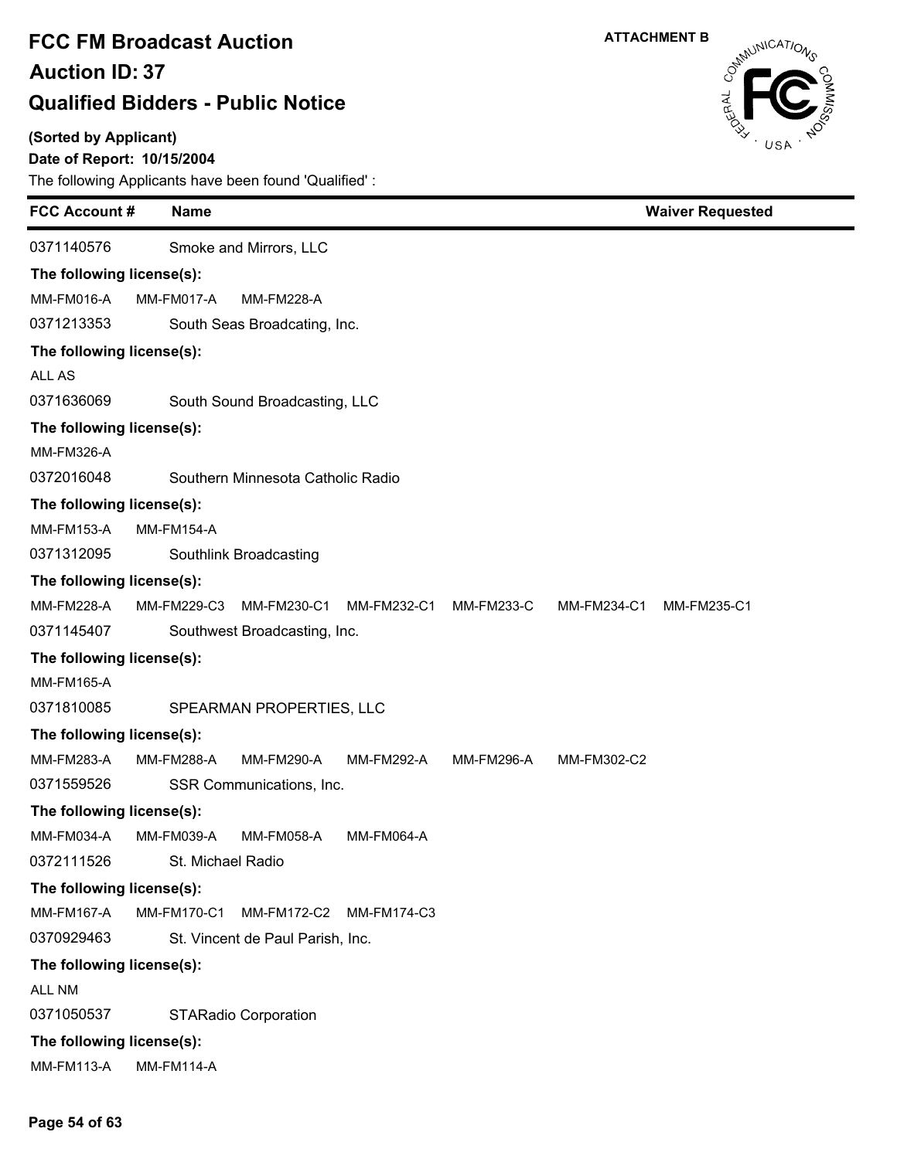**(Sorted by Applicant)**

### **Date of Report: 10/15/2004**



| <b>FCC Account#</b>       |                              | <b>Name</b>            |                                   |                   |            |             | <b>Waiver Requested</b> |  |
|---------------------------|------------------------------|------------------------|-----------------------------------|-------------------|------------|-------------|-------------------------|--|
| 0371140576                |                              |                        | Smoke and Mirrors, LLC            |                   |            |             |                         |  |
| The following license(s): |                              |                        |                                   |                   |            |             |                         |  |
| MM-FM016-A                |                              | MM-FM017-A             | <b>MM-FM228-A</b>                 |                   |            |             |                         |  |
| 0371213353                |                              |                        | South Seas Broadcating, Inc.      |                   |            |             |                         |  |
| The following license(s): |                              |                        |                                   |                   |            |             |                         |  |
| ALL AS                    |                              |                        |                                   |                   |            |             |                         |  |
| 0371636069                |                              |                        | South Sound Broadcasting, LLC     |                   |            |             |                         |  |
| The following license(s): |                              |                        |                                   |                   |            |             |                         |  |
| <b>MM-FM326-A</b>         |                              |                        |                                   |                   |            |             |                         |  |
| 0372016048                |                              |                        | Southern Minnesota Catholic Radio |                   |            |             |                         |  |
| The following license(s): |                              |                        |                                   |                   |            |             |                         |  |
| <b>MM-FM153-A</b>         |                              | <b>MM-FM154-A</b>      |                                   |                   |            |             |                         |  |
| 0371312095                |                              | Southlink Broadcasting |                                   |                   |            |             |                         |  |
| The following license(s): |                              |                        |                                   |                   |            |             |                         |  |
| <b>MM-FM228-A</b>         |                              | MM-FM229-C3            | MM-FM230-C1                       | MM-FM232-C1       | MM-FM233-C | MM-FM234-C1 | MM-FM235-C1             |  |
| 0371145407                | Southwest Broadcasting, Inc. |                        |                                   |                   |            |             |                         |  |
| The following license(s): |                              |                        |                                   |                   |            |             |                         |  |
| <b>MM-FM165-A</b>         |                              |                        |                                   |                   |            |             |                         |  |
| 0371810085                |                              |                        | SPEARMAN PROPERTIES, LLC          |                   |            |             |                         |  |
| The following license(s): |                              |                        |                                   |                   |            |             |                         |  |
| MM-FM283-A                |                              | <b>MM-FM288-A</b>      | <b>MM-FM290-A</b>                 | MM-FM292-A        | MM-FM296-A | MM-FM302-C2 |                         |  |
| 0371559526                |                              |                        | SSR Communications, Inc.          |                   |            |             |                         |  |
| The following license(s): |                              |                        |                                   |                   |            |             |                         |  |
| <b>MM-FM034-A</b>         |                              | MM-FM039-A             | MM-FM058-A                        | <b>MM-FM064-A</b> |            |             |                         |  |
| 0372111526                |                              | St. Michael Radio      |                                   |                   |            |             |                         |  |
| The following license(s): |                              |                        |                                   |                   |            |             |                         |  |
| MM-FM167-A                |                              | MM-FM170-C1            | MM-FM172-C2                       | MM-FM174-C3       |            |             |                         |  |
| 0370929463                |                              |                        | St. Vincent de Paul Parish, Inc.  |                   |            |             |                         |  |
| The following license(s): |                              |                        |                                   |                   |            |             |                         |  |
| ALL NM                    |                              |                        |                                   |                   |            |             |                         |  |
| 0371050537                |                              |                        | <b>STARadio Corporation</b>       |                   |            |             |                         |  |
| The following license(s): |                              |                        |                                   |                   |            |             |                         |  |
| <b>MM-FM113-A</b>         |                              | <b>MM-FM114-A</b>      |                                   |                   |            |             |                         |  |
|                           |                              |                        |                                   |                   |            |             |                         |  |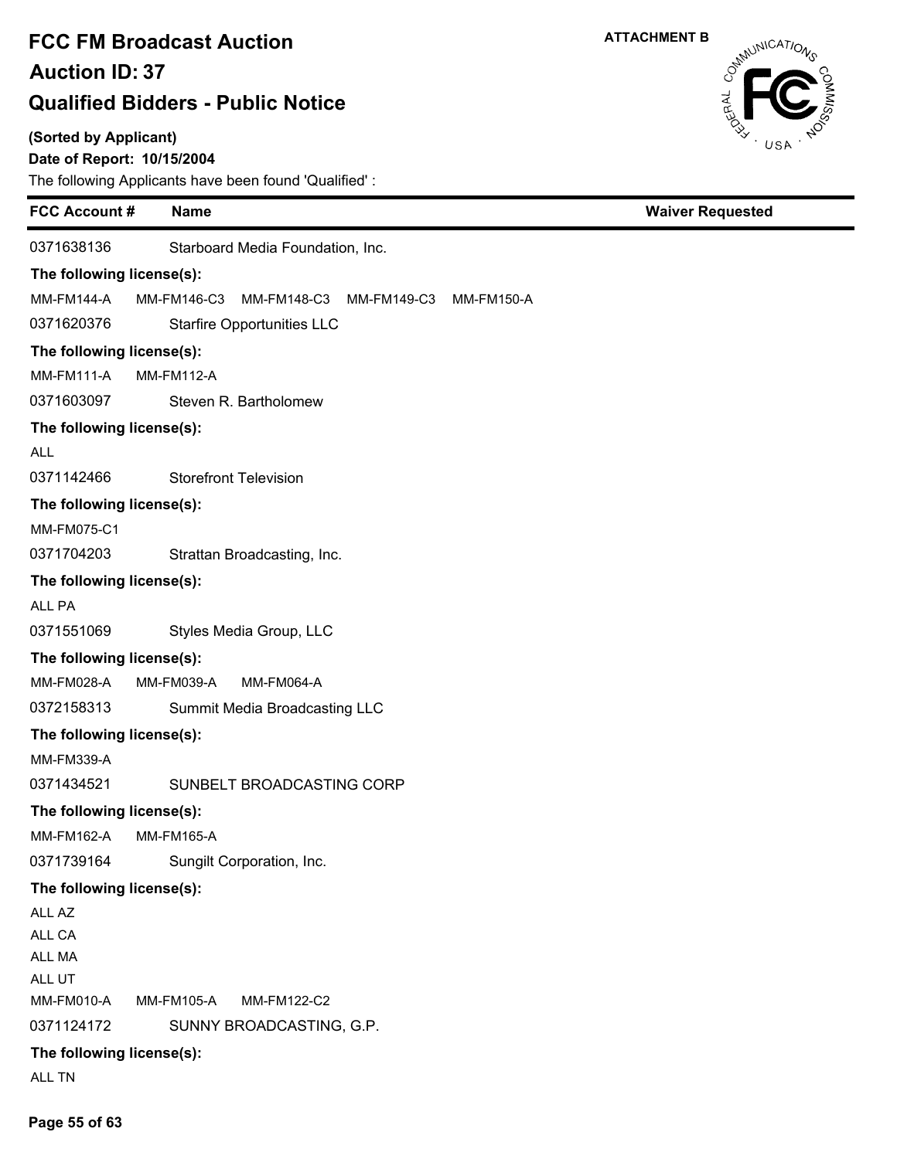### **(Sorted by Applicant)**

### **Date of Report: 10/15/2004**

The following Applicants have been found 'Qualified' :

| <b>FCC Account#</b>       | <b>Name</b>                                                    | <b>Waiver Requested</b> |
|---------------------------|----------------------------------------------------------------|-------------------------|
| 0371638136                | Starboard Media Foundation, Inc.                               |                         |
| The following license(s): |                                                                |                         |
| <b>MM-FM144-A</b>         | MM-FM146-C3<br>MM-FM148-C3<br>MM-FM149-C3<br><b>MM-FM150-A</b> |                         |
| 0371620376                | <b>Starfire Opportunities LLC</b>                              |                         |
| The following license(s): |                                                                |                         |
| <b>MM-FM111-A</b>         | <b>MM-FM112-A</b>                                              |                         |
| 0371603097                | Steven R. Bartholomew                                          |                         |
| The following license(s): |                                                                |                         |
| <b>ALL</b>                |                                                                |                         |
| 0371142466                | <b>Storefront Television</b>                                   |                         |
| The following license(s): |                                                                |                         |
| MM-FM075-C1               |                                                                |                         |
| 0371704203                | Strattan Broadcasting, Inc.                                    |                         |
| The following license(s): |                                                                |                         |
| ALL PA                    |                                                                |                         |
| 0371551069                | Styles Media Group, LLC                                        |                         |
| The following license(s): |                                                                |                         |
| MM-FM028-A                | <b>MM-FM064-A</b><br>MM-FM039-A                                |                         |
| 0372158313                | Summit Media Broadcasting LLC                                  |                         |
| The following license(s): |                                                                |                         |
| MM-FM339-A                |                                                                |                         |
| 0371434521                | SUNBELT BROADCASTING CORP                                      |                         |
| The following license(s): |                                                                |                         |
| MM-FM162-A                | <b>MM-FM165-A</b>                                              |                         |
| 0371739164                | Sungilt Corporation, Inc.                                      |                         |
| The following license(s): |                                                                |                         |
| ALL AZ                    |                                                                |                         |
| ALL CA                    |                                                                |                         |
| ALL MA                    |                                                                |                         |
| ALL UT<br>MM-FM010-A      | <b>MM-FM105-A</b><br>MM-FM122-C2                               |                         |
| 0371124172                | SUNNY BROADCASTING, G.P.                                       |                         |
| The following license(s): |                                                                |                         |
| ALL TN                    |                                                                |                         |





**Page 55 of 63**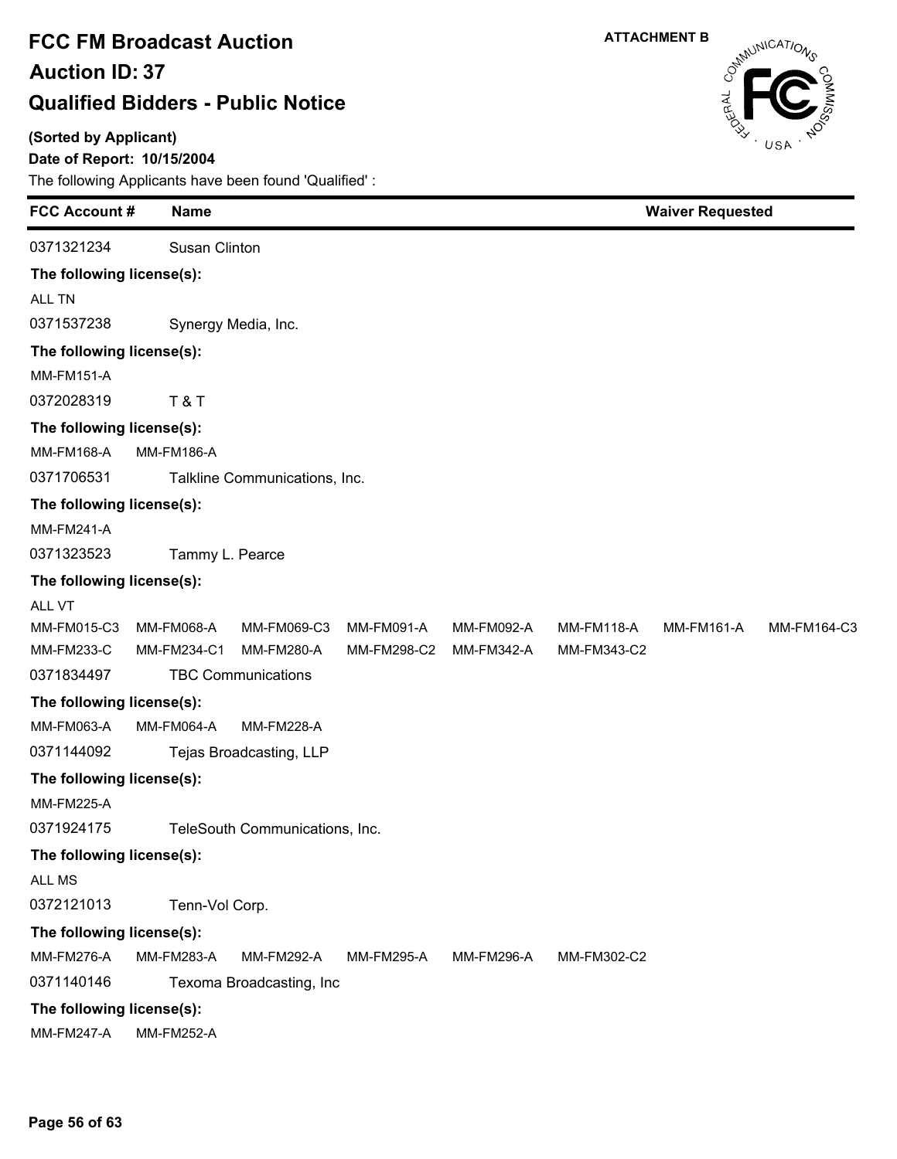**(Sorted by Applicant)**

### **Date of Report: 10/15/2004**



| <b>FCC Account#</b>       | <b>Name</b>       |                                |                   | <b>Waiver Requested</b> |                   |                   |             |  |  |
|---------------------------|-------------------|--------------------------------|-------------------|-------------------------|-------------------|-------------------|-------------|--|--|
| 0371321234                | Susan Clinton     |                                |                   |                         |                   |                   |             |  |  |
| The following license(s): |                   |                                |                   |                         |                   |                   |             |  |  |
| ALL TN                    |                   |                                |                   |                         |                   |                   |             |  |  |
| 0371537238                |                   | Synergy Media, Inc.            |                   |                         |                   |                   |             |  |  |
| The following license(s): |                   |                                |                   |                         |                   |                   |             |  |  |
| <b>MM-FM151-A</b>         |                   |                                |                   |                         |                   |                   |             |  |  |
| 0372028319                | <b>T&amp;T</b>    |                                |                   |                         |                   |                   |             |  |  |
| The following license(s): |                   |                                |                   |                         |                   |                   |             |  |  |
| MM-FM168-A                | <b>MM-FM186-A</b> |                                |                   |                         |                   |                   |             |  |  |
| 0371706531                |                   | Talkline Communications, Inc.  |                   |                         |                   |                   |             |  |  |
| The following license(s): |                   |                                |                   |                         |                   |                   |             |  |  |
| <b>MM-FM241-A</b>         |                   |                                |                   |                         |                   |                   |             |  |  |
| 0371323523                |                   | Tammy L. Pearce                |                   |                         |                   |                   |             |  |  |
| The following license(s): |                   |                                |                   |                         |                   |                   |             |  |  |
| ALL VT                    |                   |                                |                   |                         |                   |                   |             |  |  |
| MM-FM015-C3               | <b>MM-FM068-A</b> | MM-FM069-C3                    | MM-FM091-A        | MM-FM092-A              | <b>MM-FM118-A</b> | <b>MM-FM161-A</b> | MM-FM164-C3 |  |  |
| <b>MM-FM233-C</b>         | MM-FM234-C1       | <b>MM-FM280-A</b>              | MM-FM298-C2       | MM-FM342-A              | MM-FM343-C2       |                   |             |  |  |
| 0371834497                |                   | <b>TBC Communications</b>      |                   |                         |                   |                   |             |  |  |
| The following license(s): |                   |                                |                   |                         |                   |                   |             |  |  |
| MM-FM063-A                | <b>MM-FM064-A</b> | <b>MM-FM228-A</b>              |                   |                         |                   |                   |             |  |  |
| 0371144092                |                   | Tejas Broadcasting, LLP        |                   |                         |                   |                   |             |  |  |
| The following license(s): |                   |                                |                   |                         |                   |                   |             |  |  |
| <b>MM-FM225-A</b>         |                   |                                |                   |                         |                   |                   |             |  |  |
| 0371924175                |                   | TeleSouth Communications, Inc. |                   |                         |                   |                   |             |  |  |
| The following license(s): |                   |                                |                   |                         |                   |                   |             |  |  |
| ALL MS                    |                   |                                |                   |                         |                   |                   |             |  |  |
| 0372121013                | Tenn-Vol Corp.    |                                |                   |                         |                   |                   |             |  |  |
| The following license(s): |                   |                                |                   |                         |                   |                   |             |  |  |
| <b>MM-FM276-A</b>         | <b>MM-FM283-A</b> | <b>MM-FM292-A</b>              | <b>MM-FM295-A</b> | MM-FM296-A              | MM-FM302-C2       |                   |             |  |  |
| 0371140146                |                   | Texoma Broadcasting, Inc       |                   |                         |                   |                   |             |  |  |
| The following license(s): |                   |                                |                   |                         |                   |                   |             |  |  |
| <b>MM-FM247-A</b>         | <b>MM-FM252-A</b> |                                |                   |                         |                   |                   |             |  |  |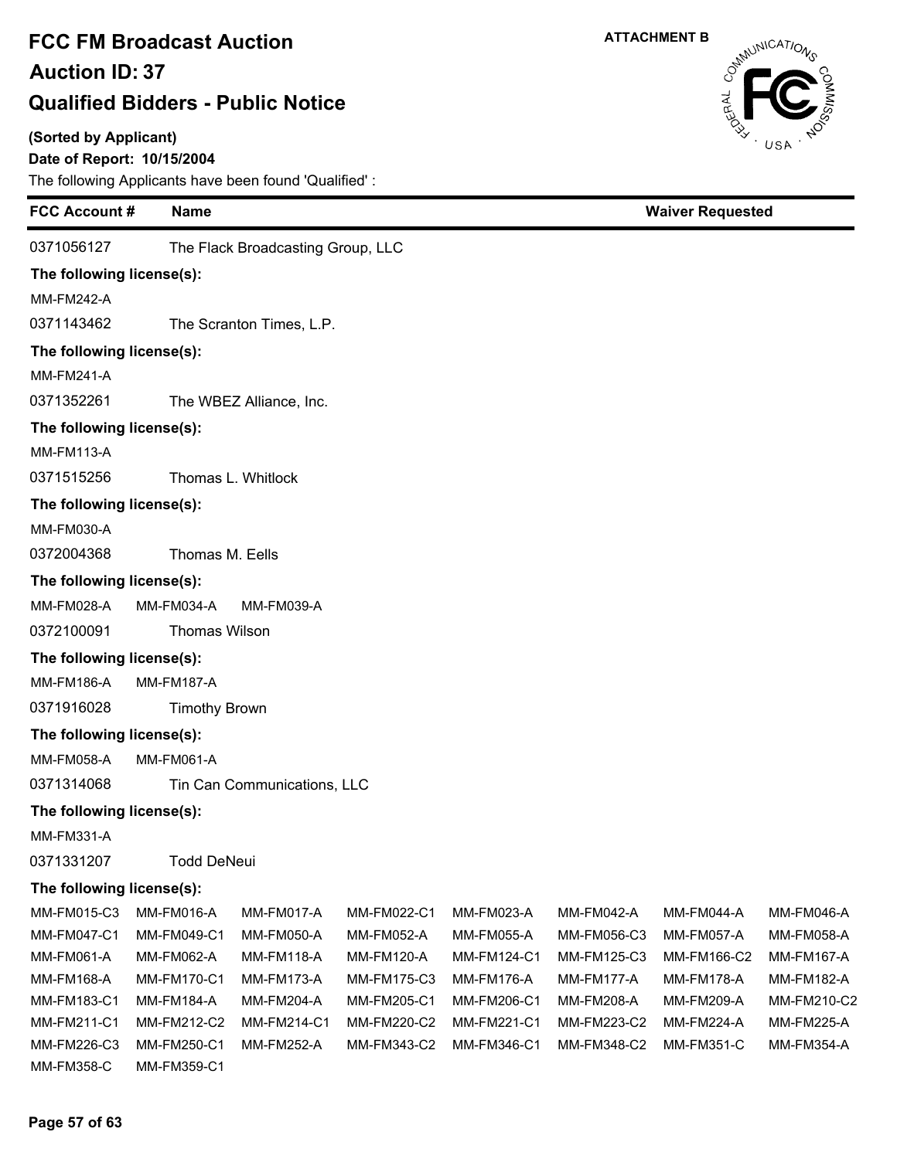#### **(Sorted by Applicant)**

### **Date of Report: 10/15/2004**

| <b>FCC Account #</b>      | <b>Name</b>               |                                   |             |                   |             | <b>Waiver Requested</b> |                   |  |
|---------------------------|---------------------------|-----------------------------------|-------------|-------------------|-------------|-------------------------|-------------------|--|
| 0371056127                |                           | The Flack Broadcasting Group, LLC |             |                   |             |                         |                   |  |
| The following license(s): |                           |                                   |             |                   |             |                         |                   |  |
| <b>MM-FM242-A</b>         |                           |                                   |             |                   |             |                         |                   |  |
| 0371143462                |                           | The Scranton Times, L.P.          |             |                   |             |                         |                   |  |
| The following license(s): |                           |                                   |             |                   |             |                         |                   |  |
| <b>MM-FM241-A</b>         |                           |                                   |             |                   |             |                         |                   |  |
| 0371352261                |                           | The WBEZ Alliance, Inc.           |             |                   |             |                         |                   |  |
| The following license(s): |                           |                                   |             |                   |             |                         |                   |  |
| <b>MM-FM113-A</b>         |                           |                                   |             |                   |             |                         |                   |  |
| 0371515256                |                           | Thomas L. Whitlock                |             |                   |             |                         |                   |  |
|                           | The following license(s): |                                   |             |                   |             |                         |                   |  |
| <b>MM-FM030-A</b>         |                           |                                   |             |                   |             |                         |                   |  |
| 0372004368                | Thomas M. Eells           |                                   |             |                   |             |                         |                   |  |
|                           |                           |                                   |             |                   |             |                         |                   |  |
| The following license(s): |                           |                                   |             |                   |             |                         |                   |  |
| <b>MM-FM028-A</b>         | MM-FM034-A                | MM-FM039-A                        |             |                   |             |                         |                   |  |
| 0372100091                | Thomas Wilson             |                                   |             |                   |             |                         |                   |  |
| The following license(s): |                           |                                   |             |                   |             |                         |                   |  |
| <b>MM-FM186-A</b>         | <b>MM-FM187-A</b>         |                                   |             |                   |             |                         |                   |  |
| 0371916028                | <b>Timothy Brown</b>      |                                   |             |                   |             |                         |                   |  |
| The following license(s): |                           |                                   |             |                   |             |                         |                   |  |
| <b>MM-FM058-A</b>         | <b>MM-FM061-A</b>         |                                   |             |                   |             |                         |                   |  |
| 0371314068                |                           | Tin Can Communications, LLC       |             |                   |             |                         |                   |  |
| The following license(s): |                           |                                   |             |                   |             |                         |                   |  |
| <b>MM-FM331-A</b>         |                           |                                   |             |                   |             |                         |                   |  |
| 0371331207                | <b>Todd DeNeui</b>        |                                   |             |                   |             |                         |                   |  |
| The following license(s): |                           |                                   |             |                   |             |                         |                   |  |
| MM-FM015-C3               | MM-FM016-A                | MM-FM017-A                        | MM-FM022-C1 | MM-FM023-A        | MM-FM042-A  | MM-FM044-A              | MM-FM046-A        |  |
| MM-FM047-C1               | MM-FM049-C1               | MM-FM050-A                        | MM-FM052-A  | <b>MM-FM055-A</b> | MM-FM056-C3 | MM-FM057-A              | <b>MM-FM058-A</b> |  |
| MM-FM061-A                | MM-FM062-A                | <b>MM-FM118-A</b>                 | MM-FM120-A  | MM-FM124-C1       | MM-FM125-C3 | MM-FM166-C2             | <b>MM-FM167-A</b> |  |
| MM-FM168-A                | <b>MM-FM170-C1</b>        | <b>MM-FM173-A</b>                 | MM-FM175-C3 | MM-FM176-A        | MM-FM177-A  | <b>MM-FM178-A</b>       | MM-FM182-A        |  |
| MM-FM183-C1               | MM-FM184-A                | MM-FM204-A                        | MM-FM205-C1 | MM-FM206-C1       | MM-FM208-A  | MM-FM209-A              | MM-FM210-C2       |  |
| MM-FM211-C1               | MM-FM212-C2               | MM-FM214-C1                       | MM-FM220-C2 | MM-FM221-C1       | MM-FM223-C2 | <b>MM-FM224-A</b>       | <b>MM-FM225-A</b> |  |
| MM-FM226-C3               | MM-FM250-C1               | <b>MM-FM252-A</b>                 | MM-FM343-C2 | MM-FM346-C1       | MM-FM348-C2 | <b>MM-FM351-C</b>       | <b>MM-FM354-A</b> |  |
| MM-FM358-C                | MM-FM359-C1               |                                   |             |                   |             |                         |                   |  |

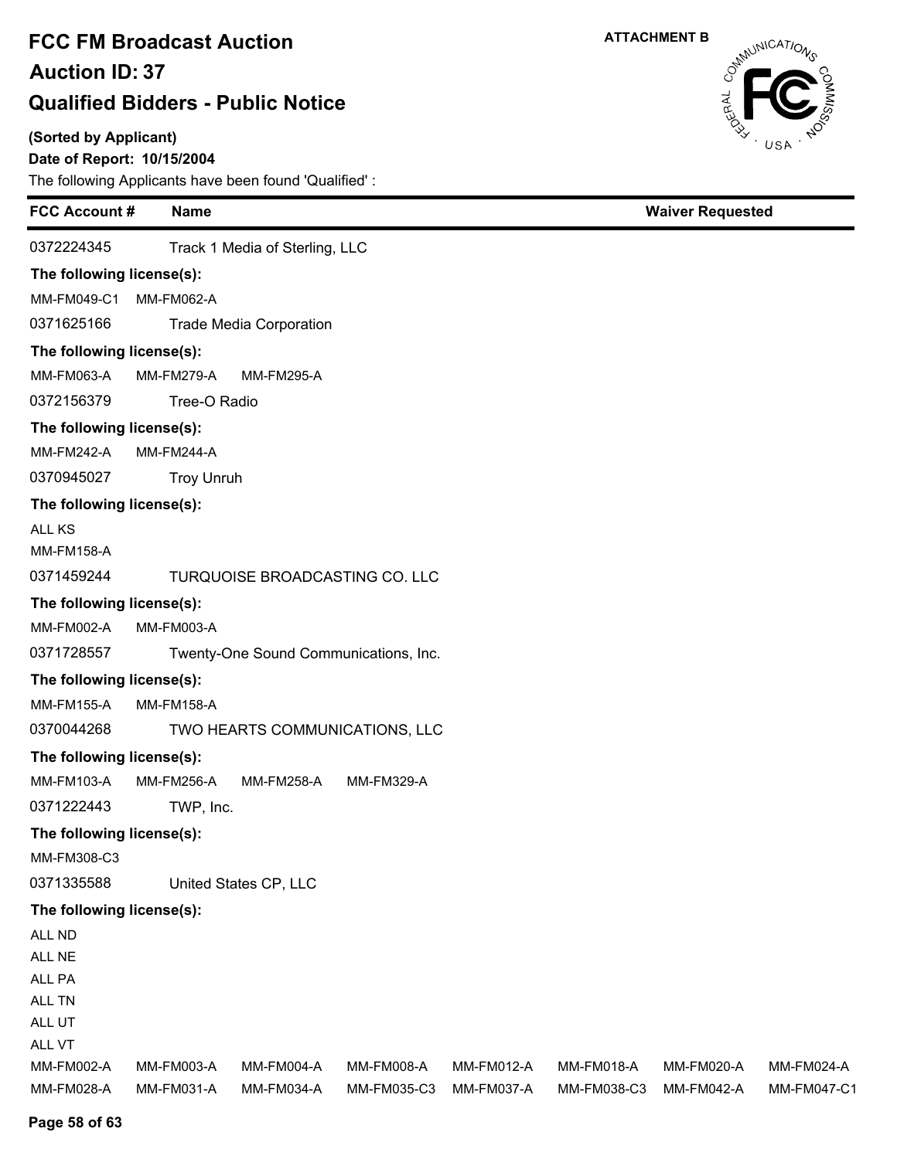#### **(Sorted by Applicant)**

### **Date of Report: 10/15/2004**

The following Applicants have been found 'Qualified' :

| <b>FCC Account#</b>       | <b>Name</b>       |                                |                                       |            |             | <b>Waiver Requested</b> |             |
|---------------------------|-------------------|--------------------------------|---------------------------------------|------------|-------------|-------------------------|-------------|
| 0372224345                |                   | Track 1 Media of Sterling, LLC |                                       |            |             |                         |             |
| The following license(s): |                   |                                |                                       |            |             |                         |             |
| MM-FM049-C1               | <b>MM-FM062-A</b> |                                |                                       |            |             |                         |             |
| 0371625166                |                   | <b>Trade Media Corporation</b> |                                       |            |             |                         |             |
| The following license(s): |                   |                                |                                       |            |             |                         |             |
| MM-FM063-A                | <b>MM-FM279-A</b> | <b>MM-FM295-A</b>              |                                       |            |             |                         |             |
| 0372156379                | Tree-O Radio      |                                |                                       |            |             |                         |             |
| The following license(s): |                   |                                |                                       |            |             |                         |             |
| <b>MM-FM242-A</b>         | <b>MM-FM244-A</b> |                                |                                       |            |             |                         |             |
| 0370945027                | <b>Troy Unruh</b> |                                |                                       |            |             |                         |             |
| The following license(s): |                   |                                |                                       |            |             |                         |             |
| <b>ALL KS</b>             |                   |                                |                                       |            |             |                         |             |
| <b>MM-FM158-A</b>         |                   |                                |                                       |            |             |                         |             |
| 0371459244                |                   |                                | TURQUOISE BROADCASTING CO. LLC        |            |             |                         |             |
| The following license(s): |                   |                                |                                       |            |             |                         |             |
| MM-FM002-A                | MM-FM003-A        |                                |                                       |            |             |                         |             |
| 0371728557                |                   |                                | Twenty-One Sound Communications, Inc. |            |             |                         |             |
| The following license(s): |                   |                                |                                       |            |             |                         |             |
| <b>MM-FM155-A</b>         | <b>MM-FM158-A</b> |                                |                                       |            |             |                         |             |
| 0370044268                |                   |                                | TWO HEARTS COMMUNICATIONS, LLC        |            |             |                         |             |
| The following license(s): |                   |                                |                                       |            |             |                         |             |
| MM-FM103-A                | <b>MM-FM256-A</b> | <b>MM-FM258-A</b>              | <b>MM-FM329-A</b>                     |            |             |                         |             |
| 0371222443                | TWP, Inc.         |                                |                                       |            |             |                         |             |
| The following license(s): |                   |                                |                                       |            |             |                         |             |
| MM-FM308-C3               |                   |                                |                                       |            |             |                         |             |
| 0371335588                |                   | United States CP, LLC          |                                       |            |             |                         |             |
| The following license(s): |                   |                                |                                       |            |             |                         |             |
| ALL ND                    |                   |                                |                                       |            |             |                         |             |
| ALL NE                    |                   |                                |                                       |            |             |                         |             |
| ALL PA                    |                   |                                |                                       |            |             |                         |             |
| ALL TN                    |                   |                                |                                       |            |             |                         |             |
| ALL UT<br>ALL VT          |                   |                                |                                       |            |             |                         |             |
| MM-FM002-A                | MM-FM003-A        | <b>MM-FM004-A</b>              | MM-FM008-A                            | MM-FM012-A | MM-FM018-A  | MM-FM020-A              | MM-FM024-A  |
| MM-FM028-A                | MM-FM031-A        | MM-FM034-A                     | MM-FM035-C3                           | MM-FM037-A | MM-FM038-C3 | <b>MM-FM042-A</b>       | MM-FM047-C1 |

Cathrunications

**ATTACHMENT B**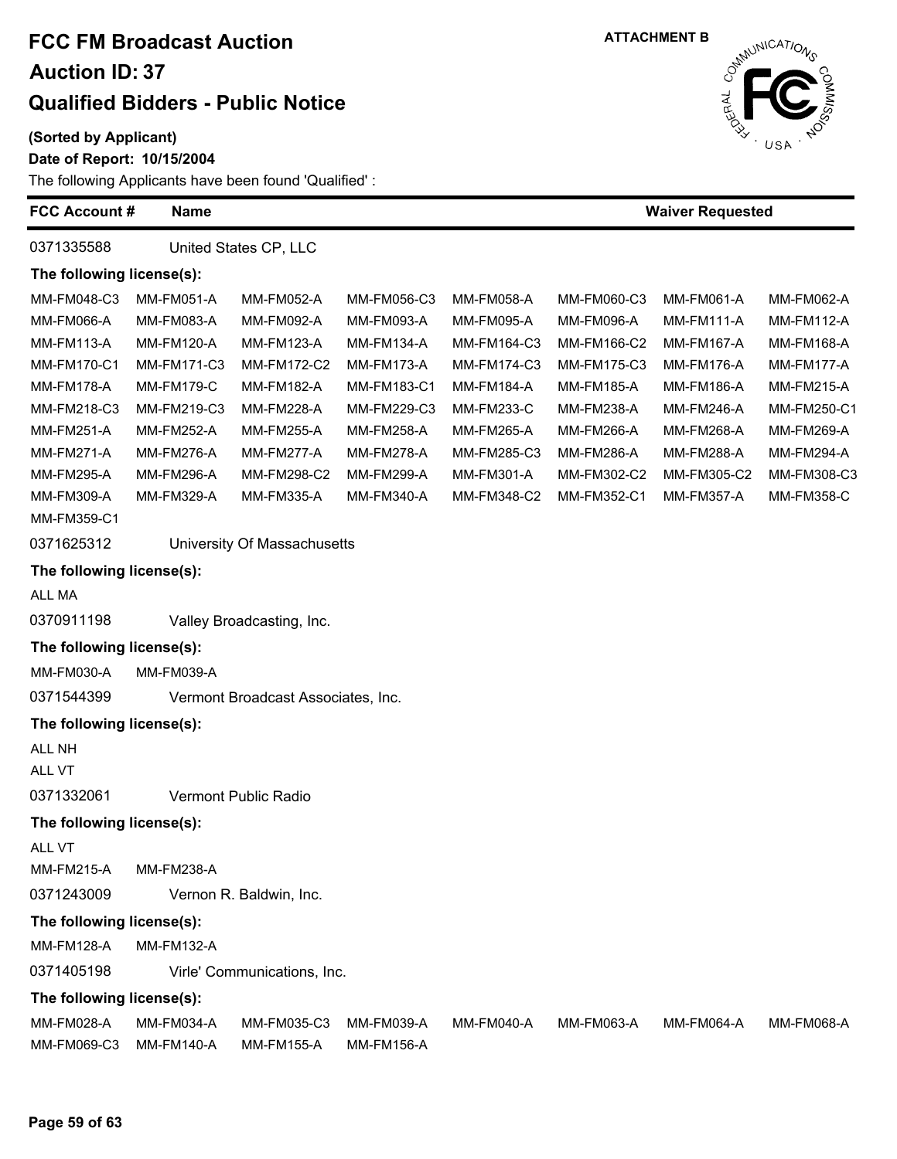#### **(Sorted by Applicant)**

#### **Date of Report: 10/15/2004**

| <b>FCC Account #</b><br><b>Name</b> |                             |                                    |                   |                   | <b>Waiver Requested</b> |                   |             |  |  |
|-------------------------------------|-----------------------------|------------------------------------|-------------------|-------------------|-------------------------|-------------------|-------------|--|--|
| 0371335588                          |                             | United States CP, LLC              |                   |                   |                         |                   |             |  |  |
| The following license(s):           |                             |                                    |                   |                   |                         |                   |             |  |  |
| MM-FM048-C3                         | <b>MM-FM051-A</b>           | MM-FM052-A                         | MM-FM056-C3       | MM-FM058-A        | MM-FM060-C3             | MM-FM061-A        | MM-FM062-A  |  |  |
| MM-FM066-A                          | MM-FM083-A                  | MM-FM092-A                         | MM-FM093-A        | MM-FM095-A        | MM-FM096-A              | MM-FM111-A        | MM-FM112-A  |  |  |
| MM-FM113-A                          | MM-FM120-A                  | MM-FM123-A                         | MM-FM134-A        | MM-FM164-C3       | MM-FM166-C2             | MM-FM167-A        | MM-FM168-A  |  |  |
| <b>MM-FM170-C1</b>                  | MM-FM171-C3                 | MM-FM172-C2                        | MM-FM173-A        | MM-FM174-C3       | MM-FM175-C3             | MM-FM176-A        | MM-FM177-A  |  |  |
| <b>MM-FM178-A</b>                   | MM-FM179-C                  | MM-FM182-A                         | MM-FM183-C1       | MM-FM184-A        | MM-FM185-A              | MM-FM186-A        | MM-FM215-A  |  |  |
| MM-FM218-C3                         | MM-FM219-C3                 | <b>MM-FM228-A</b>                  | MM-FM229-C3       | <b>MM-FM233-C</b> | MM-FM238-A              | MM-FM246-A        | MM-FM250-C1 |  |  |
| <b>MM-FM251-A</b>                   | MM-FM252-A                  | MM-FM255-A                         | MM-FM258-A        | MM-FM265-A        | MM-FM266-A              | MM-FM268-A        | MM-FM269-A  |  |  |
| <b>MM-FM271-A</b>                   | <b>MM-FM276-A</b>           | <b>MM-FM277-A</b>                  | MM-FM278-A        | MM-FM285-C3       | MM-FM286-A              | MM-FM288-A        | MM-FM294-A  |  |  |
| MM-FM295-A                          | MM-FM296-A                  | MM-FM298-C2                        | MM-FM299-A        | MM-FM301-A        | MM-FM302-C2             | MM-FM305-C2       | MM-FM308-C3 |  |  |
| MM-FM309-A                          | MM-FM329-A                  | MM-FM335-A                         | MM-FM340-A        | MM-FM348-C2       | MM-FM352-C1             | MM-FM357-A        | MM-FM358-C  |  |  |
| MM-FM359-C1                         |                             |                                    |                   |                   |                         |                   |             |  |  |
| 0371625312                          | University Of Massachusetts |                                    |                   |                   |                         |                   |             |  |  |
| The following license(s):           |                             |                                    |                   |                   |                         |                   |             |  |  |
| ALL MA                              |                             |                                    |                   |                   |                         |                   |             |  |  |
| 0370911198                          |                             | Valley Broadcasting, Inc.          |                   |                   |                         |                   |             |  |  |
| The following license(s):           |                             |                                    |                   |                   |                         |                   |             |  |  |
| MM-FM030-A                          | MM-FM039-A                  |                                    |                   |                   |                         |                   |             |  |  |
| 0371544399                          |                             | Vermont Broadcast Associates, Inc. |                   |                   |                         |                   |             |  |  |
| The following license(s):           |                             |                                    |                   |                   |                         |                   |             |  |  |
| ALL NH                              |                             |                                    |                   |                   |                         |                   |             |  |  |
| ALL VT                              |                             |                                    |                   |                   |                         |                   |             |  |  |
| 0371332061                          |                             | Vermont Public Radio               |                   |                   |                         |                   |             |  |  |
| The following license(s):           |                             |                                    |                   |                   |                         |                   |             |  |  |
| ALL VT                              |                             |                                    |                   |                   |                         |                   |             |  |  |
| MM-FM215-A                          | MM-FM238-A                  |                                    |                   |                   |                         |                   |             |  |  |
| 0371243009                          | Vernon R. Baldwin, Inc.     |                                    |                   |                   |                         |                   |             |  |  |
| The following license(s):           |                             |                                    |                   |                   |                         |                   |             |  |  |
| <b>MM-FM128-A</b>                   | <b>MM-FM132-A</b>           |                                    |                   |                   |                         |                   |             |  |  |
| 0371405198                          | Virle' Communications, Inc. |                                    |                   |                   |                         |                   |             |  |  |
| The following license(s):           |                             |                                    |                   |                   |                         |                   |             |  |  |
| MM-FM028-A                          | MM-FM034-A                  | MM-FM035-C3                        | MM-FM039-A        | <b>MM-FM040-A</b> | MM-FM063-A              | <b>MM-FM064-A</b> | MM-FM068-A  |  |  |
| MM-FM069-C3                         | <b>MM-FM140-A</b>           | <b>MM-FM155-A</b>                  | <b>MM-FM156-A</b> |                   |                         |                   |             |  |  |



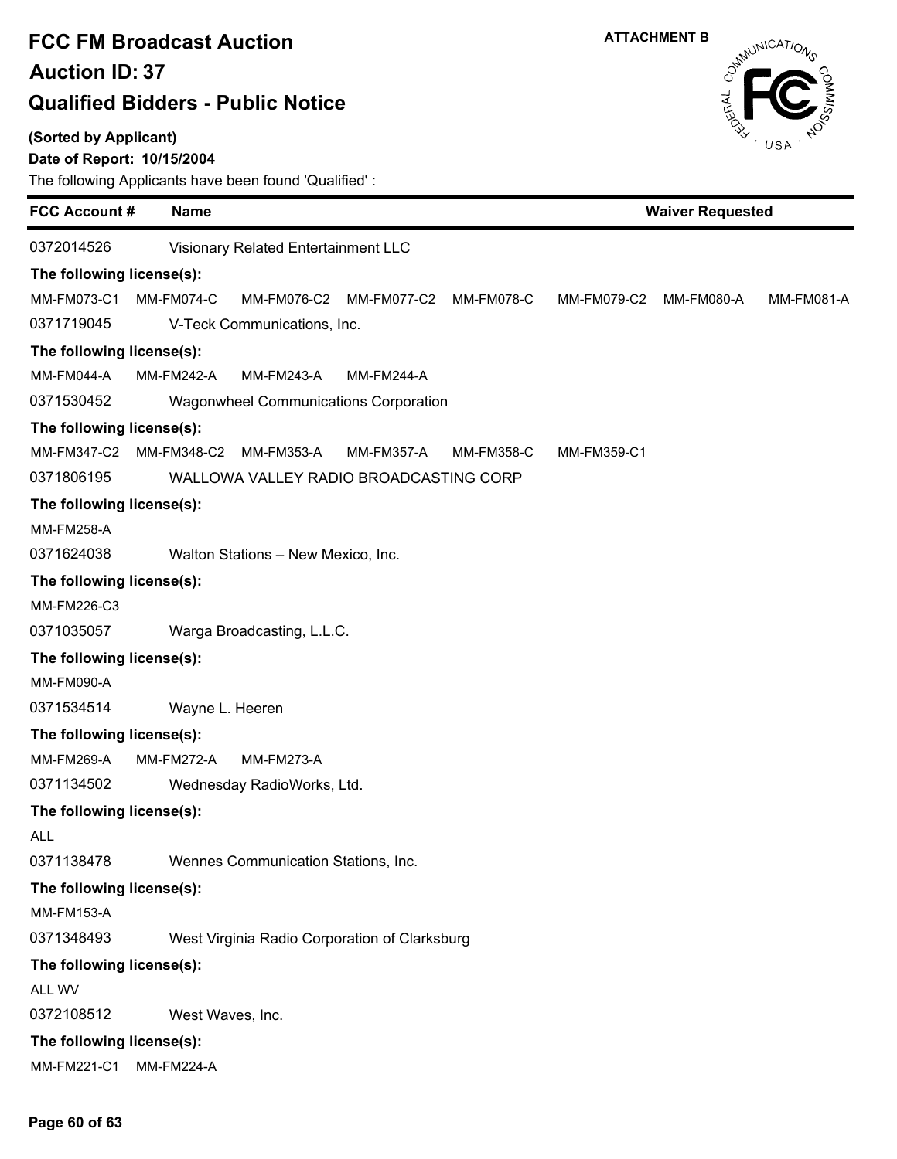### **(Sorted by Applicant)**

### **Date of Report: 10/15/2004**



| <b>FCC Account #</b><br><b>Name</b>                                       | <b>Waiver Requested</b> |                        |  |                   |  |  |  |  |
|---------------------------------------------------------------------------|-------------------------|------------------------|--|-------------------|--|--|--|--|
| 0372014526<br>Visionary Related Entertainment LLC                         |                         |                        |  |                   |  |  |  |  |
| The following license(s):                                                 |                         |                        |  |                   |  |  |  |  |
| MM-FM073-C1<br>MM-FM074-C<br>MM-FM076-C2<br>MM-FM077-C2                   | MM-FM078-C              | MM-FM079-C2 MM-FM080-A |  | <b>MM-FM081-A</b> |  |  |  |  |
| 0371719045<br>V-Teck Communications, Inc.                                 |                         |                        |  |                   |  |  |  |  |
| The following license(s):                                                 |                         |                        |  |                   |  |  |  |  |
| MM-FM044-A<br><b>MM-FM242-A</b><br><b>MM-FM243-A</b><br><b>MM-FM244-A</b> |                         |                        |  |                   |  |  |  |  |
| 0371530452<br><b>Wagonwheel Communications Corporation</b>                |                         |                        |  |                   |  |  |  |  |
| The following license(s):                                                 |                         |                        |  |                   |  |  |  |  |
| MM-FM347-C2<br>MM-FM348-C2<br>MM-FM353-A<br><b>MM-FM357-A</b>             | <b>MM-FM358-C</b>       | MM-FM359-C1            |  |                   |  |  |  |  |
| 0371806195<br>WALLOWA VALLEY RADIO BROADCASTING CORP                      |                         |                        |  |                   |  |  |  |  |
| The following license(s):                                                 |                         |                        |  |                   |  |  |  |  |
| <b>MM-FM258-A</b>                                                         |                         |                        |  |                   |  |  |  |  |
| 0371624038<br>Walton Stations - New Mexico, Inc.                          |                         |                        |  |                   |  |  |  |  |
| The following license(s):                                                 |                         |                        |  |                   |  |  |  |  |
| MM-FM226-C3                                                               |                         |                        |  |                   |  |  |  |  |
| 0371035057<br>Warga Broadcasting, L.L.C.                                  |                         |                        |  |                   |  |  |  |  |
| The following license(s):                                                 |                         |                        |  |                   |  |  |  |  |
| <b>MM-FM090-A</b>                                                         |                         |                        |  |                   |  |  |  |  |
| 0371534514<br>Wayne L. Heeren                                             |                         |                        |  |                   |  |  |  |  |
| The following license(s):                                                 |                         |                        |  |                   |  |  |  |  |
| <b>MM-FM269-A</b><br><b>MM-FM272-A</b><br><b>MM-FM273-A</b>               |                         |                        |  |                   |  |  |  |  |
| 0371134502<br>Wednesday RadioWorks, Ltd.                                  |                         |                        |  |                   |  |  |  |  |
| The following license(s):                                                 |                         |                        |  |                   |  |  |  |  |
| <b>ALL</b>                                                                |                         |                        |  |                   |  |  |  |  |
| 0371138478<br>Wennes Communication Stations, Inc.                         |                         |                        |  |                   |  |  |  |  |
| The following license(s):                                                 |                         |                        |  |                   |  |  |  |  |
| <b>MM-FM153-A</b>                                                         |                         |                        |  |                   |  |  |  |  |
| 0371348493<br>West Virginia Radio Corporation of Clarksburg               |                         |                        |  |                   |  |  |  |  |
| The following license(s):                                                 |                         |                        |  |                   |  |  |  |  |
| ALL WV                                                                    |                         |                        |  |                   |  |  |  |  |
| 0372108512<br>West Waves, Inc.                                            |                         |                        |  |                   |  |  |  |  |
| The following license(s):                                                 |                         |                        |  |                   |  |  |  |  |
| MM-FM221-C1<br><b>MM-FM224-A</b>                                          |                         |                        |  |                   |  |  |  |  |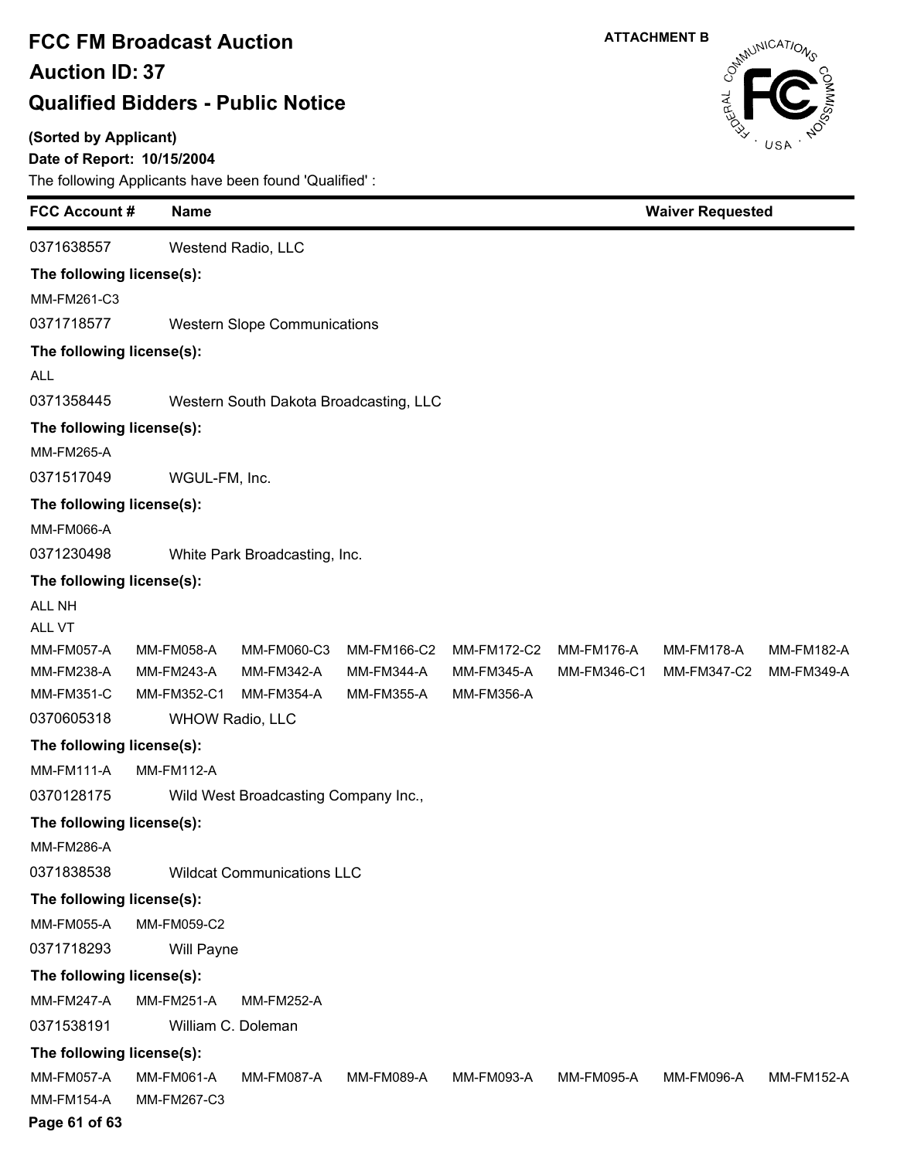#### **(Sorted by Applicant)**

### **Date of Report: 10/15/2004**

| <b>FCC Account #</b>      | <b>Name</b>       |                                        |                   |                   |                   |                   | <b>Waiver Requested</b> |  |  |
|---------------------------|-------------------|----------------------------------------|-------------------|-------------------|-------------------|-------------------|-------------------------|--|--|
| 0371638557                |                   | Westend Radio, LLC                     |                   |                   |                   |                   |                         |  |  |
| The following license(s): |                   |                                        |                   |                   |                   |                   |                         |  |  |
| MM-FM261-C3               |                   |                                        |                   |                   |                   |                   |                         |  |  |
| 0371718577                |                   | <b>Western Slope Communications</b>    |                   |                   |                   |                   |                         |  |  |
| The following license(s): |                   |                                        |                   |                   |                   |                   |                         |  |  |
| <b>ALL</b>                |                   |                                        |                   |                   |                   |                   |                         |  |  |
| 0371358445                |                   | Western South Dakota Broadcasting, LLC |                   |                   |                   |                   |                         |  |  |
| The following license(s): |                   |                                        |                   |                   |                   |                   |                         |  |  |
| <b>MM-FM265-A</b>         |                   |                                        |                   |                   |                   |                   |                         |  |  |
| 0371517049                | WGUL-FM, Inc.     |                                        |                   |                   |                   |                   |                         |  |  |
| The following license(s): |                   |                                        |                   |                   |                   |                   |                         |  |  |
| <b>MM-FM066-A</b>         |                   |                                        |                   |                   |                   |                   |                         |  |  |
| 0371230498                |                   | White Park Broadcasting, Inc.          |                   |                   |                   |                   |                         |  |  |
| The following license(s): |                   |                                        |                   |                   |                   |                   |                         |  |  |
| <b>ALL NH</b>             |                   |                                        |                   |                   |                   |                   |                         |  |  |
| ALL VT                    |                   |                                        |                   |                   |                   |                   |                         |  |  |
| MM-FM057-A                | MM-FM058-A        | MM-FM060-C3                            | MM-FM166-C2       | MM-FM172-C2       | <b>MM-FM176-A</b> | <b>MM-FM178-A</b> | <b>MM-FM182-A</b>       |  |  |
| MM-FM238-A                | <b>MM-FM243-A</b> | <b>MM-FM342-A</b>                      | <b>MM-FM344-A</b> | <b>MM-FM345-A</b> | MM-FM346-C1       | MM-FM347-C2       | MM-FM349-A              |  |  |
| <b>MM-FM351-C</b>         | MM-FM352-C1       | <b>MM-FM354-A</b>                      | MM-FM355-A        | MM-FM356-A        |                   |                   |                         |  |  |
| 0370605318                |                   | <b>WHOW Radio, LLC</b>                 |                   |                   |                   |                   |                         |  |  |
| The following license(s): |                   |                                        |                   |                   |                   |                   |                         |  |  |
| MM-FM111-A                | <b>MM-FM112-A</b> |                                        |                   |                   |                   |                   |                         |  |  |
| 0370128175                |                   | Wild West Broadcasting Company Inc.,   |                   |                   |                   |                   |                         |  |  |
| The following license(s): |                   |                                        |                   |                   |                   |                   |                         |  |  |
| <b>MM-FM286-A</b>         |                   |                                        |                   |                   |                   |                   |                         |  |  |
| 0371838538                |                   | <b>Wildcat Communications LLC</b>      |                   |                   |                   |                   |                         |  |  |
| The following license(s): |                   |                                        |                   |                   |                   |                   |                         |  |  |
| <b>MM-FM055-A</b>         | MM-FM059-C2       |                                        |                   |                   |                   |                   |                         |  |  |
| 0371718293                | Will Payne        |                                        |                   |                   |                   |                   |                         |  |  |
| The following license(s): |                   |                                        |                   |                   |                   |                   |                         |  |  |
| <b>MM-FM247-A</b>         | <b>MM-FM251-A</b> | <b>MM-FM252-A</b>                      |                   |                   |                   |                   |                         |  |  |
| 0371538191                |                   | William C. Doleman                     |                   |                   |                   |                   |                         |  |  |
| The following license(s): |                   |                                        |                   |                   |                   |                   |                         |  |  |
| <b>MM-FM057-A</b>         | <b>MM-FM061-A</b> | <b>MM-FM087-A</b>                      | MM-FM089-A        | MM-FM093-A        | MM-FM095-A        | MM-FM096-A        | <b>MM-FM152-A</b>       |  |  |
| <b>MM-FM154-A</b>         | MM-FM267-C3       |                                        |                   |                   |                   |                   |                         |  |  |

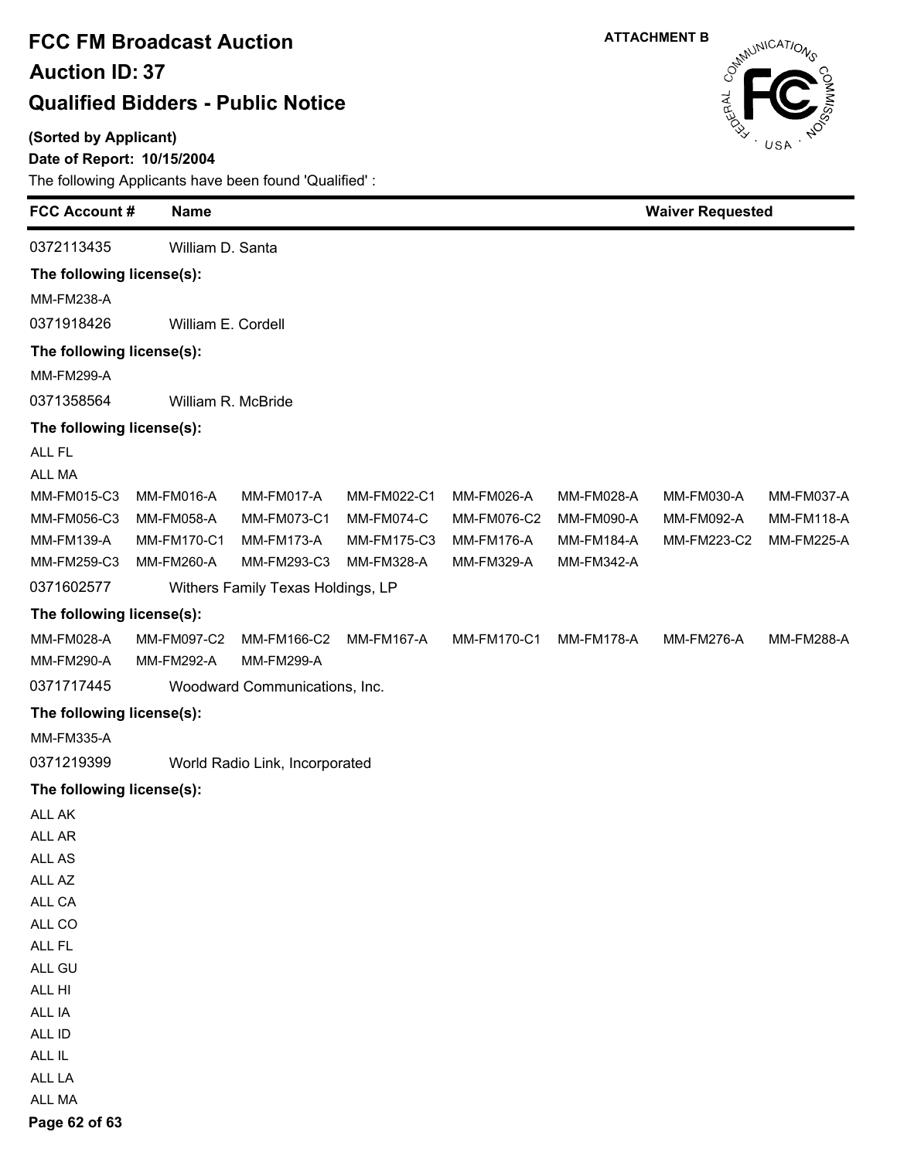**(Sorted by Applicant)**

### **Date of Report: 10/15/2004**

The following Applicants have been found 'Qualified' :



| <b>FCC Account#</b>       | <b>Name</b>        |                                   |             |                   | <b>Waiver Requested</b> |                   |                   |
|---------------------------|--------------------|-----------------------------------|-------------|-------------------|-------------------------|-------------------|-------------------|
| 0372113435                | William D. Santa   |                                   |             |                   |                         |                   |                   |
| The following license(s): |                    |                                   |             |                   |                         |                   |                   |
| <b>MM-FM238-A</b>         |                    |                                   |             |                   |                         |                   |                   |
| 0371918426                | William E. Cordell |                                   |             |                   |                         |                   |                   |
| The following license(s): |                    |                                   |             |                   |                         |                   |                   |
| <b>MM-FM299-A</b>         |                    |                                   |             |                   |                         |                   |                   |
| 0371358564                |                    | William R. McBride                |             |                   |                         |                   |                   |
| The following license(s): |                    |                                   |             |                   |                         |                   |                   |
| ALL FL                    |                    |                                   |             |                   |                         |                   |                   |
| ALL MA                    |                    |                                   |             |                   |                         |                   |                   |
| MM-FM015-C3               | MM-FM016-A         | MM-FM017-A                        | MM-FM022-C1 | MM-FM026-A        | MM-FM028-A              | MM-FM030-A        | MM-FM037-A        |
| MM-FM056-C3               | MM-FM058-A         | MM-FM073-C1                       | MM-FM074-C  | MM-FM076-C2       | MM-FM090-A              | MM-FM092-A        | <b>MM-FM118-A</b> |
| MM-FM139-A                | MM-FM170-C1        | <b>MM-FM173-A</b>                 | MM-FM175-C3 | <b>MM-FM176-A</b> | <b>MM-FM184-A</b>       | MM-FM223-C2       | <b>MM-FM225-A</b> |
| MM-FM259-C3               | MM-FM260-A         | MM-FM293-C3                       | MM-FM328-A  | MM-FM329-A        | MM-FM342-A              |                   |                   |
| 0371602577                |                    | Withers Family Texas Holdings, LP |             |                   |                         |                   |                   |
| The following license(s): |                    |                                   |             |                   |                         |                   |                   |
| MM-FM028-A                | MM-FM097-C2        | MM-FM166-C2                       | MM-FM167-A  | MM-FM170-C1       | <b>MM-FM178-A</b>       | <b>MM-FM276-A</b> | MM-FM288-A        |
| MM-FM290-A                | MM-FM292-A         | <b>MM-FM299-A</b>                 |             |                   |                         |                   |                   |
| 0371717445                |                    | Woodward Communications, Inc.     |             |                   |                         |                   |                   |
| The following license(s): |                    |                                   |             |                   |                         |                   |                   |
| <b>MM-FM335-A</b>         |                    |                                   |             |                   |                         |                   |                   |
| 0371219399                |                    | World Radio Link, Incorporated    |             |                   |                         |                   |                   |
| The following license(s): |                    |                                   |             |                   |                         |                   |                   |
| ALL AK                    |                    |                                   |             |                   |                         |                   |                   |
| ALL AR                    |                    |                                   |             |                   |                         |                   |                   |
| ALL AS                    |                    |                                   |             |                   |                         |                   |                   |
| ALL AZ                    |                    |                                   |             |                   |                         |                   |                   |
| ALL CA                    |                    |                                   |             |                   |                         |                   |                   |
| ALL CO                    |                    |                                   |             |                   |                         |                   |                   |
| ALL FL                    |                    |                                   |             |                   |                         |                   |                   |
| ALL GU<br>ALL HI          |                    |                                   |             |                   |                         |                   |                   |
| ALL IA                    |                    |                                   |             |                   |                         |                   |                   |
| ALL ID                    |                    |                                   |             |                   |                         |                   |                   |
| ALL IL                    |                    |                                   |             |                   |                         |                   |                   |
| ALL LA                    |                    |                                   |             |                   |                         |                   |                   |
| ALL MA                    |                    |                                   |             |                   |                         |                   |                   |
|                           |                    |                                   |             |                   |                         |                   |                   |

**Page 62 of 63**